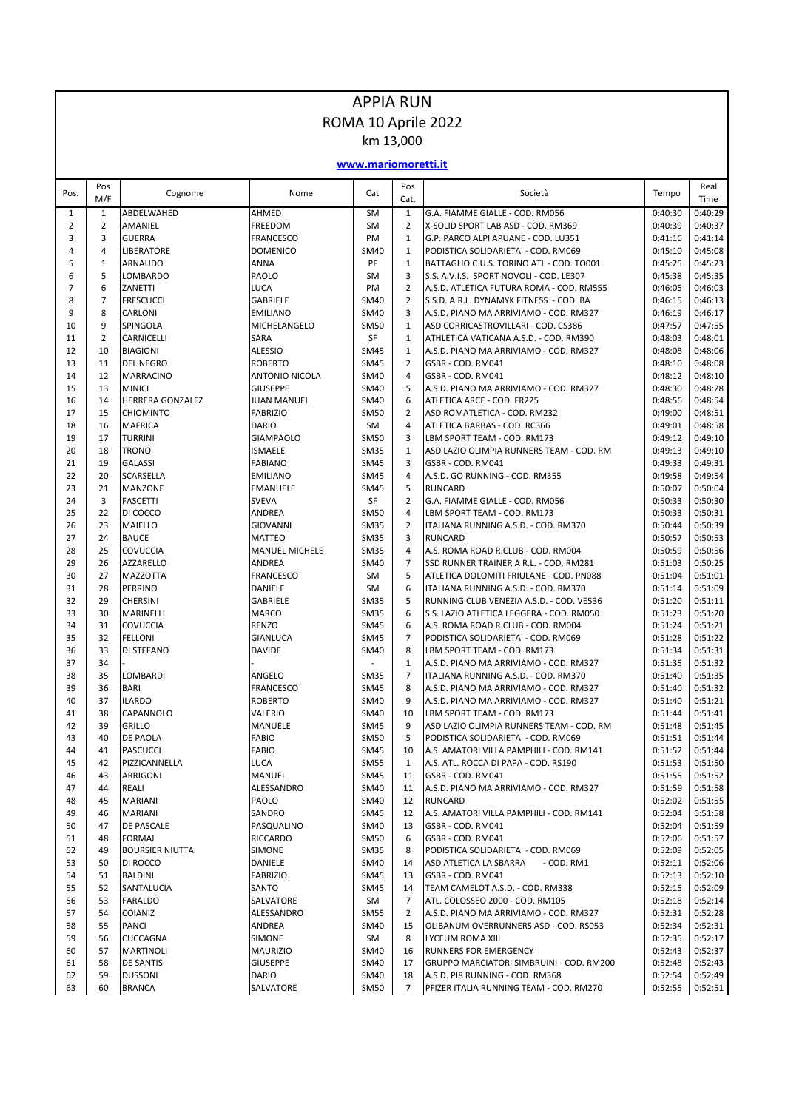## APPIA RUN ROMA 10 Aprile 2022 km 13,000

**www.mariomoretti.it**

| Pos.           | Pos<br>M/F       | Cognome                           | Nome                             | Cat                        | Pos<br>Cat.         | Società                                                                             | Tempo              | Real<br>Time       |
|----------------|------------------|-----------------------------------|----------------------------------|----------------------------|---------------------|-------------------------------------------------------------------------------------|--------------------|--------------------|
| 1              | $\mathbf{1}$     | ABDELWAHED                        | AHMED                            | SM                         | $\mathbf{1}$        | G.A. FIAMME GIALLE - COD. RM056                                                     | 0:40:30            | 0:40:29            |
| $\overline{2}$ | $\overline{2}$   | AMANIEL                           | FREEDOM                          | <b>SM</b>                  | $\overline{2}$      | X-SOLID SPORT LAB ASD - COD. RM369                                                  | 0:40:39            | 0:40:37            |
| 3              | $\overline{3}$   | <b>GUERRA</b>                     | <b>FRANCESCO</b>                 | PM                         | $\mathbf{1}$        | G.P. PARCO ALPI APUANE - COD. LU351                                                 | 0:41:16            | 0:41:14            |
| 4              | $\overline{4}$   | <b>LIBERATORE</b>                 | <b>DOMENICO</b>                  | <b>SM40</b>                | $\mathbf{1}$        | PODISTICA SOLIDARIETA' - COD. RM069                                                 | 0:45:10            | 0:45:08            |
| 5              | $\mathbf 1$<br>5 | ARNAUDO                           | <b>ANNA</b>                      | PF                         | $\mathbf{1}$        | BATTAGLIO C.U.S. TORINO ATL - COD. TO001                                            | 0:45:25            | 0:45:23            |
| 6<br>7         | 6                | LOMBARDO<br>ZANETTI               | PAOLO<br><b>LUCA</b>             | <b>SM</b><br>PM            | 3<br>$\overline{2}$ | S.S. A.V.I.S. SPORT NOVOLI - COD. LE307<br>A.S.D. ATLETICA FUTURA ROMA - COD. RM555 | 0:45:38<br>0:46:05 | 0:45:35<br>0:46:03 |
| 8              | $\overline{7}$   | <b>FRESCUCCI</b>                  | <b>GABRIELE</b>                  | SM40                       | $\overline{2}$      | S.S.D. A.R.L. DYNAMYK FITNESS - COD. BA                                             | 0:46:15            | 0:46:13            |
| 9              | 8                | CARLONI                           | <b>EMILIANO</b>                  | <b>SM40</b>                | 3                   | A.S.D. PIANO MA ARRIVIAMO - COD. RM327                                              | 0:46:19            | 0:46:17            |
| 10             | 9                | SPINGOLA                          | MICHELANGELO                     | <b>SM50</b>                | $\mathbf{1}$        | ASD CORRICASTROVILLARI - COD. CS386                                                 | 0:47:57            | 0:47:55            |
| 11             | $\overline{2}$   | <b>CARNICELLI</b>                 | <b>SARA</b>                      | <b>SF</b>                  | $\mathbf{1}$        | ATHLETICA VATICANA A.S.D. - COD. RM390                                              | 0:48:03            | 0:48:01            |
| 12             | 10               | <b>BIAGIONI</b>                   | <b>ALESSIO</b>                   | <b>SM45</b>                | $\mathbf{1}$        | A.S.D. PIANO MA ARRIVIAMO - COD. RM327                                              | 0:48:08            | 0:48:06            |
| 13             | 11               | <b>DEL NEGRO</b>                  | <b>ROBERTO</b>                   | <b>SM45</b>                | $\overline{2}$      | GSBR - COD. RM041                                                                   | 0:48:10            | 0:48:08            |
| 14             | 12               | <b>MARRACINO</b>                  | <b>ANTONIO NICOLA</b>            | <b>SM40</b>                | 4                   | GSBR - COD. RM041                                                                   | 0:48:12            | 0:48:10            |
| 15             | 13               | <b>MINICI</b>                     | <b>GIUSEPPE</b>                  | <b>SM40</b>                | 5                   | A.S.D. PIANO MA ARRIVIAMO - COD. RM327                                              | 0:48:30            | 0:48:28            |
| 16             | 14               | <b>HERRERA GONZALEZ</b>           | <b>JUAN MANUEL</b>               | <b>SM40</b>                | 6                   | ATLETICA ARCE - COD. FR225                                                          | 0:48:56            | 0:48:54            |
| 17             | 15               | <b>CHIOMINTO</b>                  | <b>FABRIZIO</b>                  | <b>SM50</b>                | $\overline{2}$      | ASD ROMATLETICA - COD. RM232                                                        | 0:49:00            | 0:48:51            |
| 18<br>19       | 16<br>17         | <b>MAFRICA</b><br><b>TURRINI</b>  | <b>DARIO</b><br><b>GIAMPAOLO</b> | SM<br><b>SM50</b>          | 4<br>3              | ATLETICA BARBAS - COD. RC366<br>LBM SPORT TEAM - COD. RM173                         | 0:49:01<br>0:49:12 | 0:48:58<br>0:49:10 |
| 20             | 18               | <b>TRONO</b>                      | <b>ISMAELE</b>                   | <b>SM35</b>                | $\mathbf{1}$        | ASD LAZIO OLIMPIA RUNNERS TEAM - COD. RM                                            | 0:49:13            | 0:49:10            |
| 21             | 19               | <b>GALASSI</b>                    | <b>FABIANO</b>                   | <b>SM45</b>                | 3                   | GSBR - COD. RM041                                                                   | 0:49:33            | 0:49:31            |
| 22             | 20               | <b>SCARSELLA</b>                  | <b>EMILIANO</b>                  | <b>SM45</b>                | 4                   | A.S.D. GO RUNNING - COD. RM355                                                      | 0:49:58            | 0:49:54            |
| 23             | 21               | <b>MANZONE</b>                    | <b>EMANUELE</b>                  | <b>SM45</b>                | 5                   | <b>RUNCARD</b>                                                                      | 0:50:07            | 0:50:04            |
| 24             | 3                | <b>FASCETTI</b>                   | <b>SVEVA</b>                     | SF                         | $\overline{2}$      | G.A. FIAMME GIALLE - COD. RM056                                                     | 0:50:33            | 0:50:30            |
| 25             | 22               | DI COCCO                          | <b>ANDREA</b>                    | <b>SM50</b>                | 4                   | LBM SPORT TEAM - COD. RM173                                                         | 0:50:33            | 0:50:31            |
| 26             | 23               | <b>MAIELLO</b>                    | GIOVANNI                         | <b>SM35</b>                | $\overline{2}$      | ITALIANA RUNNING A.S.D. - COD. RM370                                                | 0:50:44            | 0:50:39            |
| 27             | 24               | <b>BAUCE</b>                      | <b>MATTEO</b>                    | <b>SM35</b>                | 3                   | <b>RUNCARD</b>                                                                      | 0:50:57            | 0:50:53            |
| 28             | 25               | <b>COVUCCIA</b>                   | <b>MANUEL MICHELE</b>            | <b>SM35</b>                | 4                   | A.S. ROMA ROAD R.CLUB - COD. RM004                                                  | 0:50:59            | 0:50:56            |
| 29             | 26               | <b>AZZARELLO</b>                  | ANDREA                           | SM40                       | 7                   | SSD RUNNER TRAINER A R.L. - COD. RM281                                              | 0:51:03            | 0:50:25            |
| 30<br>31       | 27<br>28         | <b>MAZZOTTA</b><br><b>PERRINO</b> | <b>FRANCESCO</b><br>DANIELE      | SM<br>SM                   | 5<br>6              | ATLETICA DOLOMITI FRIULANE - COD. PN088<br>ITALIANA RUNNING A.S.D. - COD. RM370     | 0:51:04<br>0:51:14 | 0:51:01<br>0:51:09 |
| 32             | 29               | <b>CHERSINI</b>                   | <b>GABRIELE</b>                  | <b>SM35</b>                | 5                   | RUNNING CLUB VENEZIA A.S.D. - COD. VE536                                            | 0:51:20            | 0:51:11            |
| 33             | 30               | <b>MARINELLI</b>                  | <b>MARCO</b>                     | <b>SM35</b>                | 6                   | S.S. LAZIO ATLETICA LEGGERA - COD. RM050                                            | 0:51:23            | 0:51:20            |
| 34             | 31               | <b>COVUCCIA</b>                   | <b>RENZO</b>                     | <b>SM45</b>                | 6                   | A.S. ROMA ROAD R.CLUB - COD. RM004                                                  | 0:51:24            | 0:51:21            |
| 35             | 32               | <b>FELLONI</b>                    | <b>GIANLUCA</b>                  | <b>SM45</b>                | $\overline{7}$      | PODISTICA SOLIDARIETA' - COD. RM069                                                 | 0:51:28            | 0:51:22            |
| 36             | 33               | DI STEFANO                        | <b>DAVIDE</b>                    | SM40                       | 8                   | LBM SPORT TEAM - COD. RM173                                                         | 0:51:34            | 0:51:31            |
| 37             | 34               |                                   |                                  |                            | $\mathbf{1}$        | A.S.D. PIANO MA ARRIVIAMO - COD. RM327                                              | 0:51:35            | 0:51:32            |
| 38             | 35               | <b>LOMBARDI</b>                   | ANGELO                           | <b>SM35</b>                | $\overline{7}$      | ITALIANA RUNNING A.S.D. - COD. RM370                                                | 0:51:40            | 0:51:35            |
| 39             | 36               | <b>BARI</b>                       | <b>FRANCESCO</b>                 | <b>SM45</b>                | 8                   | A.S.D. PIANO MA ARRIVIAMO - COD. RM327                                              | 0:51:40            | 0:51:32            |
| 40             | 37               | <b>ILARDO</b>                     | <b>ROBERTO</b>                   | <b>SM40</b>                | 9                   | A.S.D. PIANO MA ARRIVIAMO - COD. RM327                                              | 0:51:40            | 0:51:21            |
| 41             | 38               | CAPANNOLO                         | VALERIO                          | <b>SM40</b>                | 10                  | LBM SPORT TEAM - COD. RM173                                                         | 0:51:44            | 0:51:41            |
| 42<br>43       | 39<br>40         | <b>GRILLO</b><br><b>DE PAOLA</b>  | MANUELE<br><b>FABIO</b>          | <b>SM45</b><br><b>SM50</b> | 9<br>5              | ASD LAZIO OLIMPIA RUNNERS TEAM - COD. RM<br>PODISTICA SOLIDARIETA' - COD. RM069     | 0:51:48<br>0:51:51 | 0:51:45<br>0:51:44 |
| 44             | 41               | <b>PASCUCCI</b>                   | <b>FABIO</b>                     | <b>SM45</b>                | 10                  | A.S. AMATORI VILLA PAMPHILI - COD. RM141                                            | 0:51:52            | 0:51:44            |
| 45             | 42               | PIZZICANNELLA                     | <b>LUCA</b>                      | <b>SM55</b>                | $\mathbf{1}$        | A.S. ATL. ROCCA DI PAPA - COD. RS190                                                | 0:51:53            | 0:51:50            |
| 46             | 43               | <b>ARRIGONI</b>                   | MANUEL                           | SM45                       | 11                  | GSBR - COD. RM041                                                                   | 0:51:55            | 0:51:52            |
| 47             | 44               | REALI                             | ALESSANDRO                       | <b>SM40</b>                | 11                  | A.S.D. PIANO MA ARRIVIAMO - COD. RM327                                              | 0:51:59            | 0:51:58            |
| 48             | 45               | <b>MARIANI</b>                    | PAOLO                            | SM40                       | 12                  | <b>RUNCARD</b>                                                                      | 0:52:02            | 0:51:55            |
| 49             | 46               | <b>MARIANI</b>                    | SANDRO                           | SM45                       | 12                  | A.S. AMATORI VILLA PAMPHILI - COD. RM141                                            | 0:52:04            | 0:51:58            |
| 50             | 47               | <b>DE PASCALE</b>                 | PASQUALINO                       | SM40                       | 13                  | GSBR - COD. RM041                                                                   | 0:52:04            | 0:51:59            |
| 51             | 48               | <b>FORMAI</b>                     | <b>RICCARDO</b>                  | <b>SM50</b>                | 6                   | GSBR - COD. RM041                                                                   | 0:52:06            | 0:51:57            |
| 52             | 49               | <b>BOURSIER NIUTTA</b>            | SIMONE                           | <b>SM35</b>                | 8                   | PODISTICA SOLIDARIETA' - COD. RM069                                                 | 0:52:09            | 0:52:05            |
| 53             | 50               | DI ROCCO                          | DANIELE                          | SM40                       | 14                  | ASD ATLETICA LA SBARRA<br>- COD. RM1                                                | 0:52:11            | 0:52:06            |
| 54<br>55       | 51<br>52         | <b>BALDINI</b><br>SANTALUCIA      | <b>FABRIZIO</b><br>SANTO         | <b>SM45</b><br>SM45        | 13<br>14            | GSBR - COD. RM041<br>TEAM CAMELOT A.S.D. - COD. RM338                               | 0:52:13<br>0:52:15 | 0:52:10<br>0:52:09 |
| 56             | 53               | <b>FARALDO</b>                    | SALVATORE                        | SM                         | $\overline{7}$      | ATL. COLOSSEO 2000 - COD. RM105                                                     | 0:52:18            | 0:52:14            |
| 57             | 54               | <b>COIANIZ</b>                    | ALESSANDRO                       | <b>SM55</b>                | 2                   | A.S.D. PIANO MA ARRIVIAMO - COD. RM327                                              | 0:52:31            | 0:52:28            |
| 58             | 55               | <b>PANCI</b>                      | ANDREA                           | <b>SM40</b>                | 15                  | OLIBANUM OVERRUNNERS ASD - COD. RS053                                               | 0:52:34            | 0:52:31            |
| 59             | 56               | <b>CUCCAGNA</b>                   | <b>SIMONE</b>                    | SM                         | 8                   | LYCEUM ROMA XIII                                                                    | 0:52:35            | 0:52:17            |
| 60             | 57               | <b>MARTINOLI</b>                  | <b>MAURIZIO</b>                  | SM40                       | 16                  | RUNNERS FOR EMERGENCY                                                               | 0:52:43            | 0:52:37            |
| 61             | 58               | <b>DE SANTIS</b>                  | <b>GIUSEPPE</b>                  | <b>SM40</b>                | 17                  | GRUPPO MARCIATORI SIMBRUINI - COD. RM200                                            | 0:52:48            | 0:52:43            |
| 62             | 59               | <b>DUSSONI</b>                    | <b>DARIO</b>                     | SM40                       | 18                  | A.S.D. PI8 RUNNING - COD. RM368                                                     | 0:52:54            | 0:52:49            |
| 63             | 60               | <b>BRANCA</b>                     | SALVATORE                        | <b>SM50</b>                | 7                   | PFIZER ITALIA RUNNING TEAM - COD. RM270                                             | 0:52:55            | 0:52:51            |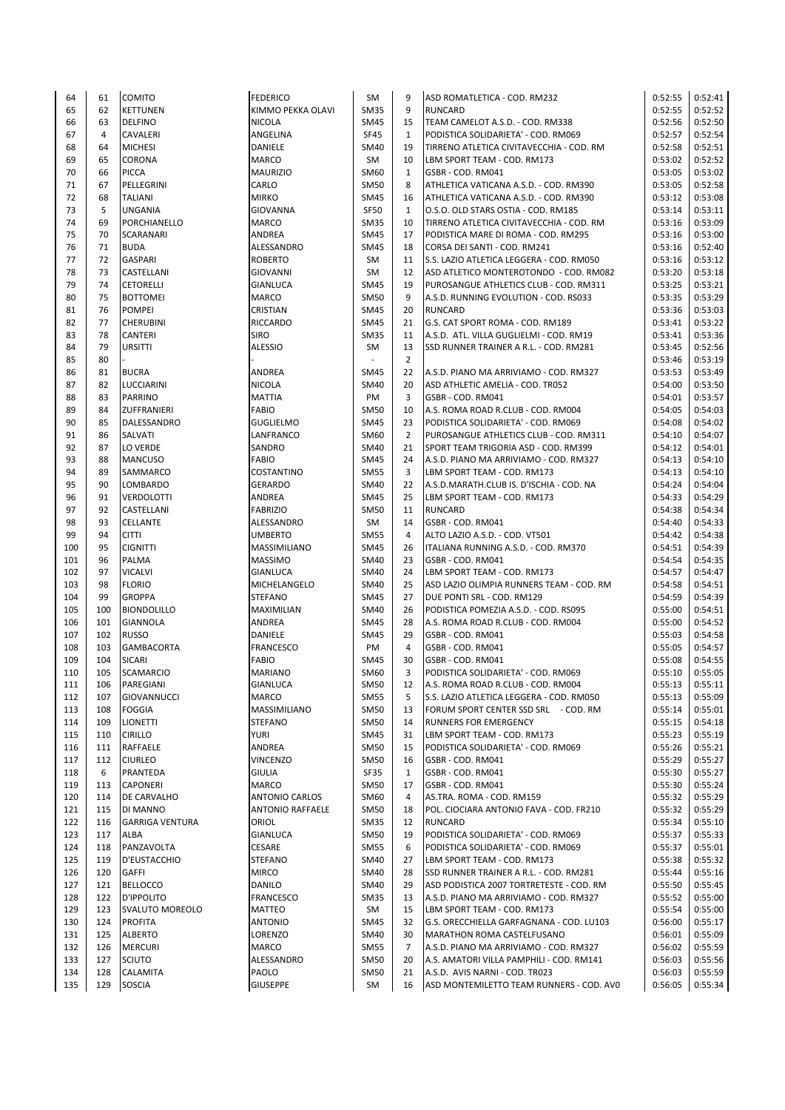| 64  | 61  | <b>COMITO</b>          | <b>FEDERICO</b>         | SM          | 9              | ASD ROMATLETICA - COD. RM232             | 0:52:55 | 0:52:41 |
|-----|-----|------------------------|-------------------------|-------------|----------------|------------------------------------------|---------|---------|
| 65  | 62  | <b>KETTUNEN</b>        | KIMMO PEKKA OLAVI       | <b>SM35</b> | 9              | <b>RUNCARD</b>                           | 0:52:55 | 0:52:52 |
| 66  | 63  | <b>DELFINO</b>         | <b>NICOLA</b>           | SM45        | 15             | TEAM CAMELOT A.S.D. - COD. RM338         | 0:52:56 | 0:52:50 |
| 67  | 4   | <b>CAVALERI</b>        | ANGELINA                | <b>SF45</b> | $\mathbf{1}$   | PODISTICA SOLIDARIETA' - COD. RM069      | 0:52:57 | 0:52:54 |
| 68  | 64  | <b>MICHESI</b>         |                         | SM40        | 19             |                                          | 0:52:58 | 0:52:51 |
|     |     |                        | DANIELE                 |             |                | TIRRENO ATLETICA CIVITAVECCHIA - COD. RM |         |         |
| 69  | 65  | <b>CORONA</b>          | <b>MARCO</b>            | SM          | 10             | LBM SPORT TEAM - COD. RM173              | 0:53:02 | 0:52:52 |
| 70  | 66  | <b>PICCA</b>           | <b>MAURIZIO</b>         | SM60        | $\mathbf{1}$   | GSBR - COD. RM041                        | 0:53:05 | 0:53:02 |
| 71  | 67  | PELLEGRINI             | CARLO                   | SM50        | 8              | ATHLETICA VATICANA A.S.D. - COD. RM390   | 0:53:05 | 0:52:58 |
| 72  | 68  | TALIANI                | <b>MIRKO</b>            | <b>SM45</b> | 16             | ATHLETICA VATICANA A.S.D. - COD. RM390   | 0:53:12 | 0:53:08 |
| 73  | 5   | <b>UNGANIA</b>         | <b>GIOVANNA</b>         | <b>SF50</b> | $\mathbf{1}$   | O.S.O. OLD STARS OSTIA - COD. RM185      | 0:53:14 | 0:53:11 |
| 74  | 69  | PORCHIANELLO           | <b>MARCO</b>            | <b>SM35</b> | 10             | TIRRENO ATLETICA CIVITAVECCHIA - COD. RM | 0:53:16 | 0:53:09 |
| 75  | 70  | <b>SCARANARI</b>       | <b>ANDREA</b>           | <b>SM45</b> | 17             | PODISTICA MARE DI ROMA - COD. RM295      | 0:53:16 | 0:53:00 |
| 76  | 71  |                        | ALESSANDRO              | <b>SM45</b> | 18             |                                          | 0:53:16 |         |
|     |     | <b>BUDA</b>            |                         |             |                | CORSA DEI SANTI - COD. RM241             |         | 0:52:40 |
| 77  | 72  | <b>GASPARI</b>         | <b>ROBERTO</b>          | SM          | 11             | S.S. LAZIO ATLETICA LEGGERA - COD. RM050 | 0:53:16 | 0:53:12 |
| 78  | 73  | CASTELLANI             | GIOVANNI                | SM          | 12             | ASD ATLETICO MONTEROTONDO - COD. RM082   | 0:53:20 | 0:53:18 |
| 79  | 74  | <b>CETORELLI</b>       | GIANLUCA                | <b>SM45</b> | 19             | PUROSANGUE ATHLETICS CLUB - COD. RM311   | 0:53:25 | 0:53:21 |
| 80  | 75  | <b>BOTTOMEI</b>        | MARCO                   | <b>SM50</b> | 9              | A.S.D. RUNNING EVOLUTION - COD. RS033    | 0:53:35 | 0:53:29 |
| 81  | 76  | <b>POMPEI</b>          | CRISTIAN                | <b>SM45</b> | 20             | <b>RUNCARD</b>                           | 0:53:36 | 0:53:03 |
| 82  | 77  | <b>CHERUBINI</b>       | <b>RICCARDO</b>         | <b>SM45</b> | 21             | G.S. CAT SPORT ROMA - COD. RM189         | 0:53:41 | 0:53:22 |
| 83  | 78  | <b>CANTERI</b>         | <b>SIRO</b>             | <b>SM35</b> | 11             | A.S.D. ATL. VILLA GUGLIELMI - COD. RM19  | 0:53:41 | 0:53:36 |
|     | 79  |                        |                         |             |                |                                          |         |         |
| 84  |     | <b>URSITTI</b>         | <b>ALESSIO</b>          | SM          | 13             | SSD RUNNER TRAINER A R.L. - COD. RM281   | 0:53:45 | 0:52:56 |
| 85  | 80  |                        |                         | $\sim$      | $\overline{2}$ |                                          | 0:53:46 | 0:53:19 |
| 86  | 81  | <b>BUCRA</b>           | ANDREA                  | SM45        | 22             | A.S.D. PIANO MA ARRIVIAMO - COD. RM327   | 0:53:53 | 0:53:49 |
| 87  | 82  | LUCCIARINI             | <b>NICOLA</b>           | SM40        | 20             | ASD ATHLETIC AMELIA - COD. TR052         | 0:54:00 | 0:53:50 |
| 88  | 83  | PARRINO                | <b>MATTIA</b>           | PM          | 3              | GSBR - COD. RM041                        | 0:54:01 | 0:53:57 |
| 89  | 84  | <b>ZUFFRANIERI</b>     | <b>FABIO</b>            | <b>SM50</b> | 10             | A.S. ROMA ROAD R.CLUB - COD. RM004       | 0:54:05 | 0:54:03 |
| 90  | 85  | DALESSANDRO            | <b>GUGLIELMO</b>        | SM45        | 23             | PODISTICA SOLIDARIETA' - COD. RM069      | 0:54:08 | 0:54:02 |
| 91  | 86  | SALVATI                | LANFRANCO               | SM60        | $\overline{2}$ | PUROSANGUE ATHLETICS CLUB - COD. RM311   | 0:54:10 | 0:54:07 |
|     |     |                        |                         |             |                |                                          |         |         |
| 92  | 87  | <b>LO VERDE</b>        | SANDRO                  | SM40        | 21             | SPORT TEAM TRIGORIA ASD - COD. RM399     | 0:54:12 | 0:54:01 |
| 93  | 88  | <b>MANCUSO</b>         | <b>FABIO</b>            | <b>SM45</b> | 24             | A.S.D. PIANO MA ARRIVIAMO - COD. RM327   | 0:54:13 | 0:54:10 |
| 94  | 89  | <b>SAMMARCO</b>        | COSTANTINO              | <b>SM55</b> | 3              | LBM SPORT TEAM - COD. RM173              | 0:54:13 | 0:54:10 |
| 95  | 90  | <b>LOMBARDO</b>        | <b>GERARDO</b>          | SM40        | 22             | A.S.D.MARATH.CLUB IS. D'ISCHIA - COD. NA | 0:54:24 | 0:54:04 |
| 96  | 91  | <b>VERDOLOTTI</b>      | ANDREA                  | <b>SM45</b> | 25             | LBM SPORT TEAM - COD. RM173              | 0:54:33 | 0:54:29 |
| 97  | 92  | CASTELLANI             | <b>FABRIZIO</b>         | <b>SM50</b> | 11             | <b>RUNCARD</b>                           | 0:54:38 | 0:54:34 |
| 98  | 93  | <b>CELLANTE</b>        | ALESSANDRO              | SM          | 14             | GSBR - COD. RM041                        | 0:54:40 | 0:54:33 |
| 99  | 94  | <b>CITTI</b>           | <b>UMBERTO</b>          | <b>SM55</b> | 4              | ALTO LAZIO A.S.D. - COD. VT501           | 0:54:42 | 0:54:38 |
|     |     |                        |                         |             |                |                                          |         |         |
| 100 | 95  | <b>CIGNITTI</b>        | MASSIMILIANO            | <b>SM45</b> | 26             | ITALIANA RUNNING A.S.D. - COD. RM370     | 0:54:51 | 0:54:39 |
| 101 | 96  | <b>PALMA</b>           | <b>MASSIMO</b>          | SM40        | 23             | GSBR - COD. RM041                        | 0:54:54 | 0:54:35 |
| 102 | 97  | <b>VICALVI</b>         | <b>GIANLUCA</b>         | SM40        | 24             | LBM SPORT TEAM - COD. RM173              | 0:54:57 | 0:54:47 |
| 103 | 98  | <b>FLORIO</b>          | MICHELANGELO            | SM40        | 25             | ASD LAZIO OLIMPIA RUNNERS TEAM - COD. RM | 0:54:58 | 0:54:51 |
| 104 | 99  | <b>GROPPA</b>          | <b>STEFANO</b>          | SM45        | 27             | DUE PONTI SRL - COD. RM129               | 0:54:59 | 0:54:39 |
| 105 | 100 | <b>BIONDOLILLO</b>     | MAXIMILIAN              | SM40        | 26             | PODISTICA POMEZIA A.S.D. - COD. RS095    | 0:55:00 | 0:54:51 |
| 106 | 101 | <b>GIANNOLA</b>        | ANDREA                  | <b>SM45</b> | 28             | A.S. ROMA ROAD R.CLUB - COD. RM004       | 0:55:00 | 0:54:52 |
| 107 | 102 | <b>RUSSO</b>           | DANIELE                 | <b>SM45</b> | 29             | GSBR - COD. RM041                        | 0:55:03 | 0:54:58 |
|     |     |                        |                         |             | 4              |                                          |         |         |
| 108 | 103 | <b>GAMBACORTA</b>      | <b>FRANCESCO</b>        | PM          |                | GSBR - COD. RM041                        | 0:55:05 | 0:54:57 |
| 109 | 104 | <b>SICARI</b>          | <b>FABIO</b>            | SM45        | 30             | GSBR - COD. RM041                        | 0:55:08 | 0:54:55 |
| 110 | 105 | <b>SCAMARCIO</b>       | <b>MARIANO</b>          | SM60        | 3              | PODISTICA SOLIDARIETA' - COD. RM069      | 0:55:10 | 0:55:05 |
| 111 | 106 | PAREGIANI              | <b>GIANLUCA</b>         | SM50        | 12             | A.S. ROMA ROAD R.CLUB - COD. RM004       | 0:55:13 | 0:55:11 |
| 112 | 107 | <b>GIOVANNUCCI</b>     | MARCO                   | <b>SM55</b> | 5              | S.S. LAZIO ATLETICA LEGGERA - COD. RM050 | 0:55:13 | 0:55:09 |
| 113 | 108 | <b>FOGGIA</b>          | MASSIMILIANO            | <b>SM50</b> | 13             | FORUM SPORT CENTER SSD SRL - COD. RM     | 0:55:14 | 0:55:01 |
| 114 | 109 | LIONETTI               | <b>STEFANO</b>          | SM50        | 14             | RUNNERS FOR EMERGENCY                    | 0:55:15 | 0:54:18 |
| 115 | 110 | <b>CIRILLO</b>         | <b>YURI</b>             | <b>SM45</b> | 31             | LBM SPORT TEAM - COD. RM173              | 0:55:23 | 0:55:19 |
| 116 | 111 | <b>RAFFAELE</b>        | ANDREA                  | SM50        | 15             | PODISTICA SOLIDARIETA' - COD. RM069      | 0:55:26 | 0:55:21 |
|     |     |                        |                         |             |                |                                          |         |         |
| 117 | 112 | <b>CIURLEO</b>         | <b>VINCENZO</b>         | <b>SM50</b> | 16             | GSBR - COD. RM041                        | 0:55:29 | 0:55:27 |
| 118 | 6   | PRANTEDA               | <b>GIULIA</b>           | SF35        | $\mathbf{1}$   | GSBR - COD. RM041                        | 0:55:30 | 0:55:27 |
| 119 | 113 | <b>CAPONERI</b>        | <b>MARCO</b>            | <b>SM50</b> | 17             | GSBR - COD. RM041                        | 0:55:30 | 0:55:24 |
| 120 | 114 | <b>DE CARVALHO</b>     | <b>ANTONIO CARLOS</b>   | SM60        | 4              | AS.TRA. ROMA - COD. RM159                | 0:55:32 | 0:55:29 |
| 121 | 115 | DI MANNO               | <b>ANTONIO RAFFAELE</b> | SM50        | 18             | POL. CIOCIARA ANTONIO FAVA - COD. FR210  | 0:55:32 | 0:55:29 |
| 122 | 116 | <b>GARRIGA VENTURA</b> | ORIOL                   | <b>SM35</b> | 12             | <b>RUNCARD</b>                           | 0:55:34 | 0:55:10 |
| 123 | 117 | ALBA                   | GIANLUCA                | <b>SM50</b> | 19             | PODISTICA SOLIDARIETA' - COD. RM069      | 0:55:37 | 0:55:33 |
| 124 | 118 | PANZAVOLTA             | CESARE                  | <b>SM55</b> | 6              | PODISTICA SOLIDARIETA' - COD. RM069      | 0:55:37 | 0:55:01 |
|     | 119 |                        |                         | SM40        | 27             |                                          | 0:55:38 | 0:55:32 |
| 125 |     | D'EUSTACCHIO           | <b>STEFANO</b>          |             |                | LBM SPORT TEAM - COD. RM173              |         |         |
| 126 | 120 | <b>GAFFI</b>           | <b>MIRCO</b>            | SM40        | 28             | SSD RUNNER TRAINER A R.L. - COD. RM281   | 0:55:44 | 0:55:16 |
| 127 | 121 | <b>BELLOCCO</b>        | <b>DANILO</b>           | SM40        | 29             | ASD PODISTICA 2007 TORTRETESTE - COD. RM | 0:55:50 | 0:55:45 |
| 128 | 122 | D'IPPOLITO             | <b>FRANCESCO</b>        | <b>SM35</b> | 13             | A.S.D. PIANO MA ARRIVIAMO - COD. RM327   | 0:55:52 | 0:55:00 |
| 129 | 123 | <b>SVALUTO MOREOLO</b> | <b>MATTEO</b>           | SM          | 15             | LBM SPORT TEAM - COD. RM173              | 0:55:54 | 0:55:00 |
| 130 | 124 | <b>PROFITA</b>         | <b>ANTONIO</b>          | SM45        | 32             | G.S. ORECCHIELLA GARFAGNANA - COD. LU103 | 0:56:00 | 0:55:17 |
| 131 | 125 | <b>ALBERTO</b>         | LORENZO                 | SM40        | 30             | MARATHON ROMA CASTELFUSANO               | 0:56:01 | 0:55:09 |
| 132 | 126 | <b>MERCURI</b>         | MARCO                   | <b>SM55</b> | 7              | A.S.D. PIANO MA ARRIVIAMO - COD. RM327   | 0:56:02 | 0:55:59 |
| 133 | 127 | <b>SCIUTO</b>          | ALESSANDRO              | SM50        | 20             | A.S. AMATORI VILLA PAMPHILI - COD. RM141 | 0:56:03 | 0:55:56 |
|     |     |                        |                         |             |                |                                          |         |         |
| 134 | 128 | <b>CALAMITA</b>        | PAOLO                   | <b>SM50</b> | 21             | A.S.D. AVIS NARNI - COD. TR023           | 0:56:03 | 0:55:59 |
| 135 | 129 | <b>SOSCIA</b>          | <b>GIUSEPPE</b>         | SM          | 16             | ASD MONTEMILETTO TEAM RUNNERS - COD. AVO | 0:56:05 | 0:55:34 |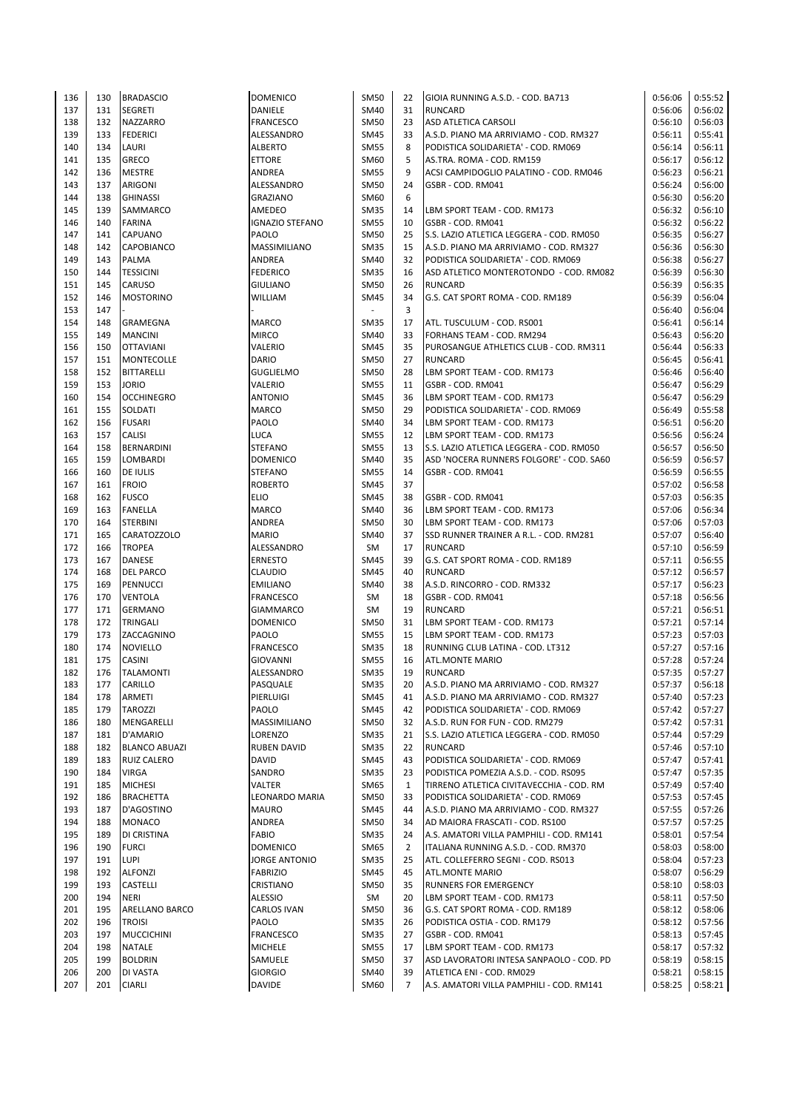| 136 | 130 | <b>BRADASCIO</b>      | <b>DOMENICO</b>        | <b>SM50</b> | 22           | GIOIA RUNNING A.S.D. - COD. BA713        | 0:56:06 | 0:55:52 |
|-----|-----|-----------------------|------------------------|-------------|--------------|------------------------------------------|---------|---------|
| 137 | 131 | <b>SEGRETI</b>        | DANIELE                | SM40        | 31           | <b>RUNCARD</b>                           | 0:56:06 | 0:56:02 |
|     |     |                       |                        |             |              |                                          |         |         |
| 138 | 132 | <b>NAZZARRO</b>       | <b>FRANCESCO</b>       | <b>SM50</b> | 23           | ASD ATLETICA CARSOLI                     | 0:56:10 | 0:56:03 |
| 139 | 133 | <b>FEDERICI</b>       | ALESSANDRO             | <b>SM45</b> | 33           | A.S.D. PIANO MA ARRIVIAMO - COD. RM327   | 0:56:11 | 0:55:41 |
| 140 | 134 | LAURI                 | <b>ALBERTO</b>         | <b>SM55</b> | 8            | PODISTICA SOLIDARIETA' - COD. RM069      | 0:56:14 | 0:56:11 |
| 141 | 135 | <b>GRECO</b>          | <b>ETTORE</b>          | SM60        | 5            | AS.TRA. ROMA - COD. RM159                | 0:56:17 | 0:56:12 |
| 142 | 136 | <b>MESTRE</b>         | <b>ANDREA</b>          | <b>SM55</b> | 9            | ACSI CAMPIDOGLIO PALATINO - COD. RM046   | 0:56:23 | 0:56:21 |
| 143 | 137 | <b>ARIGONI</b>        | ALESSANDRO             | <b>SM50</b> | 24           | GSBR - COD. RM041                        | 0:56:24 | 0:56:00 |
|     |     |                       |                        |             |              |                                          |         |         |
| 144 | 138 | <b>GHINASSI</b>       | <b>GRAZIANO</b>        | SM60        | 6            |                                          | 0:56:30 | 0:56:20 |
| 145 | 139 | <b>SAMMARCO</b>       | AMEDEO                 | <b>SM35</b> | 14           | LBM SPORT TEAM - COD. RM173              | 0:56:32 | 0:56:10 |
| 146 | 140 | <b>FARINA</b>         | <b>IGNAZIO STEFANO</b> | <b>SM55</b> | 10           | GSBR - COD. RM041                        | 0:56:32 | 0:56:22 |
| 147 | 141 | <b>CAPUANO</b>        | PAOLO                  | <b>SM50</b> | 25           | S.S. LAZIO ATLETICA LEGGERA - COD. RM050 | 0:56:35 | 0:56:27 |
| 148 | 142 | <b>CAPOBIANCO</b>     | MASSIMILIANO           | <b>SM35</b> | 15           | A.S.D. PIANO MA ARRIVIAMO - COD. RM327   | 0:56:36 | 0:56:30 |
| 149 | 143 | <b>PALMA</b>          | ANDREA                 | SM40        | 32           | PODISTICA SOLIDARIETA' - COD. RM069      | 0:56:38 | 0:56:27 |
|     |     |                       |                        |             |              |                                          |         |         |
| 150 | 144 | <b>TESSICINI</b>      | <b>FEDERICO</b>        | <b>SM35</b> | 16           | ASD ATLETICO MONTEROTONDO - COD. RM082   | 0:56:39 | 0:56:30 |
| 151 | 145 | <b>CARUSO</b>         | <b>GIULIANO</b>        | <b>SM50</b> | 26           | <b>RUNCARD</b>                           | 0:56:39 | 0:56:35 |
| 152 | 146 | <b>MOSTORINO</b>      | WILLIAM                | <b>SM45</b> | 34           | G.S. CAT SPORT ROMA - COD. RM189         | 0:56:39 | 0:56:04 |
| 153 | 147 |                       |                        | ÷.          | 3            |                                          | 0:56:40 | 0:56:04 |
| 154 | 148 | <b>GRAMEGNA</b>       | MARCO                  | <b>SM35</b> | 17           | ATL. TUSCULUM - COD. RS001               | 0:56:41 | 0:56:14 |
|     |     |                       |                        |             |              |                                          |         |         |
| 155 | 149 | <b>MANCINI</b>        | <b>MIRCO</b>           | SM40        | 33           | FORHANS TEAM - COD. RM294                | 0:56:43 | 0:56:20 |
| 156 | 150 | <b>OTTAVIANI</b>      | VALERIO                | <b>SM45</b> | 35           | PUROSANGUE ATHLETICS CLUB - COD. RM311   | 0:56:44 | 0:56:33 |
| 157 | 151 | <b>MONTECOLLE</b>     | <b>DARIO</b>           | <b>SM50</b> | 27           | <b>RUNCARD</b>                           | 0:56:45 | 0:56:41 |
| 158 | 152 | <b>BITTARELLI</b>     | <b>GUGLIELMO</b>       | <b>SM50</b> | 28           | LBM SPORT TEAM - COD. RM173              | 0:56:46 | 0:56:40 |
| 159 | 153 | <b>JORIO</b>          | VALERIO                | <b>SM55</b> | 11           | GSBR - COD. RM041                        | 0:56:47 | 0:56:29 |
| 160 | 154 | <b>OCCHINEGRO</b>     | <b>ANTONIO</b>         | <b>SM45</b> | 36           | LBM SPORT TEAM - COD. RM173              | 0:56:47 | 0:56:29 |
|     |     |                       |                        |             |              |                                          |         |         |
| 161 | 155 | <b>SOLDATI</b>        | MARCO                  | <b>SM50</b> | 29           | PODISTICA SOLIDARIETA' - COD. RM069      | 0:56:49 | 0:55:58 |
| 162 | 156 | <b>FUSARI</b>         | PAOLO                  | SM40        | 34           | LBM SPORT TEAM - COD. RM173              | 0:56:51 | 0:56:20 |
| 163 | 157 | <b>CALISI</b>         | LUCA                   | <b>SM55</b> | 12           | LBM SPORT TEAM - COD. RM173              | 0:56:56 | 0:56:24 |
| 164 | 158 | <b>BERNARDINI</b>     | <b>STEFANO</b>         | <b>SM55</b> | 13           | S.S. LAZIO ATLETICA LEGGERA - COD. RM050 | 0:56:57 | 0:56:50 |
| 165 | 159 | LOMBARDI              | <b>DOMENICO</b>        | SM40        | 35           | ASD 'NOCERA RUNNERS FOLGORE' - COD. SA60 | 0:56:59 | 0:56:57 |
|     |     |                       |                        |             |              |                                          |         |         |
| 166 | 160 | <b>DE IULIS</b>       | <b>STEFANO</b>         | <b>SM55</b> | 14           | GSBR - COD. RM041                        | 0:56:59 | 0:56:55 |
| 167 | 161 | <b>FROIO</b>          | <b>ROBERTO</b>         | <b>SM45</b> | 37           |                                          | 0:57:02 | 0:56:58 |
| 168 | 162 | <b>FUSCO</b>          | <b>ELIO</b>            | <b>SM45</b> | 38           | GSBR - COD. RM041                        | 0:57:03 | 0:56:35 |
| 169 | 163 | <b>FANELLA</b>        | MARCO                  | SM40        | 36           | LBM SPORT TEAM - COD. RM173              | 0:57:06 | 0:56:34 |
| 170 | 164 | <b>STERBINI</b>       | ANDREA                 | <b>SM50</b> | 30           | LBM SPORT TEAM - COD. RM173              | 0:57:06 | 0:57:03 |
| 171 | 165 | <b>CARATOZZOLO</b>    | <b>MARIO</b>           | <b>SM40</b> | 37           | SSD RUNNER TRAINER A R.L. - COD. RM281   | 0:57:07 | 0:56:40 |
|     |     |                       |                        |             |              |                                          |         |         |
| 172 | 166 | <b>TROPEA</b>         | ALESSANDRO             | SM          | 17           | <b>RUNCARD</b>                           | 0:57:10 | 0:56:59 |
| 173 | 167 | <b>DANESE</b>         | <b>ERNESTO</b>         | <b>SM45</b> | 39           | G.S. CAT SPORT ROMA - COD. RM189         | 0:57:11 | 0:56:55 |
| 174 | 168 | <b>DEL PARCO</b>      | CLAUDIO                | <b>SM45</b> | 40           | <b>RUNCARD</b>                           | 0:57:12 | 0:56:57 |
| 175 | 169 | PENNUCCI              | <b>EMILIANO</b>        | SM40        | 38           | A.S.D. RINCORRO - COD. RM332             | 0:57:17 | 0:56:23 |
| 176 | 170 | <b>VENTOLA</b>        | <b>FRANCESCO</b>       | SM          | 18           | GSBR - COD. RM041                        | 0:57:18 | 0:56:56 |
|     |     |                       |                        |             |              |                                          |         |         |
| 177 | 171 | <b>GERMANO</b>        | <b>GIAMMARCO</b>       | SM          | 19           | <b>RUNCARD</b>                           | 0:57:21 | 0:56:51 |
| 178 | 172 | <b>TRINGALI</b>       | <b>DOMENICO</b>        | <b>SM50</b> | 31           | LBM SPORT TEAM - COD. RM173              | 0:57:21 | 0:57:14 |
| 179 | 173 | ZACCAGNINO            | PAOLO                  | <b>SM55</b> | 15           | LBM SPORT TEAM - COD. RM173              | 0:57:23 | 0:57:03 |
| 180 | 174 | <b>NOVIELLO</b>       | FRANCESCO              | <b>SM35</b> | 18           | RUNNING CLUB LATINA - COD. LT312         | 0:57:27 | 0:57:16 |
| 181 | 175 | <b>CASINI</b>         | <b>GIOVANNI</b>        | <b>SM55</b> | 16           | <b>ATL.MONTE MARIO</b>                   | 0:57:28 | 0:57:24 |
| 182 | 176 | <b>TALAMONTI</b>      | ALESSANDRO             | <b>SM35</b> | 19           | <b>RUNCARD</b>                           | 0:57:35 | 0:57:27 |
|     |     |                       |                        |             |              |                                          |         |         |
| 183 | 177 | CARILLO               | PASQUALE               | SM35        | 20           | A.S.D. PIANO MA ARRIVIAMO - COD. RM327   | 0:57:37 | 0:56:18 |
| 184 | 178 | <b>ARMETI</b>         | PIERLUIGI              | SM45        | 41           | A.S.D. PIANO MA ARRIVIAMO - COD. RM327   | 0:57:40 | 0:57:23 |
| 185 | 179 | <b>TAROZZI</b>        | PAOLO                  | <b>SM45</b> | 42           | PODISTICA SOLIDARIETA' - COD. RM069      | 0:57:42 | 0:57:27 |
| 186 | 180 | MENGARELLI            | MASSIMILIANO           | <b>SM50</b> | 32           | A.S.D. RUN FOR FUN - COD. RM279          | 0:57:42 | 0:57:31 |
| 187 | 181 | D'AMARIO              | LORENZO                | <b>SM35</b> | 21           | S.S. LAZIO ATLETICA LEGGERA - COD. RM050 | 0:57:44 | 0:57:29 |
|     |     |                       |                        |             |              |                                          |         |         |
| 188 | 182 | <b>BLANCO ABUAZI</b>  | <b>RUBEN DAVID</b>     | <b>SM35</b> | 22           | <b>RUNCARD</b>                           | 0:57:46 | 0:57:10 |
| 189 | 183 | <b>RUIZ CALERO</b>    | DAVID                  | SM45        | 43           | PODISTICA SOLIDARIETA' - COD. RM069      | 0:57:47 | 0:57:41 |
| 190 | 184 | <b>VIRGA</b>          | SANDRO                 | <b>SM35</b> | 23           | PODISTICA POMEZIA A.S.D. - COD. RS095    | 0:57:47 | 0:57:35 |
| 191 | 185 | <b>MICHESI</b>        | VALTER                 | SM65        | $\mathbf{1}$ | TIRRENO ATLETICA CIVITAVECCHIA - COD. RM | 0:57:49 | 0:57:40 |
| 192 | 186 | <b>BRACHETTA</b>      | LEONARDO MARIA         | SM50        | 33           | PODISTICA SOLIDARIETA' - COD. RM069      | 0:57:53 | 0:57:45 |
| 193 | 187 | D'AGOSTINO            | <b>MAURO</b>           | SM45        | 44           | A.S.D. PIANO MA ARRIVIAMO - COD. RM327   | 0:57:55 | 0:57:26 |
|     |     |                       |                        |             |              |                                          |         |         |
| 194 | 188 | <b>MONACO</b>         | ANDREA                 | <b>SM50</b> | 34           | AD MAIORA FRASCATI - COD. RS100          | 0:57:57 | 0:57:25 |
| 195 | 189 | DI CRISTINA           | <b>FABIO</b>           | SM35        | 24           | A.S. AMATORI VILLA PAMPHILI - COD. RM141 | 0:58:01 | 0:57:54 |
| 196 | 190 | <b>FURCI</b>          | <b>DOMENICO</b>        | SM65        | 2            | ITALIANA RUNNING A.S.D. - COD. RM370     | 0:58:03 | 0:58:00 |
| 197 | 191 | <b>LUPI</b>           | <b>JORGE ANTONIO</b>   | SM35        | 25           | ATL. COLLEFERRO SEGNI - COD. RS013       | 0:58:04 | 0:57:23 |
| 198 | 192 | <b>ALFONZI</b>        | <b>FABRIZIO</b>        | SM45        | 45           | <b>ATL.MONTE MARIO</b>                   | 0:58:07 | 0:56:29 |
|     |     |                       |                        |             |              |                                          |         |         |
| 199 | 193 | <b>CASTELLI</b>       | CRISTIANO              | <b>SM50</b> | 35           | RUNNERS FOR EMERGENCY                    | 0:58:10 | 0:58:03 |
| 200 | 194 | <b>NERI</b>           | <b>ALESSIO</b>         | SM          | 20           | LBM SPORT TEAM - COD. RM173              | 0:58:11 | 0:57:50 |
| 201 | 195 | <b>ARELLANO BARCO</b> | CARLOS IVAN            | <b>SM50</b> | 36           | G.S. CAT SPORT ROMA - COD. RM189         | 0:58:12 | 0:58:06 |
| 202 | 196 | <b>TROISI</b>         | PAOLO                  | <b>SM35</b> | 26           | PODISTICA OSTIA - COD. RM179             | 0:58:12 | 0:57:56 |
| 203 | 197 | <b>MUCCICHINI</b>     | FRANCESCO              | <b>SM35</b> | 27           | GSBR - COD. RM041                        | 0:58:13 | 0:57:45 |
| 204 | 198 | <b>NATALE</b>         | MICHELE                | <b>SM55</b> | 17           | LBM SPORT TEAM - COD. RM173              | 0:58:17 | 0:57:32 |
|     |     |                       |                        |             |              |                                          |         |         |
| 205 | 199 | <b>BOLDRIN</b>        | SAMUELE                | <b>SM50</b> | 37           | ASD LAVORATORI INTESA SANPAOLO - COD. PD | 0:58:19 | 0:58:15 |
| 206 | 200 | DI VASTA              | <b>GIORGIO</b>         | SM40        | 39           | ATLETICA ENI - COD. RM029                | 0:58:21 | 0:58:15 |
| 207 | 201 | <b>CIARLI</b>         | DAVIDE                 | SM60        | 7            | A.S. AMATORI VILLA PAMPHILI - COD. RM141 | 0:58:25 | 0:58:21 |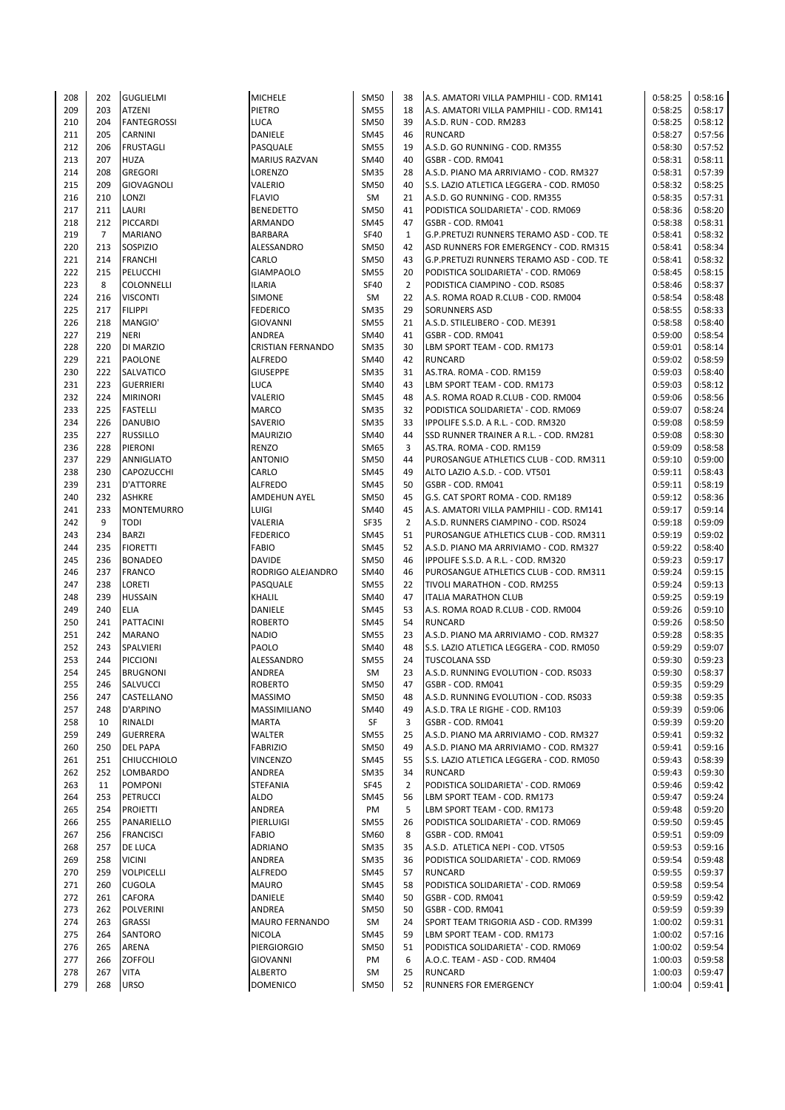| 208 | 202            | <b>GUGLIELMI</b>   | <b>MICHELE</b>           | <b>SM50</b> | 38             | A.S. AMATORI VILLA PAMPHILI - COD. RM141 | 0:58:25 | 0:58:16 |
|-----|----------------|--------------------|--------------------------|-------------|----------------|------------------------------------------|---------|---------|
| 209 | 203            | <b>ATZENI</b>      | PIETRO                   | <b>SM55</b> | 18             | A.S. AMATORI VILLA PAMPHILI - COD. RM141 | 0:58:25 | 0:58:17 |
| 210 | 204            | <b>FANTEGROSSI</b> | LUCA                     | <b>SM50</b> | 39             | A.S.D. RUN - COD. RM283                  | 0:58:25 | 0:58:12 |
| 211 | 205            | <b>CARNINI</b>     | DANIELE                  | SM45        | 46             | <b>RUNCARD</b>                           | 0:58:27 | 0:57:56 |
| 212 | 206            | <b>FRUSTAGLI</b>   | PASQUALE                 | <b>SM55</b> | 19             | A.S.D. GO RUNNING - COD. RM355           | 0:58:30 | 0:57:52 |
| 213 | 207            | <b>HUZA</b>        | <b>MARIUS RAZVAN</b>     | SM40        | 40             | GSBR - COD. RM041                        | 0:58:31 | 0:58:11 |
| 214 | 208            | <b>GREGORI</b>     | LORENZO                  | <b>SM35</b> | 28             | A.S.D. PIANO MA ARRIVIAMO - COD. RM327   | 0:58:31 | 0:57:39 |
| 215 | 209            | <b>GIOVAGNOLI</b>  | VALERIO                  | <b>SM50</b> | 40             | S.S. LAZIO ATLETICA LEGGERA - COD. RM050 | 0:58:32 | 0:58:25 |
| 216 | 210            | LONZI              | <b>FLAVIO</b>            | SM          | 21             | A.S.D. GO RUNNING - COD. RM355           | 0:58:35 | 0:57:31 |
| 217 | 211            | LAURI              | <b>BENEDETTO</b>         | <b>SM50</b> | 41             | PODISTICA SOLIDARIETA' - COD. RM069      | 0:58:36 | 0:58:20 |
| 218 | 212            | PICCARDI           | ARMANDO                  | <b>SM45</b> | 47             | GSBR - COD. RM041                        | 0:58:38 | 0:58:31 |
| 219 | $\overline{7}$ | <b>MARIANO</b>     | <b>BARBARA</b>           | SF40        | $\mathbf{1}$   | G.P.PRETUZI RUNNERS TERAMO ASD - COD. TE | 0:58:41 | 0:58:32 |
| 220 | 213            | SOSPIZIO           |                          | <b>SM50</b> | 42             | ASD RUNNERS FOR EMERGENCY - COD. RM315   | 0:58:41 | 0:58:34 |
|     |                |                    | ALESSANDRO               |             |                |                                          |         |         |
| 221 | 214            | <b>FRANCHI</b>     | CARLO                    | <b>SM50</b> | 43             | G.P.PRETUZI RUNNERS TERAMO ASD - COD. TE | 0:58:41 | 0:58:32 |
| 222 | 215            | PELUCCHI           | <b>GIAMPAOLO</b>         | <b>SM55</b> | 20             | PODISTICA SOLIDARIETA' - COD. RM069      | 0:58:45 | 0:58:15 |
| 223 | 8              | <b>COLONNELLI</b>  | ILARIA                   | <b>SF40</b> | $\overline{2}$ | PODISTICA CIAMPINO - COD. RS085          | 0:58:46 | 0:58:37 |
| 224 | 216            | <b>VISCONTI</b>    | SIMONE                   | SM          | 22             | A.S. ROMA ROAD R.CLUB - COD. RM004       | 0:58:54 | 0:58:48 |
| 225 | 217            | <b>FILIPPI</b>     | <b>FEDERICO</b>          | <b>SM35</b> | 29             | <b>SORUNNERS ASD</b>                     | 0:58:55 | 0:58:33 |
| 226 | 218            | MANGIO'            | GIOVANNI                 | <b>SM55</b> | 21             | A.S.D. STILELIBERO - COD. ME391          | 0:58:58 | 0:58:40 |
| 227 | 219            | <b>NERI</b>        | ANDREA                   | SM40        | 41             | GSBR - COD. RM041                        | 0:59:00 | 0:58:54 |
| 228 | 220            | DI MARZIO          | <b>CRISTIAN FERNANDO</b> | <b>SM35</b> | 30             | LBM SPORT TEAM - COD. RM173              | 0:59:01 | 0:58:14 |
| 229 | 221            | <b>PAOLONE</b>     | <b>ALFREDO</b>           | SM40        | 42             | RUNCARD                                  | 0:59:02 | 0:58:59 |
| 230 | 222            | <b>SALVATICO</b>   | <b>GIUSEPPE</b>          | <b>SM35</b> | 31             | AS.TRA. ROMA - COD. RM159                | 0:59:03 | 0:58:40 |
| 231 | 223            | <b>GUERRIERI</b>   | <b>LUCA</b>              | SM40        | 43             | LBM SPORT TEAM - COD. RM173              | 0:59:03 | 0:58:12 |
| 232 | 224            | <b>MIRINORI</b>    | VALERIO                  | SM45        | 48             | A.S. ROMA ROAD R.CLUB - COD. RM004       | 0:59:06 | 0:58:56 |
| 233 | 225            | <b>FASTELLI</b>    | <b>MARCO</b>             | <b>SM35</b> | 32             | PODISTICA SOLIDARIETA' - COD. RM069      | 0:59:07 | 0:58:24 |
| 234 | 226            | <b>DANUBIO</b>     | SAVERIO                  | <b>SM35</b> | 33             | IPPOLIFE S.S.D. A R.L. - COD. RM320      | 0:59:08 | 0:58:59 |
| 235 | 227            | <b>RUSSILLO</b>    | <b>MAURIZIO</b>          | SM40        | 44             | SSD RUNNER TRAINER A R.L. - COD. RM281   | 0:59:08 | 0:58:30 |
| 236 | 228            | PIERONI            | <b>RENZO</b>             | SM65        | 3              | AS.TRA. ROMA - COD. RM159                | 0:59:09 | 0:58:58 |
| 237 | 229            | <b>ANNIGLIATO</b>  | <b>ANTONIO</b>           | <b>SM50</b> | 44             | PUROSANGUE ATHLETICS CLUB - COD. RM311   | 0:59:10 | 0:59:00 |
| 238 | 230            | <b>CAPOZUCCHI</b>  | CARLO                    | <b>SM45</b> | 49             | ALTO LAZIO A.S.D. - COD. VT501           | 0:59:11 | 0:58:43 |
| 239 | 231            | D'ATTORRE          | <b>ALFREDO</b>           | SM45        | 50             | GSBR - COD. RM041                        | 0:59:11 | 0:58:19 |
| 240 | 232            | <b>ASHKRE</b>      | <b>AMDEHUN AYEL</b>      | <b>SM50</b> | 45             | G.S. CAT SPORT ROMA - COD. RM189         | 0:59:12 | 0:58:36 |
| 241 | 233            | <b>MONTEMURRO</b>  | LUIGI                    | SM40        | 45             | A.S. AMATORI VILLA PAMPHILI - COD. RM141 | 0:59:17 | 0:59:14 |
| 242 | 9              | <b>TODI</b>        | VALERIA                  | <b>SF35</b> | $\overline{2}$ | A.S.D. RUNNERS CIAMPINO - COD. RS024     | 0:59:18 | 0:59:09 |
| 243 | 234            |                    |                          |             | 51             |                                          |         |         |
|     |                | <b>BARZI</b>       | <b>FEDERICO</b>          | SM45        |                | PUROSANGUE ATHLETICS CLUB - COD. RM311   | 0:59:19 | 0:59:02 |
| 244 | 235            | <b>FIORETTI</b>    | FABIO                    | SM45        | 52             | A.S.D. PIANO MA ARRIVIAMO - COD. RM327   | 0:59:22 | 0:58:40 |
| 245 | 236            | <b>BONADEO</b>     | <b>DAVIDE</b>            | <b>SM50</b> | 46             | IPPOLIFE S.S.D. A R.L. - COD. RM320      | 0:59:23 | 0:59:17 |
| 246 | 237            | <b>FRANCO</b>      | RODRIGO ALEJANDRO        | <b>SM40</b> | 46             | PUROSANGUE ATHLETICS CLUB - COD. RM311   | 0:59:24 | 0:59:15 |
| 247 | 238            | <b>LORETI</b>      | PASQUALE                 | <b>SM55</b> | 22             | TIVOLI MARATHON - COD. RM255             | 0:59:24 | 0:59:13 |
| 248 | 239            | <b>HUSSAIN</b>     | KHALIL                   | SM40        | 47             | <b>ITALIA MARATHON CLUB</b>              | 0:59:25 | 0:59:19 |
| 249 | 240            | <b>ELIA</b>        | DANIELE                  | <b>SM45</b> | 53             | A.S. ROMA ROAD R.CLUB - COD. RM004       | 0:59:26 | 0:59:10 |
| 250 | 241            | PATTACINI          | <b>ROBERTO</b>           | SM45        | 54             | <b>RUNCARD</b>                           | 0:59:26 | 0:58:50 |
| 251 | 242            | <b>MARANO</b>      | <b>NADIO</b>             | <b>SM55</b> | 23             | A.S.D. PIANO MA ARRIVIAMO - COD. RM327   | 0:59:28 | 0:58:35 |
| 252 | 243            | SPALVIERI          | <b>PAOLO</b>             | <b>SM40</b> | 48             | S.S. LAZIO ATLETICA LEGGERA - COD. RM050 | 0:59:29 | 0:59:07 |
| 253 | 244            | <b>PICCIONI</b>    | ALESSANDRO               | <b>SM55</b> | 24             | <b>TUSCOLANA SSD</b>                     | 0:59:30 | 0:59:23 |
| 254 | 245            | <b>BRUGNONI</b>    | <b>ANDREA</b>            | SM          | 23             | A.S.D. RUNNING EVOLUTION - COD. RS033    | 0:59:30 | 0:58:37 |
| 255 | 246            | <b>SALVUCCI</b>    | ROBERTO                  | SM50        | 47             | GSBR - COD. RM041                        | 0:59:35 | 0:59:29 |
| 256 | 247            | <b>CASTELLANO</b>  | <b>MASSIMO</b>           | <b>SM50</b> | 48             | A.S.D. RUNNING EVOLUTION - COD. RS033    | 0:59:38 | 0:59:35 |
| 257 | 248            | D'ARPINO           | MASSIMILIANO             | <b>SM40</b> | 49             | A.S.D. TRA LE RIGHE - COD. RM103         | 0:59:39 | 0:59:06 |
| 258 | 10             | RINALDI            | <b>MARTA</b>             | SF          | 3              | GSBR - COD. RM041                        | 0:59:39 | 0:59:20 |
| 259 | 249            | <b>GUERRERA</b>    | WALTER                   | <b>SM55</b> | 25             | A.S.D. PIANO MA ARRIVIAMO - COD. RM327   | 0:59:41 | 0:59:32 |
| 260 | 250            | <b>DEL PAPA</b>    | <b>FABRIZIO</b>          | <b>SM50</b> | 49             | A.S.D. PIANO MA ARRIVIAMO - COD. RM327   | 0:59:41 | 0:59:16 |
| 261 | 251            | <b>CHIUCCHIOLO</b> | VINCENZO                 | <b>SM45</b> | 55             | S.S. LAZIO ATLETICA LEGGERA - COD. RM050 | 0:59:43 | 0:58:39 |
| 262 | 252            | LOMBARDO           | ANDREA                   | <b>SM35</b> | 34             | RUNCARD                                  | 0:59:43 | 0:59:30 |
| 263 | 11             | <b>POMPONI</b>     | <b>STEFANIA</b>          | <b>SF45</b> | $\overline{2}$ | PODISTICA SOLIDARIETA' - COD. RM069      | 0:59:46 | 0:59:42 |
| 264 | 253            | PETRUCCI           | <b>ALDO</b>              | SM45        | 56             | LBM SPORT TEAM - COD. RM173              | 0:59:47 | 0:59:24 |
| 265 | 254            | <b>PROIETTI</b>    | ANDREA                   | PM          | 5              | LBM SPORT TEAM - COD. RM173              | 0:59:48 | 0:59:20 |
| 266 | 255            | PANARIELLO         | PIERLUIGI                | <b>SM55</b> | 26             | PODISTICA SOLIDARIETA' - COD. RM069      | 0:59:50 | 0:59:45 |
| 267 | 256            | <b>FRANCISCI</b>   | FABIO                    | SM60        | 8              | GSBR - COD. RM041                        | 0:59:51 | 0:59:09 |
| 268 | 257            | <b>DE LUCA</b>     | <b>ADRIANO</b>           | <b>SM35</b> | 35             | A.S.D. ATLETICA NEPI - COD. VT505        | 0:59:53 | 0:59:16 |
| 269 | 258            | <b>VICINI</b>      | ANDREA                   | <b>SM35</b> | 36             | PODISTICA SOLIDARIETA' - COD. RM069      | 0:59:54 | 0:59:48 |
| 270 | 259            | <b>VOLPICELLI</b>  | <b>ALFREDO</b>           | SM45        | 57             | RUNCARD                                  | 0:59:55 | 0:59:37 |
|     |                |                    |                          |             |                |                                          |         |         |
| 271 | 260            | <b>CUGOLA</b>      | <b>MAURO</b>             | SM45        | 58             | PODISTICA SOLIDARIETA' - COD. RM069      | 0:59:58 | 0:59:54 |
| 272 | 261            | <b>CAFORA</b>      | DANIELE                  | SM40        | 50             | GSBR - COD. RM041                        | 0:59:59 | 0:59:42 |
| 273 | 262            | <b>POLVERINI</b>   | ANDREA                   | <b>SM50</b> | 50             | GSBR - COD. RM041                        | 0:59:59 | 0:59:39 |
| 274 | 263            | <b>GRASSI</b>      | <b>MAURO FERNANDO</b>    | SM          | 24             | SPORT TEAM TRIGORIA ASD - COD. RM399     | 1:00:02 | 0:59:31 |
| 275 | 264            | SANTORO            | <b>NICOLA</b>            | <b>SM45</b> | 59             | LBM SPORT TEAM - COD. RM173              | 1:00:02 | 0:57:16 |
| 276 | 265            | ARENA              | PIERGIORGIO              | <b>SM50</b> | 51             | PODISTICA SOLIDARIETA' - COD. RM069      | 1:00:02 | 0:59:54 |
| 277 | 266            | <b>ZOFFOLI</b>     | <b>GIOVANNI</b>          | PM          | 6              | A.O.C. TEAM - ASD - COD. RM404           | 1:00:03 | 0:59:58 |
| 278 | 267            | <b>VITA</b>        | <b>ALBERTO</b>           | SM          | 25             | RUNCARD                                  | 1:00:03 | 0:59:47 |
| 279 | 268            | <b>URSO</b>        | <b>DOMENICO</b>          | <b>SM50</b> | 52             | RUNNERS FOR EMERGENCY                    | 1:00:04 | 0:59:41 |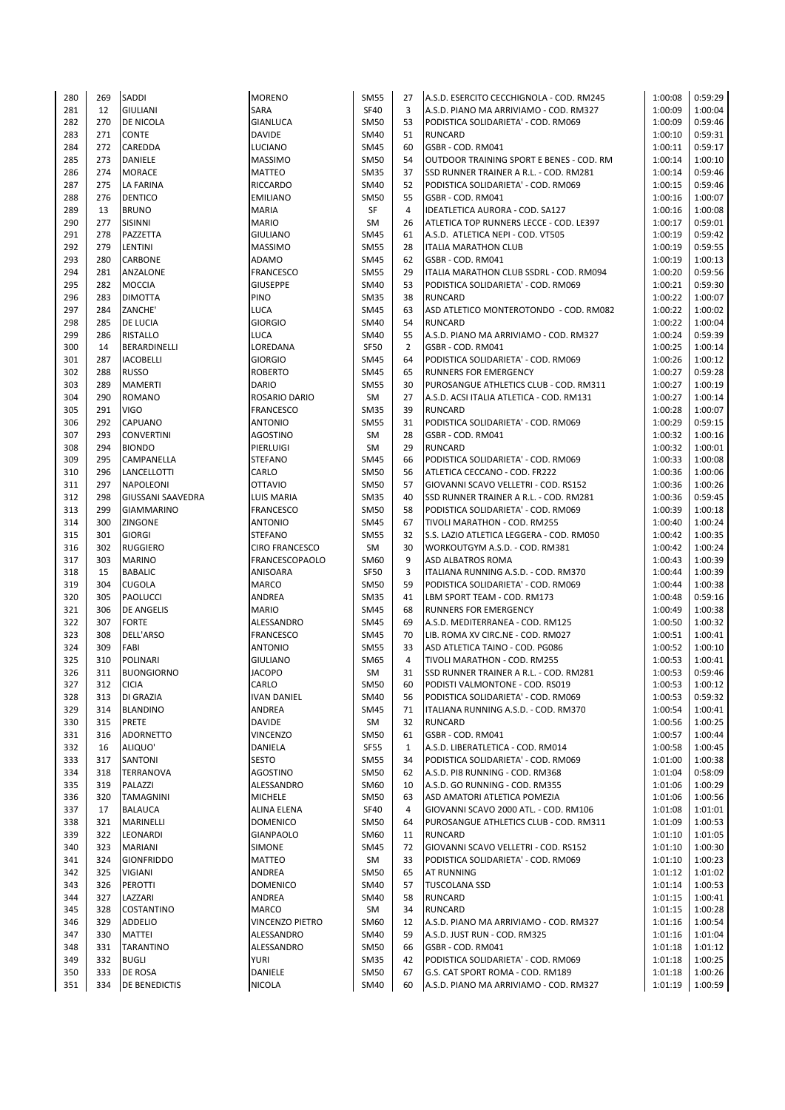| 280 | 269 | SADDI                    | <b>MORENO</b>         | <b>SM55</b> | 27             | A.S.D. ESERCITO CECCHIGNOLA - COD. RM245      | 1:00:08 | 0:59:29 |
|-----|-----|--------------------------|-----------------------|-------------|----------------|-----------------------------------------------|---------|---------|
| 281 | 12  | <b>GIULIANI</b>          | SARA                  | <b>SF40</b> | 3              | A.S.D. PIANO MA ARRIVIAMO - COD. RM327        | 1:00:09 | 1:00:04 |
| 282 | 270 | <b>DE NICOLA</b>         | GIANLUCA              | <b>SM50</b> | 53             | PODISTICA SOLIDARIETA' - COD. RM069           | 1:00:09 | 0:59:46 |
| 283 | 271 | <b>CONTE</b>             | <b>DAVIDE</b>         | SM40        | 51             | <b>RUNCARD</b>                                | 1:00:10 | 0:59:31 |
| 284 | 272 | CAREDDA                  | LUCIANO               | <b>SM45</b> | 60             | GSBR - COD. RM041                             | 1:00:11 | 0:59:17 |
| 285 | 273 | DANIELE                  | <b>MASSIMO</b>        | <b>SM50</b> | 54             | OUTDOOR TRAINING SPORT E BENES - COD. RM      | 1:00:14 | 1:00:10 |
| 286 | 274 | <b>MORACE</b>            | MATTEO                | <b>SM35</b> | 37             | <b>SSD RUNNER TRAINER A R.L. - COD. RM281</b> | 1:00:14 | 0:59:46 |
| 287 | 275 | <b>LA FARINA</b>         | RICCARDO              | SM40        | 52             | PODISTICA SOLIDARIETA' - COD. RM069           | 1:00:15 | 0:59:46 |
| 288 | 276 | <b>DENTICO</b>           | <b>EMILIANO</b>       | <b>SM50</b> | 55             | GSBR - COD. RM041                             | 1:00:16 | 1:00:07 |
| 289 | 13  | <b>BRUNO</b>             | <b>MARIA</b>          | SF          | 4              | IDEATLETICA AURORA - COD. SA127               | 1:00:16 | 1:00:08 |
| 290 | 277 | SISINNI                  |                       |             |                |                                               | 1:00:17 |         |
|     |     |                          | <b>MARIO</b>          | SM          | 26             | ATLETICA TOP RUNNERS LECCE - COD. LE397       |         | 0:59:01 |
| 291 | 278 | PAZZETTA                 | <b>GIULIANO</b>       | <b>SM45</b> | 61             | A.S.D. ATLETICA NEPI - COD. VT505             | 1:00:19 | 0:59:42 |
| 292 | 279 | LENTINI                  | <b>MASSIMO</b>        | <b>SM55</b> | 28             | <b>ITALIA MARATHON CLUB</b>                   | 1:00:19 | 0:59:55 |
| 293 | 280 | <b>CARBONE</b>           | ADAMO                 | <b>SM45</b> | 62             | GSBR - COD. RM041                             | 1:00:19 | 1:00:13 |
| 294 | 281 | ANZALONE                 | FRANCESCO             | <b>SM55</b> | 29             | ITALIA MARATHON CLUB SSDRL - COD. RM094       | 1:00:20 | 0:59:56 |
| 295 | 282 | <b>MOCCIA</b>            | <b>GIUSEPPE</b>       | SM40        | 53             | PODISTICA SOLIDARIETA' - COD. RM069           | 1:00:21 | 0:59:30 |
| 296 | 283 | <b>DIMOTTA</b>           | <b>PINO</b>           | <b>SM35</b> | 38             | <b>RUNCARD</b>                                | 1:00:22 | 1:00:07 |
| 297 | 284 | ZANCHE'                  | LUCA                  | <b>SM45</b> | 63             | ASD ATLETICO MONTEROTONDO - COD. RM082        | 1:00:22 | 1:00:02 |
| 298 | 285 | <b>DE LUCIA</b>          | <b>GIORGIO</b>        | SM40        | 54             | <b>RUNCARD</b>                                | 1:00:22 | 1:00:04 |
| 299 | 286 | <b>RISTALLO</b>          | LUCA                  | SM40        | 55             | A.S.D. PIANO MA ARRIVIAMO - COD. RM327        | 1:00:24 | 0:59:39 |
| 300 | 14  | BERARDINELLI             | LOREDANA              | SF50        | $\overline{2}$ | GSBR - COD. RM041                             | 1:00:25 | 1:00:14 |
| 301 | 287 | <b>IACOBELLI</b>         | <b>GIORGIO</b>        | <b>SM45</b> | 64             | PODISTICA SOLIDARIETA' - COD. RM069           | 1:00:26 | 1:00:12 |
| 302 | 288 | <b>RUSSO</b>             | <b>ROBERTO</b>        | <b>SM45</b> | 65             | <b>RUNNERS FOR EMERGENCY</b>                  | 1:00:27 | 0:59:28 |
| 303 | 289 | <b>MAMERTI</b>           | DARIO                 | <b>SM55</b> | 30             | PUROSANGUE ATHLETICS CLUB - COD. RM311        | 1:00:27 | 1:00:19 |
| 304 | 290 | <b>ROMANO</b>            | ROSARIO DARIO         | SM          | 27             | A.S.D. ACSI ITALIA ATLETICA - COD. RM131      | 1:00:27 | 1:00:14 |
| 305 | 291 | <b>VIGO</b>              | <b>FRANCESCO</b>      | <b>SM35</b> | 39             | <b>RUNCARD</b>                                | 1:00:28 | 1:00:07 |
| 306 | 292 | CAPUANO                  | <b>ANTONIO</b>        | <b>SM55</b> | 31             | PODISTICA SOLIDARIETA' - COD. RM069           | 1:00:29 | 0:59:15 |
| 307 | 293 | <b>CONVERTINI</b>        | <b>AGOSTINO</b>       | SM          | 28             | GSBR - COD. RM041                             | 1:00:32 | 1:00:16 |
| 308 | 294 | <b>BIONDO</b>            | PIERLUIGI             | SM          | 29             | <b>RUNCARD</b>                                | 1:00:32 | 1:00:01 |
| 309 | 295 | CAMPANELLA               | <b>STEFANO</b>        | <b>SM45</b> | 66             | PODISTICA SOLIDARIETA' - COD. RM069           | 1:00:33 | 1:00:08 |
| 310 | 296 | <b>LANCELLOTTI</b>       | CARLO                 | <b>SM50</b> | 56             | ATLETICA CECCANO - COD. FR222                 | 1:00:36 | 1:00:06 |
| 311 | 297 | <b>NAPOLEONI</b>         | <b>OTTAVIO</b>        | <b>SM50</b> | 57             | GIOVANNI SCAVO VELLETRI - COD. RS152          | 1:00:36 | 1:00:26 |
| 312 | 298 | <b>GIUSSANI SAAVEDRA</b> | LUIS MARIA            | <b>SM35</b> | 40             | SSD RUNNER TRAINER A R.L. - COD. RM281        | 1:00:36 | 0:59:45 |
| 313 | 299 | <b>GIAMMARINO</b>        | FRANCESCO             | <b>SM50</b> | 58             | PODISTICA SOLIDARIETA' - COD. RM069           | 1:00:39 | 1:00:18 |
| 314 | 300 | ZINGONE                  | <b>ANTONIO</b>        | <b>SM45</b> | 67             | TIVOLI MARATHON - COD. RM255                  | 1:00:40 | 1:00:24 |
| 315 | 301 | <b>GIORGI</b>            | STEFANO               | <b>SM55</b> | 32             | S.S. LAZIO ATLETICA LEGGERA - COD. RM050      | 1:00:42 | 1:00:35 |
| 316 | 302 | <b>RUGGIERO</b>          | <b>CIRO FRANCESCO</b> | SM          | 30             | WORKOUTGYM A.S.D. - COD. RM381                | 1:00:42 | 1:00:24 |
| 317 | 303 | <b>MARINO</b>            | <b>FRANCESCOPAOLO</b> | SM60        | 9              | <b>ASD ALBATROS ROMA</b>                      | 1:00:43 | 1:00:39 |
| 318 | 15  | <b>BABALIC</b>           | ANISOARA              | <b>SF50</b> | 3              | ITALIANA RUNNING A.S.D. - COD. RM370          | 1:00:44 | 1:00:39 |
|     | 304 |                          |                       |             | 59             |                                               | 1:00:44 | 1:00:38 |
| 319 |     | <b>CUGOLA</b>            | MARCO                 | <b>SM50</b> |                | PODISTICA SOLIDARIETA' - COD. RM069           |         |         |
| 320 | 305 | PAOLUCCI                 | ANDREA                | <b>SM35</b> | 41             | LBM SPORT TEAM - COD. RM173                   | 1:00:48 | 0:59:16 |
| 321 | 306 | <b>DE ANGELIS</b>        | <b>MARIO</b>          | <b>SM45</b> | 68             | <b>RUNNERS FOR EMERGENCY</b>                  | 1:00:49 | 1:00:38 |
| 322 | 307 | <b>FORTE</b>             | ALESSANDRO            | <b>SM45</b> | 69             | A.S.D. MEDITERRANEA - COD. RM125              | 1:00:50 | 1:00:32 |
| 323 | 308 | DELL'ARSO                | FRANCESCO             | <b>SM45</b> | 70             | LIB. ROMA XV CIRC.NE - COD. RM027             | 1:00:51 | 1:00:41 |
| 324 | 309 | FABI                     | <b>ANTONIO</b>        | <b>SM55</b> | 33             | ASD ATLETICA TAINO - COD. PG086               | 1:00:52 | 1:00:10 |
| 325 | 310 | <b>POLINARI</b>          | <b>GIULIANO</b>       | SM65        | 4              | TIVOLI MARATHON - COD. RM255                  | 1:00:53 | 1:00:41 |
| 326 | 311 | <b>BUONGIORNO</b>        | <b>JACOPO</b>         | SM          | 31             | <b>SSD RUNNER TRAINER A R.L. - COD. RM281</b> | 1:00:53 | 0:59:46 |
| 327 | 312 | <b>CICIA</b>             | CARLO                 | SM50        | 60             | PODISTI VALMONTONE - COD. RS019               | 1:00:53 | 1:00:12 |
| 328 | 313 | DI GRAZIA                | <b>IVAN DANIEL</b>    | SM40        | 56             | PODISTICA SOLIDARIETA' - COD. RM069           | 1:00:53 | 0:59:32 |
| 329 | 314 | <b>BLANDINO</b>          | ANDREA                | <b>SM45</b> | 71             | ITALIANA RUNNING A.S.D. - COD. RM370          | 1:00:54 | 1:00:41 |
| 330 | 315 | PRETE                    | DAVIDE                | SM          | 32             | <b>RUNCARD</b>                                | 1:00:56 | 1:00:25 |
| 331 | 316 | <b>ADORNETTO</b>         | VINCENZO              | <b>SM50</b> | 61             | GSBR - COD. RM041                             | 1:00:57 | 1:00:44 |
| 332 | 16  | ALIQUO'                  | DANIELA               | <b>SF55</b> | $\mathbf{1}$   | A.S.D. LIBERATLETICA - COD. RM014             | 1:00:58 | 1:00:45 |
| 333 | 317 | SANTONI                  | SESTO                 | <b>SM55</b> | 34             | PODISTICA SOLIDARIETA' - COD. RM069           | 1:01:00 | 1:00:38 |
| 334 | 318 | TERRANOVA                | <b>AGOSTINO</b>       | <b>SM50</b> | 62             | A.S.D. PI8 RUNNING - COD. RM368               | 1:01:04 | 0:58:09 |
| 335 | 319 | PALAZZI                  | ALESSANDRO            | SM60        | 10             | A.S.D. GO RUNNING - COD. RM355                | 1:01:06 | 1:00:29 |
| 336 | 320 | <b>TAMAGNINI</b>         | <b>MICHELE</b>        | <b>SM50</b> | 63             | ASD AMATORI ATLETICA POMEZIA                  | 1:01:06 | 1:00:56 |
| 337 | 17  | <b>BALAUCA</b>           | ALINA ELENA           | SF40        | 4              | GIOVANNI SCAVO 2000 ATL. - COD. RM106         | 1:01:08 | 1:01:01 |
| 338 | 321 | MARINELLI                | <b>DOMENICO</b>       | <b>SM50</b> | 64             | PUROSANGUE ATHLETICS CLUB - COD. RM311        | 1:01:09 | 1:00:53 |
| 339 | 322 | LEONARDI                 | GIANPAOLO             | SM60        | 11             | <b>RUNCARD</b>                                | 1:01:10 | 1:01:05 |
| 340 | 323 | <b>MARIANI</b>           | SIMONE                | <b>SM45</b> | 72             | GIOVANNI SCAVO VELLETRI - COD. RS152          | 1:01:10 | 1:00:30 |
| 341 | 324 | <b>GIONFRIDDO</b>        | MATTEO                | SM          | 33             | PODISTICA SOLIDARIETA' - COD. RM069           | 1:01:10 | 1:00:23 |
| 342 | 325 | <b>VIGIANI</b>           | ANDREA                | <b>SM50</b> | 65             | <b>AT RUNNING</b>                             | 1:01:12 | 1:01:02 |
| 343 | 326 | PEROTTI                  | <b>DOMENICO</b>       | SM40        | 57             | <b>TUSCOLANA SSD</b>                          | 1:01:14 | 1:00:53 |
| 344 | 327 | LAZZARI                  | ANDREA                | SM40        | 58             | <b>RUNCARD</b>                                | 1:01:15 | 1:00:41 |
| 345 | 328 | COSTANTINO               | <b>MARCO</b>          | SM          | 34             | <b>RUNCARD</b>                                | 1:01:15 | 1:00:28 |
| 346 | 329 | <b>ADDELIO</b>           | VINCENZO PIETRO       | SM60        | 12             | A.S.D. PIANO MA ARRIVIAMO - COD. RM327        | 1:01:16 | 1:00:54 |
| 347 | 330 | <b>MATTEI</b>            | ALESSANDRO            | SM40        | 59             | A.S.D. JUST RUN - COD. RM325                  | 1:01:16 | 1:01:04 |
| 348 | 331 | <b>TARANTINO</b>         | ALESSANDRO            | SM50        | 66             | GSBR - COD. RM041                             | 1:01:18 | 1:01:12 |
| 349 | 332 | <b>BUGLI</b>             | YURI                  | <b>SM35</b> | 42             | PODISTICA SOLIDARIETA' - COD. RM069           | 1:01:18 | 1:00:25 |
| 350 | 333 | DE ROSA                  | DANIELE               | <b>SM50</b> | 67             | G.S. CAT SPORT ROMA - COD. RM189              | 1:01:18 | 1:00:26 |
| 351 | 334 | DE BENEDICTIS            | NICOLA                | SM40        | 60             | A.S.D. PIANO MA ARRIVIAMO - COD. RM327        | 1:01:19 | 1:00:59 |
|     |     |                          |                       |             |                |                                               |         |         |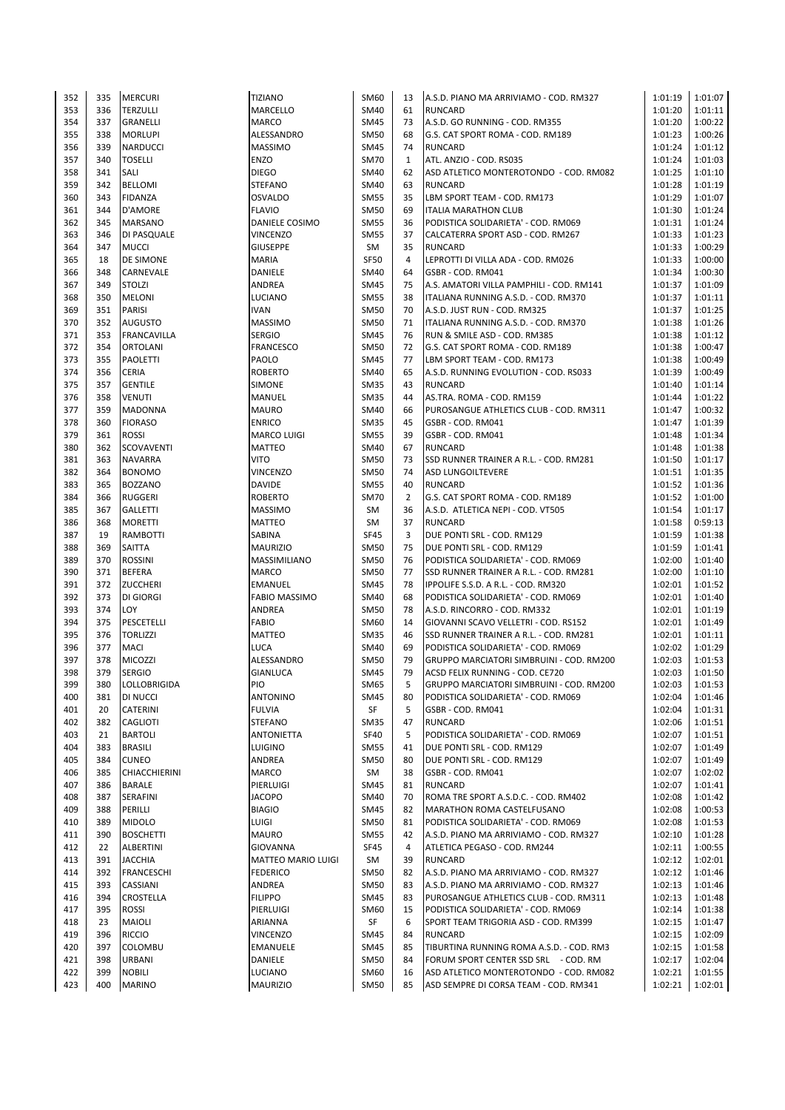| 352 | 335 | <b>MERCURI</b>     | <b>TIZIANO</b>            | SM60        | 13             | A.S.D. PIANO MA ARRIVIAMO - COD. RM327   | 1:01:19 | 1:01:07 |
|-----|-----|--------------------|---------------------------|-------------|----------------|------------------------------------------|---------|---------|
| 353 | 336 | <b>TERZULLI</b>    | <b>MARCELLO</b>           | SM40        | 61             | <b>RUNCARD</b>                           | 1:01:20 | 1:01:11 |
| 354 | 337 | <b>GRANELLI</b>    | <b>MARCO</b>              | <b>SM45</b> | 73             | A.S.D. GO RUNNING - COD. RM355           | 1:01:20 | 1:00:22 |
| 355 | 338 | <b>MORLUPI</b>     | ALESSANDRO                | <b>SM50</b> | 68             | G.S. CAT SPORT ROMA - COD. RM189         | 1:01:23 | 1:00:26 |
| 356 | 339 | NARDUCCI           | <b>MASSIMO</b>            | <b>SM45</b> | 74             | <b>RUNCARD</b>                           | 1:01:24 | 1:01:12 |
| 357 | 340 | <b>TOSELLI</b>     | <b>ENZO</b>               | <b>SM70</b> | $\mathbf{1}$   | ATL. ANZIO - COD. RS035                  | 1:01:24 | 1:01:03 |
| 358 | 341 | SALI               | <b>DIEGO</b>              | SM40        | 62             | ASD ATLETICO MONTEROTONDO - COD. RM082   | 1:01:25 | 1:01:10 |
| 359 | 342 | <b>BELLOMI</b>     | <b>STEFANO</b>            | SM40        | 63             | <b>RUNCARD</b>                           | 1:01:28 | 1:01:19 |
| 360 | 343 | <b>FIDANZA</b>     | <b>OSVALDO</b>            | <b>SM55</b> | 35             | LBM SPORT TEAM - COD. RM173              | 1:01:29 | 1:01:07 |
| 361 | 344 | D'AMORE            | <b>FLAVIO</b>             | <b>SM50</b> | 69             | <b>ITALIA MARATHON CLUB</b>              | 1:01:30 | 1:01:24 |
| 362 | 345 |                    | <b>DANIELE COSIMO</b>     | <b>SM55</b> | 36             | PODISTICA SOLIDARIETA' - COD. RM069      | 1:01:31 | 1:01:24 |
| 363 | 346 | <b>MARSANO</b>     | <b>VINCENZO</b>           | <b>SM55</b> | 37             | CALCATERRA SPORT ASD - COD. RM267        | 1:01:33 | 1:01:23 |
|     |     | DI PASQUALE        |                           |             |                |                                          |         |         |
| 364 | 347 | <b>MUCCI</b>       | <b>GIUSEPPE</b>           | SM          | 35             | <b>RUNCARD</b>                           | 1:01:33 | 1:00:29 |
| 365 | 18  | <b>DE SIMONE</b>   | <b>MARIA</b>              | <b>SF50</b> | $\overline{4}$ | LEPROTTI DI VILLA ADA - COD. RM026       | 1:01:33 | 1:00:00 |
| 366 | 348 | CARNEVALE          | DANIELE                   | SM40        | 64             | GSBR - COD. RM041                        | 1:01:34 | 1:00:30 |
| 367 | 349 | <b>STOLZI</b>      | ANDREA                    | <b>SM45</b> | 75             | A.S. AMATORI VILLA PAMPHILI - COD. RM141 | 1:01:37 | 1:01:09 |
| 368 | 350 | <b>MELONI</b>      | <b>LUCIANO</b>            | <b>SM55</b> | 38             | ITALIANA RUNNING A.S.D. - COD. RM370     | 1:01:37 | 1:01:11 |
| 369 | 351 | <b>PARISI</b>      | <b>IVAN</b>               | SM50        | 70             | A.S.D. JUST RUN - COD. RM325             | 1:01:37 | 1:01:25 |
| 370 | 352 | <b>AUGUSTO</b>     | <b>MASSIMO</b>            | <b>SM50</b> | 71             | ITALIANA RUNNING A.S.D. - COD. RM370     | 1:01:38 | 1:01:26 |
| 371 | 353 | <b>FRANCAVILLA</b> | <b>SERGIO</b>             | <b>SM45</b> | 76             | RUN & SMILE ASD - COD. RM385             | 1:01:38 | 1:01:12 |
| 372 | 354 | <b>ORTOLANI</b>    | <b>FRANCESCO</b>          | <b>SM50</b> | 72             | G.S. CAT SPORT ROMA - COD. RM189         | 1:01:38 | 1:00:47 |
| 373 | 355 | <b>PAOLETTI</b>    | PAOLO                     | <b>SM45</b> | 77             | LBM SPORT TEAM - COD. RM173              | 1:01:38 | 1:00:49 |
| 374 | 356 | CERIA              | <b>ROBERTO</b>            | SM40        | 65             | A.S.D. RUNNING EVOLUTION - COD. RS033    | 1:01:39 | 1:00:49 |
| 375 | 357 | <b>GENTILE</b>     | <b>SIMONE</b>             | <b>SM35</b> | 43             | <b>RUNCARD</b>                           | 1:01:40 | 1:01:14 |
| 376 | 358 | <b>VENUTI</b>      | MANUEL                    | <b>SM35</b> | 44             | AS.TRA. ROMA - COD. RM159                | 1:01:44 | 1:01:22 |
| 377 | 359 | <b>MADONNA</b>     | <b>MAURO</b>              | SM40        | 66             | PUROSANGUE ATHLETICS CLUB - COD. RM311   | 1:01:47 | 1:00:32 |
| 378 | 360 | <b>FIORASO</b>     | <b>ENRICO</b>             | <b>SM35</b> | 45             | GSBR - COD. RM041                        | 1:01:47 | 1:01:39 |
| 379 | 361 | <b>ROSSI</b>       | <b>MARCO LUIGI</b>        | <b>SM55</b> | 39             | GSBR - COD. RM041                        | 1:01:48 | 1:01:34 |
| 380 | 362 | SCOVAVENTI         | MATTEO                    | SM40        | 67             | <b>RUNCARD</b>                           | 1:01:48 | 1:01:38 |
| 381 | 363 | <b>NAVARRA</b>     | <b>VITO</b>               | <b>SM50</b> | 73             | SSD RUNNER TRAINER A R.L. - COD. RM281   | 1:01:50 | 1:01:17 |
| 382 | 364 | <b>BONOMO</b>      | <b>VINCENZO</b>           | <b>SM50</b> | 74             | <b>ASD LUNGOILTEVERE</b>                 | 1:01:51 | 1:01:35 |
| 383 | 365 | <b>BOZZANO</b>     | <b>DAVIDE</b>             | <b>SM55</b> | 40             | <b>RUNCARD</b>                           | 1:01:52 | 1:01:36 |
| 384 | 366 | <b>RUGGERI</b>     | <b>ROBERTO</b>            | <b>SM70</b> | $\overline{2}$ | G.S. CAT SPORT ROMA - COD. RM189         | 1:01:52 | 1:01:00 |
| 385 | 367 | <b>GALLETTI</b>    | <b>MASSIMO</b>            | SM          | 36             | A.S.D. ATLETICA NEPI - COD. VT505        | 1:01:54 | 1:01:17 |
|     |     |                    |                           |             | 37             | <b>RUNCARD</b>                           |         |         |
| 386 | 368 | <b>MORETTI</b>     | MATTEO                    | SM          |                |                                          | 1:01:58 | 0:59:13 |
| 387 | 19  | RAMBOTTI           | SABINA                    | <b>SF45</b> | 3              | DUE PONTI SRL - COD. RM129               | 1:01:59 | 1:01:38 |
| 388 | 369 | SAITTA             | <b>MAURIZIO</b>           | <b>SM50</b> | 75             | DUE PONTI SRL - COD. RM129               | 1:01:59 | 1:01:41 |
| 389 | 370 | <b>ROSSINI</b>     | MASSIMILIANO              | <b>SM50</b> | 76             | PODISTICA SOLIDARIETA' - COD. RM069      | 1:02:00 | 1:01:40 |
| 390 | 371 | <b>BEFERA</b>      | <b>MARCO</b>              | <b>SM50</b> | 77             | SSD RUNNER TRAINER A R.L. - COD. RM281   | 1:02:00 | 1:01:10 |
| 391 | 372 | <b>ZUCCHERI</b>    | <b>EMANUEL</b>            | <b>SM45</b> | 78             | IPPOLIFE S.S.D. A R.L. - COD. RM320      | 1:02:01 | 1:01:52 |
| 392 | 373 | <b>DI GIORGI</b>   | <b>FABIO MASSIMO</b>      | SM40        | 68             | PODISTICA SOLIDARIETA' - COD. RM069      | 1:02:01 | 1:01:40 |
| 393 | 374 | LOY                | ANDREA                    | SM50        | 78             | A.S.D. RINCORRO - COD. RM332             | 1:02:01 | 1:01:19 |
| 394 | 375 | PESCETELLI         | <b>FABIO</b>              | SM60        | 14             | GIOVANNI SCAVO VELLETRI - COD. RS152     | 1:02:01 | 1:01:49 |
| 395 | 376 | <b>TORLIZZI</b>    | <b>MATTEO</b>             | <b>SM35</b> | 46             | SSD RUNNER TRAINER A R.L. - COD. RM281   | 1:02:01 | 1:01:11 |
| 396 | 377 | <b>MACI</b>        | <b>LUCA</b>               | SM40        | 69             | PODISTICA SOLIDARIETA' - COD. RM069      | 1:02:02 | 1:01:29 |
| 397 | 378 | MICOZZI            | ALESSANDRO                | <b>SM50</b> | 79             | GRUPPO MARCIATORI SIMBRUINI - COD. RM200 | 1:02:03 | 1:01:53 |
| 398 | 379 | <b>SERGIO</b>      | <b>GIANLUCA</b>           | <b>SM45</b> | 79             | ACSD FELIX RUNNING - COD. CE720          | 1:02:03 | 1:01:50 |
| 399 | 380 | LOLLOBRIGIDA       | PIO                       | SM65        | 5              | GRUPPO MARCIATORI SIMBRUINI - COD. RM200 | 1:02:03 | 1:01:53 |
| 400 | 381 | DI NUCCI           | <b>ANTONINO</b>           | <b>SM45</b> | 80             | PODISTICA SOLIDARIETA' - COD. RM069      | 1:02:04 | 1:01:46 |
| 401 | 20  | CATERINI           | <b>FULVIA</b>             | SF          | 5              | GSBR - COD. RM041                        | 1:02:04 | 1:01:31 |
| 402 | 382 | CAGLIOTI           | <b>STEFANO</b>            | <b>SM35</b> | 47             | <b>RUNCARD</b>                           | 1:02:06 | 1:01:51 |
| 403 | 21  | <b>BARTOLI</b>     | <b>ANTONIETTA</b>         | <b>SF40</b> | 5              | PODISTICA SOLIDARIETA' - COD. RM069      | 1:02:07 | 1:01:51 |
| 404 | 383 | <b>BRASILI</b>     | <b>LUIGINO</b>            | <b>SM55</b> | 41             | DUE PONTI SRL - COD. RM129               | 1:02:07 | 1:01:49 |
| 405 | 384 | <b>CUNEO</b>       | ANDREA                    | <b>SM50</b> | 80             | DUE PONTI SRL - COD. RM129               | 1:02:07 | 1:01:49 |
| 406 | 385 | CHIACCHIERINI      | <b>MARCO</b>              | SM          | 38             | GSBR - COD. RM041                        | 1:02:07 | 1:02:02 |
| 407 | 386 | <b>BARALE</b>      | PIERLUIGI                 | <b>SM45</b> | 81             | <b>RUNCARD</b>                           | 1:02:07 | 1:01:41 |
| 408 | 387 | SERAFINI           | <b>JACOPO</b>             | <b>SM40</b> | 70             | ROMA TRE SPORT A.S.D.C. - COD. RM402     | 1:02:08 | 1:01:42 |
| 409 | 388 | PERILLI            | <b>BIAGIO</b>             | <b>SM45</b> | 82             | MARATHON ROMA CASTELFUSANO               | 1:02:08 | 1:00:53 |
| 410 | 389 | <b>MIDOLO</b>      | LUIGI                     | <b>SM50</b> | 81             | PODISTICA SOLIDARIETA' - COD. RM069      | 1:02:08 | 1:01:53 |
| 411 | 390 | <b>BOSCHETTI</b>   | <b>MAURO</b>              | <b>SM55</b> | 42             | A.S.D. PIANO MA ARRIVIAMO - COD. RM327   | 1:02:10 | 1:01:28 |
| 412 | 22  | <b>ALBERTINI</b>   | GIOVANNA                  | <b>SF45</b> | 4              | ATLETICA PEGASO - COD. RM244             | 1:02:11 | 1:00:55 |
| 413 | 391 | <b>JACCHIA</b>     | <b>MATTEO MARIO LUIGI</b> | SM          | 39             | <b>RUNCARD</b>                           | 1:02:12 | 1:02:01 |
| 414 | 392 | <b>FRANCESCHI</b>  | <b>FEDERICO</b>           | <b>SM50</b> | 82             | A.S.D. PIANO MA ARRIVIAMO - COD. RM327   | 1:02:12 | 1:01:46 |
| 415 | 393 | CASSIANI           | ANDREA                    | <b>SM50</b> | 83             | A.S.D. PIANO MA ARRIVIAMO - COD. RM327   | 1:02:13 | 1:01:46 |
| 416 | 394 | CROSTELLA          | <b>FILIPPO</b>            | SM45        | 83             | PUROSANGUE ATHLETICS CLUB - COD. RM311   | 1:02:13 | 1:01:48 |
| 417 |     |                    |                           |             |                |                                          |         |         |
|     | 395 | ROSSI              | PIERLUIGI                 | SM60        | 15             | PODISTICA SOLIDARIETA' - COD. RM069      | 1:02:14 | 1:01:38 |
| 418 | 23  | <b>MAIOLI</b>      | ARIANNA                   | SF          | 6              | SPORT TEAM TRIGORIA ASD - COD. RM399     | 1:02:15 | 1:01:47 |
| 419 | 396 | <b>RICCIO</b>      | <b>VINCENZO</b>           | <b>SM45</b> | 84             | <b>RUNCARD</b>                           | 1:02:15 | 1:02:09 |
| 420 | 397 | COLOMBU            | <b>EMANUELE</b>           | <b>SM45</b> | 85             | TIBURTINA RUNNING ROMA A.S.D. - COD. RM3 | 1:02:15 | 1:01:58 |
| 421 | 398 | <b>URBANI</b>      | DANIELE                   | <b>SM50</b> | 84             | FORUM SPORT CENTER SSD SRL - COD. RM     | 1:02:17 | 1:02:04 |
| 422 | 399 | <b>NOBILI</b>      | LUCIANO                   | SM60        | 16             | ASD ATLETICO MONTEROTONDO - COD. RM082   | 1:02:21 | 1:01:55 |
| 423 | 400 | <b>MARINO</b>      | <b>MAURIZIO</b>           | SM50        | 85             | ASD SEMPRE DI CORSA TEAM - COD. RM341    | 1:02:21 | 1:02:01 |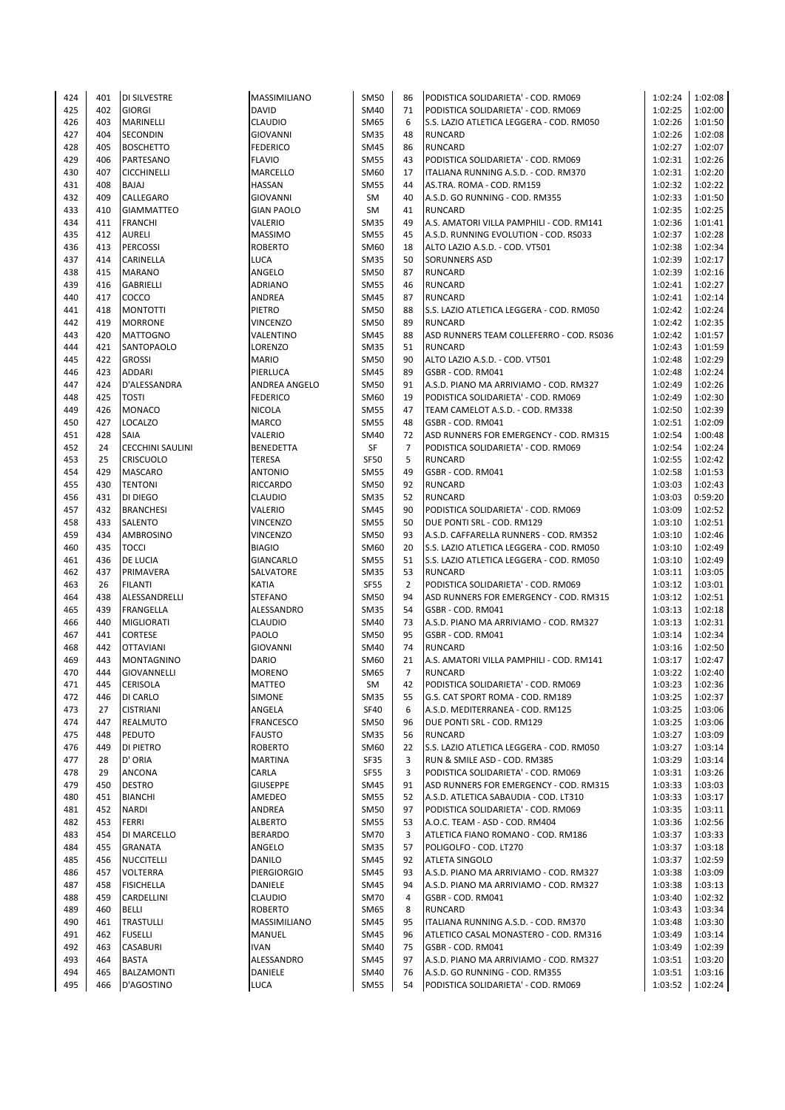| 424 | 401 | <b>DI SILVESTRE</b>     | <b>MASSIMILIANO</b> | SM50        | 86             | PODISTICA SOLIDARIETA' - COD. RM069      | 1:02:24 | 1:02:08 |
|-----|-----|-------------------------|---------------------|-------------|----------------|------------------------------------------|---------|---------|
| 425 | 402 | <b>GIORGI</b>           | <b>DAVID</b>        | SM40        | 71             | PODISTICA SOLIDARIETA' - COD. RM069      | 1:02:25 | 1:02:00 |
|     | 403 |                         |                     |             | 6              |                                          |         |         |
| 426 |     | MARINELLI               | <b>CLAUDIO</b>      | <b>SM65</b> |                | S.S. LAZIO ATLETICA LEGGERA - COD. RM050 | 1:02:26 | 1:01:50 |
| 427 | 404 | SECONDIN                | <b>GIOVANNI</b>     | <b>SM35</b> | 48             | <b>RUNCARD</b>                           | 1:02:26 | 1:02:08 |
| 428 | 405 | <b>BOSCHETTO</b>        | <b>FEDERICO</b>     | SM45        | 86             | <b>RUNCARD</b>                           | 1:02:27 | 1:02:07 |
| 429 | 406 | PARTESANO               | <b>FLAVIO</b>       | <b>SM55</b> | 43             | PODISTICA SOLIDARIETA' - COD. RM069      | 1:02:31 | 1:02:26 |
| 430 | 407 | <b>CICCHINELLI</b>      | <b>MARCELLO</b>     | SM60        | 17             | ITALIANA RUNNING A.S.D. - COD. RM370     | 1:02:31 | 1:02:20 |
| 431 | 408 | BAJAJ                   | <b>HASSAN</b>       | <b>SM55</b> | 44             | AS.TRA. ROMA - COD. RM159                | 1:02:32 | 1:02:22 |
|     | 409 |                         |                     |             |                |                                          |         |         |
| 432 |     | CALLEGARO               | <b>GIOVANNI</b>     | <b>SM</b>   | 40             | A.S.D. GO RUNNING - COD. RM355           | 1:02:33 | 1:01:50 |
| 433 | 410 | <b>GIAMMATTEO</b>       | <b>GIAN PAOLO</b>   | SM          | 41             | <b>RUNCARD</b>                           | 1:02:35 | 1:02:25 |
| 434 | 411 | <b>FRANCHI</b>          | VALERIO             | <b>SM35</b> | 49             | A.S. AMATORI VILLA PAMPHILI - COD. RM141 | 1:02:36 | 1:01:41 |
| 435 | 412 | AURELI                  | <b>MASSIMO</b>      | <b>SM55</b> | 45             | A.S.D. RUNNING EVOLUTION - COD. RS033    | 1:02:37 | 1:02:28 |
| 436 | 413 | <b>PERCOSSI</b>         | <b>ROBERTO</b>      | SM60        | 18             | ALTO LAZIO A.S.D. - COD. VT501           | 1:02:38 | 1:02:34 |
| 437 | 414 | CARINELLA               | <b>LUCA</b>         | <b>SM35</b> | 50             | <b>SORUNNERS ASD</b>                     | 1:02:39 | 1:02:17 |
|     |     |                         |                     |             |                |                                          |         |         |
| 438 | 415 | <b>MARANO</b>           | ANGELO              | <b>SM50</b> | 87             | <b>RUNCARD</b>                           | 1:02:39 | 1:02:16 |
| 439 | 416 | GABRIELLI               | <b>ADRIANO</b>      | <b>SM55</b> | 46             | <b>RUNCARD</b>                           | 1:02:41 | 1:02:27 |
| 440 | 417 | COCCO                   | ANDREA              | SM45        | 87             | <b>RUNCARD</b>                           | 1:02:41 | 1:02:14 |
| 441 | 418 | <b>MONTOTTI</b>         | <b>PIETRO</b>       | <b>SM50</b> | 88             | S.S. LAZIO ATLETICA LEGGERA - COD. RM050 | 1:02:42 | 1:02:24 |
| 442 | 419 | <b>MORRONE</b>          | <b>VINCENZO</b>     | SM50        | 89             | <b>RUNCARD</b>                           | 1:02:42 | 1:02:35 |
|     |     |                         |                     |             |                |                                          |         |         |
| 443 | 420 | <b>MATTOGNO</b>         | VALENTINO           | SM45        | 88             | ASD RUNNERS TEAM COLLEFERRO - COD. RS036 | 1:02:42 | 1:01:57 |
| 444 | 421 | SANTOPAOLO              | LORENZO             | <b>SM35</b> | 51             | <b>RUNCARD</b>                           | 1:02:43 | 1:01:59 |
| 445 | 422 | <b>GROSSI</b>           | <b>MARIO</b>        | SM50        | 90             | ALTO LAZIO A.S.D. - COD. VT501           | 1:02:48 | 1:02:29 |
| 446 | 423 | ADDARI                  | PIERLUCA            | SM45        | 89             | GSBR - COD. RM041                        | 1:02:48 | 1:02:24 |
| 447 | 424 | D'ALESSANDRA            | ANDREA ANGELO       | SM50        | 91             | A.S.D. PIANO MA ARRIVIAMO - COD. RM327   | 1:02:49 | 1:02:26 |
| 448 | 425 | <b>TOSTI</b>            | <b>FEDERICO</b>     | SM60        | 19             | PODISTICA SOLIDARIETA' - COD. RM069      | 1:02:49 | 1:02:30 |
|     |     |                         |                     |             |                |                                          |         |         |
| 449 | 426 | <b>MONACO</b>           | <b>NICOLA</b>       | <b>SM55</b> | 47             | TEAM CAMELOT A.S.D. - COD. RM338         | 1:02:50 | 1:02:39 |
| 450 | 427 | LOCALZO                 | <b>MARCO</b>        | <b>SM55</b> | 48             | GSBR - COD. RM041                        | 1:02:51 | 1:02:09 |
| 451 | 428 | SAIA                    | <b>VALERIO</b>      | SM40        | 72             | ASD RUNNERS FOR EMERGENCY - COD. RM315   | 1:02:54 | 1:00:48 |
| 452 | 24  | <b>CECCHINI SAULINI</b> | <b>BENEDETTA</b>    | SF          | $\overline{7}$ | PODISTICA SOLIDARIETA' - COD. RM069      | 1:02:54 | 1:02:24 |
| 453 | 25  | <b>CRISCUOLO</b>        | TERESA              | <b>SF50</b> | 5              | <b>RUNCARD</b>                           | 1:02:55 | 1:02:42 |
|     |     |                         |                     |             |                |                                          |         |         |
| 454 | 429 | <b>MASCARO</b>          | <b>ANTONIO</b>      | <b>SM55</b> | 49             | GSBR - COD. RM041                        | 1:02:58 | 1:01:53 |
| 455 | 430 | <b>TENTONI</b>          | <b>RICCARDO</b>     | SM50        | 92             | <b>RUNCARD</b>                           | 1:03:03 | 1:02:43 |
| 456 | 431 | DI DIEGO                | <b>CLAUDIO</b>      | <b>SM35</b> | 52             | <b>RUNCARD</b>                           | 1:03:03 | 0:59:20 |
| 457 | 432 | <b>BRANCHESI</b>        | VALERIO             | <b>SM45</b> | 90             | PODISTICA SOLIDARIETA' - COD. RM069      | 1:03:09 | 1:02:52 |
| 458 | 433 | <b>SALENTO</b>          | <b>VINCENZO</b>     | <b>SM55</b> | 50             | DUE PONTI SRL - COD. RM129               | 1:03:10 | 1:02:51 |
| 459 | 434 | AMBROSINO               | VINCENZO            | SM50        | 93             | A.S.D. CAFFARELLA RUNNERS - COD. RM352   | 1:03:10 | 1:02:46 |
|     |     |                         |                     |             |                |                                          |         |         |
| 460 | 435 | <b>TOCCI</b>            | <b>BIAGIO</b>       | SM60        | 20             | S.S. LAZIO ATLETICA LEGGERA - COD. RM050 | 1:03:10 | 1:02:49 |
| 461 | 436 | DE LUCIA                | <b>GIANCARLO</b>    | <b>SM55</b> | 51             | S.S. LAZIO ATLETICA LEGGERA - COD. RM050 | 1:03:10 | 1:02:49 |
| 462 | 437 | PRIMAVERA               | SALVATORE           | <b>SM35</b> | 53             | <b>RUNCARD</b>                           | 1:03:11 | 1:03:05 |
| 463 | 26  | <b>FILANTI</b>          | <b>KATIA</b>        | <b>SF55</b> | $\overline{2}$ | PODISTICA SOLIDARIETA' - COD. RM069      | 1:03:12 | 1:03:01 |
| 464 | 438 | ALESSANDRELLI           | <b>STEFANO</b>      | SM50        | 94             | ASD RUNNERS FOR EMERGENCY - COD. RM315   | 1:03:12 | 1:02:51 |
|     |     |                         |                     |             |                |                                          |         |         |
| 465 | 439 | FRANGELLA               | ALESSANDRO          | SM35        | 54             | GSBR - COD. RM041                        | 1:03:13 | 1:02:18 |
| 466 | 440 | MIGLIORATI              | <b>CLAUDIO</b>      | SM40        | 73             | A.S.D. PIANO MA ARRIVIAMO - COD. RM327   | 1:03:13 | 1:02:31 |
| 467 | 441 | <b>CORTESE</b>          | PAOLO               | SM50        | 95             | GSBR - COD. RM041                        | 1:03:14 | 1:02:34 |
| 468 | 442 | <b>OTTAVIANI</b>        | <b>GIOVANNI</b>     | SM40        | 74             | <b>RUNCARD</b>                           | 1:03:16 | 1:02:50 |
| 469 | 443 | MONTAGNINO              | <b>DARIO</b>        | SM60        | 21             | A.S. AMATORI VILLA PAMPHILI - COD. RM141 | 1:03:17 | 1:02:47 |
| 470 | 444 | GIOVANNELLI             | <b>MORENO</b>       | SM65        | $\overline{7}$ | <b>RUNCARD</b>                           | 1:03:22 | 1:02:40 |
|     |     |                         |                     |             |                |                                          |         |         |
| 471 | 445 | <b>CERISOLA</b>         | <b>MATTEO</b>       | SM          | 42             | PODISTICA SOLIDARIETA' - COD. RM069      | 1:03:23 | 1:02:36 |
| 472 | 446 | DI CARLO                | <b>SIMONE</b>       | SM35        | 55             | G.S. CAT SPORT ROMA - COD. RM189         | 1:03:25 | 1:02:37 |
| 473 | 27  | <b>CISTRIANI</b>        | ANGELA              | SF40        | 6              | A.S.D. MEDITERRANEA - COD. RM125         | 1:03:25 | 1:03:06 |
| 474 | 447 | REALMUTO                | <b>FRANCESCO</b>    | SM50        | 96             | DUE PONTI SRL - COD. RM129               | 1:03:25 | 1:03:06 |
| 475 | 448 | PEDUTO                  | <b>FAUSTO</b>       | <b>SM35</b> | 56             | <b>RUNCARD</b>                           | 1:03:27 | 1:03:09 |
|     |     |                         |                     |             |                |                                          |         |         |
| 476 | 449 | DI PIETRO               | <b>ROBERTO</b>      | SM60        | 22             | S.S. LAZIO ATLETICA LEGGERA - COD. RM050 | 1:03:27 | 1:03:14 |
| 477 | 28  | D' ORIA                 | <b>MARTINA</b>      | SF35        | 3              | RUN & SMILE ASD - COD. RM385             | 1:03:29 | 1:03:14 |
| 478 | 29  | ANCONA                  | CARLA               | SF55        | 3              | PODISTICA SOLIDARIETA' - COD. RM069      | 1:03:31 | 1:03:26 |
| 479 | 450 | <b>DESTRO</b>           | <b>GIUSEPPE</b>     | SM45        | 91             | ASD RUNNERS FOR EMERGENCY - COD. RM315   | 1:03:33 | 1:03:03 |
| 480 | 451 | <b>BIANCHI</b>          | AMEDEO              | <b>SM55</b> | 52             | A.S.D. ATLETICA SABAUDIA - COD. LT310    | 1:03:33 | 1:03:17 |
| 481 | 452 | NARDI                   | ANDREA              | SM50        | 97             | PODISTICA SOLIDARIETA' - COD. RM069      | 1:03:35 | 1:03:11 |
|     |     |                         |                     |             |                |                                          |         |         |
| 482 | 453 | FERRI                   | <b>ALBERTO</b>      | <b>SM55</b> | 53             | A.O.C. TEAM - ASD - COD. RM404           | 1:03:36 | 1:02:56 |
| 483 | 454 | DI MARCELLO             | <b>BERARDO</b>      | SM70        | 3              | ATLETICA FIANO ROMANO - COD. RM186       | 1:03:37 | 1:03:33 |
| 484 | 455 | <b>GRANATA</b>          | ANGELO              | SM35        | 57             | POLIGOLFO - COD. LT270                   | 1:03:37 | 1:03:18 |
| 485 | 456 | <b>NUCCITELLI</b>       | <b>DANILO</b>       | SM45        | 92             | <b>ATLETA SINGOLO</b>                    | 1:03:37 | 1:02:59 |
| 486 | 457 | VOLTERRA                | <b>PIERGIORGIO</b>  | SM45        | 93             | A.S.D. PIANO MA ARRIVIAMO - COD. RM327   | 1:03:38 | 1:03:09 |
|     |     |                         |                     |             |                |                                          |         |         |
| 487 | 458 | <b>FISICHELLA</b>       | DANIELE             | SM45        | 94             | A.S.D. PIANO MA ARRIVIAMO - COD. RM327   | 1:03:38 | 1:03:13 |
| 488 | 459 | CARDELLINI              | <b>CLAUDIO</b>      | SM70        | 4              | GSBR - COD. RM041                        | 1:03:40 | 1:02:32 |
| 489 | 460 | BELLI                   | <b>ROBERTO</b>      | SM65        | 8              | <b>RUNCARD</b>                           | 1:03:43 | 1:03:34 |
| 490 | 461 | <b>TRASTULLI</b>        | MASSIMILIANO        | SM45        | 95             | ITALIANA RUNNING A.S.D. - COD. RM370     | 1:03:48 | 1:03:30 |
| 491 | 462 | <b>FUSELLI</b>          | MANUEL              | SM45        | 96             | ATLETICO CASAL MONASTERO - COD. RM316    | 1:03:49 | 1:03:14 |
| 492 | 463 | CASABURI                | <b>IVAN</b>         | SM40        | 75             | GSBR - COD. RM041                        | 1:03:49 | 1:02:39 |
|     |     |                         |                     |             |                |                                          |         |         |
| 493 | 464 | <b>BASTA</b>            | ALESSANDRO          | SM45        | 97             | A.S.D. PIANO MA ARRIVIAMO - COD. RM327   | 1:03:51 | 1:03:20 |
| 494 | 465 | <b>BALZAMONTI</b>       | DANIELE             | SM40        | 76             | A.S.D. GO RUNNING - COD. RM355           | 1:03:51 | 1:03:16 |
| 495 | 466 | D'AGOSTINO              | <b>LUCA</b>         | SM55        | 54             | PODISTICA SOLIDARIETA' - COD. RM069      | 1:03:52 | 1:02:24 |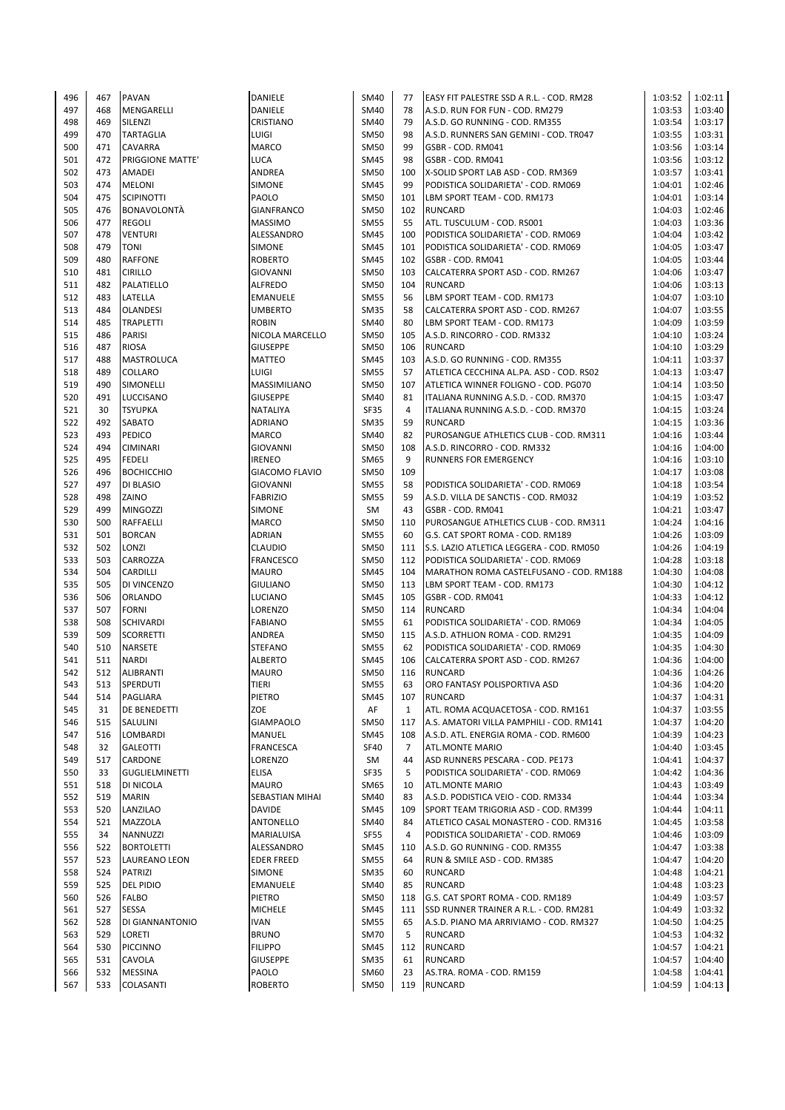| 496 | 467 | <b>PAVAN</b>            | DANIELE               | SM40        | 77             | EASY FIT PALESTRE SSD A R.L. - COD. RM28      | 1:03:52 | 1:02:11 |
|-----|-----|-------------------------|-----------------------|-------------|----------------|-----------------------------------------------|---------|---------|
| 497 | 468 | MENGARELLI              | DANIELE               | SM40        | 78             | A.S.D. RUN FOR FUN - COD. RM279               | 1:03:53 | 1:03:40 |
| 498 | 469 | SILENZI                 | CRISTIANO             | SM40        | 79             | A.S.D. GO RUNNING - COD. RM355                | 1:03:54 | 1:03:17 |
| 499 | 470 | <b>TARTAGLIA</b>        | LUIGI                 | <b>SM50</b> | 98             | A.S.D. RUNNERS SAN GEMINI - COD. TR047        | 1:03:55 | 1:03:31 |
| 500 | 471 | <b>CAVARRA</b>          | <b>MARCO</b>          | <b>SM50</b> | 99             | GSBR - COD. RM041                             | 1:03:56 | 1:03:14 |
| 501 | 472 | <b>PRIGGIONE MATTE'</b> | <b>LUCA</b>           | <b>SM45</b> | 98             | GSBR - COD. RM041                             | 1:03:56 | 1:03:12 |
| 502 | 473 | <b>AMADEI</b>           | ANDREA                | SM50        | 100            | X-SOLID SPORT LAB ASD - COD. RM369            | 1:03:57 | 1:03:41 |
| 503 | 474 | <b>MELONI</b>           | <b>SIMONE</b>         | <b>SM45</b> | 99             | PODISTICA SOLIDARIETA' - COD. RM069           | 1:04:01 | 1:02:46 |
| 504 | 475 | <b>SCIPINOTTI</b>       | PAOLO                 | <b>SM50</b> | 101            | LBM SPORT TEAM - COD. RM173                   | 1:04:01 | 1:03:14 |
| 505 | 476 | <b>BONAVOLONTÀ</b>      | <b>GIANFRANCO</b>     | <b>SM50</b> | 102            | <b>RUNCARD</b>                                | 1:04:03 | 1:02:46 |
|     |     |                         |                       |             |                |                                               |         | 1:03:36 |
| 506 | 477 | <b>REGOLI</b>           | <b>MASSIMO</b>        | <b>SM55</b> | 55             | ATL. TUSCULUM - COD. RS001                    | 1:04:03 |         |
| 507 | 478 | <b>VENTURI</b>          | ALESSANDRO            | SM45        | 100            | PODISTICA SOLIDARIETA' - COD. RM069           | 1:04:04 | 1:03:42 |
| 508 | 479 | <b>TONI</b>             | <b>SIMONE</b>         | <b>SM45</b> | 101            | PODISTICA SOLIDARIETA' - COD. RM069           | 1:04:05 | 1:03:47 |
| 509 | 480 | <b>RAFFONE</b>          | <b>ROBERTO</b>        | SM45        | 102            | GSBR - COD. RM041                             | 1:04:05 | 1:03:44 |
| 510 | 481 | <b>CIRILLO</b>          | <b>GIOVANNI</b>       | <b>SM50</b> | 103            | CALCATERRA SPORT ASD - COD. RM267             | 1:04:06 | 1:03:47 |
| 511 | 482 | PALATIELLO              | <b>ALFREDO</b>        | <b>SM50</b> | 104            | <b>RUNCARD</b>                                | 1:04:06 | 1:03:13 |
| 512 | 483 | LATELLA                 | <b>EMANUELE</b>       | <b>SM55</b> | 56             | LBM SPORT TEAM - COD. RM173                   | 1:04:07 | 1:03:10 |
| 513 | 484 | <b>OLANDESI</b>         | <b>UMBERTO</b>        | <b>SM35</b> | 58             | CALCATERRA SPORT ASD - COD. RM267             | 1:04:07 | 1:03:55 |
| 514 | 485 | <b>TRAPLETTI</b>        | <b>ROBIN</b>          | SM40        | 80             | LBM SPORT TEAM - COD. RM173                   | 1:04:09 | 1:03:59 |
| 515 | 486 | <b>PARISI</b>           | NICOLA MARCELLO       | SM50        | 105            | A.S.D. RINCORRO - COD. RM332                  | 1:04:10 | 1:03:24 |
| 516 | 487 | <b>RIOSA</b>            | <b>GIUSEPPE</b>       | <b>SM50</b> | 106            | <b>RUNCARD</b>                                | 1:04:10 | 1:03:29 |
| 517 | 488 | <b>MASTROLUCA</b>       | <b>MATTEO</b>         | <b>SM45</b> | 103            | A.S.D. GO RUNNING - COD. RM355                | 1:04:11 | 1:03:37 |
| 518 | 489 | <b>COLLARO</b>          | LUIGI                 | <b>SM55</b> | 57             | ATLETICA CECCHINA AL.PA. ASD - COD. RS02      | 1:04:13 | 1:03:47 |
| 519 | 490 | SIMONELLI               | MASSIMILIANO          | SM50        | 107            | ATLETICA WINNER FOLIGNO - COD. PG070          | 1:04:14 | 1:03:50 |
| 520 | 491 | LUCCISANO               | <b>GIUSEPPE</b>       | SM40        | 81             | ITALIANA RUNNING A.S.D. - COD. RM370          | 1:04:15 | 1:03:47 |
| 521 | 30  | <b>TSYUPKA</b>          | <b>NATALIYA</b>       | <b>SF35</b> | $\overline{4}$ | ITALIANA RUNNING A.S.D. - COD. RM370          | 1:04:15 | 1:03:24 |
| 522 | 492 | <b>SABATO</b>           | <b>ADRIANO</b>        | <b>SM35</b> | 59             | <b>RUNCARD</b>                                | 1:04:15 | 1:03:36 |
| 523 | 493 | <b>PEDICO</b>           | <b>MARCO</b>          | SM40        | 82             | PUROSANGUE ATHLETICS CLUB - COD. RM311        | 1:04:16 | 1:03:44 |
| 524 | 494 | <b>CIMINARI</b>         | <b>GIOVANNI</b>       | SM50        | 108            | A.S.D. RINCORRO - COD. RM332                  | 1:04:16 | 1:04:00 |
| 525 | 495 | <b>FEDELI</b>           | <b>IRENEO</b>         | <b>SM65</b> | 9              | <b>RUNNERS FOR EMERGENCY</b>                  | 1:04:16 | 1:03:10 |
|     |     |                         |                       |             |                |                                               |         |         |
| 526 | 496 | <b>ВОСНІССНІО</b>       | <b>GIACOMO FLAVIO</b> | <b>SM50</b> | 109            |                                               | 1:04:17 | 1:03:08 |
| 527 | 497 | <b>DI BLASIO</b>        | <b>GIOVANNI</b>       | <b>SM55</b> | 58             | PODISTICA SOLIDARIETA' - COD. RM069           | 1:04:18 | 1:03:54 |
| 528 | 498 | ZAINO                   | <b>FABRIZIO</b>       | <b>SM55</b> | 59             | A.S.D. VILLA DE SANCTIS - COD. RM032          | 1:04:19 | 1:03:52 |
| 529 | 499 | <b>MINGOZZI</b>         | <b>SIMONE</b>         | SM          | 43             | GSBR - COD. RM041                             | 1:04:21 | 1:03:47 |
| 530 | 500 | <b>RAFFAELLI</b>        | <b>MARCO</b>          | <b>SM50</b> | 110            | PUROSANGUE ATHLETICS CLUB - COD. RM311        | 1:04:24 | 1:04:16 |
| 531 | 501 | <b>BORCAN</b>           | <b>ADRIAN</b>         | <b>SM55</b> | 60             | G.S. CAT SPORT ROMA - COD. RM189              | 1:04:26 | 1:03:09 |
| 532 | 502 | LONZI                   | <b>CLAUDIO</b>        | SM50        | 111            | S.S. LAZIO ATLETICA LEGGERA - COD. RM050      | 1:04:26 | 1:04:19 |
| 533 | 503 | CARROZZA                | <b>FRANCESCO</b>      | SM50        |                | 112 PODISTICA SOLIDARIETA' - COD. RM069       | 1:04:28 | 1:03:18 |
| 534 | 504 | <b>CARDILLI</b>         | <b>MAURO</b>          | <b>SM45</b> |                | 104   MARATHON ROMA CASTELFUSANO - COD. RM188 | 1:04:30 | 1:04:08 |
| 535 | 505 | DI VINCENZO             | <b>GIULIANO</b>       | SM50        | 113            | LBM SPORT TEAM - COD. RM173                   | 1:04:30 | 1:04:12 |
| 536 | 506 | <b>ORLANDO</b>          | LUCIANO               | <b>SM45</b> | 105            | GSBR - COD. RM041                             | 1:04:33 | 1:04:12 |
| 537 | 507 | <b>FORNI</b>            | LORENZO               | <b>SM50</b> | 114            | <b>RUNCARD</b>                                | 1:04:34 | 1:04:04 |
| 538 | 508 | <b>SCHIVARDI</b>        | <b>FABIANO</b>        | <b>SM55</b> | 61             | PODISTICA SOLIDARIETA' - COD. RM069           | 1:04:34 | 1:04:05 |
| 539 | 509 | <b>SCORRETTI</b>        | ANDREA                | <b>SM50</b> |                | 115 A.S.D. ATHLION ROMA - COD. RM291          | 1:04:35 | 1:04:09 |
| 540 | 510 | <b>NARSETE</b>          | <b>STEFANO</b>        | <b>SM55</b> | 62             | PODISTICA SOLIDARIETA' - COD. RM069           | 1:04:35 | 1:04:30 |
| 541 | 511 | <b>NARDI</b>            | <b>ALBERTO</b>        | <b>SM45</b> | 106            | CALCATERRA SPORT ASD - COD. RM267             | 1:04:36 | 1:04:00 |
| 542 | 512 | <b>ALIBRANTI</b>        | <b>MAURO</b>          | <b>SM50</b> | 116            | <b>RUNCARD</b>                                | 1:04:36 | 1:04:26 |
| 543 | 513 | SPERDUTI                | TIERI                 | <b>SM55</b> | 63             | ORO FANTASY POLISPORTIVA ASD                  | 1:04:36 | 1:04:20 |
| 544 | 514 | <b>PAGLIARA</b>         | PIETRO                | SM45        | 107            | <b>RUNCARD</b>                                | 1:04:37 | 1:04:31 |
| 545 | 31  | <b>DE BENEDETTI</b>     | ZOE                   | AF          | $\mathbf{1}$   | ATL. ROMA ACQUACETOSA - COD. RM161            | 1:04:37 | 1:03:55 |
| 546 | 515 | SALULINI                | <b>GIAMPAOLO</b>      | SM50        | 117            | A.S. AMATORI VILLA PAMPHILI - COD. RM141      | 1:04:37 | 1:04:20 |
| 547 | 516 | LOMBARDI                | <b>MANUEL</b>         | SM45        | 108            | A.S.D. ATL. ENERGIA ROMA - COD. RM600         | 1:04:39 | 1:04:23 |
| 548 | 32  | <b>GALEOTTI</b>         | <b>FRANCESCA</b>      | <b>SF40</b> | 7              | <b>ATL.MONTE MARIO</b>                        | 1:04:40 | 1:03:45 |
| 549 | 517 | CARDONE                 | LORENZO               | SM          | 44             | ASD RUNNERS PESCARA - COD. PE173              | 1:04:41 | 1:04:37 |
|     |     |                         |                       |             |                |                                               |         |         |
| 550 | 33  | <b>GUGLIELMINETTI</b>   | ELISA                 | <b>SF35</b> | 5              | PODISTICA SOLIDARIETA' - COD. RM069           | 1:04:42 | 1:04:36 |
| 551 | 518 | DI NICOLA               | <b>MAURO</b>          | SM65        | 10             | <b>ATL.MONTE MARIO</b>                        | 1:04:43 | 1:03:49 |
| 552 | 519 | <b>MARIN</b>            | SEBASTIAN MIHAI       | SM40        | 83             | A.S.D. PODISTICA VEIO - COD. RM334            | 1:04:44 | 1:03:34 |
| 553 | 520 | LANZILAO                | <b>DAVIDE</b>         | SM45        | 109            | SPORT TEAM TRIGORIA ASD - COD. RM399          | 1:04:44 | 1:04:11 |
| 554 | 521 | <b>MAZZOLA</b>          | ANTONELLO             | SM40        | 84             | ATLETICO CASAL MONASTERO - COD. RM316         | 1:04:45 | 1:03:58 |
| 555 | 34  | NANNUZZI                | MARIALUISA            | <b>SF55</b> | 4              | PODISTICA SOLIDARIETA' - COD. RM069           | 1:04:46 | 1:03:09 |
| 556 | 522 | <b>BORTOLETTI</b>       | ALESSANDRO            | SM45        | 110            | A.S.D. GO RUNNING - COD. RM355                | 1:04:47 | 1:03:38 |
| 557 | 523 | LAUREANO LEON           | <b>EDER FREED</b>     | <b>SM55</b> | 64             | RUN & SMILE ASD - COD. RM385                  | 1:04:47 | 1:04:20 |
| 558 | 524 | <b>PATRIZI</b>          | SIMONE                | SM35        | 60             | <b>RUNCARD</b>                                | 1:04:48 | 1:04:21 |
| 559 | 525 | <b>DEL PIDIO</b>        | EMANUELE              | SM40        | 85             | <b>RUNCARD</b>                                | 1:04:48 | 1:03:23 |
| 560 | 526 | <b>FALBO</b>            | PIETRO                | SM50        | 118            | G.S. CAT SPORT ROMA - COD. RM189              | 1:04:49 | 1:03:57 |
| 561 | 527 | <b>SESSA</b>            | <b>MICHELE</b>        | SM45        | 111            | SSD RUNNER TRAINER A R.L. - COD. RM281        | 1:04:49 | 1:03:32 |
| 562 | 528 | <b>DI GIANNANTONIO</b>  | <b>IVAN</b>           | <b>SM55</b> | 65             | A.S.D. PIANO MA ARRIVIAMO - COD. RM327        | 1:04:50 | 1:04:25 |
| 563 | 529 | LORETI                  | <b>BRUNO</b>          | <b>SM70</b> | 5              | <b>RUNCARD</b>                                | 1:04:53 | 1:04:32 |
| 564 | 530 | <b>PICCINNO</b>         | <b>FILIPPO</b>        | SM45        | 112            | <b>RUNCARD</b>                                | 1:04:57 | 1:04:21 |
| 565 | 531 | CAVOLA                  | <b>GIUSEPPE</b>       | <b>SM35</b> | 61             | <b>RUNCARD</b>                                | 1:04:57 | 1:04:40 |
| 566 | 532 | <b>MESSINA</b>          | PAOLO                 | SM60        | 23             | AS.TRA. ROMA - COD. RM159                     | 1:04:58 | 1:04:41 |
| 567 | 533 | COLASANTI               | <b>ROBERTO</b>        | <b>SM50</b> | 119            | <b>RUNCARD</b>                                | 1:04:59 | 1:04:13 |
|     |     |                         |                       |             |                |                                               |         |         |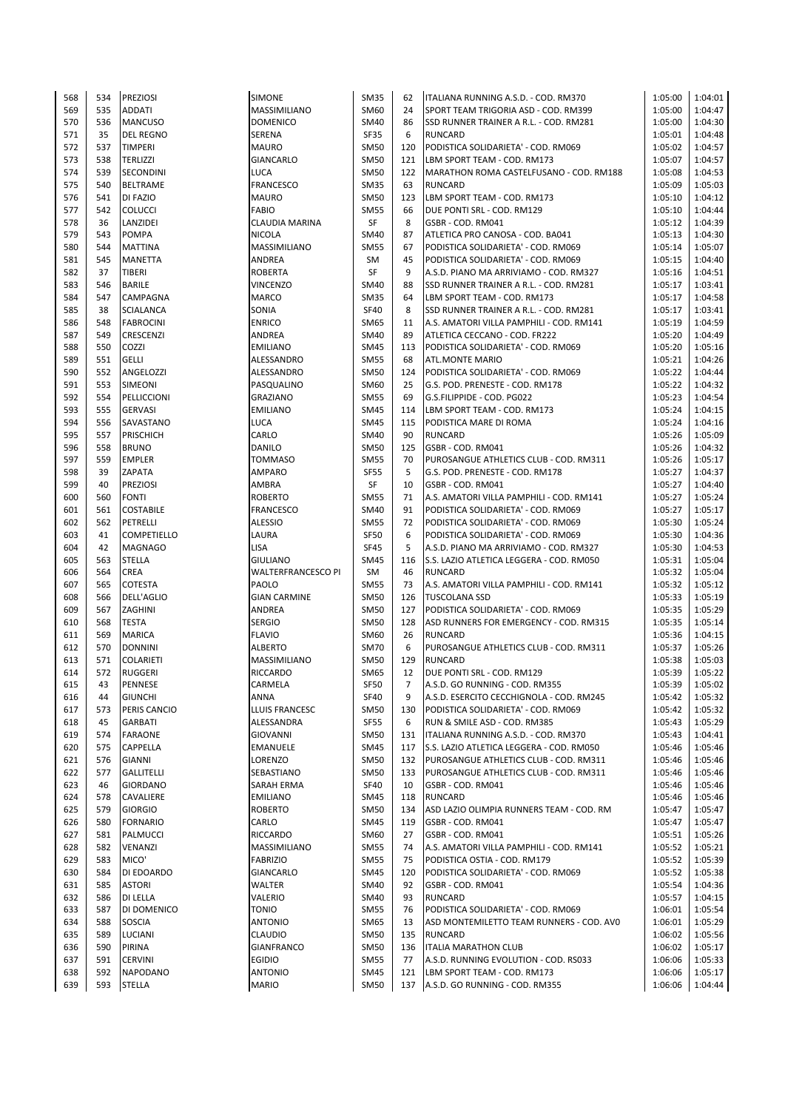| 568 | 534 | <b>PREZIOSI</b>                    | <b>SIMONE</b>             | <b>SM35</b> | 62  | ITALIANA RUNNING A.S.D. - COD. RM370     | 1:05:00 | 1:04:01 |
|-----|-----|------------------------------------|---------------------------|-------------|-----|------------------------------------------|---------|---------|
| 569 | 535 | <b>ADDATI</b>                      | MASSIMILIANO              | SM60        | 24  | SPORT TEAM TRIGORIA ASD - COD, RM399     | 1:05:00 | 1:04:47 |
| 570 | 536 | <b>MANCUSO</b>                     | <b>DOMENICO</b>           | SM40        | 86  | SSD RUNNER TRAINER A R.L. - COD. RM281   | 1:05:00 | 1:04:30 |
| 571 | 35  | <b>DEL REGNO</b>                   | SERENA                    | <b>SF35</b> | 6   | <b>RUNCARD</b>                           | 1:05:01 | 1:04:48 |
| 572 | 537 | <b>TIMPERI</b>                     | <b>MAURO</b>              | <b>SM50</b> | 120 | PODISTICA SOLIDARIETA' - COD. RM069      | 1:05:02 | 1:04:57 |
| 573 | 538 | <b>TERLIZZI</b>                    | <b>GIANCARLO</b>          | <b>SM50</b> | 121 | LBM SPORT TEAM - COD. RM173              | 1:05:07 | 1:04:57 |
| 574 | 539 | SECONDINI                          | LUCA                      | <b>SM50</b> | 122 | MARATHON ROMA CASTELFUSANO - COD. RM188  | 1:05:08 | 1:04:53 |
| 575 | 540 | <b>BELTRAME</b>                    | <b>FRANCESCO</b>          | <b>SM35</b> | 63  | <b>RUNCARD</b>                           | 1:05:09 | 1:05:03 |
| 576 | 541 | DI FAZIO                           | <b>MAURO</b>              | <b>SM50</b> | 123 | LBM SPORT TEAM - COD. RM173              | 1:05:10 | 1:04:12 |
|     | 542 |                                    |                           |             |     |                                          |         |         |
| 577 |     | <b>COLUCCI</b>                     | <b>FABIO</b>              | <b>SM55</b> | 66  | DUE PONTI SRL - COD. RM129               | 1:05:10 | 1:04:44 |
| 578 | 36  | LANZIDEI                           | <b>CLAUDIA MARINA</b>     | SF          | 8   | GSBR - COD. RM041                        | 1:05:12 | 1:04:39 |
| 579 | 543 | <b>POMPA</b>                       | <b>NICOLA</b>             | <b>SM40</b> | 87  | ATLETICA PRO CANOSA - COD. BA041         | 1:05:13 | 1:04:30 |
| 580 | 544 | <b>MATTINA</b>                     | <b>MASSIMILIANO</b>       | <b>SM55</b> | 67  | PODISTICA SOLIDARIETA' - COD. RM069      | 1:05:14 | 1:05:07 |
| 581 | 545 | <b>MANETTA</b>                     | ANDREA                    | SM          | 45  | PODISTICA SOLIDARIETA' - COD. RM069      | 1:05:15 | 1:04:40 |
| 582 | 37  | <b>TIBERI</b>                      | <b>ROBERTA</b>            | SF          | 9   | A.S.D. PIANO MA ARRIVIAMO - COD. RM327   | 1:05:16 | 1:04:51 |
| 583 | 546 | BARILE                             | <b>VINCENZO</b>           | SM40        | 88  | SSD RUNNER TRAINER A R.L. - COD. RM281   | 1:05:17 | 1:03:41 |
| 584 | 547 | CAMPAGNA                           | <b>MARCO</b>              | <b>SM35</b> | 64  | LBM SPORT TEAM - COD. RM173              | 1:05:17 | 1:04:58 |
| 585 | 38  | <b>SCIALANCA</b>                   | SONIA                     | <b>SF40</b> | 8   | SSD RUNNER TRAINER A R.L. - COD. RM281   | 1:05:17 | 1:03:41 |
| 586 | 548 | <b>FABROCINI</b>                   | <b>ENRICO</b>             | SM65        | 11  | A.S. AMATORI VILLA PAMPHILI - COD. RM141 | 1:05:19 | 1:04:59 |
| 587 | 549 | CRESCENZI                          | ANDREA                    | SM40        | 89  | ATLETICA CECCANO - COD. FR222            | 1:05:20 | 1:04:49 |
| 588 | 550 | COZZI                              | <b>EMILIANO</b>           | <b>SM45</b> | 113 | PODISTICA SOLIDARIETA' - COD. RM069      | 1:05:20 | 1:05:16 |
| 589 | 551 | GELLI                              | ALESSANDRO                | <b>SM55</b> | 68  | <b>ATL.MONTE MARIO</b>                   | 1:05:21 | 1:04:26 |
| 590 | 552 | ANGELOZZI                          | ALESSANDRO                | <b>SM50</b> | 124 | PODISTICA SOLIDARIETA' - COD. RM069      | 1:05:22 | 1:04:44 |
| 591 | 553 | SIMEONI                            | PASQUALINO                | SM60        | 25  | G.S. POD. PRENESTE - COD. RM178          | 1:05:22 | 1:04:32 |
| 592 | 554 | PELLICCIONI                        | <b>GRAZIANO</b>           | <b>SM55</b> | 69  | G.S.FILIPPIDE - COD. PG022               | 1:05:23 | 1:04:54 |
| 593 | 555 | <b>GERVASI</b>                     | <b>EMILIANO</b>           | <b>SM45</b> | 114 |                                          | 1:05:24 | 1:04:15 |
|     |     |                                    |                           |             |     | LBM SPORT TEAM - COD. RM173              |         |         |
| 594 | 556 | SAVASTANO                          | <b>LUCA</b>               | <b>SM45</b> | 115 | PODISTICA MARE DI ROMA                   | 1:05:24 | 1:04:16 |
| 595 | 557 | <b>PRISCHICH</b>                   | CARLO                     | SM40        | 90  | <b>RUNCARD</b>                           | 1:05:26 | 1:05:09 |
| 596 | 558 | <b>BRUNO</b>                       | DANILO                    | <b>SM50</b> | 125 | GSBR - COD. RM041                        | 1:05:26 | 1:04:32 |
| 597 | 559 | <b>EMPLER</b>                      | TOMMASO                   | <b>SM55</b> | 70  | PUROSANGUE ATHLETICS CLUB - COD. RM311   | 1:05:26 | 1:05:17 |
| 598 | 39  | ZAPATA                             | AMPARO                    | <b>SF55</b> | 5   | G.S. POD. PRENESTE - COD. RM178          | 1:05:27 | 1:04:37 |
| 599 | 40  | <b>PREZIOSI</b>                    | AMBRA                     | <b>SF</b>   | 10  | GSBR - COD. RM041                        | 1:05:27 | 1:04:40 |
| 600 | 560 | <b>FONTI</b>                       | <b>ROBERTO</b>            | <b>SM55</b> | 71  | A.S. AMATORI VILLA PAMPHILI - COD. RM141 | 1:05:27 | 1:05:24 |
| 601 | 561 | <b>COSTABILE</b>                   | <b>FRANCESCO</b>          | SM40        | 91  | PODISTICA SOLIDARIETA' - COD. RM069      | 1:05:27 | 1:05:17 |
| 602 | 562 | PETRELLI                           | <b>ALESSIO</b>            | <b>SM55</b> | 72  | PODISTICA SOLIDARIETA' - COD. RM069      | 1:05:30 | 1:05:24 |
| 603 | 41  | <b>COMPETIELLO</b>                 | LAURA                     | <b>SF50</b> | 6   | PODISTICA SOLIDARIETA' - COD. RM069      | 1:05:30 | 1:04:36 |
| 604 | 42  | <b>MAGNAGO</b>                     | <b>LISA</b>               | <b>SF45</b> | 5   | A.S.D. PIANO MA ARRIVIAMO - COD. RM327   | 1:05:30 | 1:04:53 |
| 605 | 563 | <b>STELLA</b>                      | <b>GIULIANO</b>           | SM45        | 116 | S.S. LAZIO ATLETICA LEGGERA - COD. RM050 | 1:05:31 | 1:05:04 |
| 606 | 564 | CREA                               | <b>WALTERFRANCESCO PI</b> | SM          | 46  | <b>RUNCARD</b>                           | 1:05:32 | 1:05:04 |
| 607 | 565 | <b>COTESTA</b>                     | <b>PAOLO</b>              | <b>SM55</b> | 73  | A.S. AMATORI VILLA PAMPHILI - COD. RM141 | 1:05:32 | 1:05:12 |
| 608 | 566 | <b>DELL'AGLIO</b>                  | <b>GIAN CARMINE</b>       | <b>SM50</b> | 126 | <b>TUSCOLANA SSD</b>                     | 1:05:33 | 1:05:19 |
| 609 | 567 | ZAGHINI                            | ANDREA                    | <b>SM50</b> | 127 | PODISTICA SOLIDARIETA' - COD. RM069      | 1:05:35 | 1:05:29 |
| 610 | 568 | <b>TESTA</b>                       | <b>SERGIO</b>             | <b>SM50</b> | 128 | ASD RUNNERS FOR EMERGENCY - COD. RM315   | 1:05:35 | 1:05:14 |
| 611 | 569 | <b>MARICA</b>                      | <b>FLAVIO</b>             | SM60        | 26  | <b>RUNCARD</b>                           | 1:05:36 | 1:04:15 |
| 612 | 570 | <b>DONNINI</b>                     | <b>ALBERTO</b>            | <b>SM70</b> | 6   | PUROSANGUE ATHLETICS CLUB - COD. RM311   | 1:05:37 | 1:05:26 |
| 613 | 571 |                                    | MASSIMILIANO              | <b>SM50</b> | 129 | <b>RUNCARD</b>                           | 1:05:38 | 1:05:03 |
|     |     | <b>COLARIETI</b><br><b>RUGGERI</b> | <b>RICCARDO</b>           |             | 12  | DUE PONTI SRL - COD. RM129               |         |         |
| 614 | 572 |                                    |                           | SM65        |     |                                          | 1:05:39 | 1:05:22 |
| 615 | 43  | PENNESE                            | CARMELA                   | SF50        | 7   | A.S.D. GO RUNNING - COD. RM355           | 1:05:39 | 1:05:02 |
| 616 | 44  | <b>GIUNCHI</b>                     | ANNA                      | <b>SF40</b> | 9   | A.S.D. ESERCITO CECCHIGNOLA - COD. RM245 | 1:05:42 | 1:05:32 |
| 617 | 573 | PERIS CANCIO                       | LLUIS FRANCESC            | SM50        | 130 | PODISTICA SOLIDARIETA' - COD. RM069      | 1:05:42 | 1:05:32 |
| 618 | 45  | <b>GARBATI</b>                     | ALESSANDRA                | <b>SF55</b> | 6   | RUN & SMILE ASD - COD. RM385             | 1:05:43 | 1:05:29 |
| 619 | 574 | <b>FARAONE</b>                     | <b>GIOVANNI</b>           | <b>SM50</b> | 131 | ITALIANA RUNNING A.S.D. - COD. RM370     | 1:05:43 | 1:04:41 |
| 620 | 575 | CAPPELLA                           | <b>EMANUELE</b>           | <b>SM45</b> | 117 | S.S. LAZIO ATLETICA LEGGERA - COD. RM050 | 1:05:46 | 1:05:46 |
| 621 | 576 | <b>GIANNI</b>                      | LORENZO                   | SM50        | 132 | PUROSANGUE ATHLETICS CLUB - COD. RM311   | 1:05:46 | 1:05:46 |
| 622 | 577 | <b>GALLITELLI</b>                  | SEBASTIANO                | <b>SM50</b> | 133 | PUROSANGUE ATHLETICS CLUB - COD. RM311   | 1:05:46 | 1:05:46 |
| 623 | 46  | <b>GIORDANO</b>                    | <b>SARAH ERMA</b>         | <b>SF40</b> | 10  | GSBR - COD. RM041                        | 1:05:46 | 1:05:46 |
| 624 | 578 | CAVALIERE                          | <b>EMILIANO</b>           | SM45        | 118 | <b>RUNCARD</b>                           | 1:05:46 | 1:05:46 |
| 625 | 579 | <b>GIORGIO</b>                     | <b>ROBERTO</b>            | <b>SM50</b> | 134 | ASD LAZIO OLIMPIA RUNNERS TEAM - COD. RM | 1:05:47 | 1:05:47 |
| 626 | 580 | <b>FORNARIO</b>                    | CARLO                     | <b>SM45</b> | 119 | GSBR - COD. RM041                        | 1:05:47 | 1:05:47 |
| 627 | 581 | PALMUCCI                           | <b>RICCARDO</b>           | SM60        | 27  | GSBR - COD. RM041                        | 1:05:51 | 1:05:26 |
| 628 | 582 | VENANZI                            | MASSIMILIANO              | <b>SM55</b> | 74  | A.S. AMATORI VILLA PAMPHILI - COD. RM141 | 1:05:52 | 1:05:21 |
| 629 | 583 | MICO'                              | <b>FABRIZIO</b>           | <b>SM55</b> | 75  | PODISTICA OSTIA - COD. RM179             | 1:05:52 | 1:05:39 |
| 630 | 584 | DI EDOARDO                         | <b>GIANCARLO</b>          | <b>SM45</b> | 120 | PODISTICA SOLIDARIETA' - COD. RM069      | 1:05:52 | 1:05:38 |
| 631 | 585 | <b>ASTORI</b>                      | WALTER                    | SM40        | 92  | GSBR - COD. RM041                        | 1:05:54 | 1:04:36 |
|     |     |                                    |                           |             |     |                                          |         |         |
| 632 | 586 | DI LELLA                           | VALERIO                   | SM40        | 93  | <b>RUNCARD</b>                           | 1:05:57 | 1:04:15 |
| 633 | 587 | DI DOMENICO                        | TONIO                     | <b>SM55</b> | 76  | PODISTICA SOLIDARIETA' - COD. RM069      | 1:06:01 | 1:05:54 |
| 634 | 588 | SOSCIA                             | <b>ANTONIO</b>            | SM65        | 13  | ASD MONTEMILETTO TEAM RUNNERS - COD. AVO | 1:06:01 | 1:05:29 |
| 635 | 589 | LUCIANI                            | <b>CLAUDIO</b>            | <b>SM50</b> | 135 | <b>RUNCARD</b>                           | 1:06:02 | 1:05:56 |
| 636 | 590 | PIRINA                             | <b>GIANFRANCO</b>         | <b>SM50</b> | 136 | <b>ITALIA MARATHON CLUB</b>              | 1:06:02 | 1:05:17 |
| 637 | 591 | <b>CERVINI</b>                     | <b>EGIDIO</b>             | <b>SM55</b> | 77  | A.S.D. RUNNING EVOLUTION - COD. RS033    | 1:06:06 | 1:05:33 |
| 638 | 592 | <b>NAPODANO</b>                    | <b>ANTONIO</b>            | <b>SM45</b> | 121 | LBM SPORT TEAM - COD. RM173              | 1:06:06 | 1:05:17 |
| 639 | 593 | STELLA                             | <b>MARIO</b>              | <b>SM50</b> | 137 | A.S.D. GO RUNNING - COD. RM355           | 1:06:06 | 1:04:44 |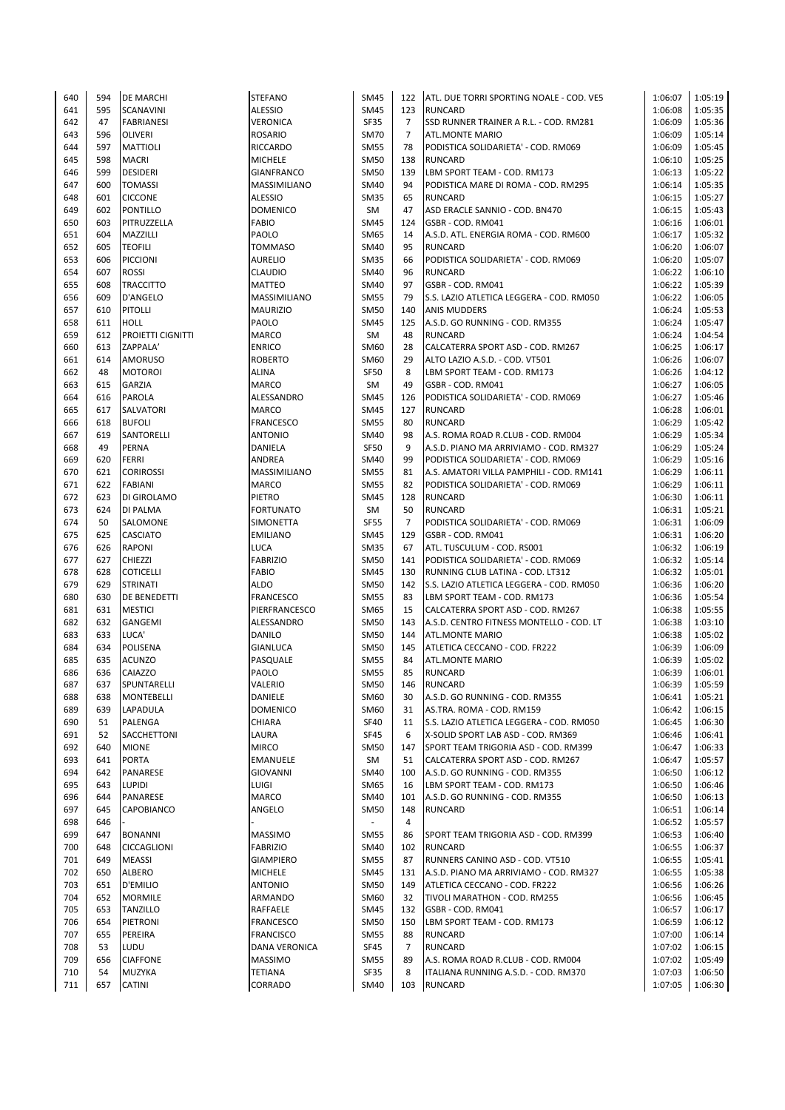| 640 | 594 | <b>DE MARCHI</b>    | <b>STEFANO</b>    | <b>SM45</b> | 122            | ATL. DUE TORRI SPORTING NOALE - COD. VE5 | 1:06:07 | 1:05:19 |
|-----|-----|---------------------|-------------------|-------------|----------------|------------------------------------------|---------|---------|
| 641 | 595 | SCANAVINI           | <b>ALESSIO</b>    | <b>SM45</b> | 123            | <b>RUNCARD</b>                           | 1:06:08 | 1:05:35 |
|     |     |                     |                   |             |                |                                          |         |         |
| 642 | 47  | <b>FABRIANESI</b>   | VERONICA          | SF35        | 7              | SSD RUNNER TRAINER A R.L. - COD. RM281   | 1:06:09 | 1:05:36 |
| 643 | 596 | <b>OLIVERI</b>      | <b>ROSARIO</b>    | <b>SM70</b> | $\overline{7}$ | <b>ATL.MONTE MARIO</b>                   | 1:06:09 | 1:05:14 |
| 644 | 597 | MATTIOLI            | RICCARDO          | <b>SM55</b> | 78             | PODISTICA SOLIDARIETA' - COD. RM069      | 1:06:09 | 1:05:45 |
| 645 | 598 | <b>MACRI</b>        | <b>MICHELE</b>    | <b>SM50</b> | 138            | <b>RUNCARD</b>                           | 1:06:10 | 1:05:25 |
| 646 | 599 | <b>DESIDERI</b>     | <b>GIANFRANCO</b> | <b>SM50</b> | 139            | LBM SPORT TEAM - COD. RM173              | 1:06:13 | 1:05:22 |
| 647 | 600 |                     |                   |             | 94             | PODISTICA MARE DI ROMA - COD. RM295      |         |         |
|     |     | <b>TOMASSI</b>      | MASSIMILIANO      | SM40        |                |                                          | 1:06:14 | 1:05:35 |
| 648 | 601 | <b>CICCONE</b>      | <b>ALESSIO</b>    | <b>SM35</b> | 65             | <b>RUNCARD</b>                           | 1:06:15 | 1:05:27 |
| 649 | 602 | <b>PONTILLO</b>     | <b>DOMENICO</b>   | SM          | 47             | ASD ERACLE SANNIO - COD. BN470           | 1:06:15 | 1:05:43 |
| 650 | 603 | PITRUZZELLA         | <b>FABIO</b>      | <b>SM45</b> | 124            | GSBR - COD. RM041                        | 1:06:16 | 1:06:01 |
| 651 | 604 | MAZZILLI            | PAOLO             | SM65        | 14             | A.S.D. ATL. ENERGIA ROMA - COD. RM600    | 1:06:17 | 1:05:32 |
| 652 | 605 | <b>TEOFILI</b>      | <b>TOMMASO</b>    | SM40        | 95             | <b>RUNCARD</b>                           | 1:06:20 | 1:06:07 |
|     |     |                     |                   |             |                |                                          |         |         |
| 653 | 606 | <b>PICCIONI</b>     | <b>AURELIO</b>    | <b>SM35</b> | 66             | PODISTICA SOLIDARIETA' - COD. RM069      | 1:06:20 | 1:05:07 |
| 654 | 607 | <b>ROSSI</b>        | <b>CLAUDIO</b>    | SM40        | 96             | <b>RUNCARD</b>                           | 1:06:22 | 1:06:10 |
| 655 | 608 | <b>TRACCITTO</b>    | <b>MATTEO</b>     | SM40        | 97             | GSBR - COD. RM041                        | 1:06:22 | 1:05:39 |
| 656 | 609 | <b>D'ANGELO</b>     | MASSIMILIANO      | <b>SM55</b> | 79             | S.S. LAZIO ATLETICA LEGGERA - COD. RM050 | 1:06:22 | 1:06:05 |
| 657 | 610 | <b>PITOLLI</b>      | <b>MAURIZIO</b>   | <b>SM50</b> | 140            | <b>ANIS MUDDERS</b>                      | 1:06:24 | 1:05:53 |
| 658 | 611 | <b>HOLL</b>         | PAOLO             | <b>SM45</b> | 125            |                                          | 1:06:24 | 1:05:47 |
|     |     |                     |                   |             |                | A.S.D. GO RUNNING - COD. RM355           |         |         |
| 659 | 612 | PROIETTI CIGNITTI   | MARCO             | SM          | 48             | <b>RUNCARD</b>                           | 1:06:24 | 1:04:54 |
| 660 | 613 | ZAPPALA'            | <b>ENRICO</b>     | SM60        | 28             | CALCATERRA SPORT ASD - COD. RM267        | 1:06:25 | 1:06:17 |
| 661 | 614 | <b>AMORUSO</b>      | <b>ROBERTO</b>    | SM60        | 29             | ALTO LAZIO A.S.D. - COD. VT501           | 1:06:26 | 1:06:07 |
| 662 | 48  | <b>MOTOROI</b>      | ALINA             | <b>SF50</b> | 8              | LBM SPORT TEAM - COD. RM173              | 1:06:26 | 1:04:12 |
| 663 | 615 |                     | MARCO             | SM          | 49             | GSBR - COD. RM041                        | 1:06:27 | 1:06:05 |
|     |     | GARZIA              |                   |             |                |                                          |         |         |
| 664 | 616 | <b>PAROLA</b>       | ALESSANDRO        | <b>SM45</b> | 126            | PODISTICA SOLIDARIETA' - COD. RM069      | 1:06:27 | 1:05:46 |
| 665 | 617 | SALVATORI           | <b>MARCO</b>      | <b>SM45</b> | 127            | <b>RUNCARD</b>                           | 1:06:28 | 1:06:01 |
| 666 | 618 | <b>BUFOLI</b>       | <b>FRANCESCO</b>  | <b>SM55</b> | 80             | <b>RUNCARD</b>                           | 1:06:29 | 1:05:42 |
| 667 | 619 | SANTORELLI          | <b>ANTONIO</b>    | SM40        | 98             | A.S. ROMA ROAD R.CLUB - COD. RM004       | 1:06:29 | 1:05:34 |
| 668 | 49  | <b>PERNA</b>        | DANIELA           | <b>SF50</b> | 9              | A.S.D. PIANO MA ARRIVIAMO - COD. RM327   | 1:06:29 | 1:05:24 |
|     |     |                     |                   |             |                |                                          |         |         |
| 669 | 620 | <b>FERRI</b>        | ANDREA            | SM40        | 99             | PODISTICA SOLIDARIETA' - COD. RM069      | 1:06:29 | 1:05:16 |
| 670 | 621 | <b>CORIROSSI</b>    | MASSIMILIANO      | <b>SM55</b> | 81             | A.S. AMATORI VILLA PAMPHILI - COD. RM141 | 1:06:29 | 1:06:11 |
| 671 | 622 | <b>FABIANI</b>      | <b>MARCO</b>      | <b>SM55</b> | 82             | PODISTICA SOLIDARIETA' - COD. RM069      | 1:06:29 | 1:06:11 |
| 672 | 623 | DI GIROLAMO         | PIETRO            | <b>SM45</b> | 128            | <b>RUNCARD</b>                           | 1:06:30 | 1:06:11 |
| 673 | 624 | DI PALMA            | <b>FORTUNATO</b>  | SM          | 50             | <b>RUNCARD</b>                           | 1:06:31 | 1:05:21 |
| 674 | 50  | SALOMONE            | SIMONETTA         | <b>SF55</b> | $\overline{7}$ | PODISTICA SOLIDARIETA' - COD. RM069      | 1:06:31 | 1:06:09 |
|     |     |                     |                   |             |                |                                          |         |         |
| 675 | 625 | <b>CASCIATO</b>     | <b>EMILIANO</b>   | <b>SM45</b> | 129            | GSBR - COD. RM041                        | 1:06:31 | 1:06:20 |
| 676 | 626 | <b>RAPONI</b>       | <b>LUCA</b>       | <b>SM35</b> | 67             | ATL. TUSCULUM - COD. RS001               | 1:06:32 | 1:06:19 |
| 677 | 627 | <b>CHIEZZI</b>      | <b>FABRIZIO</b>   | <b>SM50</b> | 141            | PODISTICA SOLIDARIETA' - COD. RM069      | 1:06:32 | 1:05:14 |
| 678 | 628 | <b>COTICELLI</b>    | <b>FABIO</b>      | <b>SM45</b> | 130            | RUNNING CLUB LATINA - COD. LT312         | 1:06:32 | 1:05:01 |
| 679 | 629 | <b>STRINATI</b>     | ALDO              | <b>SM50</b> | 142            | S.S. LAZIO ATLETICA LEGGERA - COD. RM050 | 1:06:36 | 1:06:20 |
| 680 | 630 |                     | <b>FRANCESCO</b>  | <b>SM55</b> | 83             |                                          | 1:06:36 |         |
|     |     | <b>DE BENEDETTI</b> |                   |             |                | LBM SPORT TEAM - COD. RM173              |         | 1:05:54 |
| 681 | 631 | <b>MESTICI</b>      | PIERFRANCESCO     | SM65        | 15             | CALCATERRA SPORT ASD - COD. RM267        | 1:06:38 | 1:05:55 |
| 682 | 632 | GANGEMI             | ALESSANDRO        | <b>SM50</b> | 143            | A.S.D. CENTRO FITNESS MONTELLO - COD. LT | 1:06:38 | 1:03:10 |
| 683 | 633 | LUCA'               | <b>DANILO</b>     | <b>SM50</b> | 144            | <b>ATL.MONTE MARIO</b>                   | 1:06:38 | 1:05:02 |
| 684 | 634 | POLISENA            | <b>GIANLUCA</b>   | <b>SM50</b> | 145            | ATLETICA CECCANO - COD. FR222            | 1:06:39 | 1:06:09 |
| 685 | 635 | <b>ACUNZO</b>       | PASQUALE          | <b>SM55</b> | 84             | <b>ATL.MONTE MARIO</b>                   | 1:06:39 | 1:05:02 |
|     |     |                     |                   |             |                |                                          |         |         |
| 686 | 636 | <b>CAIAZZO</b>      | PAOLO             | <b>SM55</b> | 85             | <b>RUNCARD</b>                           | 1:06:39 | 1:06:01 |
| 687 | 637 | SPUNTARELLI         | VALERIO           | SM50        | 146            | RUNCARD                                  | 1:06:39 | 1:05:59 |
| 688 | 638 | <b>MONTEBELLI</b>   | DANIELE           | SM60        | 30             | A.S.D. GO RUNNING - COD. RM355           | 1:06:41 | 1:05:21 |
| 689 | 639 | LAPADULA            | <b>DOMENICO</b>   | SM60        | 31             | AS.TRA. ROMA - COD. RM159                | 1:06:42 | 1:06:15 |
| 690 | 51  | PALENGA             | CHIARA            | <b>SF40</b> | 11             | S.S. LAZIO ATLETICA LEGGERA - COD. RM050 | 1:06:45 | 1:06:30 |
| 691 | 52  |                     |                   | <b>SF45</b> | 6              | X-SOLID SPORT LAB ASD - COD. RM369       |         | 1:06:41 |
|     |     | SACCHETTONI         | LAURA             |             |                |                                          | 1:06:46 |         |
| 692 | 640 | <b>MIONE</b>        | <b>MIRCO</b>      | <b>SM50</b> | 147            | SPORT TEAM TRIGORIA ASD - COD. RM399     | 1:06:47 | 1:06:33 |
| 693 | 641 | <b>PORTA</b>        | EMANUELE          | SM          | 51             | CALCATERRA SPORT ASD - COD. RM267        | 1:06:47 | 1:05:57 |
| 694 | 642 | PANARESE            | <b>GIOVANNI</b>   | SM40        | 100            | A.S.D. GO RUNNING - COD. RM355           | 1:06:50 | 1:06:12 |
| 695 | 643 | <b>LUPIDI</b>       | LUIGI             | SM65        | 16             | LBM SPORT TEAM - COD. RM173              | 1:06:50 | 1:06:46 |
| 696 | 644 | PANARESE            | MARCO             | SM40        | 101            | A.S.D. GO RUNNING - COD. RM355           | 1:06:50 | 1:06:13 |
|     |     |                     |                   |             |                |                                          |         |         |
| 697 | 645 | CAPOBIANCO          | ANGELO            | <b>SM50</b> | 148            | <b>RUNCARD</b>                           | 1:06:51 | 1:06:14 |
| 698 | 646 |                     |                   |             | 4              |                                          | 1:06:52 | 1:05:57 |
| 699 | 647 | <b>BONANNI</b>      | MASSIMO           | <b>SM55</b> | 86             | SPORT TEAM TRIGORIA ASD - COD. RM399     | 1:06:53 | 1:06:40 |
| 700 | 648 | <b>CICCAGLIONI</b>  | <b>FABRIZIO</b>   | SM40        | 102            | <b>RUNCARD</b>                           | 1:06:55 | 1:06:37 |
| 701 | 649 | <b>MEASSI</b>       | <b>GIAMPIERO</b>  | SM55        | 87             | RUNNERS CANINO ASD - COD. VT510          | 1:06:55 | 1:05:41 |
|     |     |                     |                   |             |                |                                          |         |         |
| 702 | 650 | <b>ALBERO</b>       | <b>MICHELE</b>    | SM45        | 131            | A.S.D. PIANO MA ARRIVIAMO - COD. RM327   | 1:06:55 | 1:05:38 |
| 703 | 651 | D'EMILIO            | <b>ANTONIO</b>    | SM50        | 149            | ATLETICA CECCANO - COD. FR222            | 1:06:56 | 1:06:26 |
| 704 | 652 | <b>MORMILE</b>      | ARMANDO           | SM60        | 32             | TIVOLI MARATHON - COD. RM255             | 1:06:56 | 1:06:45 |
| 705 | 653 | <b>TANZILLO</b>     | RAFFAELE          | <b>SM45</b> | 132            | GSBR - COD. RM041                        | 1:06:57 | 1:06:17 |
| 706 | 654 | PIETRONI            | FRANCESCO         | SM50        | 150            | LBM SPORT TEAM - COD. RM173              | 1:06:59 | 1:06:12 |
| 707 | 655 | PEREIRA             | <b>FRANCISCO</b>  | <b>SM55</b> | 88             | <b>RUNCARD</b>                           | 1:07:00 | 1:06:14 |
|     |     |                     |                   |             |                |                                          |         |         |
| 708 | 53  | LUDU                | DANA VERONICA     | SF45        | $\overline{7}$ | <b>RUNCARD</b>                           | 1:07:02 | 1:06:15 |
| 709 | 656 | <b>CIAFFONE</b>     | <b>MASSIMO</b>    | <b>SM55</b> | 89             | A.S. ROMA ROAD R.CLUB - COD. RM004       | 1:07:02 | 1:05:49 |
| 710 | 54  | MUZYKA              | TETIANA           | <b>SF35</b> | 8              | ITALIANA RUNNING A.S.D. - COD. RM370     | 1:07:03 | 1:06:50 |
| 711 | 657 | <b>CATINI</b>       | CORRADO           | SM40        | 103            | <b>RUNCARD</b>                           | 1:07:05 | 1:06:30 |
|     |     |                     |                   |             |                |                                          |         |         |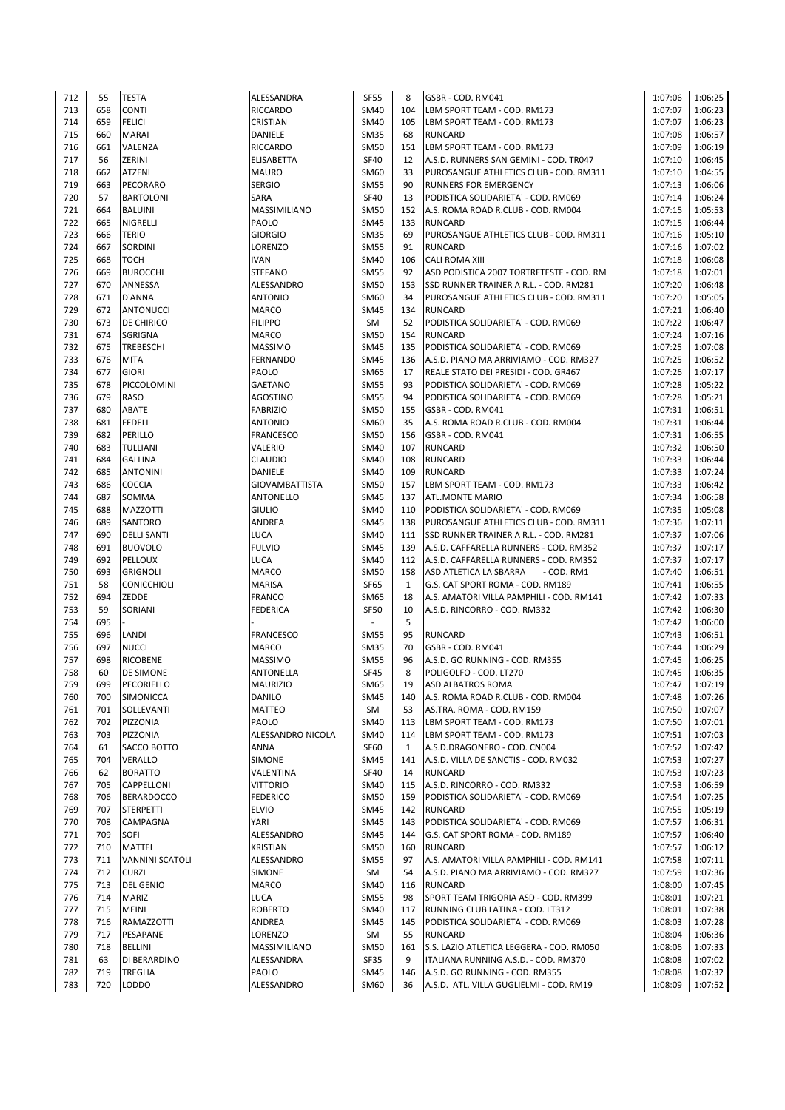| 712 | 55  | <b>TESTA</b>           | ALESSANDRA            | <b>SF55</b> | 8            | GSBR - COD. RM041                        | 1:07:06 | 1:06:25            |
|-----|-----|------------------------|-----------------------|-------------|--------------|------------------------------------------|---------|--------------------|
| 713 | 658 | <b>CONTI</b>           | <b>RICCARDO</b>       | SM40        | 104          | LBM SPORT TEAM - COD. RM173              | 1:07:07 | 1:06:23            |
| 714 | 659 | <b>FELICI</b>          | <b>CRISTIAN</b>       | SM40        | 105          | LBM SPORT TEAM - COD. RM173              | 1:07:07 | 1:06:23            |
| 715 | 660 | <b>MARAI</b>           | <b>DANIELE</b>        | <b>SM35</b> | 68           | <b>RUNCARD</b>                           | 1:07:08 | 1:06:57            |
| 716 | 661 | VALENZA                | <b>RICCARDO</b>       | <b>SM50</b> | 151          | LBM SPORT TEAM - COD. RM173              | 1:07:09 | 1:06:19            |
| 717 | 56  | <b>ZERINI</b>          | <b>ELISABETTA</b>     | <b>SF40</b> | 12           | A.S.D. RUNNERS SAN GEMINI - COD. TR047   | 1:07:10 | 1:06:45            |
| 718 | 662 | <b>ATZENI</b>          | <b>MAURO</b>          | SM60        | 33           | PUROSANGUE ATHLETICS CLUB - COD. RM311   | 1:07:10 | 1:04:55            |
| 719 | 663 | <b>PECORARO</b>        | <b>SERGIO</b>         | <b>SM55</b> | 90           | <b>RUNNERS FOR EMERGENCY</b>             | 1:07:13 | 1:06:06            |
| 720 | 57  | <b>BARTOLONI</b>       | <b>SARA</b>           | <b>SF40</b> | 13           | PODISTICA SOLIDARIETA' - COD. RM069      | 1:07:14 | 1:06:24            |
|     |     |                        |                       |             |              |                                          |         |                    |
| 721 | 664 | <b>BALUINI</b>         | <b>MASSIMILIANO</b>   | <b>SM50</b> | 152          | A.S. ROMA ROAD R.CLUB - COD. RM004       | 1:07:15 | 1:05:53            |
| 722 | 665 | <b>NIGRELLI</b>        | <b>PAOLO</b>          | <b>SM45</b> | 133          | <b>RUNCARD</b>                           | 1:07:15 | 1:06:44            |
| 723 | 666 | <b>TERIO</b>           | <b>GIORGIO</b>        | <b>SM35</b> | 69           | PUROSANGUE ATHLETICS CLUB - COD. RM311   | 1:07:16 | 1:05:10            |
| 724 | 667 | <b>SORDINI</b>         | LORENZO               | <b>SM55</b> | 91           | <b>RUNCARD</b>                           | 1:07:16 | 1:07:02            |
| 725 | 668 | <b>TOCH</b>            | <b>IVAN</b>           | SM40        | 106          | <b>CALI ROMA XIII</b>                    | 1:07:18 | 1:06:08            |
| 726 | 669 | <b>BUROCCHI</b>        | <b>STEFANO</b>        | <b>SM55</b> | 92           | ASD PODISTICA 2007 TORTRETESTE - COD. RM | 1:07:18 | 1:07:01            |
| 727 | 670 | ANNESSA                | ALESSANDRO            | <b>SM50</b> | 153          | SSD RUNNER TRAINER A R.L. - COD. RM281   | 1:07:20 | 1:06:48            |
| 728 | 671 | D'ANNA                 | <b>ANTONIO</b>        | SM60        | 34           | PUROSANGUE ATHLETICS CLUB - COD. RM311   | 1:07:20 | 1:05:05            |
| 729 | 672 | <b>ANTONUCCI</b>       | <b>MARCO</b>          | <b>SM45</b> | 134          | <b>RUNCARD</b>                           | 1:07:21 | 1:06:40            |
| 730 | 673 | DE CHIRICO             | <b>FILIPPO</b>        | SM          | 52           | PODISTICA SOLIDARIETA' - COD. RM069      | 1:07:22 | 1:06:47            |
| 731 | 674 | <b>SGRIGNA</b>         | <b>MARCO</b>          | <b>SM50</b> | 154          | <b>RUNCARD</b>                           | 1:07:24 | 1:07:16            |
| 732 | 675 | <b>TREBESCHI</b>       | <b>MASSIMO</b>        | <b>SM45</b> | 135          | PODISTICA SOLIDARIETA' - COD. RM069      | 1:07:25 | 1:07:08            |
| 733 | 676 | <b>MITA</b>            | <b>FERNANDO</b>       | <b>SM45</b> | 136          | A.S.D. PIANO MA ARRIVIAMO - COD. RM327   | 1:07:25 | 1:06:52            |
| 734 | 677 | <b>GIORI</b>           | PAOLO                 | SM65        | 17           | REALE STATO DEI PRESIDI - COD. GR467     | 1:07:26 | 1:07:17            |
| 735 | 678 | PICCOLOMINI            | <b>GAETANO</b>        | <b>SM55</b> | 93           | PODISTICA SOLIDARIETA' - COD. RM069      | 1:07:28 | 1:05:22            |
| 736 | 679 | <b>RASO</b>            | <b>AGOSTINO</b>       | <b>SM55</b> | 94           | PODISTICA SOLIDARIETA' - COD. RM069      | 1:07:28 | 1:05:21            |
| 737 | 680 | <b>ABATE</b>           | <b>FABRIZIO</b>       | <b>SM50</b> | 155          | GSBR - COD. RM041                        | 1:07:31 | 1:06:51            |
| 738 | 681 | <b>FEDELI</b>          | <b>ANTONIO</b>        | SM60        | 35           | A.S. ROMA ROAD R.CLUB - COD. RM004       | 1:07:31 | 1:06:44            |
| 739 | 682 | <b>PERILLO</b>         | <b>FRANCESCO</b>      | <b>SM50</b> | 156          | GSBR - COD. RM041                        | 1:07:31 | 1:06:55            |
| 740 | 683 | <b>TULLIANI</b>        |                       | SM40        | 107          |                                          | 1:07:32 |                    |
|     |     |                        | VALERIO               |             |              | <b>RUNCARD</b>                           |         | 1:06:50            |
| 741 | 684 | <b>GALLINA</b>         | <b>CLAUDIO</b>        | SM40        | 108          | <b>RUNCARD</b>                           | 1:07:33 | 1:06:44            |
| 742 | 685 | <b>ANTONINI</b>        | DANIELE               | SM40        | 109          | <b>RUNCARD</b>                           | 1:07:33 | 1:07:24            |
| 743 | 686 | <b>COCCIA</b>          | <b>GIOVAMBATTISTA</b> | <b>SM50</b> | 157          | LBM SPORT TEAM - COD. RM173              | 1:07:33 | 1:06:42            |
| 744 | 687 | SOMMA                  | <b>ANTONELLO</b>      | <b>SM45</b> | 137          | <b>ATL.MONTE MARIO</b>                   | 1:07:34 | 1:06:58            |
| 745 | 688 | <b>MAZZOTTI</b>        | <b>GIULIO</b>         | SM40        | 110          | PODISTICA SOLIDARIETA' - COD. RM069      | 1:07:35 | 1:05:08            |
| 746 | 689 | <b>SANTORO</b>         | ANDREA                | <b>SM45</b> | 138          | PUROSANGUE ATHLETICS CLUB - COD. RM311   | 1:07:36 | 1:07:11            |
| 747 | 690 | <b>DELLI SANTI</b>     | <b>LUCA</b>           | SM40        | 111          | SSD RUNNER TRAINER A R.L. - COD. RM281   | 1:07:37 | 1:07:06            |
| 748 | 691 | <b>BUOVOLO</b>         | <b>FULVIO</b>         | <b>SM45</b> | 139          | A.S.D. CAFFARELLA RUNNERS - COD. RM352   | 1:07:37 | 1:07:17            |
| 749 | 692 | PELLOUX                | <b>LUCA</b>           | SM40        | 112          | A.S.D. CAFFARELLA RUNNERS - COD. RM352   | 1:07:37 | 1:07:17            |
| 750 | 693 | <b>GRIGNOLI</b>        | <b>MARCO</b>          | <b>SM50</b> | 158          | ASD ATLETICA LA SBARRA<br>- COD. RM1     | 1:07:40 | 1:06:51            |
| 751 | 58  | <b>CONICCHIOLI</b>     | <b>MARISA</b>         | <b>SF65</b> | $\mathbf{1}$ | G.S. CAT SPORT ROMA - COD. RM189         | 1:07:41 | 1:06:55            |
| 752 | 694 | ZEDDE                  | <b>FRANCO</b>         | SM65        | 18           | A.S. AMATORI VILLA PAMPHILI - COD. RM141 | 1:07:42 | 1:07:33            |
| 753 | 59  | <b>SORIANI</b>         | <b>FEDERICA</b>       | <b>SF50</b> | 10           | A.S.D. RINCORRO - COD. RM332             | 1:07:42 | 1:06:30            |
| 754 | 695 |                        |                       | ÷           | 5            |                                          | 1:07:42 | 1:06:00            |
| 755 | 696 | LANDI                  | <b>FRANCESCO</b>      | <b>SM55</b> | 95           | <b>RUNCARD</b>                           | 1:07:43 | 1:06:51            |
| 756 | 697 | <b>NUCCI</b>           | <b>MARCO</b>          | <b>SM35</b> | 70           | GSBR - COD. RM041                        | 1:07:44 | 1:06:29            |
| 757 | 698 | <b>RICOBENE</b>        | <b>MASSIMO</b>        | <b>SM55</b> | 96           | A.S.D. GO RUNNING - COD. RM355           | 1:07:45 | 1:06:25            |
| 758 | 60  | <b>DE SIMONE</b>       | <b>ANTONELLA</b>      | <b>SF45</b> | 8            | POLIGOLFO - COD. LT270                   | 1:07:45 | 1:06:35            |
| 759 | 699 | PECORIELLO             | <b>MAURIZIO</b>       | SM65        | 19           | ASD ALBATROS ROMA                        | 1:07:47 | 1:07:19            |
| 760 | 700 | SIMONICCA              | <b>DANILO</b>         | <b>SM45</b> | 140          | A.S. ROMA ROAD R.CLUB - COD. RM004       | 1:07:48 | 1:07:26            |
| 761 | 701 | SOLLEVANTI             | <b>MATTEO</b>         | SM          | 53           | AS.TRA. ROMA - COD. RM159                | 1:07:50 | 1:07:07            |
| 762 | 702 | PIZZONIA               | PAOLO                 | <b>SM40</b> | 113          | LBM SPORT TEAM - COD. RM173              | 1:07:50 | 1:07:01            |
| 763 | 703 | PIZZONIA               | ALESSANDRO NICOLA     | SM40        | 114          | LBM SPORT TEAM - COD. RM173              | 1:07:51 | 1:07:03            |
| 764 | 61  | SACCO BOTTO            | ANNA                  | <b>SF60</b> | 1            | A.S.D.DRAGONERO - COD. CN004             | 1:07:52 | 1:07:42            |
| 765 | 704 | <b>VERALLO</b>         | <b>SIMONE</b>         | <b>SM45</b> | 141          | A.S.D. VILLA DE SANCTIS - COD. RM032     | 1:07:53 |                    |
|     |     |                        |                       |             |              |                                          |         | 1:07:27            |
| 766 | 62  | <b>BORATTO</b>         | VALENTINA             | <b>SF40</b> | 14           | <b>RUNCARD</b>                           | 1:07:53 | 1:07:23<br>1:06:59 |
| 767 | 705 | <b>CAPPELLONI</b>      | <b>VITTORIO</b>       | SM40        | 115          | A.S.D. RINCORRO - COD. RM332             | 1:07:53 |                    |
| 768 | 706 | <b>BERARDOCCO</b>      | <b>FEDERICO</b>       | <b>SM50</b> | 159          | PODISTICA SOLIDARIETA' - COD. RM069      | 1:07:54 | 1:07:25            |
| 769 | 707 | <b>STERPETTI</b>       | <b>ELVIO</b>          | <b>SM45</b> | 142          | <b>RUNCARD</b>                           | 1:07:55 | 1:05:19            |
| 770 | 708 | <b>CAMPAGNA</b>        | YARI                  | <b>SM45</b> | 143          | PODISTICA SOLIDARIETA' - COD. RM069      | 1:07:57 | 1:06:31            |
| 771 | 709 | SOFI                   | ALESSANDRO            | <b>SM45</b> | 144          | G.S. CAT SPORT ROMA - COD. RM189         | 1:07:57 | 1:06:40            |
| 772 | 710 | <b>MATTEI</b>          | <b>KRISTIAN</b>       | <b>SM50</b> | 160          | <b>RUNCARD</b>                           | 1:07:57 | 1:06:12            |
| 773 | 711 | <b>VANNINI SCATOLI</b> | ALESSANDRO            | <b>SM55</b> | 97           | A.S. AMATORI VILLA PAMPHILI - COD. RM141 | 1:07:58 | 1:07:11            |
| 774 | 712 | <b>CURZI</b>           | <b>SIMONE</b>         | SM          | 54           | A.S.D. PIANO MA ARRIVIAMO - COD. RM327   | 1:07:59 | 1:07:36            |
| 775 | 713 | <b>DEL GENIO</b>       | <b>MARCO</b>          | SM40        | 116          | <b>RUNCARD</b>                           | 1:08:00 | 1:07:45            |
| 776 | 714 | <b>MARIZ</b>           | <b>LUCA</b>           | <b>SM55</b> | 98           | SPORT TEAM TRIGORIA ASD - COD. RM399     | 1:08:01 | 1:07:21            |
| 777 | 715 | <b>MEINI</b>           | <b>ROBERTO</b>        | SM40        | 117          | RUNNING CLUB LATINA - COD. LT312         | 1:08:01 | 1:07:38            |
| 778 | 716 | RAMAZZOTTI             | ANDREA                | <b>SM45</b> | 145          | PODISTICA SOLIDARIETA' - COD. RM069      | 1:08:03 | 1:07:28            |
| 779 | 717 | PESAPANE               | LORENZO               | SM          | 55           | <b>RUNCARD</b>                           | 1:08:04 | 1:06:36            |
| 780 | 718 | <b>BELLINI</b>         | MASSIMILIANO          | SM50        | 161          | S.S. LAZIO ATLETICA LEGGERA - COD. RM050 | 1:08:06 | 1:07:33            |
| 781 | 63  | DI BERARDINO           | ALESSANDRA            | SF35        | 9            | ITALIANA RUNNING A.S.D. - COD. RM370     | 1:08:08 | 1:07:02            |
| 782 | 719 | <b>TREGLIA</b>         | <b>PAOLO</b>          | <b>SM45</b> | 146          | A.S.D. GO RUNNING - COD. RM355           | 1:08:08 | 1:07:32            |
| 783 | 720 | <b>LODDO</b>           | ALESSANDRO            | SM60        | 36           | A.S.D. ATL. VILLA GUGLIELMI - COD. RM19  | 1:08:09 | 1:07:52            |
|     |     |                        |                       |             |              |                                          |         |                    |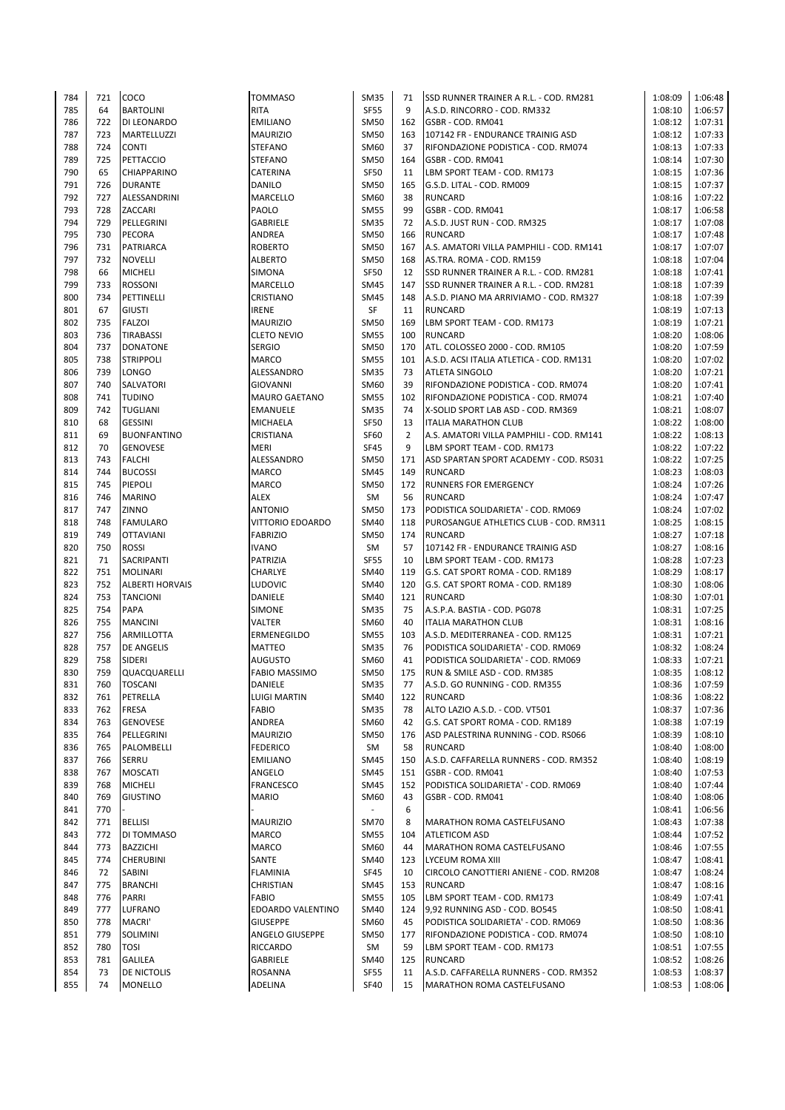| 784 | 721 | COCO                   | <b>TOMMASO</b>          | <b>SM35</b> | 71             | SSD RUNNER TRAINER A R.L. - COD. RM281   | 1:08:09 | 1:06:48            |
|-----|-----|------------------------|-------------------------|-------------|----------------|------------------------------------------|---------|--------------------|
| 785 | 64  | <b>BARTOLINI</b>       | <b>RITA</b>             | <b>SF55</b> | 9              | A.S.D. RINCORRO - COD. RM332             | 1:08:10 | 1:06:57            |
| 786 | 722 | DI LEONARDO            | <b>EMILIANO</b>         | <b>SM50</b> | 162            | GSBR - COD. RM041                        | 1:08:12 | 1:07:31            |
| 787 | 723 | <b>MARTELLUZZI</b>     | <b>MAURIZIO</b>         | <b>SM50</b> | 163            | 107142 FR - ENDURANCE TRAINIG ASD        | 1:08:12 | 1:07:33            |
| 788 | 724 | <b>CONTI</b>           | <b>STEFANO</b>          | SM60        | 37             | RIFONDAZIONE PODISTICA - COD. RM074      | 1:08:13 | 1:07:33            |
| 789 | 725 | PETTACCIO              | <b>STEFANO</b>          | <b>SM50</b> | 164            | GSBR - COD. RM041                        | 1:08:14 | 1:07:30            |
| 790 | 65  | <b>CHIAPPARINO</b>     | <b>CATERINA</b>         | <b>SF50</b> | 11             | LBM SPORT TEAM - COD. RM173              | 1:08:15 | 1:07:36            |
| 791 | 726 | <b>DURANTE</b>         | <b>DANILO</b>           | <b>SM50</b> | 165            | G.S.D. LITAL - COD. RM009                | 1:08:15 | 1:07:37            |
|     |     |                        |                         |             |                |                                          |         |                    |
| 792 | 727 | ALESSANDRINI           | <b>MARCELLO</b>         | SM60        | 38             | <b>RUNCARD</b>                           | 1:08:16 | 1:07:22            |
| 793 | 728 | ZACCARI                | PAOLO                   | <b>SM55</b> | 99             | GSBR - COD. RM041                        | 1:08:17 | 1:06:58            |
| 794 | 729 | PELLEGRINI             | <b>GABRIELE</b>         | <b>SM35</b> | 72             | A.S.D. JUST RUN - COD. RM325             | 1:08:17 | 1:07:08            |
| 795 | 730 | PECORA                 | ANDREA                  | <b>SM50</b> | 166            | <b>RUNCARD</b>                           | 1:08:17 | 1:07:48            |
| 796 | 731 | <b>PATRIARCA</b>       | <b>ROBERTO</b>          | <b>SM50</b> | 167            | A.S. AMATORI VILLA PAMPHILI - COD. RM141 | 1:08:17 | 1:07:07            |
| 797 | 732 | <b>NOVELLI</b>         | <b>ALBERTO</b>          | <b>SM50</b> | 168            | AS.TRA. ROMA - COD. RM159                | 1:08:18 | 1:07:04            |
| 798 | 66  | <b>MICHELI</b>         | SIMONA                  | <b>SF50</b> | 12             | SSD RUNNER TRAINER A R.L. - COD. RM281   | 1:08:18 | 1:07:41            |
| 799 | 733 | <b>ROSSONI</b>         | <b>MARCELLO</b>         | <b>SM45</b> | 147            | SSD RUNNER TRAINER A R.L. - COD. RM281   | 1:08:18 | 1:07:39            |
| 800 | 734 | PETTINELLI             | <b>CRISTIANO</b>        | <b>SM45</b> | 148            | A.S.D. PIANO MA ARRIVIAMO - COD. RM327   | 1:08:18 | 1:07:39            |
| 801 | 67  | <b>GIUSTI</b>          | <b>IRENE</b>            | SF          | 11             | <b>RUNCARD</b>                           | 1:08:19 | 1:07:13            |
| 802 | 735 | <b>FALZOI</b>          | <b>MAURIZIO</b>         | <b>SM50</b> | 169            | LBM SPORT TEAM - COD. RM173              | 1:08:19 | 1:07:21            |
| 803 | 736 | <b>TIRABASSI</b>       | <b>CLETO NEVIO</b>      | <b>SM55</b> | 100            | <b>RUNCARD</b>                           | 1:08:20 | 1:08:06            |
| 804 | 737 | <b>DONATONE</b>        | <b>SERGIO</b>           | <b>SM50</b> | 170            | ATL. COLOSSEO 2000 - COD. RM105          | 1:08:20 | 1:07:59            |
| 805 | 738 | <b>STRIPPOLI</b>       | <b>MARCO</b>            | <b>SM55</b> | 101            | A.S.D. ACSI ITALIA ATLETICA - COD. RM131 | 1:08:20 | 1:07:02            |
|     |     |                        |                         |             |                |                                          |         |                    |
| 806 | 739 | <b>LONGO</b>           | ALESSANDRO              | <b>SM35</b> | 73             | <b>ATLETA SINGOLO</b>                    | 1:08:20 | 1:07:21            |
| 807 | 740 | SALVATORI              | <b>GIOVANNI</b>         | SM60        | 39             | RIFONDAZIONE PODISTICA - COD. RM074      | 1:08:20 | 1:07:41            |
| 808 | 741 | <b>TUDINO</b>          | <b>MAURO GAETANO</b>    | <b>SM55</b> | 102            | RIFONDAZIONE PODISTICA - COD. RM074      | 1:08:21 | 1:07:40            |
| 809 | 742 | <b>TUGLIANI</b>        | <b>EMANUELE</b>         | <b>SM35</b> | 74             | X-SOLID SPORT LAB ASD - COD. RM369       | 1:08:21 | 1:08:07            |
| 810 | 68  | <b>GESSINI</b>         | MICHAELA                | <b>SF50</b> | 13             | <b>ITALIA MARATHON CLUB</b>              | 1:08:22 | 1:08:00            |
| 811 | 69  | <b>BUONFANTINO</b>     | <b>CRISTIANA</b>        | <b>SF60</b> | $\overline{2}$ | A.S. AMATORI VILLA PAMPHILI - COD. RM141 | 1:08:22 | 1:08:13            |
| 812 | 70  | <b>GENOVESE</b>        | <b>MERI</b>             | <b>SF45</b> | 9              | LBM SPORT TEAM - COD. RM173              | 1:08:22 | 1:07:22            |
| 813 | 743 | <b>FALCHI</b>          | ALESSANDRO              | <b>SM50</b> | 171            | ASD SPARTAN SPORT ACADEMY - COD. RS031   | 1:08:22 | 1:07:25            |
| 814 | 744 | <b>BUCOSSI</b>         | <b>MARCO</b>            | <b>SM45</b> | 149            | <b>RUNCARD</b>                           | 1:08:23 | 1:08:03            |
| 815 | 745 | <b>PIEPOLI</b>         | <b>MARCO</b>            | <b>SM50</b> | 172            | <b>RUNNERS FOR EMERGENCY</b>             | 1:08:24 | 1:07:26            |
| 816 | 746 | <b>MARINO</b>          | <b>ALEX</b>             | <b>SM</b>   | 56             | <b>RUNCARD</b>                           | 1:08:24 | 1:07:47            |
| 817 | 747 | ZINNO                  | <b>ANTONIO</b>          | <b>SM50</b> | 173            | PODISTICA SOLIDARIETA' - COD. RM069      | 1:08:24 | 1:07:02            |
|     |     |                        |                         |             |                |                                          |         |                    |
| 818 | 748 | <b>FAMULARO</b>        | <b>VITTORIO EDOARDO</b> | SM40        | 118            | PUROSANGUE ATHLETICS CLUB - COD. RM311   | 1:08:25 | 1:08:15            |
| 819 | 749 | <b>OTTAVIANI</b>       | <b>FABRIZIO</b>         | <b>SM50</b> | 174            | <b>RUNCARD</b>                           | 1:08:27 | 1:07:18            |
| 820 | 750 | <b>ROSSI</b>           | <b>IVANO</b>            | SM          | 57             | 107142 FR - ENDURANCE TRAINIG ASD        | 1:08:27 | 1:08:16            |
| 821 | 71  | SACRIPANTI             | PATRIZIA                | <b>SF55</b> | 10             | LBM SPORT TEAM - COD. RM173              | 1:08:28 | 1:07:23            |
| 822 | 751 | <b>MOLINARI</b>        | CHARLYE                 | <b>SM40</b> | 119            | G.S. CAT SPORT ROMA - COD. RM189         | 1:08:29 | 1:08:17            |
| 823 | 752 | <b>ALBERTI HORVAIS</b> | <b>LUDOVIC</b>          | SM40        | 120            | G.S. CAT SPORT ROMA - COD. RM189         | 1:08:30 | 1:08:06            |
| 824 | 753 | <b>TANCIONI</b>        | DANIELE                 | SM40        | 121            | <b>RUNCARD</b>                           | 1:08:30 | 1:07:01            |
| 825 | 754 | PAPA                   | <b>SIMONE</b>           | <b>SM35</b> | 75             | A.S.P.A. BASTIA - COD. PG078             | 1:08:31 | 1:07:25            |
| 826 | 755 | <b>MANCINI</b>         | VALTER                  | SM60        | 40             | <b>ITALIA MARATHON CLUB</b>              | 1:08:31 | 1:08:16            |
| 827 | 756 | ARMILLOTTA             | <b>ERMENEGILDO</b>      | <b>SM55</b> | 103            | A.S.D. MEDITERRANEA - COD. RM125         | 1:08:31 | 1:07:21            |
| 828 | 757 | <b>DE ANGELIS</b>      | <b>MATTEO</b>           | <b>SM35</b> | 76             | PODISTICA SOLIDARIETA' - COD. RM069      | 1:08:32 | 1:08:24            |
| 829 | 758 | <b>SIDERI</b>          | <b>AUGUSTO</b>          | SM60        | 41             | PODISTICA SOLIDARIETA' - COD. RM069      | 1:08:33 | 1:07:21            |
| 830 | 759 | QUACQUARELLI           | <b>FABIO MASSIMO</b>    | <b>SM50</b> | 175            | RUN & SMILE ASD - COD. RM385             | 1:08:35 | 1:08:12            |
|     | 760 |                        |                         |             | 77             |                                          | 1:08:36 |                    |
| 831 |     | <b>TOSCANI</b>         | DANIELE                 | SM35        |                | A.S.D. GO RUNNING - COD. RM355           |         | 1:07:59<br>1:08:22 |
| 832 | 761 | PETRELLA               | <b>LUIGI MARTIN</b>     | SM40        | 122            | <b>RUNCARD</b>                           | 1:08:36 |                    |
| 833 | 762 | <b>FRESA</b>           | <b>FABIO</b>            | <b>SM35</b> | 78             | ALTO LAZIO A.S.D. - COD. VT501           | 1:08:37 | 1:07:36            |
| 834 | 763 | <b>GENOVESE</b>        | ANDREA                  | SM60        | 42             | G.S. CAT SPORT ROMA - COD. RM189         | 1:08:38 | 1:07:19            |
| 835 | 764 | PELLEGRINI             | <b>MAURIZIO</b>         | <b>SM50</b> | 176            | ASD PALESTRINA RUNNING - COD. RS066      | 1:08:39 | 1:08:10            |
| 836 | 765 | PALOMBELLI             | <b>FEDERICO</b>         | SM          | 58             | <b>RUNCARD</b>                           | 1:08:40 | 1:08:00            |
| 837 | 766 | SERRU                  | <b>EMILIANO</b>         | <b>SM45</b> | 150            | A.S.D. CAFFARELLA RUNNERS - COD. RM352   | 1:08:40 | 1:08:19            |
| 838 | 767 | <b>MOSCATI</b>         | ANGELO                  | <b>SM45</b> | 151            | GSBR - COD. RM041                        | 1:08:40 | 1:07:53            |
| 839 | 768 | <b>MICHELI</b>         | <b>FRANCESCO</b>        | <b>SM45</b> | 152            | PODISTICA SOLIDARIETA' - COD. RM069      | 1:08:40 | 1:07:44            |
| 840 | 769 | <b>GIUSTINO</b>        | <b>MARIO</b>            | SM60        | 43             | GSBR - COD. RM041                        | 1:08:40 | 1:08:06            |
| 841 | 770 |                        |                         |             | 6              |                                          | 1:08:41 | 1:06:56            |
| 842 | 771 | <b>BELLISI</b>         | <b>MAURIZIO</b>         | <b>SM70</b> | 8              | MARATHON ROMA CASTELFUSANO               | 1:08:43 | 1:07:38            |
| 843 | 772 | DI TOMMASO             | <b>MARCO</b>            | <b>SM55</b> | 104            | <b>ATLETICOM ASD</b>                     | 1:08:44 | 1:07:52            |
| 844 | 773 | <b>BAZZICHI</b>        | <b>MARCO</b>            | SM60        | 44             | MARATHON ROMA CASTELFUSANO               | 1:08:46 | 1:07:55            |
| 845 | 774 | <b>CHERUBINI</b>       | SANTE                   | <b>SM40</b> | 123            | LYCEUM ROMA XIII                         | 1:08:47 | 1:08:41            |
| 846 |     | <b>SABINI</b>          | <b>FLAMINIA</b>         | <b>SF45</b> | 10             | CIRCOLO CANOTTIERI ANIENE - COD. RM208   | 1:08:47 | 1:08:24            |
|     |     |                        |                         |             |                |                                          |         |                    |
|     | 72  |                        |                         |             |                |                                          |         |                    |
| 847 | 775 | <b>BRANCHI</b>         | <b>CHRISTIAN</b>        | <b>SM45</b> | 153            | <b>RUNCARD</b>                           | 1:08:47 | 1:08:16            |
| 848 | 776 | PARRI                  | <b>FABIO</b>            | <b>SM55</b> | 105            | LBM SPORT TEAM - COD. RM173              | 1:08:49 | 1:07:41            |
| 849 | 777 | LUFRANO                | EDOARDO VALENTINO       | SM40        | 124            | 9,92 RUNNING ASD - COD. BO545            | 1:08:50 | 1:08:41            |
| 850 | 778 | MACRI'                 | <b>GIUSEPPE</b>         | SM60        | 45             | PODISTICA SOLIDARIETA' - COD. RM069      | 1:08:50 | 1:08:36            |
| 851 | 779 | SOLIMINI               | ANGELO GIUSEPPE         | <b>SM50</b> | 177            | RIFONDAZIONE PODISTICA - COD. RM074      | 1:08:50 | 1:08:10            |
| 852 | 780 | <b>TOSI</b>            | <b>RICCARDO</b>         | SM          | 59             | LBM SPORT TEAM - COD. RM173              | 1:08:51 | 1:07:55            |
| 853 | 781 | <b>GALILEA</b>         | <b>GABRIELE</b>         | <b>SM40</b> | 125            | <b>RUNCARD</b>                           | 1:08:52 | 1:08:26            |
| 854 | 73  | DE NICTOLIS            | <b>ROSANNA</b>          | <b>SF55</b> | 11             | A.S.D. CAFFARELLA RUNNERS - COD. RM352   | 1:08:53 | 1:08:37            |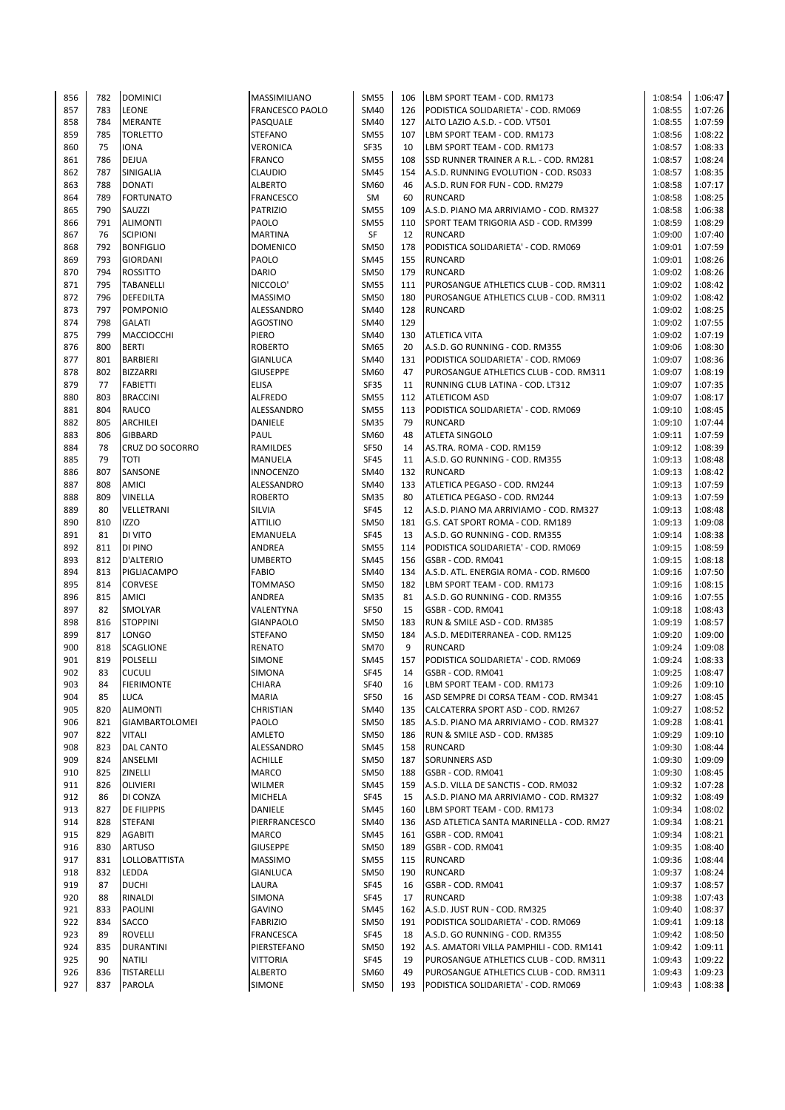| 856        | 782        | <b>DOMINICI</b>                    | <b>MASSIMILIANO</b>             | <b>SM55</b>         | 106       | LBM SPORT TEAM - COD. RM173                                                | 1:08:54            | 1:06:47            |
|------------|------------|------------------------------------|---------------------------------|---------------------|-----------|----------------------------------------------------------------------------|--------------------|--------------------|
| 857        | 783        | <b>LEONE</b>                       | <b>FRANCESCO PAOLO</b>          | SM40                | 126       | PODISTICA SOLIDARIETA' - COD. RM069                                        | 1:08:55            | 1:07:26            |
| 858        | 784        | MERANTE                            | PASQUALE                        | SM40                | 127       | ALTO LAZIO A.S.D. - COD. VT501                                             | 1:08:55            | 1:07:59            |
| 859        | 785        | <b>TORLETTO</b>                    | <b>STEFANO</b>                  | <b>SM55</b>         | 107       | LBM SPORT TEAM - COD. RM173                                                | 1:08:56            | 1:08:22            |
| 860        | 75         | <b>IONA</b>                        | <b>VERONICA</b>                 | <b>SF35</b>         | 10        | LBM SPORT TEAM - COD. RM173                                                | 1:08:57            | 1:08:33            |
| 861        | 786        | <b>DEJUA</b>                       | <b>FRANCO</b>                   | <b>SM55</b>         | 108       | SSD RUNNER TRAINER A R.L. - COD. RM281                                     | 1:08:57            | 1:08:24            |
| 862        | 787        | SINIGALIA                          | <b>CLAUDIO</b>                  | <b>SM45</b>         | 154       | A.S.D. RUNNING EVOLUTION - COD. RS033                                      | 1:08:57            | 1:08:35            |
| 863        | 788        | <b>DONATI</b>                      | <b>ALBERTO</b>                  | SM60                | 46        | A.S.D. RUN FOR FUN - COD. RM279                                            | 1:08:58            | 1:07:17            |
| 864        | 789        | <b>FORTUNATO</b>                   | <b>FRANCESCO</b>                | SM                  | 60        | <b>RUNCARD</b>                                                             | 1:08:58            | 1:08:25            |
| 865        | 790        | SAUZZI                             | PATRIZIO                        | <b>SM55</b>         | 109       | A.S.D. PIANO MA ARRIVIAMO - COD. RM327                                     | 1:08:58            | 1:06:38            |
| 866        | 791        | <b>ALIMONTI</b>                    | PAOLO                           | <b>SM55</b>         | 110       | SPORT TEAM TRIGORIA ASD - COD. RM399                                       | 1:08:59            | 1:08:29            |
| 867        | 76         | <b>SCIPIONI</b>                    | <b>MARTINA</b>                  | SF                  | 12        | <b>RUNCARD</b>                                                             | 1:09:00            | 1:07:40            |
| 868        | 792        | <b>BONFIGLIO</b>                   | <b>DOMENICO</b>                 | <b>SM50</b>         | 178       | PODISTICA SOLIDARIETA' - COD. RM069                                        | 1:09:01            | 1:07:59            |
| 869        | 793        | <b>GIORDANI</b>                    | PAOLO                           | SM45                | 155       | <b>RUNCARD</b>                                                             | 1:09:01            | 1:08:26            |
| 870        | 794        | <b>ROSSITTO</b>                    | <b>DARIO</b>                    | <b>SM50</b>         | 179       | <b>RUNCARD</b>                                                             | 1:09:02            | 1:08:26            |
| 871        | 795        | <b>TABANELLI</b>                   | NICCOLO'                        | <b>SM55</b>         | 111       | PUROSANGUE ATHLETICS CLUB - COD. RM311                                     | 1:09:02            | 1:08:42            |
| 872        | 796        | DEFEDILTA                          | <b>MASSIMO</b>                  | SM50                | 180       | PUROSANGUE ATHLETICS CLUB - COD. RM311                                     | 1:09:02            | 1:08:42            |
| 873        | 797        | <b>POMPONIO</b>                    | ALESSANDRO                      | SM40                | 128       | <b>RUNCARD</b>                                                             | 1:09:02            | 1:08:25            |
| 874        | 798        | <b>GALATI</b>                      | <b>AGOSTINO</b>                 | SM40                | 129       |                                                                            | 1:09:02            | 1:07:55            |
| 875        | 799        | MACCIOCCHI                         | <b>PIERO</b>                    | SM40                | 130       | <b>ATLETICA VITA</b>                                                       | 1:09:02            | 1:07:19            |
| 876        | 800        | <b>BERTI</b>                       | <b>ROBERTO</b>                  | <b>SM65</b>         | 20        | A.S.D. GO RUNNING - COD. RM355                                             | 1:09:06<br>1:09:07 | 1:08:30            |
| 877<br>878 | 801<br>802 | <b>BARBIERI</b>                    | <b>GIANLUCA</b>                 | SM40                | 131<br>47 | PODISTICA SOLIDARIETA' - COD. RM069                                        |                    | 1:08:36            |
| 879        | 77         | <b>BIZZARRI</b><br><b>FABIETTI</b> | <b>GIUSEPPE</b><br><b>ELISA</b> | SM60<br><b>SF35</b> | 11        | PUROSANGUE ATHLETICS CLUB - COD. RM311<br>RUNNING CLUB LATINA - COD. LT312 | 1:09:07<br>1:09:07 | 1:08:19<br>1:07:35 |
| 880        | 803        | <b>BRACCINI</b>                    | <b>ALFREDO</b>                  | <b>SM55</b>         | 112       | <b>ATLETICOM ASD</b>                                                       | 1:09:07            | 1:08:17            |
| 881        | 804        | RAUCO                              | ALESSANDRO                      | <b>SM55</b>         | 113       | PODISTICA SOLIDARIETA' - COD. RM069                                        | 1:09:10            | 1:08:45            |
| 882        | 805        | ARCHILEI                           | DANIELE                         | <b>SM35</b>         | 79        | <b>RUNCARD</b>                                                             | 1:09:10            | 1:07:44            |
| 883        | 806        | <b>GIBBARD</b>                     | PAUL                            | SM60                | 48        | <b>ATLETA SINGOLO</b>                                                      | 1:09:11            | 1:07:59            |
| 884        | 78         | CRUZ DO SOCORRO                    | RAMILDES                        | SF50                | 14        | AS.TRA. ROMA - COD. RM159                                                  | 1:09:12            | 1:08:39            |
| 885        | 79         | <b>TOTI</b>                        | <b>MANUELA</b>                  | SF45                | 11        | A.S.D. GO RUNNING - COD. RM355                                             | 1:09:13            | 1:08:48            |
| 886        | 807        | SANSONE                            | <b>INNOCENZO</b>                | SM40                | 132       | <b>RUNCARD</b>                                                             | 1:09:13            | 1:08:42            |
| 887        | 808        | AMICI                              | ALESSANDRO                      | SM40                | 133       | ATLETICA PEGASO - COD. RM244                                               | 1:09:13            | 1:07:59            |
| 888        | 809        | VINELLA                            | <b>ROBERTO</b>                  | <b>SM35</b>         | 80        | ATLETICA PEGASO - COD. RM244                                               | 1:09:13            | 1:07:59            |
| 889        | 80         | VELLETRANI                         | <b>SILVIA</b>                   | <b>SF45</b>         | 12        | A.S.D. PIANO MA ARRIVIAMO - COD. RM327                                     | 1:09:13            | 1:08:48            |
| 890        | 810        | <b>IZZO</b>                        | <b>ATTILIO</b>                  | SM50                | 181       | G.S. CAT SPORT ROMA - COD. RM189                                           | 1:09:13            | 1:09:08            |
| 891        | 81         | DI VITO                            | <b>EMANUELA</b>                 | <b>SF45</b>         | 13        | A.S.D. GO RUNNING - COD. RM355                                             | 1:09:14            | 1:08:38            |
| 892        | 811        | DI PINO                            | ANDREA                          | <b>SM55</b>         | 114       | PODISTICA SOLIDARIETA' - COD. RM069                                        | 1:09:15            | 1:08:59            |
| 893        | 812        | <b>D'ALTERIO</b>                   | <b>UMBERTO</b>                  | <b>SM45</b>         | 156       | GSBR - COD. RM041                                                          | 1:09:15            | 1:08:18            |
| 894        | 813        | PIGLIACAMPO                        | <b>FABIO</b>                    | SM40                | 134       | A.S.D. ATL. ENERGIA ROMA - COD. RM600                                      | 1:09:16            | 1:07:50            |
| 895        | 814        | <b>CORVESE</b>                     | TOMMASO                         | <b>SM50</b>         | 182       | LBM SPORT TEAM - COD. RM173                                                | 1:09:16            | 1:08:15            |
| 896        | 815        | AMICI                              | ANDREA                          | <b>SM35</b>         | 81        | A.S.D. GO RUNNING - COD. RM355                                             | 1:09:16            | 1:07:55            |
| 897        | 82         | SMOLYAR                            | VALENTYNA                       | <b>SF50</b>         | 15        | GSBR - COD. RM041                                                          | 1:09:18            | 1:08:43            |
| 898        | 816        | <b>STOPPINI</b>                    | <b>GIANPAOLO</b>                | <b>SM50</b>         | 183       | RUN & SMILE ASD - COD. RM385                                               | 1:09:19            | 1:08:57            |
| 899        | 817        | LONGO                              | <b>STEFANO</b>                  | <b>SM50</b>         | 184       | A.S.D. MEDITERRANEA - COD. RM125                                           | 1:09:20            | 1:09:00            |
| 900        | 818        | <b>SCAGLIONE</b>                   | <b>RENATO</b>                   | <b>SM70</b>         | 9         | <b>RUNCARD</b>                                                             | 1:09:24            | 1:09:08            |
| 901        | 819        | <b>POLSELLI</b>                    | <b>SIMONE</b>                   | SM45                | 157       | PODISTICA SOLIDARIETA' - COD. RM069                                        | 1:09:24            | 1:08:33            |
| 902        | 83         | <b>CUCULI</b>                      | SIMONA                          | <b>SF45</b>         | 14        | GSBR - COD. RM041                                                          | 1:09:25            | 1:08:47            |
| 903        | 84         | <b>FIERIMONTE</b>                  | CHIARA                          | SF40                | 16        | LBM SPORT TEAM - COD. RM173                                                | 1:09:26            | 1:09:10            |
| 904        | 85         | LUCA                               | <b>MARIA</b>                    | <b>SF50</b>         | 16        | ASD SEMPRE DI CORSA TEAM - COD. RM341                                      | 1:09:27            | 1:08:45            |
| 905        | 820        | ALIMONTI                           | CHRISTIAN                       | SM40                | 135       | CALCATERRA SPORT ASD - COD. RM267                                          | 1:09:27            | 1:08:52            |
| 906        | 821        | <b>GIAMBARTOLOMEI</b>              | PAOLO                           | <b>SM50</b>         | 185       | A.S.D. PIANO MA ARRIVIAMO - COD. RM327                                     | 1:09:28            | 1:08:41            |
| 907        | 822        | <b>VITALI</b>                      | AMLETO                          | <b>SM50</b>         | 186       | RUN & SMILE ASD - COD. RM385                                               | 1:09:29            | 1:09:10            |
| 908        | 823        | DAL CANTO                          | ALESSANDRO                      | SM45                | 158       | <b>RUNCARD</b>                                                             | 1:09:30            | 1:08:44            |
| 909        | 824        | ANSELMI                            | <b>ACHILLE</b>                  | SM50                | 187       | <b>SORUNNERS ASD</b>                                                       | 1:09:30            | 1:09:09            |
| 910        | 825        | ZINELLI                            | <b>MARCO</b>                    | SM50                | 188       | GSBR - COD. RM041                                                          | 1:09:30            | 1:08:45            |
| 911        | 826        | <b>OLIVIERI</b>                    | <b>WILMER</b>                   | SM45                | 159       | A.S.D. VILLA DE SANCTIS - COD. RM032                                       | 1:09:32            | 1:07:28            |
| 912<br>913 | 86<br>827  | DI CONZA<br><b>DE FILIPPIS</b>     | <b>MICHELA</b><br>DANIELE       | <b>SF45</b><br>SM45 | 15<br>160 | A.S.D. PIANO MA ARRIVIAMO - COD. RM327<br>LBM SPORT TEAM - COD. RM173      | 1:09:32<br>1:09:34 | 1:08:49<br>1:08:02 |
| 914        | 828        |                                    | PIERFRANCESCO                   | SM40                | 136       |                                                                            | 1:09:34            | 1:08:21            |
| 915        | 829        | <b>STEFANI</b><br>AGABITI          | <b>MARCO</b>                    | SM45                | 161       | ASD ATLETICA SANTA MARINELLA - COD. RM27<br>GSBR - COD. RM041              | 1:09:34            | 1:08:21            |
| 916        | 830        | <b>ARTUSO</b>                      | <b>GIUSEPPE</b>                 | SM50                | 189       | GSBR - COD. RM041                                                          | 1:09:35            | 1:08:40            |
| 917        | 831        | <b>LOLLOBATTISTA</b>               | <b>MASSIMO</b>                  | <b>SM55</b>         | 115       | <b>RUNCARD</b>                                                             | 1:09:36            | 1:08:44            |
| 918        | 832        | LEDDA                              | <b>GIANLUCA</b>                 | SM50                | 190       | <b>RUNCARD</b>                                                             | 1:09:37            | 1:08:24            |
| 919        | 87         | <b>DUCHI</b>                       | LAURA                           | SF45                | 16        | GSBR - COD. RM041                                                          | 1:09:37            | 1:08:57            |
| 920        | 88         | RINALDI                            | <b>SIMONA</b>                   | SF45                | 17        | <b>RUNCARD</b>                                                             | 1:09:38            | 1:07:43            |
| 921        | 833        | <b>PAOLINI</b>                     | <b>GAVINO</b>                   | SM45                | 162       | A.S.D. JUST RUN - COD. RM325                                               | 1:09:40            | 1:08:37            |
| 922        | 834        | SACCO                              | <b>FABRIZIO</b>                 | SM50                | 191       | PODISTICA SOLIDARIETA' - COD. RM069                                        | 1:09:41            | 1:09:18            |
| 923        | 89         | <b>ROVELLI</b>                     | <b>FRANCESCA</b>                | SF45                | 18        | A.S.D. GO RUNNING - COD. RM355                                             | 1:09:42            | 1:08:50            |
| 924        | 835        | <b>DURANTINI</b>                   | PIERSTEFANO                     | SM50                | 192       | A.S. AMATORI VILLA PAMPHILI - COD. RM141                                   | 1:09:42            | 1:09:11            |
| 925        | 90         | <b>NATILI</b>                      | <b>VITTORIA</b>                 | SF45                | 19        | PUROSANGUE ATHLETICS CLUB - COD. RM311                                     | 1:09:43            | 1:09:22            |
| 926        | 836        | <b>TISTARELLI</b>                  | <b>ALBERTO</b>                  | SM60                | 49        | PUROSANGUE ATHLETICS CLUB - COD. RM311                                     | 1:09:43            | 1:09:23            |
| 927        | 837        | PAROLA                             | <b>SIMONE</b>                   | SM50                | 193       | PODISTICA SOLIDARIETA' - COD. RM069                                        | 1:09:43            | 1:08:38            |
|            |            |                                    |                                 |                     |           |                                                                            |                    |                    |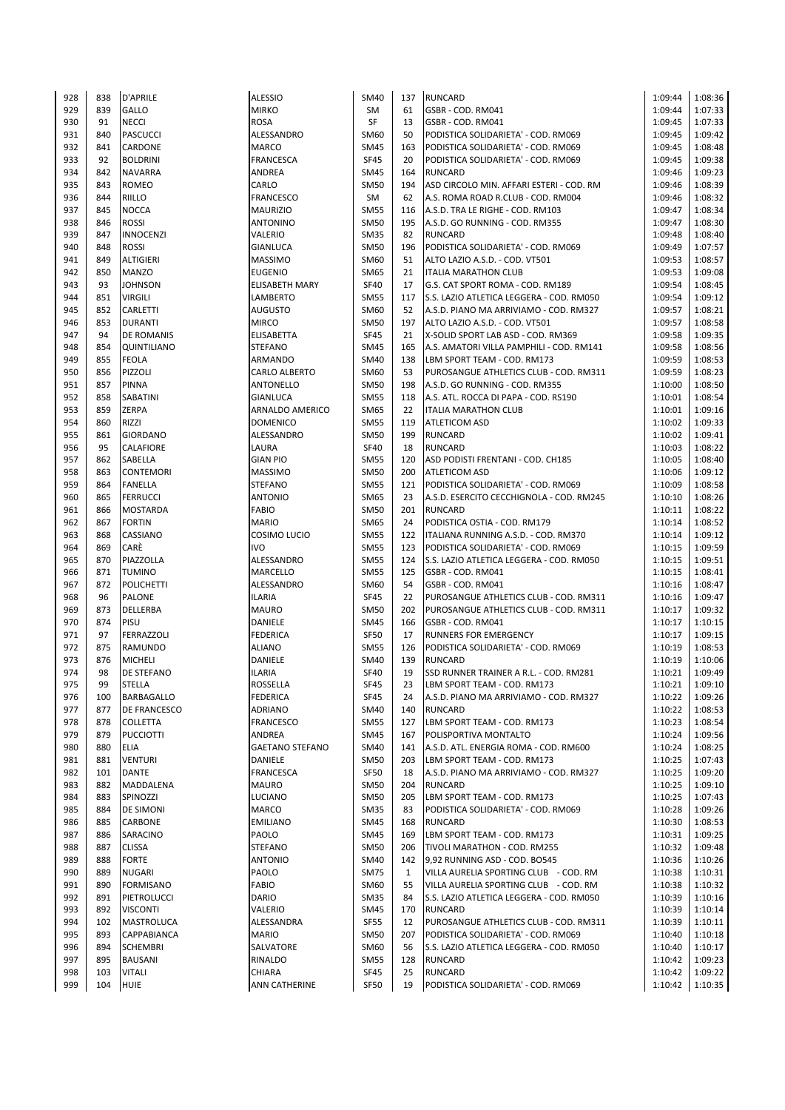| 928 | 838 | <b>D'APRILE</b>     | <b>ALESSIO</b>         | SM40        | 137          | <b>RUNCARD</b>                           | 1:09:44 | 1:08:36 |
|-----|-----|---------------------|------------------------|-------------|--------------|------------------------------------------|---------|---------|
|     |     |                     |                        |             |              |                                          |         |         |
| 929 | 839 | <b>GALLO</b>        | <b>MIRKO</b>           | SM          | 61           | GSBR - COD. RM041                        | 1:09:44 | 1:07:33 |
| 930 | 91  | <b>NECCI</b>        | <b>ROSA</b>            | <b>SF</b>   | 13           | GSBR - COD. RM041                        | 1:09:45 | 1:07:33 |
| 931 | 840 | <b>PASCUCCI</b>     | ALESSANDRO             | SM60        | 50           | PODISTICA SOLIDARIETA' - COD. RM069      | 1:09:45 | 1:09:42 |
|     |     |                     |                        |             |              |                                          |         |         |
| 932 | 841 | <b>CARDONE</b>      | <b>MARCO</b>           | <b>SM45</b> | 163          | PODISTICA SOLIDARIETA' - COD. RM069      | 1:09:45 | 1:08:48 |
| 933 | 92  | <b>BOLDRINI</b>     | <b>FRANCESCA</b>       | <b>SF45</b> | 20           | PODISTICA SOLIDARIETA' - COD. RM069      | 1:09:45 | 1:09:38 |
|     |     |                     |                        |             |              |                                          |         |         |
| 934 | 842 | <b>NAVARRA</b>      | ANDREA                 | <b>SM45</b> | 164          | <b>RUNCARD</b>                           | 1:09:46 | 1:09:23 |
| 935 | 843 | <b>ROMEO</b>        | CARLO                  | <b>SM50</b> | 194          | ASD CIRCOLO MIN. AFFARI ESTERI - COD. RM | 1:09:46 | 1:08:39 |
| 936 | 844 | <b>RIILLO</b>       | <b>FRANCESCO</b>       | SM          | 62           | A.S. ROMA ROAD R.CLUB - COD. RM004       | 1:09:46 | 1:08:32 |
|     |     |                     |                        |             |              |                                          |         |         |
| 937 | 845 | <b>NOCCA</b>        | <b>MAURIZIO</b>        | <b>SM55</b> | 116          | A.S.D. TRA LE RIGHE - COD. RM103         | 1:09:47 | 1:08:34 |
| 938 | 846 | <b>ROSSI</b>        | <b>ANTONINO</b>        | <b>SM50</b> | 195          | A.S.D. GO RUNNING - COD. RM355           | 1:09:47 | 1:08:30 |
|     |     |                     |                        |             |              |                                          |         |         |
| 939 | 847 | <b>INNOCENZI</b>    | <b>VALERIO</b>         | <b>SM35</b> | 82           | <b>RUNCARD</b>                           | 1:09:48 | 1:08:40 |
| 940 | 848 | <b>ROSSI</b>        | <b>GIANLUCA</b>        | <b>SM50</b> | 196          | PODISTICA SOLIDARIETA' - COD. RM069      | 1:09:49 | 1:07:57 |
|     |     |                     |                        |             |              |                                          |         |         |
| 941 | 849 | <b>ALTIGIERI</b>    | <b>MASSIMO</b>         | SM60        | 51           | ALTO LAZIO A.S.D. - COD. VT501           | 1:09:53 | 1:08:57 |
| 942 | 850 | <b>MANZO</b>        | <b>EUGENIO</b>         | SM65        | 21           | <b>ITALIA MARATHON CLUB</b>              | 1:09:53 | 1:09:08 |
| 943 | 93  | <b>JOHNSON</b>      | <b>ELISABETH MARY</b>  | <b>SF40</b> | 17           | G.S. CAT SPORT ROMA - COD. RM189         | 1:09:54 | 1:08:45 |
|     |     |                     |                        |             |              |                                          |         |         |
| 944 | 851 | <b>VIRGILI</b>      | LAMBERTO               | <b>SM55</b> | 117          | S.S. LAZIO ATLETICA LEGGERA - COD. RM050 | 1:09:54 | 1:09:12 |
| 945 | 852 | <b>CARLETTI</b>     | <b>AUGUSTO</b>         | SM60        | 52           | A.S.D. PIANO MA ARRIVIAMO - COD. RM327   | 1:09:57 | 1:08:21 |
|     |     |                     |                        |             |              |                                          |         |         |
| 946 | 853 | <b>DURANTI</b>      | <b>MIRCO</b>           | <b>SM50</b> | 197          | ALTO LAZIO A.S.D. - COD. VT501           | 1:09:57 | 1:08:58 |
| 947 | 94  | <b>DE ROMANIS</b>   | <b>ELISABETTA</b>      | <b>SF45</b> | 21           | X-SOLID SPORT LAB ASD - COD. RM369       | 1:09:58 | 1:09:35 |
|     |     |                     |                        |             |              |                                          |         |         |
| 948 | 854 | <b>QUINTILIANO</b>  | <b>STEFANO</b>         | SM45        | 165          | A.S. AMATORI VILLA PAMPHILI - COD. RM141 | 1:09:58 | 1:08:56 |
| 949 | 855 | <b>FEOLA</b>        | <b>ARMANDO</b>         | SM40        | 138          | LBM SPORT TEAM - COD. RM173              | 1:09:59 | 1:08:53 |
| 950 | 856 | PIZZOLI             | <b>CARLO ALBERTO</b>   | SM60        | 53           | PUROSANGUE ATHLETICS CLUB - COD. RM311   | 1:09:59 | 1:08:23 |
|     |     |                     |                        |             |              |                                          |         |         |
| 951 | 857 | <b>PINNA</b>        | <b>ANTONELLO</b>       | <b>SM50</b> | 198          | A.S.D. GO RUNNING - COD. RM355           | 1:10:00 | 1:08:50 |
| 952 | 858 | <b>SABATINI</b>     | <b>GIANLUCA</b>        | <b>SM55</b> | 118          | A.S. ATL. ROCCA DI PAPA - COD. RS190     | 1:10:01 | 1:08:54 |
|     |     |                     |                        |             |              |                                          |         |         |
| 953 | 859 | <b>ZERPA</b>        | ARNALDO AMERICO        | SM65        | 22           | <b>ITALIA MARATHON CLUB</b>              | 1:10:01 | 1:09:16 |
| 954 | 860 | <b>RIZZI</b>        | <b>DOMENICO</b>        | <b>SM55</b> | 119          | <b>ATLETICOM ASD</b>                     | 1:10:02 | 1:09:33 |
| 955 | 861 |                     | ALESSANDRO             | <b>SM50</b> | 199          |                                          | 1:10:02 | 1:09:41 |
|     |     | <b>GIORDANO</b>     |                        |             |              | <b>RUNCARD</b>                           |         |         |
| 956 | 95  | <b>CALAFIORE</b>    | LAURA                  | <b>SF40</b> | 18           | <b>RUNCARD</b>                           | 1:10:03 | 1:08:22 |
| 957 | 862 | <b>SABELLA</b>      | <b>GIAN PIO</b>        | <b>SM55</b> | 120          | ASD PODISTI FRENTANI - COD. CH185        | 1:10:05 | 1:08:40 |
|     |     |                     |                        |             |              |                                          |         |         |
| 958 | 863 | <b>CONTEMORI</b>    | <b>MASSIMO</b>         | <b>SM50</b> | 200          | <b>ATLETICOM ASD</b>                     | 1:10:06 | 1:09:12 |
| 959 | 864 | <b>FANELLA</b>      | <b>STEFANO</b>         | <b>SM55</b> | 121          | PODISTICA SOLIDARIETA' - COD. RM069      | 1:10:09 | 1:08:58 |
|     |     |                     |                        |             |              |                                          |         |         |
| 960 | 865 | <b>FERRUCCI</b>     | <b>ANTONIO</b>         | SM65        | 23           | A.S.D. ESERCITO CECCHIGNOLA - COD. RM245 | 1:10:10 | 1:08:26 |
| 961 | 866 | <b>MOSTARDA</b>     | <b>FABIO</b>           | <b>SM50</b> | 201          | <b>RUNCARD</b>                           | 1:10:11 | 1:08:22 |
| 962 | 867 | <b>FORTIN</b>       | <b>MARIO</b>           | SM65        | 24           | PODISTICA OSTIA - COD. RM179             | 1:10:14 | 1:08:52 |
|     |     |                     |                        |             |              |                                          |         |         |
| 963 | 868 | CASSIANO            | COSIMO LUCIO           | <b>SM55</b> | 122          | ITALIANA RUNNING A.S.D. - COD. RM370     | 1:10:14 | 1:09:12 |
| 964 | 869 | CARÈ                | <b>IVO</b>             | <b>SM55</b> | 123          | PODISTICA SOLIDARIETA' - COD. RM069      | 1:10:15 | 1:09:59 |
|     |     |                     |                        |             |              |                                          |         |         |
| 965 | 870 | PIAZZOLLA           | ALESSANDRO             | <b>SM55</b> | 124          | S.S. LAZIO ATLETICA LEGGERA - COD. RM050 | 1:10:15 | 1:09:51 |
| 966 | 871 | <b>TUMINO</b>       | MARCELLO               | <b>SM55</b> | 125          | GSBR - COD. RM041                        | 1:10:15 | 1:08:41 |
| 967 | 872 | <b>POLICHETTI</b>   | ALESSANDRO             | SM60        | 54           | GSBR - COD. RM041                        | 1:10:16 | 1:08:47 |
|     |     |                     |                        |             |              |                                          |         |         |
| 968 | 96  | <b>PALONE</b>       | ILARIA                 | <b>SF45</b> | 22           | PUROSANGUE ATHLETICS CLUB - COD. RM311   | 1:10:16 | 1:09:47 |
| 969 | 873 | <b>DELLERBA</b>     | <b>MAURO</b>           | <b>SM50</b> | 202          | PUROSANGUE ATHLETICS CLUB - COD. RM311   | 1:10:17 | 1:09:32 |
|     |     |                     |                        |             |              |                                          |         |         |
| 970 | 874 | <b>PISU</b>         | DANIELE                | SM45        | 166          | GSBR - COD. RM041                        | 1:10:17 | 1:10:15 |
| 971 | 97  | FERRAZZOLI          | <b>FEDERICA</b>        | <b>SF50</b> | 17           | <b>RUNNERS FOR EMERGENCY</b>             | 1:10:17 | 1:09:15 |
|     |     |                     |                        |             |              |                                          |         |         |
| 972 | 875 | <b>RAMUNDO</b>      | <b>ALIANO</b>          | <b>SM55</b> | 126          | PODISTICA SOLIDARIETA' - COD. RM069      | 1:10:19 | 1:08:53 |
| 973 | 876 | <b>MICHELI</b>      | DANIELE                | SM40        | 139          | <b>RUNCARD</b>                           | 1:10:19 | 1:10:06 |
| 974 | 98  | <b>DE STEFANO</b>   | <b>ILARIA</b>          | <b>SF40</b> | 19           | SSD RUNNER TRAINER A R.L. - COD. RM281   | 1:10:21 | 1:09:49 |
|     |     |                     |                        |             |              |                                          |         |         |
| 975 | 99  | <b>STELLA</b>       | ROSSELLA               | SF45        | 23           | LBM SPORT TEAM - COD. RM173              | 1:10:21 | 1:09:10 |
| 976 | 100 | BARBAGALLO          | FEDERICA               | SF45        | 24           | A.S.D. PIANO MA ARRIVIAMO - COD. RM327   | 1:10:22 | 1:09:26 |
|     |     |                     |                        |             |              |                                          |         |         |
| 977 | 877 | <b>DE FRANCESCO</b> | ADRIANO                | SM40        | 140          | <b>RUNCARD</b>                           | 1:10:22 | 1:08:53 |
| 978 | 878 | <b>COLLETTA</b>     | FRANCESCO              | <b>SM55</b> | 127          | LBM SPORT TEAM - COD. RM173              | 1:10:23 | 1:08:54 |
| 979 | 879 | <b>PUCCIOTTI</b>    | ANDREA                 | SM45        | 167          | POLISPORTIVA MONTALTO                    | 1:10:24 | 1:09:56 |
|     |     |                     |                        |             |              |                                          |         |         |
| 980 | 880 | ELIA                | <b>GAETANO STEFANO</b> | SM40        | 141          | A.S.D. ATL. ENERGIA ROMA - COD. RM600    | 1:10:24 | 1:08:25 |
| 981 | 881 | <b>VENTURI</b>      | DANIELE                | SM50        | 203          | LBM SPORT TEAM - COD. RM173              | 1:10:25 | 1:07:43 |
|     |     |                     |                        |             |              |                                          |         |         |
| 982 | 101 | <b>DANTE</b>        | FRANCESCA              | SF50        | 18           | A.S.D. PIANO MA ARRIVIAMO - COD. RM327   | 1:10:25 | 1:09:20 |
| 983 | 882 | <b>MADDALENA</b>    | <b>MAURO</b>           | <b>SM50</b> | 204          | <b>RUNCARD</b>                           | 1:10:25 | 1:09:10 |
| 984 | 883 | SPINOZZI            | <b>LUCIANO</b>         | SM50        | 205          | LBM SPORT TEAM - COD. RM173              | 1:10:25 | 1:07:43 |
|     |     |                     |                        |             |              |                                          |         |         |
| 985 | 884 | <b>DE SIMONI</b>    | <b>MARCO</b>           | <b>SM35</b> | 83           | PODISTICA SOLIDARIETA' - COD. RM069      | 1:10:28 | 1:09:26 |
| 986 | 885 | <b>CARBONE</b>      | <b>EMILIANO</b>        | <b>SM45</b> | 168          | <b>RUNCARD</b>                           | 1:10:30 | 1:08:53 |
|     |     |                     |                        |             |              |                                          |         |         |
| 987 | 886 | SARACINO            | PAOLO                  | <b>SM45</b> | 169          | LBM SPORT TEAM - COD. RM173              | 1:10:31 | 1:09:25 |
| 988 | 887 | <b>CLISSA</b>       | <b>STEFANO</b>         | <b>SM50</b> | 206          | TIVOLI MARATHON - COD. RM255             | 1:10:32 | 1:09:48 |
| 989 | 888 |                     | <b>ANTONIO</b>         | SM40        | 142          | 9,92 RUNNING ASD - COD. BO545            | 1:10:36 |         |
|     |     | <b>FORTE</b>        |                        |             |              |                                          |         | 1:10:26 |
| 990 | 889 | <b>NUGARI</b>       | PAOLO                  | <b>SM75</b> | $\mathbf{1}$ | VILLA AURELIA SPORTING CLUB - COD. RM    | 1:10:38 | 1:10:31 |
| 991 | 890 | <b>FORMISANO</b>    | FABIO                  | SM60        | 55           | VILLA AURELIA SPORTING CLUB - COD. RM    | 1:10:38 | 1:10:32 |
|     |     |                     |                        |             |              |                                          |         |         |
| 992 | 891 | PIETROLUCCI         | <b>DARIO</b>           | <b>SM35</b> | 84           | S.S. LAZIO ATLETICA LEGGERA - COD. RM050 | 1:10:39 | 1:10:16 |
| 993 | 892 | <b>VISCONTI</b>     | VALERIO                | <b>SM45</b> | 170          | <b>RUNCARD</b>                           | 1:10:39 | 1:10:14 |
|     |     |                     |                        |             |              |                                          |         |         |
| 994 | 102 | <b>MASTROLUCA</b>   | ALESSANDRA             | <b>SF55</b> | 12           | PUROSANGUE ATHLETICS CLUB - COD. RM311   | 1:10:39 | 1:10:11 |
| 995 | 893 | <b>CAPPABIANCA</b>  | <b>MARIO</b>           | <b>SM50</b> | 207          | PODISTICA SOLIDARIETA' - COD. RM069      | 1:10:40 | 1:10:18 |
| 996 | 894 | <b>SCHEMBRI</b>     | SALVATORE              | SM60        | 56           | S.S. LAZIO ATLETICA LEGGERA - COD. RM050 | 1:10:40 | 1:10:17 |
|     |     |                     |                        |             |              |                                          |         |         |
| 997 | 895 | <b>BAUSANI</b>      | RINALDO                | <b>SM55</b> | 128          | <b>RUNCARD</b>                           | 1:10:42 | 1:09:23 |
| 998 | 103 | <b>VITALI</b>       | CHIARA                 | SF45        | 25           | <b>RUNCARD</b>                           | 1:10:42 | 1:09:22 |
|     | 104 | <b>HUIE</b>         | ANN CATHERINE          | SF50        |              | PODISTICA SOLIDARIETA' - COD. RM069      | 1:10:42 | 1:10:35 |
| 999 |     |                     |                        |             | 19           |                                          |         |         |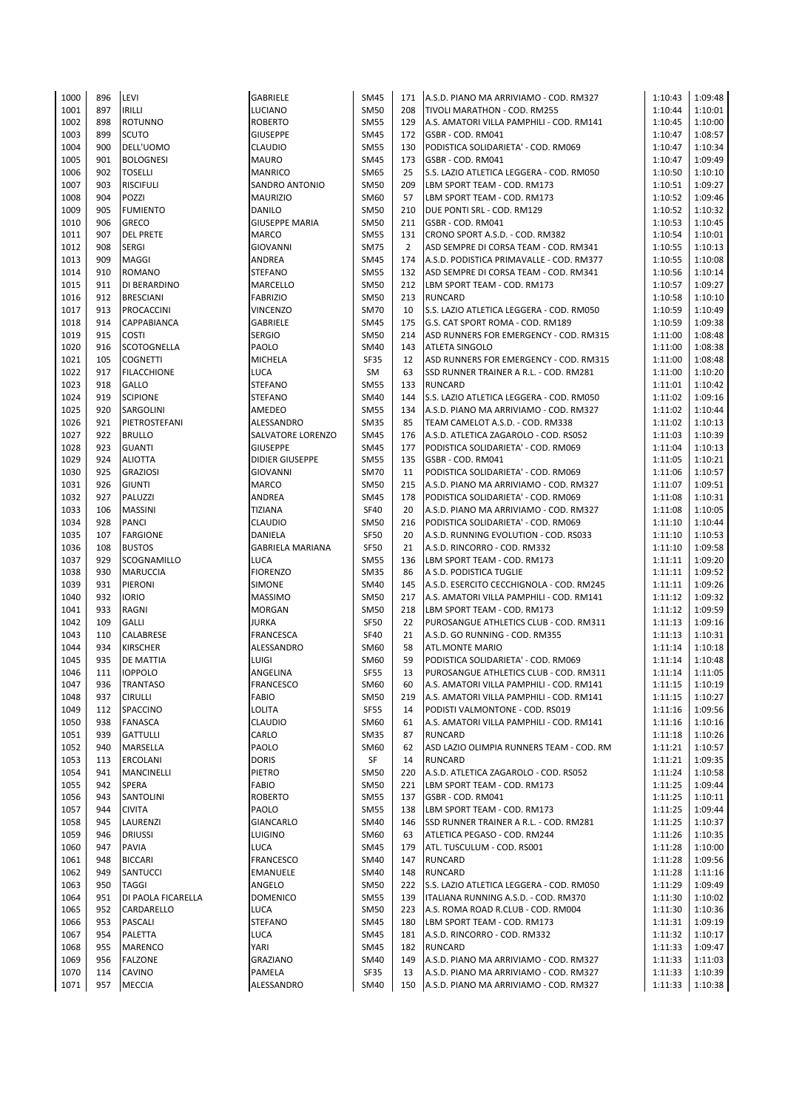| 1000 | 896 | LEVI               | GABRIELE                | <b>SM45</b> | 171            | A.S.D. PIANO MA ARRIVIAMO - COD. RM327   | 1:10:43 | 1:09:48 |
|------|-----|--------------------|-------------------------|-------------|----------------|------------------------------------------|---------|---------|
| 1001 | 897 | <b>IRILLI</b>      | LUCIANO                 | <b>SM50</b> | 208            | TIVOLI MARATHON - COD. RM255             | 1:10:44 | 1:10:01 |
| 1002 | 898 | <b>ROTUNNO</b>     | <b>ROBERTO</b>          | <b>SM55</b> | 129            | A.S. AMATORI VILLA PAMPHILI - COD. RM141 | 1:10:45 | 1:10:00 |
|      |     |                    |                         |             |                |                                          |         |         |
| 1003 | 899 | <b>SCUTO</b>       | <b>GIUSEPPE</b>         | <b>SM45</b> | 172            | GSBR - COD. RM041                        | 1:10:47 | 1:08:57 |
| 1004 | 900 | DELL'UOMO          | <b>CLAUDIO</b>          | <b>SM55</b> | 130            | PODISTICA SOLIDARIETA' - COD. RM069      | 1:10:47 | 1:10:34 |
| 1005 | 901 | <b>BOLOGNESI</b>   | MAURO                   | <b>SM45</b> | 173            | GSBR - COD. RM041                        | 1:10:47 | 1:09:49 |
| 1006 | 902 | <b>TOSELLI</b>     | <b>MANRICO</b>          | SM65        | 25             | S.S. LAZIO ATLETICA LEGGERA - COD. RM050 | 1:10:50 | 1:10:10 |
|      | 903 |                    |                         |             | 209            |                                          |         |         |
| 1007 |     | <b>RISCIFULI</b>   | SANDRO ANTONIO          | <b>SM50</b> |                | LBM SPORT TEAM - COD. RM173              | 1:10:51 | 1:09:27 |
| 1008 | 904 | POZZI              | <b>MAURIZIO</b>         | SM60        | 57             | LBM SPORT TEAM - COD. RM173              | 1:10:52 | 1:09:46 |
| 1009 | 905 | <b>FUMIENTO</b>    | DANILO                  | SM50        | 210            | DUE PONTI SRL - COD. RM129               | 1:10:52 | 1:10:32 |
| 1010 | 906 | <b>GRECO</b>       | <b>GIUSEPPE MARIA</b>   | <b>SM50</b> | 211            | GSBR - COD. RM041                        | 1:10:53 | 1:10:45 |
| 1011 | 907 | <b>DEL PRETE</b>   | <b>MARCO</b>            | <b>SM55</b> | 131            | CRONO SPORT A.S.D. - COD. RM382          | 1:10:54 | 1:10:01 |
|      |     |                    |                         |             |                |                                          |         |         |
| 1012 | 908 | <b>SERGI</b>       | <b>GIOVANNI</b>         | <b>SM75</b> | $\overline{2}$ | ASD SEMPRE DI CORSA TEAM - COD. RM341    | 1:10:55 | 1:10:13 |
| 1013 | 909 | <b>MAGGI</b>       | ANDREA                  | <b>SM45</b> | 174            | A.S.D. PODISTICA PRIMAVALLE - COD. RM377 | 1:10:55 | 1:10:08 |
| 1014 | 910 | <b>ROMANO</b>      | <b>STEFANO</b>          | <b>SM55</b> | 132            | ASD SEMPRE DI CORSA TEAM - COD. RM341    | 1:10:56 | 1:10:14 |
| 1015 | 911 | DI BERARDINO       | MARCELLO                | <b>SM50</b> | 212            | LBM SPORT TEAM - COD. RM173              | 1:10:57 | 1:09:27 |
|      |     |                    |                         |             |                |                                          |         |         |
| 1016 | 912 | <b>BRESCIANI</b>   | <b>FABRIZIO</b>         | <b>SM50</b> | 213            | <b>RUNCARD</b>                           | 1:10:58 | 1:10:10 |
| 1017 | 913 | PROCACCINI         | <b>VINCENZO</b>         | <b>SM70</b> | 10             | S.S. LAZIO ATLETICA LEGGERA - COD. RM050 | 1:10:59 | 1:10:49 |
| 1018 | 914 | <b>CAPPABIANCA</b> | GABRIELE                | <b>SM45</b> | 175            | G.S. CAT SPORT ROMA - COD. RM189         | 1:10:59 | 1:09:38 |
| 1019 | 915 | <b>COSTI</b>       | <b>SERGIO</b>           | <b>SM50</b> | 214            | ASD RUNNERS FOR EMERGENCY - COD. RM315   | 1:11:00 | 1:08:48 |
|      |     |                    |                         |             |                |                                          |         |         |
| 1020 | 916 | <b>SCOTOGNELLA</b> | PAOLO                   | SM40        | 143            | <b>ATLETA SINGOLO</b>                    | 1:11:00 | 1:08:38 |
| 1021 | 105 | <b>COGNETTI</b>    | MICHELA                 | <b>SF35</b> | 12             | ASD RUNNERS FOR EMERGENCY - COD. RM315   | 1:11:00 | 1:08:48 |
| 1022 | 917 | <b>FILACCHIONE</b> | LUCA                    | SM          | 63             | SSD RUNNER TRAINER A R.L. - COD. RM281   | 1:11:00 | 1:10:20 |
| 1023 | 918 | <b>GALLO</b>       | <b>STEFANO</b>          | <b>SM55</b> | 133            | <b>RUNCARD</b>                           | 1:11:01 | 1:10:42 |
|      | 919 |                    |                         |             |                |                                          |         |         |
| 1024 |     | <b>SCIPIONE</b>    | <b>STEFANO</b>          | SM40        | 144            | S.S. LAZIO ATLETICA LEGGERA - COD. RM050 | 1:11:02 | 1:09:16 |
| 1025 | 920 | SARGOLINI          | AMEDEO                  | <b>SM55</b> | 134            | A.S.D. PIANO MA ARRIVIAMO - COD. RM327   | 1:11:02 | 1:10:44 |
| 1026 | 921 | PIETROSTEFANI      | ALESSANDRO              | <b>SM35</b> | 85             | TEAM CAMELOT A.S.D. - COD. RM338         | 1:11:02 | 1:10:13 |
| 1027 | 922 | <b>BRULLO</b>      | SALVATORE LORENZO       | <b>SM45</b> | 176            | A.S.D. ATLETICA ZAGAROLO - COD. RS052    | 1:11:03 | 1:10:39 |
|      |     |                    |                         |             |                |                                          |         |         |
| 1028 | 923 | <b>GUANTI</b>      | <b>GIUSEPPE</b>         | SM45        | 177            | PODISTICA SOLIDARIETA' - COD. RM069      | 1:11:04 | 1:10:13 |
| 1029 | 924 | <b>ALIOTTA</b>     | <b>DIDIER GIUSEPPE</b>  | <b>SM55</b> | 135            | GSBR - COD. RM041                        | 1:11:05 | 1:10:21 |
| 1030 | 925 | <b>GRAZIOSI</b>    | <b>GIOVANNI</b>         | <b>SM70</b> | 11             | PODISTICA SOLIDARIETA' - COD. RM069      | 1:11:06 | 1:10:57 |
| 1031 | 926 | <b>GIUNTI</b>      | MARCO                   | <b>SM50</b> | 215            | A.S.D. PIANO MA ARRIVIAMO - COD. RM327   | 1:11:07 | 1:09:51 |
| 1032 | 927 | PALUZZI            | ANDREA                  | <b>SM45</b> | 178            | PODISTICA SOLIDARIETA' - COD. RM069      | 1:11:08 | 1:10:31 |
|      |     |                    |                         |             |                |                                          |         |         |
| 1033 | 106 | <b>MASSINI</b>     | TIZIANA                 | <b>SF40</b> | 20             | A.S.D. PIANO MA ARRIVIAMO - COD. RM327   | 1:11:08 | 1:10:05 |
| 1034 | 928 | <b>PANCI</b>       | CLAUDIO                 | <b>SM50</b> | 216            | PODISTICA SOLIDARIETA' - COD. RM069      | 1:11:10 | 1:10:44 |
| 1035 | 107 | <b>FARGIONE</b>    | DANIELA                 | SF50        | 20             | A.S.D. RUNNING EVOLUTION - COD. RS033    | 1:11:10 | 1:10:53 |
| 1036 | 108 | <b>BUSTOS</b>      | <b>GABRIELA MARIANA</b> | SF50        | 21             | A.S.D. RINCORRO - COD. RM332             | 1:11:10 | 1:09:58 |
|      |     |                    |                         |             |                |                                          |         |         |
| 1037 | 929 | SCOGNAMILLO        | <b>LUCA</b>             | <b>SM55</b> | 136            | LBM SPORT TEAM - COD. RM173              | 1:11:11 | 1:09:20 |
| 1038 | 930 | <b>MARUCCIA</b>    | <b>FIORENZO</b>         | <b>SM35</b> | 86             | A S.D. PODISTICA TUGLIE                  | 1:11:11 | 1:09:52 |
| 1039 | 931 | PIERONI            | SIMONE                  | SM40        | 145            | A.S.D. ESERCITO CECCHIGNOLA - COD. RM245 | 1:11:11 | 1:09:26 |
| 1040 | 932 | <b>IORIO</b>       | <b>MASSIMO</b>          | SM50        | 217            | A.S. AMATORI VILLA PAMPHILI - COD. RM141 | 1:11:12 | 1:09:32 |
|      |     |                    |                         |             |                |                                          |         |         |
| 1041 | 933 | RAGNI              | <b>MORGAN</b>           | <b>SM50</b> | 218            | LBM SPORT TEAM - COD. RM173              | 1:11:12 | 1:09:59 |
| 1042 | 109 | <b>GALLI</b>       | <b>JURKA</b>            | SF50        | 22             | PUROSANGUE ATHLETICS CLUB - COD. RM311   | 1:11:13 | 1:09:16 |
| 1043 | 110 | CALABRESE          | <b>FRANCESCA</b>        | <b>SF40</b> | 21             | A.S.D. GO RUNNING - COD. RM355           | 1:11:13 | 1:10:31 |
| 1044 | 934 | <b>KIRSCHER</b>    | ALESSANDRO              | SM60        | 58             | <b>ATL.MONTE MARIO</b>                   | 1:11:14 | 1:10:18 |
|      |     |                    |                         |             |                |                                          |         |         |
| 1045 | 935 | DE MATTIA          | LUIGI                   | SM60        | 59             | PODISTICA SOLIDARIETA' - COD. RM069      | 1:11:14 | 1:10:48 |
| 1046 | 111 | <b>IOPPOLO</b>     | ANGELINA                | <b>SF55</b> | 13             | PUROSANGUE ATHLETICS CLUB - COD. RM311   | 1:11:14 | 1:11:05 |
| 1047 | 936 | <b>TRANTASO</b>    | FRANCESCO               | SM60        | 60             | A.S. AMATORI VILLA PAMPHILI - COD. RM141 | 1:11:15 | 1:10:19 |
| 1048 | 937 | <b>CIRULLI</b>     | FABIO                   | <b>SM50</b> | 219            | A.S. AMATORI VILLA PAMPHILI - COD. RM141 | 1:11:15 | 1:10:27 |
| 1049 | 112 | SPACCINO           | <b>LOLITA</b>           | <b>SF55</b> | 14             | PODISTI VALMONTONE - COD. RS019          | 1:11:16 | 1:09:56 |
|      |     |                    |                         |             |                |                                          |         |         |
| 1050 | 938 | FANASCA            | CLAUDIO                 | SM60        | 61             | A.S. AMATORI VILLA PAMPHILI - COD. RM141 | 1:11:16 | 1:10:16 |
| 1051 | 939 | <b>GATTULLI</b>    | CARLO                   | <b>SM35</b> | 87             | <b>RUNCARD</b>                           | 1:11:18 | 1:10:26 |
| 1052 | 940 | MARSELLA           | PAOLO                   | SM60        | 62             | ASD LAZIO OLIMPIA RUNNERS TEAM - COD. RM | 1:11:21 | 1:10:57 |
| 1053 | 113 | <b>ERCOLANI</b>    | <b>DORIS</b>            | SF          | 14             | <b>RUNCARD</b>                           | 1:11:21 | 1:09:35 |
|      |     |                    |                         |             |                |                                          |         |         |
| 1054 | 941 | <b>MANCINELLI</b>  | PIETRO                  | SM50        | 220            | A.S.D. ATLETICA ZAGAROLO - COD. RS052    | 1:11:24 | 1:10:58 |
| 1055 | 942 | <b>SPERA</b>       | FABIO                   | <b>SM50</b> | 221            | LBM SPORT TEAM - COD. RM173              | 1:11:25 | 1:09:44 |
| 1056 | 943 | SANTOLINI          | <b>ROBERTO</b>          | <b>SM55</b> | 137            | GSBR - COD. RM041                        | 1:11:25 | 1:10:11 |
| 1057 | 944 | <b>CIVITA</b>      | PAOLO                   | <b>SM55</b> | 138            | LBM SPORT TEAM - COD. RM173              | 1:11:25 | 1:09:44 |
|      | 945 | LAURENZI           |                         |             | 146            | SSD RUNNER TRAINER A R.L. - COD. RM281   |         |         |
| 1058 |     |                    | <b>GIANCARLO</b>        | SM40        |                |                                          | 1:11:25 | 1:10:37 |
| 1059 | 946 | <b>DRIUSSI</b>     | LUIGINO                 | SM60        | 63             | ATLETICA PEGASO - COD. RM244             | 1:11:26 | 1:10:35 |
| 1060 | 947 | <b>PAVIA</b>       | <b>LUCA</b>             | <b>SM45</b> | 179            | ATL. TUSCULUM - COD. RS001               | 1:11:28 | 1:10:00 |
| 1061 | 948 | <b>BICCARI</b>     | <b>FRANCESCO</b>        | SM40        | 147            | <b>RUNCARD</b>                           | 1:11:28 | 1:09:56 |
| 1062 | 949 | SANTUCCI           | EMANUELE                | SM40        | 148            | <b>RUNCARD</b>                           | 1:11:28 | 1:11:16 |
|      |     |                    |                         |             |                |                                          |         |         |
|      |     | <b>TAGGI</b>       | ANGELO                  | <b>SM50</b> | 222            | S.S. LAZIO ATLETICA LEGGERA - COD. RM050 | 1:11:29 | 1:09:49 |
| 1063 | 950 |                    |                         |             |                |                                          |         |         |
| 1064 | 951 | DI PAOLA FICARELLA | <b>DOMENICO</b>         | <b>SM55</b> | 139            | ITALIANA RUNNING A.S.D. - COD. RM370     | 1:11:30 | 1:10:02 |
| 1065 | 952 | CARDARELLO         | LUCA                    | <b>SM50</b> | 223            | A.S. ROMA ROAD R.CLUB - COD. RM004       | 1:11:30 | 1:10:36 |
|      |     |                    |                         |             |                |                                          |         |         |
| 1066 | 953 | PASCALI            | <b>STEFANO</b>          | SM45        | 180            | LBM SPORT TEAM - COD. RM173              | 1:11:31 | 1:09:19 |
| 1067 | 954 | PALETTA            | LUCA                    | <b>SM45</b> | 181            | A.S.D. RINCORRO - COD. RM332             | 1:11:32 | 1:10:17 |
| 1068 | 955 | <b>MARENCO</b>     | YARI                    | SM45        | 182            | <b>RUNCARD</b>                           | 1:11:33 | 1:09:47 |
| 1069 | 956 | <b>FALZONE</b>     | GRAZIANO                | SM40        | 149            | A.S.D. PIANO MA ARRIVIAMO - COD. RM327   | 1:11:33 | 1:11:03 |
| 1070 | 114 | <b>CAVINO</b>      | PAMELA                  | SF35        | 13             | A.S.D. PIANO MA ARRIVIAMO - COD. RM327   | 1:11:33 | 1:10:39 |
| 1071 | 957 | <b>MECCIA</b>      | ALESSANDRO              | SM40        | 150            | A.S.D. PIANO MA ARRIVIAMO - COD. RM327   | 1:11:33 | 1:10:38 |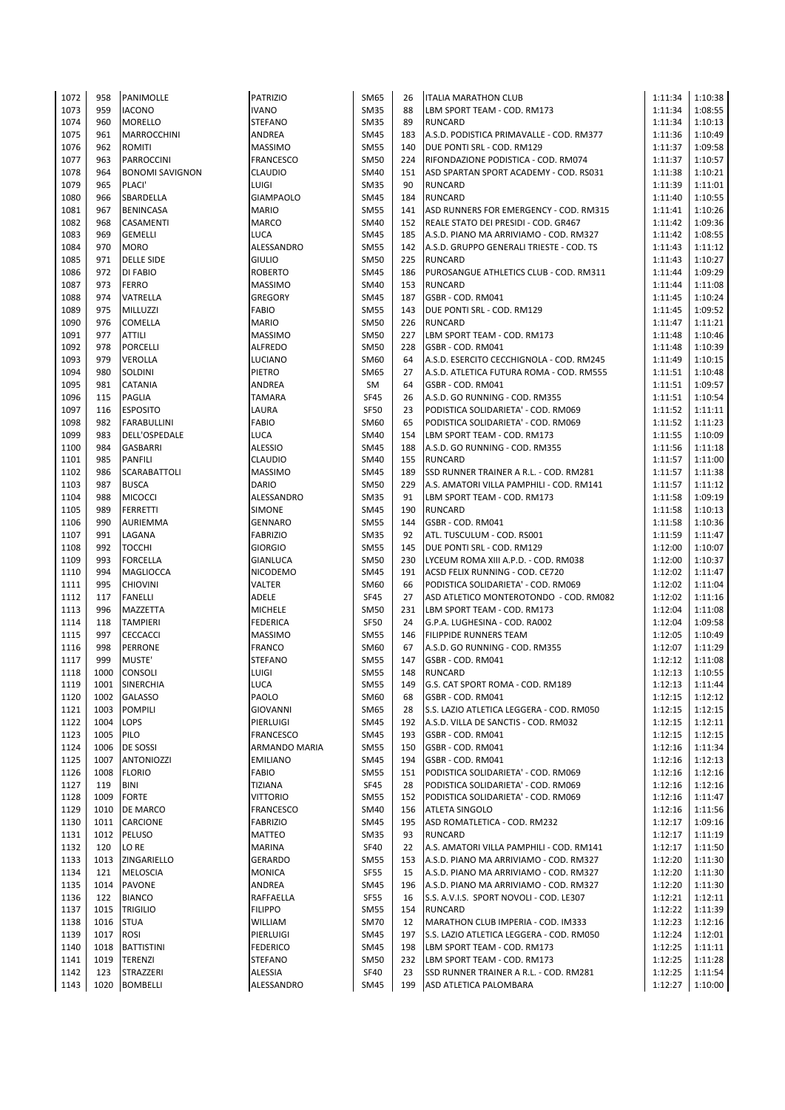| 1072 | 958  | PANIMOLLE              | <b>PATRIZIO</b>  | <b>SM65</b> | 26  | <b>ITALIA MARATHON CLUB</b>                  | 1:11:34 | 1:10:38 |
|------|------|------------------------|------------------|-------------|-----|----------------------------------------------|---------|---------|
| 1073 | 959  | <b>IACONO</b>          | <b>IVANO</b>     | <b>SM35</b> | 88  | LBM SPORT TEAM - COD. RM173                  | 1:11:34 | 1:08:55 |
| 1074 | 960  | <b>MORELLO</b>         | <b>STEFANO</b>   | <b>SM35</b> | 89  | <b>RUNCARD</b>                               | 1:11:34 | 1:10:13 |
| 1075 | 961  | <b>MARROCCHINI</b>     | ANDREA           | <b>SM45</b> | 183 | A.S.D. PODISTICA PRIMAVALLE - COD. RM377     | 1:11:36 | 1:10:49 |
| 1076 | 962  | <b>ROMITI</b>          | <b>MASSIMO</b>   | <b>SM55</b> | 140 | DUE PONTI SRL - COD. RM129                   | 1:11:37 | 1:09:58 |
| 1077 | 963  | PARROCCINI             | <b>FRANCESCO</b> | <b>SM50</b> |     | 224 RIFONDAZIONE PODISTICA - COD. RM074      | 1:11:37 | 1:10:57 |
| 1078 | 964  | <b>BONOMI SAVIGNON</b> | <b>CLAUDIO</b>   | SM40        | 151 | ASD SPARTAN SPORT ACADEMY - COD. RS031       | 1:11:38 | 1:10:21 |
| 1079 | 965  | PLACI'                 | LUIGI            | <b>SM35</b> | 90  | <b>RUNCARD</b>                               | 1:11:39 | 1:11:01 |
| 1080 | 966  | SBARDELLA              | <b>GIAMPAOLO</b> | <b>SM45</b> | 184 | <b>RUNCARD</b>                               | 1:11:40 | 1:10:55 |
|      | 967  |                        |                  |             |     |                                              |         |         |
| 1081 |      | <b>BENINCASA</b>       | <b>MARIO</b>     | <b>SM55</b> | 141 | ASD RUNNERS FOR EMERGENCY - COD. RM315       | 1:11:41 | 1:10:26 |
| 1082 | 968  | <b>CASAMENTI</b>       | <b>MARCO</b>     | SM40        |     | 152 REALE STATO DEI PRESIDI - COD. GR467     | 1:11:42 | 1:09:36 |
| 1083 | 969  | <b>GEMELLI</b>         | LUCA             | <b>SM45</b> |     | 185 A.S.D. PIANO MA ARRIVIAMO - COD. RM327   | 1:11:42 | 1:08:55 |
| 1084 | 970  | <b>MORO</b>            | ALESSANDRO       | <b>SM55</b> |     | 142 A.S.D. GRUPPO GENERALI TRIESTE - COD. TS | 1:11:43 | 1:11:12 |
| 1085 | 971  | <b>DELLE SIDE</b>      | <b>GIULIO</b>    | <b>SM50</b> | 225 | <b>RUNCARD</b>                               | 1:11:43 | 1:10:27 |
| 1086 | 972  | DI FABIO               | <b>ROBERTO</b>   | <b>SM45</b> | 186 | PUROSANGUE ATHLETICS CLUB - COD. RM311       | 1:11:44 | 1:09:29 |
| 1087 | 973  | <b>FERRO</b>           | <b>MASSIMO</b>   | SM40        | 153 | <b>RUNCARD</b>                               | 1:11:44 | 1:11:08 |
| 1088 | 974  | VATRELLA               | GREGORY          | <b>SM45</b> | 187 | GSBR - COD. RM041                            | 1:11:45 | 1:10:24 |
| 1089 | 975  | MILLUZZI               | <b>FABIO</b>     | <b>SM55</b> |     | 143 DUE PONTI SRL - COD. RM129               | 1:11:45 | 1:09:52 |
| 1090 | 976  | COMELLA                | <b>MARIO</b>     | <b>SM50</b> | 226 | <b>RUNCARD</b>                               | 1:11:47 | 1:11:21 |
| 1091 | 977  | <b>ATTILI</b>          | <b>MASSIMO</b>   | <b>SM50</b> | 227 | LBM SPORT TEAM - COD. RM173                  | 1:11:48 | 1:10:46 |
| 1092 | 978  | <b>PORCELLI</b>        | <b>ALFREDO</b>   | <b>SM50</b> | 228 | GSBR - COD. RM041                            | 1:11:48 | 1:10:39 |
| 1093 | 979  | <b>VEROLLA</b>         | LUCIANO          | SM60        | 64  | A.S.D. ESERCITO CECCHIGNOLA - COD. RM245     | 1:11:49 | 1:10:15 |
| 1094 | 980  | SOLDINI                | PIETRO           | <b>SM65</b> | 27  | A.S.D. ATLETICA FUTURA ROMA - COD. RM555     | 1:11:51 | 1:10:48 |
| 1095 | 981  | CATANIA                | ANDREA           | SM          | 64  | GSBR - COD. RM041                            | 1:11:51 | 1:09:57 |
| 1096 | 115  | <b>PAGLIA</b>          | <b>TAMARA</b>    | <b>SF45</b> | 26  | A.S.D. GO RUNNING - COD. RM355               | 1:11:51 | 1:10:54 |
| 1097 | 116  | <b>ESPOSITO</b>        | LAURA            | <b>SF50</b> | 23  | PODISTICA SOLIDARIETA' - COD. RM069          | 1:11:52 | 1:11:11 |
| 1098 | 982  | <b>FARABULLINI</b>     | <b>FABIO</b>     | SM60        | 65  | PODISTICA SOLIDARIETA' - COD. RM069          | 1:11:52 | 1:11:23 |
| 1099 | 983  |                        |                  |             | 154 |                                              |         |         |
|      |      | DELL'OSPEDALE          | LUCA             | SM40        |     | LBM SPORT TEAM - COD. RM173                  | 1:11:55 | 1:10:09 |
| 1100 | 984  | <b>GASBARRI</b>        | <b>ALESSIO</b>   | <b>SM45</b> | 188 | A.S.D. GO RUNNING - COD. RM355               | 1:11:56 | 1:11:18 |
| 1101 | 985  | <b>PANFILI</b>         | CLAUDIO          | SM40        | 155 | <b>RUNCARD</b>                               | 1:11:57 | 1:11:00 |
| 1102 | 986  | <b>SCARABATTOLI</b>    | <b>MASSIMO</b>   | <b>SM45</b> | 189 | SSD RUNNER TRAINER A R.L. - COD. RM281       | 1:11:57 | 1:11:38 |
| 1103 | 987  | <b>BUSCA</b>           | <b>DARIO</b>     | SM50        | 229 | A.S. AMATORI VILLA PAMPHILI - COD. RM141     | 1:11:57 | 1:11:12 |
| 1104 | 988  | <b>MICOCCI</b>         | ALESSANDRO       | <b>SM35</b> | 91  | LBM SPORT TEAM - COD. RM173                  | 1:11:58 | 1:09:19 |
| 1105 | 989  | <b>FERRETTI</b>        | <b>SIMONE</b>    | <b>SM45</b> | 190 | <b>RUNCARD</b>                               | 1:11:58 | 1:10:13 |
| 1106 | 990  | <b>AURIEMMA</b>        | <b>GENNARO</b>   | <b>SM55</b> | 144 | GSBR - COD. RM041                            | 1:11:58 | 1:10:36 |
| 1107 | 991  | LAGANA                 | <b>FABRIZIO</b>  | <b>SM35</b> | 92  | ATL. TUSCULUM - COD. RS001                   | 1:11:59 | 1:11:47 |
| 1108 | 992  | <b>TOCCHI</b>          | <b>GIORGIO</b>   | <b>SM55</b> |     | 145 DUE PONTI SRL - COD. RM129               | 1:12:00 | 1:10:07 |
| 1109 | 993  | <b>FORCELLA</b>        | GIANLUCA         | <b>SM50</b> | 230 | LYCEUM ROMA XIII A.P.D. - COD. RM038         | 1:12:00 | 1:10:37 |
| 1110 | 994  | <b>MAGLIOCCA</b>       | NICODEMO         | <b>SM45</b> | 191 | ACSD FELIX RUNNING - COD. CE720              | 1:12:02 | 1:11:47 |
| 1111 | 995  | <b>CHIOVINI</b>        | VALTER           | SM60        | 66  | PODISTICA SOLIDARIETA' - COD. RM069          | 1:12:02 | 1:11:04 |
| 1112 | 117  | <b>FANELLI</b>         | <b>ADELE</b>     | <b>SF45</b> | 27  | ASD ATLETICO MONTEROTONDO - COD. RM082       | 1:12:02 | 1:11:16 |
| 1113 | 996  | MAZZETTA               | <b>MICHELE</b>   | <b>SM50</b> | 231 | LBM SPORT TEAM - COD. RM173                  | 1:12:04 | 1:11:08 |
| 1114 | 118  | <b>TAMPIERI</b>        | <b>FEDERICA</b>  | SF50        | 24  | G.P.A. LUGHESINA - COD. RA002                | 1:12:04 | 1:09:58 |
| 1115 | 997  | <b>CECCACCI</b>        | <b>MASSIMO</b>   | <b>SM55</b> | 146 | <b>FILIPPIDE RUNNERS TEAM</b>                | 1:12:05 | 1:10:49 |
| 1116 | 998  | <b>PERRONE</b>         | <b>FRANCO</b>    | SM60        | 67  | A.S.D. GO RUNNING - COD. RM355               | 1:12:07 | 1:11:29 |
| 1117 | 999  | MUSTE'                 | <b>STEFANO</b>   | <b>SM55</b> | 147 | GSBR - COD. RM041                            | 1:12:12 | 1:11:08 |
| 1118 | 1000 | <b>CONSOLI</b>         | LUIGI            | <b>SM55</b> | 148 | <b>RUNCARD</b>                               | 1:12:13 | 1:10:55 |
|      |      |                        |                  | SM55        | 149 |                                              | 1:12:13 |         |
| 1119 | 1001 | SINERCHIA              | LUCA             |             |     | G.S. CAT SPORT ROMA - COD. RM189             | 1:12:15 | 1:11:44 |
| 1120 | 1002 | <b>GALASSO</b>         | PAOLO            | SM60        | 68  | GSBR - COD. RM041                            |         | 1:12:12 |
| 1121 | 1003 | <b>POMPILI</b>         | GIOVANNI         | SM65        | 28  | S.S. LAZIO ATLETICA LEGGERA - COD. RM050     | 1:12:15 | 1:12:15 |
| 1122 | 1004 | LOPS                   | PIERLUIGI        | <b>SM45</b> | 192 | A.S.D. VILLA DE SANCTIS - COD. RM032         | 1:12:15 | 1:12:11 |
| 1123 | 1005 | PILO                   | FRANCESCO        | <b>SM45</b> | 193 | GSBR - COD. RM041                            | 1:12:15 | 1:12:15 |
| 1124 | 1006 | <b>DE SOSSI</b>        | ARMANDO MARIA    | <b>SM55</b> | 150 | GSBR - COD. RM041                            | 1:12:16 | 1:11:34 |
| 1125 | 1007 | <b>ANTONIOZZI</b>      | <b>EMILIANO</b>  | <b>SM45</b> | 194 | GSBR - COD. RM041                            | 1:12:16 | 1:12:13 |
| 1126 | 1008 | <b>FLORIO</b>          | FABIO            | <b>SM55</b> | 151 | PODISTICA SOLIDARIETA' - COD. RM069          | 1:12:16 | 1:12:16 |
| 1127 | 119  | <b>BINI</b>            | <b>TIZIANA</b>   | SF45        | 28  | PODISTICA SOLIDARIETA' - COD. RM069          | 1:12:16 | 1:12:16 |
| 1128 | 1009 | <b>FORTE</b>           | VITTORIO         | <b>SM55</b> | 152 | PODISTICA SOLIDARIETA' - COD. RM069          | 1:12:16 | 1:11:47 |
| 1129 | 1010 | DE MARCO               | FRANCESCO        | <b>SM40</b> | 156 | <b>ATLETA SINGOLO</b>                        | 1:12:16 | 1:11:56 |
| 1130 | 1011 | <b>CARCIONE</b>        | <b>FABRIZIO</b>  | <b>SM45</b> | 195 | ASD ROMATLETICA - COD. RM232                 | 1:12:17 | 1:09:16 |
| 1131 | 1012 | PELUSO                 | MATTEO           | <b>SM35</b> | 93  | <b>RUNCARD</b>                               | 1:12:17 | 1:11:19 |
| 1132 | 120  | LO RE                  | MARINA           | SF40        | 22  | A.S. AMATORI VILLA PAMPHILI - COD. RM141     | 1:12:17 | 1:11:50 |
| 1133 | 1013 | ZINGARIELLO            | GERARDO          | <b>SM55</b> | 153 | A.S.D. PIANO MA ARRIVIAMO - COD. RM327       | 1:12:20 | 1:11:30 |
| 1134 | 121  | <b>MELOSCIA</b>        | <b>MONICA</b>    | SF55        | 15  | A.S.D. PIANO MA ARRIVIAMO - COD. RM327       | 1:12:20 | 1:11:30 |
| 1135 | 1014 | <b>PAVONE</b>          | ANDREA           | <b>SM45</b> | 196 | A.S.D. PIANO MA ARRIVIAMO - COD. RM327       | 1:12:20 | 1:11:30 |
| 1136 | 122  | <b>BIANCO</b>          | RAFFAELLA        | <b>SF55</b> | 16  | S.S. A.V.I.S. SPORT NOVOLI - COD. LE307      | 1:12:21 | 1:12:11 |
| 1137 | 1015 | <b>TRIGILIO</b>        | <b>FILIPPO</b>   | <b>SM55</b> | 154 | <b>RUNCARD</b>                               | 1:12:22 | 1:11:39 |
| 1138 | 1016 | <b>STUA</b>            | WILLIAM          | <b>SM70</b> | 12  | MARATHON CLUB IMPERIA - COD. IM333           | 1:12:23 | 1:12:16 |
| 1139 | 1017 | <b>ROSI</b>            | PIERLUIGI        | <b>SM45</b> | 197 | S.S. LAZIO ATLETICA LEGGERA - COD. RM050     | 1:12:24 | 1:12:01 |
| 1140 | 1018 | <b>BATTISTINI</b>      | <b>FEDERICO</b>  | <b>SM45</b> | 198 | LBM SPORT TEAM - COD. RM173                  | 1:12:25 | 1:11:11 |
| 1141 | 1019 | <b>TERENZI</b>         | STEFANO          | <b>SM50</b> |     | 232 LBM SPORT TEAM - COD. RM173              | 1:12:25 | 1:11:28 |
| 1142 | 123  | STRAZZERI              | ALESSIA          | SF40        | 23  | SSD RUNNER TRAINER A R.L. - COD. RM281       | 1:12:25 | 1:11:54 |
| 1143 | 1020 | <b>BOMBELLI</b>        | ALESSANDRO       | SM45        | 199 | ASD ATLETICA PALOMBARA                       | 1:12:27 | 1:10:00 |
|      |      |                        |                  |             |     |                                              |         |         |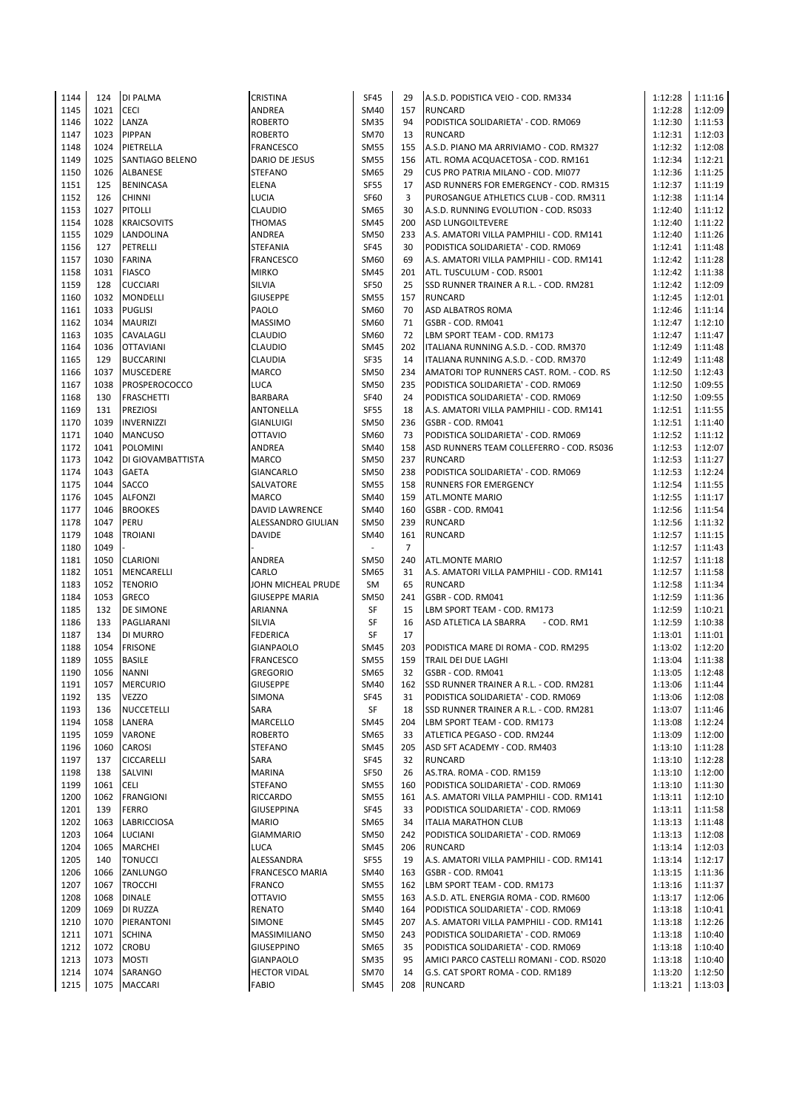| 1144 | 124  | <b>DI PALMA</b>    | CRISTINA              | SF45                     | 29             | A.S.D. PODISTICA VEIO - COD. RM334       | 1:12:28 | 1:11:16 |
|------|------|--------------------|-----------------------|--------------------------|----------------|------------------------------------------|---------|---------|
| 1145 | 1021 | <b>CECI</b>        | ANDREA                | SM40                     | 157            | <b>RUNCARD</b>                           | 1:12:28 | 1:12:09 |
| 1146 | 1022 | LANZA              | <b>ROBERTO</b>        | <b>SM35</b>              | 94             | PODISTICA SOLIDARIETA' - COD. RM069      | 1:12:30 | 1:11:53 |
| 1147 | 1023 | PIPPAN             | <b>ROBERTO</b>        | <b>SM70</b>              | 13             | <b>RUNCARD</b>                           | 1:12:31 | 1:12:03 |
| 1148 | 1024 | PIETRELLA          | FRANCESCO             | <b>SM55</b>              | 155            | A.S.D. PIANO MA ARRIVIAMO - COD. RM327   | 1:12:32 | 1:12:08 |
| 1149 | 1025 | SANTIAGO BELENO    | DARIO DE JESUS        | <b>SM55</b>              | 156            | ATL. ROMA ACQUACETOSA - COD. RM161       | 1:12:34 | 1:12:21 |
| 1150 | 1026 | ALBANESE           | <b>STEFANO</b>        | SM65                     | 29             | CUS PRO PATRIA MILANO - COD. MI077       | 1:12:36 | 1:11:25 |
| 1151 | 125  |                    | ELENA                 | <b>SF55</b>              | 17             | ASD RUNNERS FOR EMERGENCY - COD. RM315   | 1:12:37 | 1:11:19 |
|      |      | <b>BENINCASA</b>   |                       |                          |                |                                          |         |         |
| 1152 | 126  | <b>CHINNI</b>      | LUCIA                 | <b>SF60</b>              | 3              | PUROSANGUE ATHLETICS CLUB - COD. RM311   | 1:12:38 | 1:11:14 |
| 1153 | 1027 | <b>PITOLLI</b>     | <b>CLAUDIO</b>        | SM65                     | 30             | A.S.D. RUNNING EVOLUTION - COD. RS033    | 1:12:40 | 1:11:12 |
| 1154 | 1028 | <b>KRAICSOVITS</b> | <b>THOMAS</b>         | <b>SM45</b>              | 200            | <b>ASD LUNGOILTEVERE</b>                 | 1:12:40 | 1:11:22 |
| 1155 | 1029 | LANDOLINA          | ANDREA                | <b>SM50</b>              | 233            | A.S. AMATORI VILLA PAMPHILI - COD. RM141 | 1:12:40 | 1:11:26 |
| 1156 | 127  | PETRELLI           | STEFANIA              | <b>SF45</b>              | 30             | PODISTICA SOLIDARIETA' - COD. RM069      | 1:12:41 | 1:11:48 |
| 1157 | 1030 | <b>FARINA</b>      | FRANCESCO             | SM60                     | 69             | A.S. AMATORI VILLA PAMPHILI - COD. RM141 | 1:12:42 | 1:11:28 |
| 1158 | 1031 | <b>FIASCO</b>      | <b>MIRKO</b>          | <b>SM45</b>              | 201            | ATL. TUSCULUM - COD. RS001               | 1:12:42 | 1:11:38 |
| 1159 | 128  | <b>CUCCIARI</b>    | <b>SILVIA</b>         | <b>SF50</b>              | 25             | SSD RUNNER TRAINER A R.L. - COD. RM281   | 1:12:42 | 1:12:09 |
| 1160 | 1032 | <b>MONDELLI</b>    | <b>GIUSEPPE</b>       | <b>SM55</b>              | 157            | <b>RUNCARD</b>                           | 1:12:45 | 1:12:01 |
| 1161 | 1033 | <b>PUGLISI</b>     | PAOLO                 | SM60                     | 70             | ASD ALBATROS ROMA                        | 1:12:46 | 1:11:14 |
| 1162 | 1034 | <b>MAURIZI</b>     | <b>MASSIMO</b>        | SM60                     | 71             | GSBR - COD. RM041                        | 1:12:47 | 1:12:10 |
| 1163 | 1035 | CAVALAGLI          | <b>CLAUDIO</b>        | SM60                     | 72             | LBM SPORT TEAM - COD. RM173              | 1:12:47 | 1:11:47 |
| 1164 | 1036 | <b>OTTAVIANI</b>   | <b>CLAUDIO</b>        | <b>SM45</b>              | 202            | ITALIANA RUNNING A.S.D. - COD. RM370     | 1:12:49 | 1:11:48 |
| 1165 | 129  | <b>BUCCARINI</b>   | CLAUDIA               | <b>SF35</b>              | 14             | ITALIANA RUNNING A.S.D. - COD. RM370     | 1:12:49 | 1:11:48 |
| 1166 | 1037 | <b>MUSCEDERE</b>   | MARCO                 | <b>SM50</b>              | 234            | AMATORI TOP RUNNERS CAST. ROM. - COD. RS | 1:12:50 | 1:12:43 |
| 1167 | 1038 | PROSPEROCOCCO      | <b>LUCA</b>           | <b>SM50</b>              | 235            | PODISTICA SOLIDARIETA' - COD. RM069      | 1:12:50 | 1:09:55 |
| 1168 | 130  | <b>FRASCHETTI</b>  | <b>BARBARA</b>        | <b>SF40</b>              | 24             | PODISTICA SOLIDARIETA' - COD. RM069      | 1:12:50 | 1:09:55 |
| 1169 | 131  | <b>PREZIOSI</b>    | ANTONELLA             | <b>SF55</b>              | 18             |                                          | 1:12:51 | 1:11:55 |
|      |      | <b>INVERNIZZI</b>  |                       |                          |                | A.S. AMATORI VILLA PAMPHILI - COD. RM141 |         |         |
| 1170 | 1039 |                    | <b>GIANLUIGI</b>      | <b>SM50</b>              | 236            | GSBR - COD. RM041                        | 1:12:51 | 1:11:40 |
| 1171 | 1040 | <b>MANCUSO</b>     | <b>OTTAVIO</b>        | SM60                     | 73             | PODISTICA SOLIDARIETA' - COD. RM069      | 1:12:52 | 1:11:12 |
| 1172 | 1041 | <b>POLOMINI</b>    | ANDREA                | <b>SM40</b>              | 158            | ASD RUNNERS TEAM COLLEFERRO - COD. RS036 | 1:12:53 | 1:12:07 |
| 1173 | 1042 | DI GIOVAMBATTISTA  | <b>MARCO</b>          | <b>SM50</b>              | 237            | <b>RUNCARD</b>                           | 1:12:53 | 1:11:27 |
| 1174 | 1043 | <b>GAETA</b>       | GIANCARLO             | <b>SM50</b>              | 238            | PODISTICA SOLIDARIETA' - COD. RM069      | 1:12:53 | 1:12:24 |
| 1175 | 1044 | SACCO              | SALVATORE             | <b>SM55</b>              | 158            | RUNNERS FOR EMERGENCY                    | 1:12:54 | 1:11:55 |
| 1176 | 1045 | <b>ALFONZI</b>     | <b>MARCO</b>          | <b>SM40</b>              | 159            | <b>ATL.MONTE MARIO</b>                   | 1:12:55 | 1:11:17 |
| 1177 | 1046 | <b>BROOKES</b>     | DAVID LAWRENCE        | SM40                     | 160            | GSBR - COD. RM041                        | 1:12:56 | 1:11:54 |
| 1178 | 1047 | PERU               | ALESSANDRO GIULIAN    | <b>SM50</b>              | 239            | <b>RUNCARD</b>                           | 1:12:56 | 1:11:32 |
| 1179 | 1048 | TROIANI            | DAVIDE                | <b>SM40</b>              | 161            | <b>RUNCARD</b>                           | 1:12:57 | 1:11:15 |
| 1180 | 1049 |                    |                       | $\overline{\phantom{a}}$ | $\overline{7}$ |                                          | 1:12:57 | 1:11:43 |
| 1181 | 1050 | <b>CLARIONI</b>    | ANDREA                | <b>SM50</b>              | 240            | <b>ATL.MONTE MARIO</b>                   | 1:12:57 | 1:11:18 |
| 1182 | 1051 | MENCARELLI         | CARLO                 | <b>SM65</b>              | 31             | A.S. AMATORI VILLA PAMPHILI - COD. RM141 | 1:12:57 | 1:11:58 |
| 1183 | 1052 | <b>TENORIO</b>     | JOHN MICHEAL PRUDE    | SM                       | 65             | <b>RUNCARD</b>                           | 1:12:58 | 1:11:34 |
| 1184 | 1053 | <b>GRECO</b>       | <b>GIUSEPPE MARIA</b> | <b>SM50</b>              | 241            | GSBR - COD. RM041                        | 1:12:59 | 1:11:36 |
| 1185 | 132  | DE SIMONE          | ARIANNA               | SF                       | 15             | LBM SPORT TEAM - COD. RM173              | 1:12:59 | 1:10:21 |
| 1186 | 133  | PAGLIARANI         | SILVIA                | SF                       | 16             | - COD. RM1<br>ASD ATLETICA LA SBARRA     | 1:12:59 | 1:10:38 |
| 1187 | 134  | DI MURRO           | <b>FEDERICA</b>       | SF                       | 17             |                                          | 1:13:01 | 1:11:01 |
| 1188 | 1054 | <b>FRISONE</b>     | <b>GIANPAOLO</b>      | <b>SM45</b>              | 203            |                                          | 1:13:02 | 1:12:20 |
|      |      |                    |                       |                          |                | PODISTICA MARE DI ROMA - COD. RM295      |         |         |
| 1189 | 1055 | <b>BASILE</b>      | <b>FRANCESCO</b>      | <b>SM55</b>              | 159            | TRAIL DEI DUE LAGHI                      | 1:13:04 | 1:11:38 |
| 1190 | 1056 | <b>NANNI</b>       | <b>GREGORIO</b>       | SM65                     | 32             | GSBR - COD. RM041                        | 1:13:05 | 1:12:48 |
| 1191 | 1057 | <b>MERCURIO</b>    | <b>GIUSEPPE</b>       | SM40                     | 162            | SSD RUNNER TRAINER A R.L. - COD. RM281   | 1:13:06 | 1:11:44 |
| 1192 | 135  | <b>VEZZO</b>       | SIMONA                | SF45                     | 31             | PODISTICA SOLIDARIETA' - COD. RM069      | 1:13:06 | 1:12:08 |
| 1193 | 136  | <b>NUCCETELLI</b>  | SARA                  | SF                       | 18             | SSD RUNNER TRAINER A R.L. - COD. RM281   | 1:13:07 | 1:11:46 |
| 1194 | 1058 | LANERA             | MARCELLO              | <b>SM45</b>              | 204            | LBM SPORT TEAM - COD. RM173              | 1:13:08 | 1:12:24 |
| 1195 | 1059 | VARONE             | <b>ROBERTO</b>        | SM65                     | 33             | ATLETICA PEGASO - COD. RM244             | 1:13:09 | 1:12:00 |
| 1196 | 1060 | <b>CAROSI</b>      | <b>STEFANO</b>        | SM45                     | 205            | ASD SFT ACADEMY - COD. RM403             | 1:13:10 | 1:11:28 |
| 1197 | 137  | <b>CICCARELLI</b>  | SARA                  | SF45                     | 32             | <b>RUNCARD</b>                           | 1:13:10 | 1:12:28 |
| 1198 | 138  | SALVINI            | MARINA                | SF50                     | 26             | AS.TRA. ROMA - COD. RM159                | 1:13:10 | 1:12:00 |
| 1199 | 1061 | CELI               | <b>STEFANO</b>        | <b>SM55</b>              | 160            | PODISTICA SOLIDARIETA' - COD. RM069      | 1:13:10 | 1:11:30 |
| 1200 | 1062 | <b>FRANGIONI</b>   | RICCARDO              | <b>SM55</b>              | 161            | A.S. AMATORI VILLA PAMPHILI - COD. RM141 | 1:13:11 | 1:12:10 |
| 1201 | 139  | <b>FERRO</b>       | GIUSEPPINA            | SF45                     | 33             | PODISTICA SOLIDARIETA' - COD. RM069      | 1:13:11 | 1:11:58 |
| 1202 | 1063 | <b>LABRICCIOSA</b> | <b>MARIO</b>          | SM65                     | 34             | <b>ITALIA MARATHON CLUB</b>              | 1:13:13 | 1:11:48 |
| 1203 | 1064 | <b>LUCIANI</b>     | <b>GIAMMARIO</b>      | SM50                     | 242            | PODISTICA SOLIDARIETA' - COD. RM069      | 1:13:13 | 1:12:08 |
| 1204 | 1065 | <b>MARCHEI</b>     | LUCA                  | <b>SM45</b>              | 206            | <b>RUNCARD</b>                           | 1:13:14 | 1:12:03 |
| 1205 | 140  | <b>TONUCCI</b>     | ALESSANDRA            | <b>SF55</b>              | 19             | A.S. AMATORI VILLA PAMPHILI - COD. RM141 | 1:13:14 | 1:12:17 |
| 1206 | 1066 | ZANLUNGO           | FRANCESCO MARIA       | SM40                     | 163            | GSBR - COD. RM041                        | 1:13:15 | 1:11:36 |
| 1207 | 1067 | <b>TROCCHI</b>     | FRANCO                | <b>SM55</b>              | 162            | LBM SPORT TEAM - COD. RM173              | 1:13:16 | 1:11:37 |
| 1208 | 1068 | DINALE             | <b>OTTAVIO</b>        | <b>SM55</b>              | 163            | A.S.D. ATL. ENERGIA ROMA - COD. RM600    | 1:13:17 |         |
|      |      |                    |                       |                          |                |                                          |         | 1:12:06 |
| 1209 | 1069 | DI RUZZA           | RENATO                | <b>SM40</b>              | 164            | PODISTICA SOLIDARIETA' - COD. RM069      | 1:13:18 | 1:10:41 |
| 1210 | 1070 | PIERANTONI         | SIMONE                | <b>SM45</b>              | 207            | A.S. AMATORI VILLA PAMPHILI - COD. RM141 | 1:13:18 | 1:12:26 |
| 1211 | 1071 | <b>SCHINA</b>      | MASSIMILIANO          | <b>SM50</b>              | 243            | PODISTICA SOLIDARIETA' - COD. RM069      | 1:13:18 | 1:10:40 |
| 1212 | 1072 | <b>CROBU</b>       | <b>GIUSEPPINO</b>     | SM65                     | 35             | PODISTICA SOLIDARIETA' - COD. RM069      | 1:13:18 | 1:10:40 |
| 1213 | 1073 | <b>MOSTI</b>       | <b>GIANPAOLO</b>      | <b>SM35</b>              | 95             | AMICI PARCO CASTELLI ROMANI - COD. RS020 | 1:13:18 | 1:10:40 |
| 1214 | 1074 | SARANGO            | <b>HECTOR VIDAL</b>   | <b>SM70</b>              | 14             | G.S. CAT SPORT ROMA - COD. RM189         | 1:13:20 | 1:12:50 |
| 1215 | 1075 | <b>MACCARI</b>     | FABIO                 | SM45                     | 208            | <b>RUNCARD</b>                           | 1:13:21 | 1:13:03 |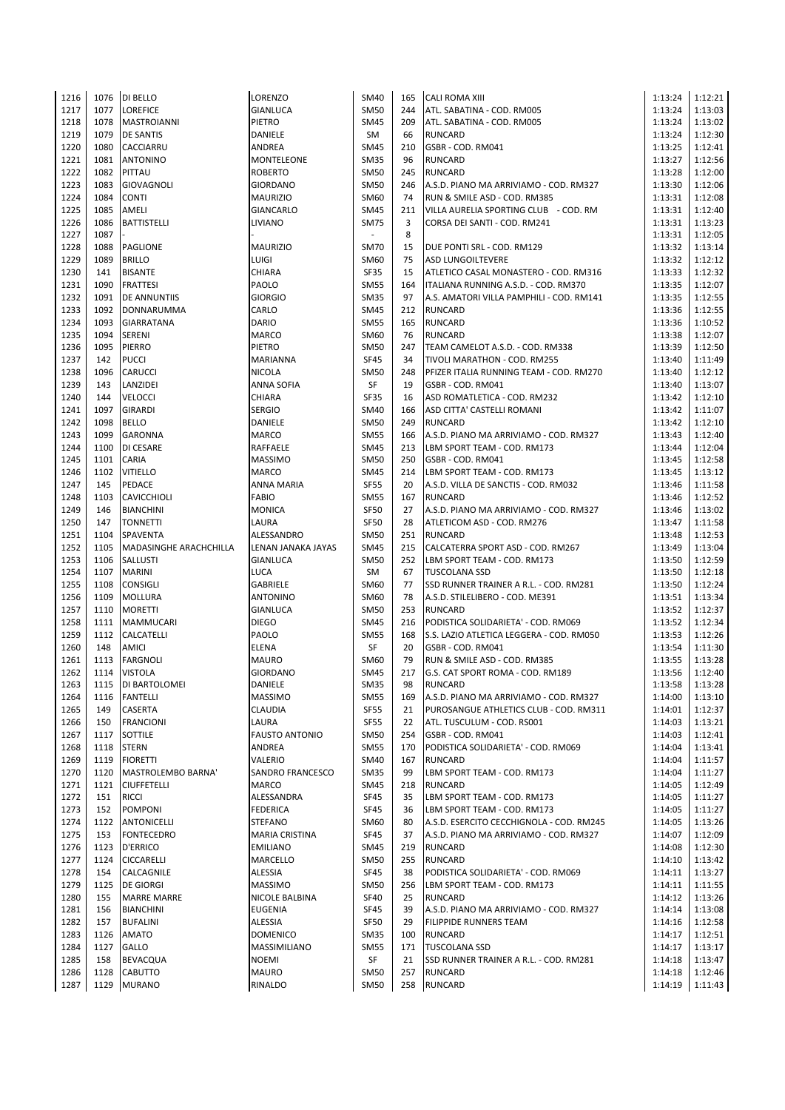| 1216 | 1076 | DI BELLO                  | LORENZO               | SM40        | 165 | <b>CALI ROMA XIII</b>                    | 1:13:24 | 1:12:21 |
|------|------|---------------------------|-----------------------|-------------|-----|------------------------------------------|---------|---------|
| 1217 | 1077 | <b>LOREFICE</b>           | GIANLUCA              | <b>SM50</b> | 244 | ATL. SABATINA - COD. RM005               | 1:13:24 | 1:13:03 |
| 1218 | 1078 | MASTROIANNI               | PIETRO                | <b>SM45</b> | 209 | ATL. SABATINA - COD. RM005               | 1:13:24 | 1:13:02 |
| 1219 | 1079 | <b>DE SANTIS</b>          | DANIELE               | SM          | 66  | <b>RUNCARD</b>                           | 1:13:24 | 1:12:30 |
| 1220 | 1080 | CACCIARRU                 | ANDREA                | SM45        | 210 | GSBR - COD. RM041                        | 1:13:25 | 1:12:41 |
|      | 1081 |                           |                       |             | 96  |                                          |         |         |
| 1221 |      | <b>ANTONINO</b>           | MONTELEONE            | <b>SM35</b> |     | <b>RUNCARD</b>                           | 1:13:27 | 1:12:56 |
| 1222 | 1082 | PITTAU                    | <b>ROBERTO</b>        | <b>SM50</b> | 245 | <b>RUNCARD</b>                           | 1:13:28 | 1:12:00 |
| 1223 | 1083 | <b>GIOVAGNOLI</b>         | <b>GIORDANO</b>       | <b>SM50</b> | 246 | A.S.D. PIANO MA ARRIVIAMO - COD. RM327   | 1:13:30 | 1:12:06 |
| 1224 | 1084 | <b>CONTI</b>              | <b>MAURIZIO</b>       | SM60        | 74  | RUN & SMILE ASD - COD. RM385             | 1:13:31 | 1:12:08 |
| 1225 | 1085 | AMELI                     | GIANCARLO             | <b>SM45</b> | 211 | VILLA AURELIA SPORTING CLUB - COD. RM    | 1:13:31 | 1:12:40 |
| 1226 | 1086 | <b>BATTISTELLI</b>        | <b>LIVIANO</b>        | <b>SM75</b> | 3   | CORSA DEI SANTI - COD. RM241             | 1:13:31 | 1:13:23 |
| 1227 | 1087 |                           |                       | $\sim$      | 8   |                                          | 1:13:31 | 1:12:05 |
| 1228 | 1088 | <b>PAGLIONE</b>           | <b>MAURIZIO</b>       | <b>SM70</b> | 15  | DUE PONTI SRL - COD. RM129               | 1:13:32 | 1:13:14 |
| 1229 | 1089 | <b>BRILLO</b>             | LUIGI                 | SM60        | 75  | <b>ASD LUNGOILTEVERE</b>                 | 1:13:32 | 1:12:12 |
| 1230 | 141  | <b>BISANTE</b>            | CHIARA                | SF35        | 15  | ATLETICO CASAL MONASTERO - COD. RM316    | 1:13:33 | 1:12:32 |
| 1231 | 1090 | <b>FRATTESI</b>           | PAOLO                 | <b>SM55</b> | 164 | ITALIANA RUNNING A.S.D. - COD. RM370     | 1:13:35 | 1:12:07 |
| 1232 | 1091 | <b>DE ANNUNTIIS</b>       | <b>GIORGIO</b>        | <b>SM35</b> | 97  | A.S. AMATORI VILLA PAMPHILI - COD. RM141 | 1:13:35 | 1:12:55 |
| 1233 | 1092 | DONNARUMMA                | CARLO                 | <b>SM45</b> | 212 | <b>RUNCARD</b>                           | 1:13:36 | 1:12:55 |
|      |      |                           |                       |             |     |                                          |         |         |
| 1234 | 1093 | <b>GIARRATANA</b>         | DARIO                 | <b>SM55</b> | 165 | <b>RUNCARD</b>                           | 1:13:36 | 1:10:52 |
| 1235 | 1094 | <b>SERENI</b>             | <b>MARCO</b>          | SM60        | 76  | <b>RUNCARD</b>                           | 1:13:38 | 1:12:07 |
| 1236 | 1095 | <b>PIERRO</b>             | PIETRO                | <b>SM50</b> | 247 | TEAM CAMELOT A.S.D. - COD. RM338         | 1:13:39 | 1:12:50 |
| 1237 | 142  | <b>PUCCI</b>              | MARIANNA              | <b>SF45</b> | 34  | TIVOLI MARATHON - COD. RM255             | 1:13:40 | 1:11:49 |
| 1238 | 1096 | CARUCCI                   | <b>NICOLA</b>         | <b>SM50</b> | 248 | PFIZER ITALIA RUNNING TEAM - COD. RM270  | 1:13:40 | 1:12:12 |
| 1239 | 143  | LANZIDEI                  | ANNA SOFIA            | SF          | 19  | GSBR - COD. RM041                        | 1:13:40 | 1:13:07 |
| 1240 | 144  | <b>VELOCCI</b>            | CHIARA                | SF35        | 16  | ASD ROMATLETICA - COD. RM232             | 1:13:42 | 1:12:10 |
| 1241 | 1097 | <b>GIRARDI</b>            | <b>SERGIO</b>         | SM40        | 166 | ASD CITTA' CASTELLI ROMANI               | 1:13:42 | 1:11:07 |
| 1242 | 1098 | <b>BELLO</b>              | DANIELE               | <b>SM50</b> | 249 | <b>RUNCARD</b>                           | 1:13:42 | 1:12:10 |
| 1243 | 1099 | <b>GARONNA</b>            | MARCO                 | <b>SM55</b> | 166 | A.S.D. PIANO MA ARRIVIAMO - COD. RM327   | 1:13:43 | 1:12:40 |
| 1244 | 1100 | DI CESARE                 | <b>RAFFAELE</b>       | <b>SM45</b> | 213 | LBM SPORT TEAM - COD. RM173              | 1:13:44 | 1:12:04 |
|      |      |                           |                       |             |     |                                          |         |         |
| 1245 | 1101 | <b>CARIA</b>              | <b>MASSIMO</b>        | <b>SM50</b> | 250 | GSBR - COD. RM041                        | 1:13:45 | 1:12:58 |
| 1246 | 1102 | <b>VITIELLO</b>           | <b>MARCO</b>          | <b>SM45</b> | 214 | LBM SPORT TEAM - COD. RM173              | 1:13:45 | 1:13:12 |
| 1247 | 145  | PEDACE                    | ANNA MARIA            | <b>SF55</b> | 20  | A.S.D. VILLA DE SANCTIS - COD. RM032     | 1:13:46 | 1:11:58 |
| 1248 | 1103 | <b>CAVICCHIOLI</b>        | FABIO                 | <b>SM55</b> | 167 | <b>RUNCARD</b>                           | 1:13:46 | 1:12:52 |
| 1249 | 146  | <b>BIANCHINI</b>          | <b>MONICA</b>         | SF50        | 27  | A.S.D. PIANO MA ARRIVIAMO - COD. RM327   | 1:13:46 | 1:13:02 |
| 1250 | 147  | <b>TONNETTI</b>           | LAURA                 | <b>SF50</b> | 28  | ATLETICOM ASD - COD. RM276               | 1:13:47 | 1:11:58 |
| 1251 | 1104 | <b>SPAVENTA</b>           | ALESSANDRO            | <b>SM50</b> | 251 | <b>RUNCARD</b>                           | 1:13:48 | 1:12:53 |
| 1252 | 1105 | MADASINGHE ARACHCHILLA    | LENAN JANAKA JAYAS    | <b>SM45</b> | 215 | CALCATERRA SPORT ASD - COD. RM267        | 1:13:49 | 1:13:04 |
| 1253 | 1106 | <b>SALLUSTI</b>           | <b>GIANLUCA</b>       | <b>SM50</b> | 252 | LBM SPORT TEAM - COD. RM173              | 1:13:50 | 1:12:59 |
| 1254 | 1107 | <b>MARINI</b>             | <b>LUCA</b>           | SM          | 67  | <b>TUSCOLANA SSD</b>                     | 1:13:50 | 1:12:18 |
| 1255 | 1108 | CONSIGLI                  | <b>GABRIELE</b>       | SM60        | 77  | SSD RUNNER TRAINER A R.L. - COD. RM281   | 1:13:50 | 1:12:24 |
| 1256 | 1109 | <b>MOLLURA</b>            | <b>ANTONINO</b>       | SM60        | 78  | A.S.D. STILELIBERO - COD. ME391          | 1:13:51 | 1:13:34 |
|      |      |                           |                       |             |     |                                          |         |         |
| 1257 | 1110 | <b>MORETTI</b>            | <b>GIANLUCA</b>       | <b>SM50</b> | 253 | <b>RUNCARD</b>                           | 1:13:52 | 1:12:37 |
| 1258 | 1111 | MAMMUCARI                 | <b>DIEGO</b>          | <b>SM45</b> | 216 | PODISTICA SOLIDARIETA' - COD. RM069      | 1:13:52 | 1:12:34 |
| 1259 | 1112 | CALCATELLI                | PAOLO                 | <b>SM55</b> | 168 | S.S. LAZIO ATLETICA LEGGERA - COD. RM050 | 1:13:53 | 1:12:26 |
| 1260 | 148  | AMICI                     | <b>ELENA</b>          | SF          | 20  | GSBR - COD. RM041                        | 1:13:54 | 1:11:30 |
| 1261 | 1113 | <b>FARGNOLI</b>           | <b>MAURO</b>          | SM60        | 79  | RUN & SMILE ASD - COD. RM385             | 1:13:55 | 1:13:28 |
| 1262 | 1114 | <b>VISTOLA</b>            | <b>GIORDANO</b>       | <b>SM45</b> | 217 | G.S. CAT SPORT ROMA - COD. RM189         | 1:13:56 | 1:12:40 |
| 1263 | 1115 | DI BARTOLOMEI             | DANIELE               | <b>SM35</b> | 98  | <b>RUNCARD</b>                           | 1:13:58 | 1:13:28 |
| 1264 | 1116 | <b>FANTELLI</b>           | <b>MASSIMO</b>        | <b>SM55</b> | 169 | A.S.D. PIANO MA ARRIVIAMO - COD. RM327   | 1:14:00 | 1:13:10 |
| 1265 | 149  | CASERTA                   | CLAUDIA               | <b>SF55</b> | 21  | PUROSANGUE ATHLETICS CLUB - COD. RM311   | 1:14:01 | 1:12:37 |
| 1266 | 150  | <b>FRANCIONI</b>          | LAURA                 | <b>SF55</b> | 22  | ATL. TUSCULUM - COD. RS001               | 1:14:03 | 1:13:21 |
| 1267 | 1117 |                           |                       | <b>SM50</b> | 254 | GSBR - COD. RM041                        | 1:14:03 | 1:12:41 |
|      |      | SOTTILE                   | <b>FAUSTO ANTONIO</b> |             |     |                                          |         |         |
| 1268 | 1118 | <b>STERN</b>              | ANDREA                | <b>SM55</b> | 170 | PODISTICA SOLIDARIETA' - COD. RM069      | 1:14:04 | 1:13:41 |
| 1269 | 1119 | <b>FIORETTI</b>           | VALERIO               | SM40        | 167 | <b>RUNCARD</b>                           | 1:14:04 | 1:11:57 |
| 1270 | 1120 | <b>MASTROLEMBO BARNA'</b> | SANDRO FRANCESCO      | <b>SM35</b> | 99  | LBM SPORT TEAM - COD. RM173              | 1:14:04 | 1:11:27 |
| 1271 | 1121 | <b>CIUFFETELLI</b>        | <b>MARCO</b>          | <b>SM45</b> | 218 | <b>RUNCARD</b>                           | 1:14:05 | 1:12:49 |
| 1272 | 151  | <b>RICCI</b>              | ALESSANDRA            | SF45        | 35  | LBM SPORT TEAM - COD. RM173              | 1:14:05 | 1:11:27 |
| 1273 | 152  | <b>POMPONI</b>            | <b>FEDERICA</b>       | SF45        | 36  | LBM SPORT TEAM - COD. RM173              | 1:14:05 | 1:11:27 |
| 1274 | 1122 | <b>ANTONICELLI</b>        | STEFANO               | SM60        | 80  | A.S.D. ESERCITO CECCHIGNOLA - COD. RM245 | 1:14:05 | 1:13:26 |
| 1275 | 153  | <b>FONTECEDRO</b>         | <b>MARIA CRISTINA</b> | SF45        | 37  | A.S.D. PIANO MA ARRIVIAMO - COD. RM327   | 1:14:07 | 1:12:09 |
| 1276 | 1123 | <b>D'ERRICO</b>           | <b>EMILIANO</b>       | <b>SM45</b> | 219 | <b>RUNCARD</b>                           | 1:14:08 | 1:12:30 |
| 1277 | 1124 | CICCARELLI                | MARCELLO              | <b>SM50</b> | 255 | <b>RUNCARD</b>                           | 1:14:10 | 1:13:42 |
| 1278 | 154  | CALCAGNILE                | ALESSIA               | SF45        | 38  | PODISTICA SOLIDARIETA' - COD. RM069      | 1:14:11 | 1:13:27 |
| 1279 | 1125 | <b>DE GIORGI</b>          | <b>MASSIMO</b>        | <b>SM50</b> | 256 | LBM SPORT TEAM - COD. RM173              | 1:14:11 | 1:11:55 |
|      |      |                           |                       |             |     |                                          |         |         |
| 1280 | 155  | <b>MARRE MARRE</b>        | NICOLE BALBINA        | SF40        | 25  | <b>RUNCARD</b>                           | 1:14:12 | 1:13:26 |
| 1281 | 156  | <b>BIANCHINI</b>          | <b>EUGENIA</b>        | <b>SF45</b> | 39  | A.S.D. PIANO MA ARRIVIAMO - COD. RM327   | 1:14:14 | 1:13:08 |
| 1282 | 157  | <b>BUFALINI</b>           | ALESSIA               | SF50        | 29  | <b>FILIPPIDE RUNNERS TEAM</b>            | 1:14:16 | 1:12:58 |
| 1283 | 1126 | <b>AMATO</b>              | <b>DOMENICO</b>       | <b>SM35</b> | 100 | <b>RUNCARD</b>                           | 1:14:17 | 1:12:51 |
| 1284 | 1127 | GALLO                     | MASSIMILIANO          | <b>SM55</b> | 171 | <b>TUSCOLANA SSD</b>                     | 1:14:17 | 1:13:17 |
| 1285 | 158  | <b>BEVACQUA</b>           | <b>NOEMI</b>          | SF          | 21  | SSD RUNNER TRAINER A R.L. - COD. RM281   | 1:14:18 | 1:13:47 |
| 1286 | 1128 | <b>CABUTTO</b>            | MAURO                 | <b>SM50</b> | 257 | <b>RUNCARD</b>                           | 1:14:18 | 1:12:46 |
| 1287 | 1129 | <b>MURANO</b>             | RINALDO               | SM50        |     | 258 RUNCARD                              | 1:14:19 | 1:11:43 |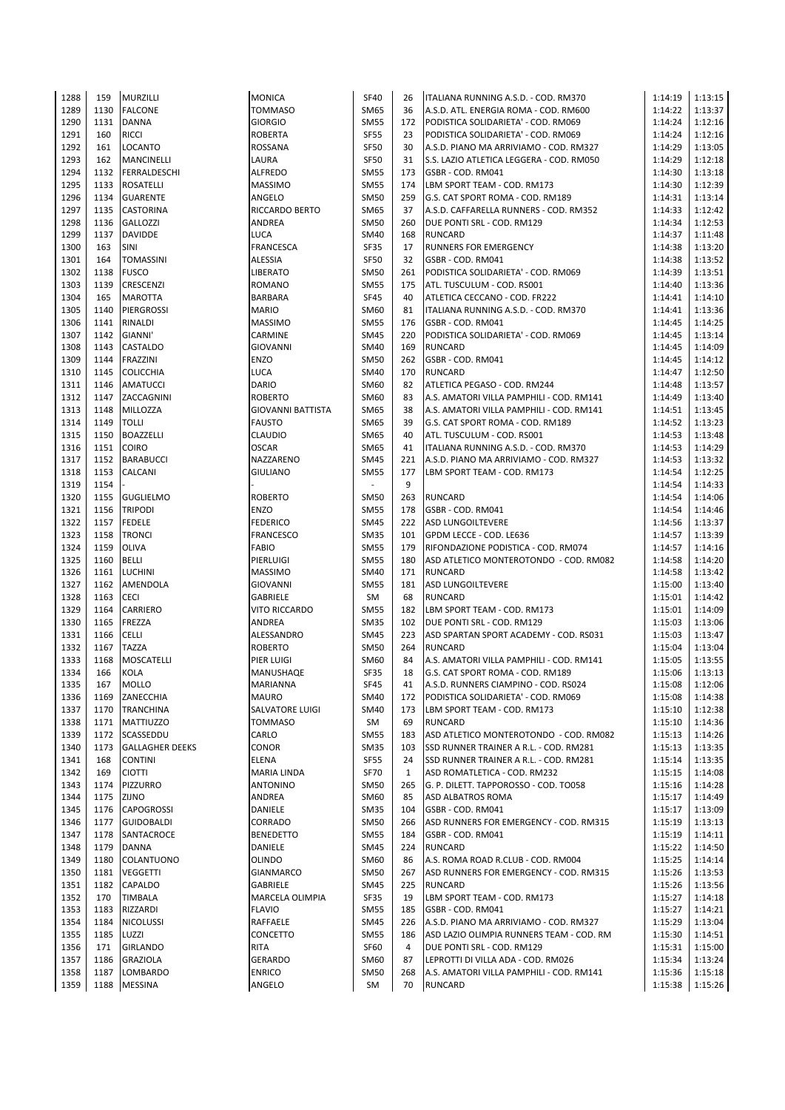| 1288         | 159          | <b>MURZILLI</b>            | <b>MONICA</b>            | <b>SF40</b>              | 26  | ITALIANA RUNNING A.S.D. - COD. RM370                       | 1:14:19            | 1:13:15            |
|--------------|--------------|----------------------------|--------------------------|--------------------------|-----|------------------------------------------------------------|--------------------|--------------------|
| 1289         | 1130         | <b>FALCONE</b>             | <b>TOMMASO</b>           | SM65                     | 36  | A.S.D. ATL. ENERGIA ROMA - COD. RM600                      | 1:14:22            | 1:13:37            |
| 1290         | 1131         | <b>DANNA</b>               | <b>GIORGIO</b>           | <b>SM55</b>              | 172 | PODISTICA SOLIDARIETA' - COD. RM069                        | 1:14:24            | 1:12:16            |
|              |              |                            |                          |                          |     |                                                            |                    |                    |
| 1291         | 160          | <b>RICCI</b>               | <b>ROBERTA</b>           | <b>SF55</b>              | 23  | PODISTICA SOLIDARIETA' - COD. RM069                        | 1:14:24            | 1:12:16            |
| 1292         | 161          | <b>LOCANTO</b>             | ROSSANA                  | <b>SF50</b>              | 30  | A.S.D. PIANO MA ARRIVIAMO - COD. RM327                     | 1:14:29            | 1:13:05            |
|              |              |                            |                          |                          |     |                                                            |                    |                    |
| 1293         | 162          | <b>MANCINELLI</b>          | LAURA                    | <b>SF50</b>              | 31  | S.S. LAZIO ATLETICA LEGGERA - COD. RM050                   | 1:14:29            | 1:12:18            |
| 1294         | 1132         | FERRALDESCHI               | <b>ALFREDO</b>           | <b>SM55</b>              | 173 | GSBR - COD. RM041                                          | 1:14:30            | 1:13:18            |
| 1295         | 1133         | <b>ROSATELLI</b>           | <b>MASSIMO</b>           | <b>SM55</b>              | 174 | LBM SPORT TEAM - COD. RM173                                | 1:14:30            | 1:12:39            |
|              |              |                            |                          |                          |     |                                                            |                    |                    |
| 1296         | 1134         | <b>GUARENTE</b>            | ANGELO                   | <b>SM50</b>              | 259 | G.S. CAT SPORT ROMA - COD. RM189                           | 1:14:31            | 1:13:14            |
| 1297         | 1135         | <b>CASTORINA</b>           | RICCARDO BERTO           | <b>SM65</b>              | 37  | A.S.D. CAFFARELLA RUNNERS - COD. RM352                     | 1:14:33            | 1:12:42            |
|              |              |                            |                          |                          |     |                                                            |                    |                    |
| 1298         | 1136         | <b>GALLOZZI</b>            | ANDREA                   | <b>SM50</b>              | 260 | DUE PONTI SRL - COD. RM129                                 | 1:14:34            | 1:12:53            |
| 1299         | 1137         | <b>DAVIDDE</b>             | LUCA                     | <b>SM40</b>              | 168 | <b>RUNCARD</b>                                             | 1:14:37            | 1:11:48            |
| 1300         | 163          | SINI                       | <b>FRANCESCA</b>         | SF35                     | 17  | <b>RUNNERS FOR EMERGENCY</b>                               | 1:14:38            | 1:13:20            |
|              |              |                            |                          |                          |     |                                                            |                    |                    |
| 1301         | 164          | <b>TOMASSINI</b>           | <b>ALESSIA</b>           | <b>SF50</b>              | 32  | GSBR - COD. RM041                                          | 1:14:38            | 1:13:52            |
| 1302         | 1138         | <b>FUSCO</b>               | <b>LIBERATO</b>          | <b>SM50</b>              | 261 | PODISTICA SOLIDARIETA' - COD. RM069                        | 1:14:39            | 1:13:51            |
|              |              |                            |                          |                          |     |                                                            |                    |                    |
| 1303         | 1139         | CRESCENZI                  | <b>ROMANO</b>            | <b>SM55</b>              | 175 | ATL. TUSCULUM - COD. RS001                                 | 1:14:40            | 1:13:36            |
| 1304         | 165          | <b>MAROTTA</b>             | <b>BARBARA</b>           | <b>SF45</b>              | 40  | ATLETICA CECCANO - COD. FR222                              | 1:14:41            | 1:14:10            |
|              | 1140         | <b>PIERGROSSI</b>          |                          |                          |     |                                                            |                    |                    |
| 1305         |              |                            | <b>MARIO</b>             | SM60                     | 81  | ITALIANA RUNNING A.S.D. - COD. RM370                       | 1:14:41            | 1:13:36            |
| 1306         | 1141         | RINALDI                    | <b>MASSIMO</b>           | <b>SM55</b>              | 176 | GSBR - COD. RM041                                          | 1:14:45            | 1:14:25            |
| 1307         | 1142         | GIANNI'                    | CARMINE                  | <b>SM45</b>              | 220 | PODISTICA SOLIDARIETA' - COD. RM069                        | 1:14:45            | 1:13:14            |
|              |              |                            |                          |                          |     |                                                            |                    |                    |
| 1308         | 1143         | <b>CASTALDO</b>            | <b>GIOVANNI</b>          | <b>SM40</b>              | 169 | <b>RUNCARD</b>                                             | 1:14:45            | 1:14:09            |
| 1309         | 1144         | <b>FRAZZINI</b>            | ENZO                     | <b>SM50</b>              | 262 | GSBR - COD. RM041                                          | 1:14:45            | 1:14:12            |
| 1310         | 1145         | <b>COLICCHIA</b>           | LUCA                     | SM40                     | 170 | <b>RUNCARD</b>                                             | 1:14:47            | 1:12:50            |
|              |              |                            |                          |                          |     |                                                            |                    |                    |
| 1311         | 1146         | AMATUCCI                   | DARIO                    | SM60                     | 82  | ATLETICA PEGASO - COD. RM244                               | 1:14:48            | 1:13:57            |
| 1312         | 1147         | ZACCAGNINI                 | <b>ROBERTO</b>           | SM60                     | 83  | A.S. AMATORI VILLA PAMPHILI - COD. RM141                   | 1:14:49            | 1:13:40            |
|              |              |                            |                          |                          |     |                                                            |                    |                    |
| 1313         | 1148         | MILLOZZA                   | <b>GIOVANNI BATTISTA</b> | SM65                     | 38  | A.S. AMATORI VILLA PAMPHILI - COD. RM141                   | 1:14:51            | 1:13:45            |
| 1314         | 1149         | <b>TOLLI</b>               | <b>FAUSTO</b>            | SM65                     | 39  | G.S. CAT SPORT ROMA - COD. RM189                           | 1:14:52            | 1:13:23            |
|              | 1150         |                            | <b>CLAUDIO</b>           |                          | 40  | ATL. TUSCULUM - COD. RS001                                 | 1:14:53            | 1:13:48            |
| 1315         |              | <b>BOAZZELLI</b>           |                          | <b>SM65</b>              |     |                                                            |                    |                    |
| 1316         | 1151         | <b>COIRO</b>               | <b>OSCAR</b>             | SM65                     | 41  | ITALIANA RUNNING A.S.D. - COD. RM370                       | 1:14:53            | 1:14:29            |
| 1317         | 1152         | <b>BARABUCCI</b>           | NAZZARENO                | <b>SM45</b>              | 221 | A.S.D. PIANO MA ARRIVIAMO - COD. RM327                     | 1:14:53            | 1:13:32            |
|              |              |                            |                          |                          |     |                                                            |                    |                    |
| 1318         | 1153         | CALCANI                    | <b>GIULIANO</b>          | <b>SM55</b>              | 177 | LBM SPORT TEAM - COD. RM173                                | 1:14:54            | 1:12:25            |
| 1319         | 1154         |                            |                          | $\overline{\phantom{a}}$ | 9   |                                                            | 1:14:54            | 1:14:33            |
| 1320         | 1155         |                            | <b>ROBERTO</b>           | <b>SM50</b>              | 263 | <b>RUNCARD</b>                                             | 1:14:54            | 1:14:06            |
|              |              | <b>GUGLIELMO</b>           |                          |                          |     |                                                            |                    |                    |
| 1321         | 1156         | <b>TRIPODI</b>             | ENZO                     | <b>SM55</b>              | 178 | GSBR - COD. RM041                                          | 1:14:54            | 1:14:46            |
| 1322         | 1157         | <b>FEDELE</b>              | <b>FEDERICO</b>          | <b>SM45</b>              |     | 222 ASD LUNGOILTEVERE                                      | 1:14:56            | 1:13:37            |
|              |              |                            |                          |                          |     |                                                            |                    |                    |
| 1323         | 1158         | <b>TRONCI</b>              | <b>FRANCESCO</b>         | <b>SM35</b>              |     | 101 GPDM LECCE - COD. LE636                                | 1:14:57            | 1:13:39            |
| 1324         | 1159         | <b>OLIVA</b>               | <b>FABIO</b>             | <b>SM55</b>              | 179 | RIFONDAZIONE PODISTICA - COD. RM074                        | 1:14:57            | 1:14:16            |
| 1325         | 1160         | <b>BELLI</b>               | PIERLUIGI                | <b>SM55</b>              | 180 | ASD ATLETICO MONTEROTONDO - COD. RM082                     | 1:14:58            | 1:14:20            |
|              |              |                            |                          |                          |     |                                                            |                    |                    |
| 1326         | 1161         | <b>LUCHINI</b>             | <b>MASSIMO</b>           | SM40                     |     | 171 RUNCARD                                                | 1:14:58            | 1:13:42            |
| 1327         | 1162         | AMENDOLA                   | <b>GIOVANNI</b>          | <b>SM55</b>              | 181 | <b>ASD LUNGOILTEVERE</b>                                   | 1:15:00            | 1:13:40            |
|              |              |                            |                          |                          |     |                                                            |                    |                    |
| 1328         | 1163         | <b>CECI</b>                | GABRIELE                 | SM                       | 68  | <b>RUNCARD</b>                                             | 1:15:01            | 1:14:42            |
| 1329         | 1164         | <b>CARRIERO</b>            | <b>VITO RICCARDO</b>     | <b>SM55</b>              |     | 182 LBM SPORT TEAM - COD. RM173                            | 1:15:01            | 1:14:09            |
| 1330         | 1165         |                            | ANDREA                   | <b>SM35</b>              |     | 102 DUE PONTI SRL - COD. RM129                             |                    |                    |
|              |              | FREZZA                     |                          |                          |     |                                                            | 1:15:03            | 1:13:06            |
| 1331         | 1166         | <b>CELLI</b>               | ALESSANDRO               | <b>SM45</b>              |     | 223 ASD SPARTAN SPORT ACADEMY - COD. RS031                 | 1:15:03            | 1:13:47            |
| 1332         | 1167         | <b>TAZZA</b>               | <b>ROBERTO</b>           | <b>SM50</b>              | 264 | <b>RUNCARD</b>                                             | 1:15:04            | 1:13:04            |
|              |              |                            |                          |                          |     |                                                            |                    |                    |
| 1333         | 1168         | <b>MOSCATELLI</b>          | PIER LUIGI               | SM60                     | 84  | A.S. AMATORI VILLA PAMPHILI - COD. RM141                   | 1:15:05            | 1:13:55            |
| 1334         | 166          | <b>KOLA</b>                | MANUSHAQE                | SF35                     | 18  | G.S. CAT SPORT ROMA - COD. RM189                           | 1:15:06            | 1:13:13            |
| 1335         | 167          | <b>MOLLO</b>               | MARIANNA                 | SF45                     | 41  | A.S.D. RUNNERS CIAMPINO - COD. RS024                       | 1:15:08            | 1:12:06            |
|              |              |                            |                          |                          |     |                                                            |                    |                    |
| 1336         | 1169         | ZANECCHIA                  | <b>MAURO</b>             | <b>SM40</b>              | 172 | PODISTICA SOLIDARIETA' - COD. RM069                        | 1:15:08            | 1:14:38            |
| 1337         | 1170         | <b>TRANCHINA</b>           | SALVATORE LUIGI          | <b>SM40</b>              | 173 | LBM SPORT TEAM - COD. RM173                                | 1:15:10            | 1:12:38            |
|              |              |                            |                          |                          |     |                                                            |                    |                    |
| 1338         | 1171         | MATTIUZZO                  | <b>TOMMASO</b>           | SM                       | 69  | <b>RUNCARD</b>                                             | 1:15:10            | 1:14:36            |
| 1339         | 1172         | SCASSEDDU                  | CARLO                    | <b>SM55</b>              | 183 | ASD ATLETICO MONTEROTONDO - COD. RM082                     | 1:15:13            | 1:14:26            |
| 1340         | 1173         | <b>GALLAGHER DEEKS</b>     | CONOR                    | <b>SM35</b>              | 103 | SSD RUNNER TRAINER A R.L. - COD. RM281                     | 1:15:13            | 1:13:35            |
|              |              |                            |                          |                          |     |                                                            |                    |                    |
| 1341         | 168          | <b>CONTINI</b>             | <b>ELENA</b>             | <b>SF55</b>              | 24  | SSD RUNNER TRAINER A R.L. - COD. RM281                     | 1:15:14            | 1:13:35            |
| 1342         | 169          | <b>CIOTTI</b>              | MARIA LINDA              | <b>SF70</b>              | 1   | ASD ROMATLETICA - COD. RM232                               | 1:15:15            | 1:14:08            |
| 1343         | 1174         | PIZZURRO                   | ANTONINO                 | <b>SM50</b>              | 265 | G. P. DILETT. TAPPOROSSO - COD. TO058                      | 1:15:16            | 1:14:28            |
|              |              |                            |                          |                          |     |                                                            |                    |                    |
| 1344         | 1175         | ZIJNO                      | ANDREA                   | SM60                     | 85  | <b>ASD ALBATROS ROMA</b>                                   | 1:15:17            | 1:14:49            |
| 1345         | 1176         | <b>CAPOGROSSI</b>          | DANIELE                  | <b>SM35</b>              | 104 | GSBR - COD. RM041                                          | 1:15:17            | 1:13:09            |
|              |              |                            |                          |                          |     |                                                            |                    |                    |
| 1346         | 1177         | <b>GUIDOBALDI</b>          | CORRADO                  | <b>SM50</b>              | 266 | ASD RUNNERS FOR EMERGENCY - COD. RM315                     | 1:15:19            | 1:13:13            |
| 1347         | 1178         | SANTACROCE                 | <b>BENEDETTO</b>         | <b>SM55</b>              | 184 | GSBR - COD. RM041                                          | 1:15:19            | 1:14:11            |
| 1348         | 1179         | <b>DANNA</b>               | DANIELE                  | <b>SM45</b>              | 224 | <b>RUNCARD</b>                                             | 1:15:22            | 1:14:50            |
|              |              |                            |                          |                          |     |                                                            |                    |                    |
| 1349         | 1180         | COLANTUONO                 | OLINDO                   | SM60                     | 86  | A.S. ROMA ROAD R.CLUB - COD. RM004                         | 1:15:25            | 1:14:14            |
| 1350         | 1181         | <b>VEGGETTI</b>            | GIANMARCO                | <b>SM50</b>              | 267 | ASD RUNNERS FOR EMERGENCY - COD. RM315                     | 1:15:26            | 1:13:53            |
| 1351         | 1182         | CAPALDO                    | <b>GABRIELE</b>          | <b>SM45</b>              | 225 | <b>RUNCARD</b>                                             | 1:15:26            | 1:13:56            |
|              |              |                            |                          |                          |     |                                                            |                    |                    |
| 1352         |              | TIMBALA                    | MARCELA OLIMPIA          | SF35                     | 19  | LBM SPORT TEAM - COD. RM173                                | 1:15:27            | 1:14:18            |
|              | 170          |                            |                          |                          | 185 | GSBR - COD. RM041                                          | 1:15:27            | 1:14:21            |
|              | 1183         |                            | <b>FLAVIO</b>            |                          |     |                                                            |                    |                    |
| 1353         |              | RIZZARDI                   |                          | <b>SM55</b>              |     |                                                            |                    |                    |
| 1354         | 1184         | <b>NICOLUSSI</b>           | RAFFAELE                 | SM45                     | 226 | A.S.D. PIANO MA ARRIVIAMO - COD. RM327                     | 1:15:29            | 1:13:04            |
| 1355         | 1185         | LUZZI                      | CONCETTO                 | <b>SM55</b>              | 186 | ASD LAZIO OLIMPIA RUNNERS TEAM - COD. RM                   | 1:15:30            | 1:14:51            |
|              |              |                            |                          |                          |     |                                                            |                    |                    |
| 1356         | 171          | <b>GIRLANDO</b>            | <b>RITA</b>              | SF60                     | 4   | DUE PONTI SRL - COD. RM129                                 | 1:15:31            | 1:15:00            |
| 1357         | 1186         | <b>GRAZIOLA</b>            | GERARDO                  | SM60                     | 87  | LEPROTTI DI VILLA ADA - COD. RM026                         | 1:15:34            | 1:13:24            |
|              |              |                            |                          |                          | 268 |                                                            |                    |                    |
| 1358<br>1359 | 1187<br>1188 | LOMBARDO<br><b>MESSINA</b> | <b>ENRICO</b><br>ANGELO  | <b>SM50</b><br>SM        | 70  | A.S. AMATORI VILLA PAMPHILI - COD. RM141<br><b>RUNCARD</b> | 1:15:36<br>1:15:38 | 1:15:18<br>1:15:26 |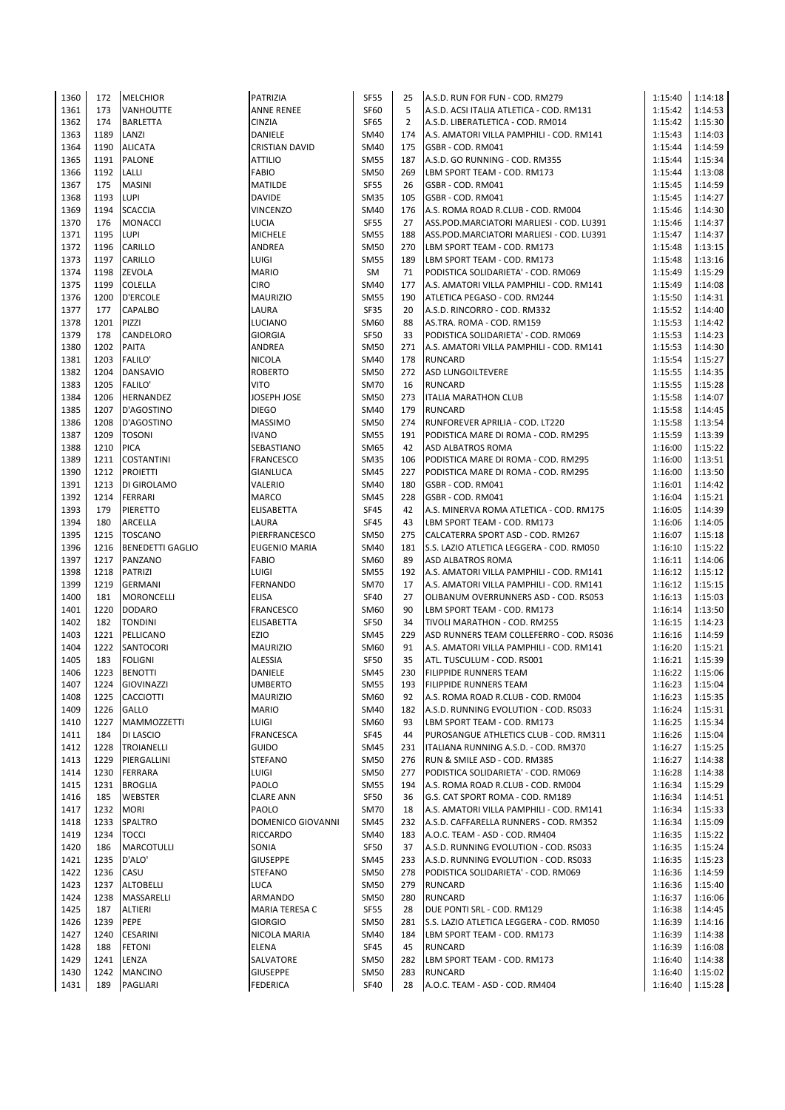| 1360 | 172  | <b>MELCHIOR</b>         | PATRIZIA                 | <b>SF55</b> | 25             | A.S.D. RUN FOR FUN - COD. RM279          | 1:15:40 | 1:14:18 |
|------|------|-------------------------|--------------------------|-------------|----------------|------------------------------------------|---------|---------|
| 1361 | 173  | <b>VANHOUTTE</b>        | <b>ANNE RENEE</b>        | SF60        | 5              | A.S.D. ACSI ITALIA ATLETICA - COD. RM131 | 1:15:42 | 1:14:53 |
| 1362 | 174  | <b>BARLETTA</b>         | <b>CINZIA</b>            | SF65        | $\overline{2}$ | A.S.D. LIBERATLETICA - COD. RM014        | 1:15:42 | 1:15:30 |
| 1363 | 1189 | LANZI                   | DANIELE                  | SM40        | 174            | A.S. AMATORI VILLA PAMPHILI - COD. RM141 | 1:15:43 | 1:14:03 |
| 1364 | 1190 | <b>ALICATA</b>          | <b>CRISTIAN DAVID</b>    | SM40        | 175            | GSBR - COD. RM041                        | 1:15:44 | 1:14:59 |
| 1365 | 1191 | <b>PALONE</b>           | <b>ATTILIO</b>           | <b>SM55</b> | 187            | A.S.D. GO RUNNING - COD. RM355           | 1:15:44 | 1:15:34 |
| 1366 | 1192 | LALLI                   | <b>FABIO</b>             | <b>SM50</b> | 269            | LBM SPORT TEAM - COD. RM173              | 1:15:44 | 1:13:08 |
| 1367 | 175  | <b>MASINI</b>           | MATILDE                  | <b>SF55</b> | 26             | GSBR - COD. RM041                        | 1:15:45 | 1:14:59 |
| 1368 | 1193 | <b>LUPI</b>             | DAVIDE                   | <b>SM35</b> | 105            | GSBR - COD. RM041                        | 1:15:45 | 1:14:27 |
| 1369 | 1194 | <b>SCACCIA</b>          | <b>VINCENZO</b>          | <b>SM40</b> | 176            |                                          | 1:15:46 |         |
|      |      |                         |                          |             |                | A.S. ROMA ROAD R.CLUB - COD. RM004       |         | 1:14:30 |
| 1370 | 176  | <b>MONACCI</b>          | LUCIA                    | <b>SF55</b> | 27             | ASS.POD.MARCIATORI MARLIESI - COD. LU391 | 1:15:46 | 1:14:37 |
| 1371 | 1195 | <b>LUPI</b>             | <b>MICHELE</b>           | <b>SM55</b> | 188            | ASS.POD.MARCIATORI MARLIESI - COD. LU391 | 1:15:47 | 1:14:37 |
| 1372 | 1196 | CARILLO                 | ANDREA                   | <b>SM50</b> | 270            | LBM SPORT TEAM - COD. RM173              | 1:15:48 | 1:13:15 |
| 1373 | 1197 | CARILLO                 | <b>LUIGI</b>             | <b>SM55</b> | 189            | LBM SPORT TEAM - COD. RM173              | 1:15:48 | 1:13:16 |
| 1374 | 1198 | ZEVOLA                  | <b>MARIO</b>             | SM          | 71             | PODISTICA SOLIDARIETA' - COD. RM069      | 1:15:49 | 1:15:29 |
| 1375 | 1199 | <b>COLELLA</b>          | <b>CIRO</b>              | <b>SM40</b> | 177            | A.S. AMATORI VILLA PAMPHILI - COD. RM141 | 1:15:49 | 1:14:08 |
| 1376 | 1200 | <b>D'ERCOLE</b>         | <b>MAURIZIO</b>          | <b>SM55</b> | 190            | ATLETICA PEGASO - COD. RM244             | 1:15:50 | 1:14:31 |
| 1377 | 177  | <b>CAPALBO</b>          | LAURA                    | SF35        | 20             | A.S.D. RINCORRO - COD. RM332             | 1:15:52 | 1:14:40 |
| 1378 | 1201 | PIZZI                   | <b>LUCIANO</b>           | SM60        | 88             | AS.TRA. ROMA - COD. RM159                | 1:15:53 | 1:14:42 |
| 1379 | 178  | CANDELORO               | <b>GIORGIA</b>           | <b>SF50</b> | 33             | PODISTICA SOLIDARIETA' - COD. RM069      | 1:15:53 | 1:14:23 |
| 1380 | 1202 | <b>PAITA</b>            | ANDREA                   | <b>SM50</b> | 271            | A.S. AMATORI VILLA PAMPHILI - COD. RM141 | 1:15:53 | 1:14:30 |
| 1381 | 1203 | <b>FALILO'</b>          | <b>NICOLA</b>            | <b>SM40</b> | 178            | <b>RUNCARD</b>                           | 1:15:54 | 1:15:27 |
| 1382 | 1204 | <b>DANSAVIO</b>         | <b>ROBERTO</b>           | <b>SM50</b> | 272            | <b>ASD LUNGOILTEVERE</b>                 | 1:15:55 | 1:14:35 |
| 1383 | 1205 | <b>FALILO'</b>          | <b>VITO</b>              | <b>SM70</b> | 16             | <b>RUNCARD</b>                           | 1:15:55 | 1:15:28 |
| 1384 | 1206 | <b>HERNANDEZ</b>        | JOSEPH JOSE              | <b>SM50</b> | 273            | <b>ITALIA MARATHON CLUB</b>              | 1:15:58 | 1:14:07 |
| 1385 | 1207 | D'AGOSTINO              | <b>DIEGO</b>             | SM40        | 179            | <b>RUNCARD</b>                           | 1:15:58 | 1:14:45 |
| 1386 | 1208 | D'AGOSTINO              | <b>MASSIMO</b>           | <b>SM50</b> | 274            | RUNFOREVER APRILIA - COD. LT220          | 1:15:58 | 1:13:54 |
| 1387 | 1209 | <b>TOSONI</b>           | <b>IVANO</b>             | <b>SM55</b> | 191            | PODISTICA MARE DI ROMA - COD. RM295      | 1:15:59 | 1:13:39 |
| 1388 | 1210 | <b>PICA</b>             | SEBASTIANO               | SM65        | 42             | <b>ASD ALBATROS ROMA</b>                 | 1:16:00 |         |
|      |      |                         |                          |             |                |                                          |         | 1:15:22 |
| 1389 | 1211 | <b>COSTANTINI</b>       | <b>FRANCESCO</b>         | <b>SM35</b> | 106            | PODISTICA MARE DI ROMA - COD. RM295      | 1:16:00 | 1:13:51 |
| 1390 | 1212 | <b>PROIETTI</b>         | <b>GIANLUCA</b>          | <b>SM45</b> | 227            | PODISTICA MARE DI ROMA - COD. RM295      | 1:16:00 | 1:13:50 |
| 1391 | 1213 | DI GIROLAMO             | VALERIO                  | SM40        | 180            | GSBR - COD. RM041                        | 1:16:01 | 1:14:42 |
| 1392 | 1214 | <b>FERRARI</b>          | MARCO                    | <b>SM45</b> | 228            | GSBR - COD. RM041                        | 1:16:04 | 1:15:21 |
| 1393 | 179  | <b>PIERETTO</b>         | ELISABETTA               | SF45        | 42             | A.S. MINERVA ROMA ATLETICA - COD. RM175  | 1:16:05 | 1:14:39 |
| 1394 | 180  | ARCELLA                 | LAURA                    | SF45        | 43             | LBM SPORT TEAM - COD. RM173              | 1:16:06 | 1:14:05 |
| 1395 | 1215 | TOSCANO                 | PIERFRANCESCO            | SM50        | 275            | CALCATERRA SPORT ASD - COD. RM267        | 1:16:07 | 1:15:18 |
| 1396 | 1216 | <b>BENEDETTI GAGLIO</b> | <b>EUGENIO MARIA</b>     | <b>SM40</b> | 181            | S.S. LAZIO ATLETICA LEGGERA - COD. RM050 | 1:16:10 | 1:15:22 |
| 1397 | 1217 | PANZANO                 | <b>FABIO</b>             | SM60        | 89             | <b>ASD ALBATROS ROMA</b>                 | 1:16:11 | 1:14:06 |
| 1398 | 1218 | PATRIZI                 | LUIGI                    | <b>SM55</b> | 192            | A.S. AMATORI VILLA PAMPHILI - COD. RM141 | 1:16:12 | 1:15:12 |
| 1399 | 1219 | <b>GERMANI</b>          | <b>FERNANDO</b>          | <b>SM70</b> | 17             | A.S. AMATORI VILLA PAMPHILI - COD. RM141 | 1:16:12 | 1:15:15 |
| 1400 | 181  | <b>MORONCELLI</b>       | <b>ELISA</b>             | <b>SF40</b> | 27             | OLIBANUM OVERRUNNERS ASD - COD. RS053    | 1:16:13 | 1:15:03 |
| 1401 | 1220 | <b>DODARO</b>           | <b>FRANCESCO</b>         | SM60        | 90             | LBM SPORT TEAM - COD. RM173              | 1:16:14 | 1:13:50 |
| 1402 | 182  | <b>TONDINI</b>          | ELISABETTA               | <b>SF50</b> | 34             | TIVOLI MARATHON - COD. RM255             | 1:16:15 | 1:14:23 |
| 1403 | 1221 | PELLICANO               | EZIO                     | <b>SM45</b> | 229            | ASD RUNNERS TEAM COLLEFERRO - COD. RS036 | 1:16:16 | 1:14:59 |
| 1404 | 1222 | SANTOCORI               | <b>MAURIZIO</b>          | SM60        | 91             | A.S. AMATORI VILLA PAMPHILI - COD. RM141 | 1:16:20 | 1:15:21 |
| 1405 | 183  | <b>FOLIGNI</b>          | <b>ALESSIA</b>           | <b>SF50</b> | 35             | ATL. TUSCULUM - COD. RS001               | 1:16:21 | 1:15:39 |
| 1406 | 1223 | <b>BENOTTI</b>          | DANIELE                  | <b>SM45</b> | 230            | <b>FILIPPIDE RUNNERS TEAM</b>            | 1:16:22 | 1:15:06 |
| 1407 | 1224 | GIOVINAZZI              | <b>UMBERTO</b>           | SM55        | 193            | <b>FILIPPIDE RUNNERS TEAM</b>            | 1:16:23 | 1:15:04 |
| 1408 | 1225 | <b>CACCIOTTI</b>        | <b>MAURIZIO</b>          | SM60        | 92             | A.S. ROMA ROAD R.CLUB - COD. RM004       | 1:16:23 | 1:15:35 |
| 1409 | 1226 | <b>GALLO</b>            | <b>MARIO</b>             | <b>SM40</b> | 182            | A.S.D. RUNNING EVOLUTION - COD. RS033    | 1:16:24 | 1:15:31 |
| 1410 | 1227 | MAMMOZZETTI             | LUIGI                    | SM60        | 93             | LBM SPORT TEAM - COD. RM173              | 1:16:25 | 1:15:34 |
| 1411 | 184  | DI LASCIO               | <b>FRANCESCA</b>         | SF45        | 44             | PUROSANGUE ATHLETICS CLUB - COD. RM311   | 1:16:26 | 1:15:04 |
|      | 1228 | <b>TROIANELLI</b>       |                          |             |                |                                          |         | 1:15:25 |
| 1412 |      |                         | GUIDO<br><b>STEFANO</b>  | <b>SM45</b> | 231            | ITALIANA RUNNING A.S.D. - COD. RM370     | 1:16:27 |         |
| 1413 | 1229 | PIERGALLINI             |                          | <b>SM50</b> | 276            | RUN & SMILE ASD - COD. RM385             | 1:16:27 | 1:14:38 |
| 1414 | 1230 | FERRARA                 | LUIGI                    | <b>SM50</b> | 277            | PODISTICA SOLIDARIETA' - COD. RM069      | 1:16:28 | 1:14:38 |
| 1415 | 1231 | <b>BROGLIA</b>          | PAOLO                    | <b>SM55</b> | 194            | A.S. ROMA ROAD R.CLUB - COD. RM004       | 1:16:34 | 1:15:29 |
| 1416 | 185  | WEBSTER                 | <b>CLARE ANN</b>         | <b>SF50</b> | 36             | G.S. CAT SPORT ROMA - COD. RM189         | 1:16:34 | 1:14:51 |
| 1417 | 1232 | <b>MORI</b>             | PAOLO                    | <b>SM70</b> | 18             | A.S. AMATORI VILLA PAMPHILI - COD. RM141 | 1:16:34 | 1:15:33 |
| 1418 | 1233 | SPALTRO                 | <b>DOMENICO GIOVANNI</b> | SM45        | 232            | A.S.D. CAFFARELLA RUNNERS - COD. RM352   | 1:16:34 | 1:15:09 |
| 1419 | 1234 | <b>TOCCI</b>            | <b>RICCARDO</b>          | <b>SM40</b> | 183            | A.O.C. TEAM - ASD - COD. RM404           | 1:16:35 | 1:15:22 |
| 1420 | 186  | <b>MARCOTULLI</b>       | SONIA                    | SF50        | 37             | A.S.D. RUNNING EVOLUTION - COD. RS033    | 1:16:35 | 1:15:24 |
| 1421 | 1235 | D'ALO'                  | <b>GIUSEPPE</b>          | SM45        | 233            | A.S.D. RUNNING EVOLUTION - COD. RS033    | 1:16:35 | 1:15:23 |
| 1422 | 1236 | CASU                    | <b>STEFANO</b>           | <b>SM50</b> | 278            | PODISTICA SOLIDARIETA' - COD. RM069      | 1:16:36 | 1:14:59 |
| 1423 | 1237 | <b>ALTOBELLI</b>        | <b>LUCA</b>              | <b>SM50</b> | 279            | <b>RUNCARD</b>                           | 1:16:36 | 1:15:40 |
| 1424 | 1238 | MASSARELLI              | ARMANDO                  | <b>SM50</b> | 280            | <b>RUNCARD</b>                           | 1:16:37 | 1:16:06 |
| 1425 | 187  | <b>ALTIERI</b>          | MARIA TERESA C           | SF55        | 28             | DUE PONTI SRL - COD. RM129               | 1:16:38 | 1:14:45 |
| 1426 | 1239 | PEPE                    | <b>GIORGIO</b>           | SM50        | 281            | S.S. LAZIO ATLETICA LEGGERA - COD. RM050 | 1:16:39 | 1:14:16 |
| 1427 | 1240 | <b>CESARINI</b>         | NICOLA MARIA             | SM40        | 184            | LBM SPORT TEAM - COD. RM173              | 1:16:39 | 1:14:38 |
| 1428 | 188  | <b>FETONI</b>           | ELENA                    | SF45        | 45             | RUNCARD                                  | 1:16:39 | 1:16:08 |
| 1429 | 1241 | LENZA                   | SALVATORE                | <b>SM50</b> | 282            | LBM SPORT TEAM - COD. RM173              | 1:16:40 | 1:14:38 |
| 1430 | 1242 | <b>MANCINO</b>          | <b>GIUSEPPE</b>          | <b>SM50</b> | 283            | RUNCARD                                  | 1:16:40 | 1:15:02 |
| 1431 | 189  | PAGLIARI                | <b>FEDERICA</b>          | SF40        | 28             | A.O.C. TEAM - ASD - COD. RM404           | 1:16:40 | 1:15:28 |
|      |      |                         |                          |             |                |                                          |         |         |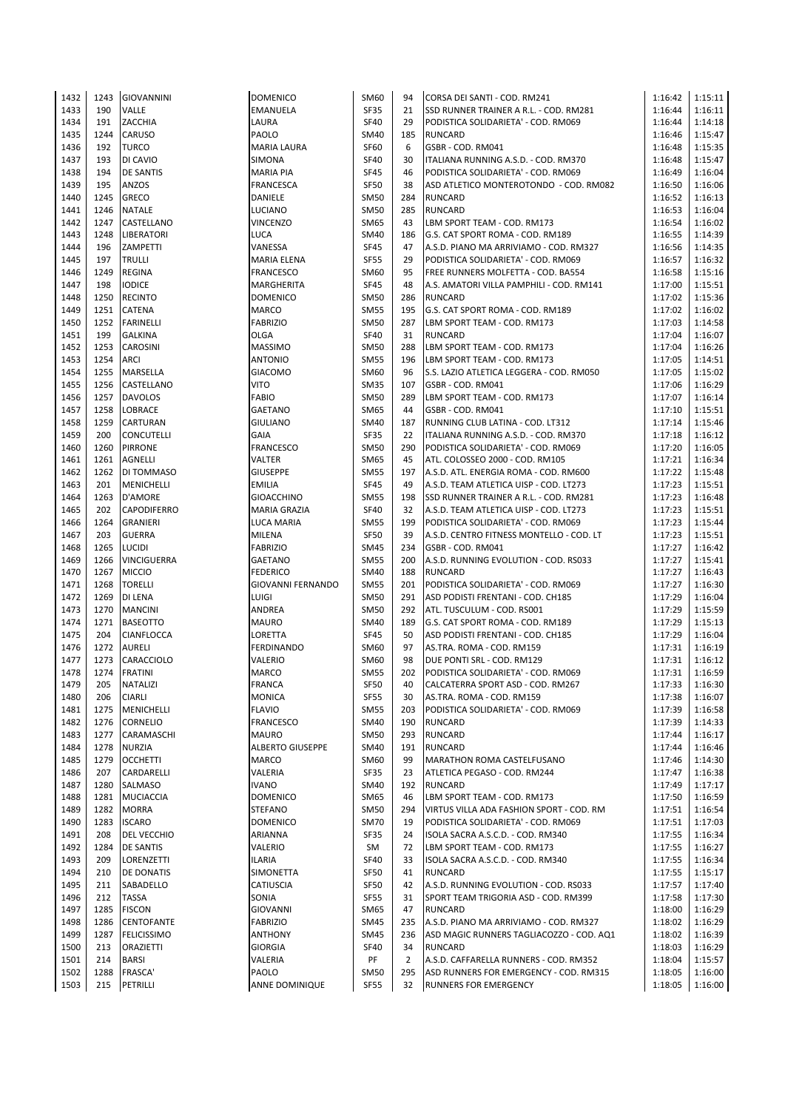| 1432 | 1243       | <b>GIOVANNINI</b>  | <b>DOMENICO</b>          | SM60        | 94       | CORSA DEI SANTI - COD. RM241             | 1:16:42 | 1:15:11 |
|------|------------|--------------------|--------------------------|-------------|----------|------------------------------------------|---------|---------|
| 1433 | 190        | VALLE              | <b>EMANUELA</b>          | SF35        | 21       | SSD RUNNER TRAINER A R.L. - COD. RM281   | 1:16:44 | 1:16:11 |
| 1434 | 191        | ZACCHIA            | LAURA                    | SF40        | 29       | PODISTICA SOLIDARIETA' - COD. RM069      | 1:16:44 | 1:14:18 |
| 1435 | 1244       | CARUSO             | PAOLO                    | SM40        | 185      | <b>RUNCARD</b>                           | 1:16:46 | 1:15:47 |
| 1436 | 192        | <b>TURCO</b>       | <b>MARIA LAURA</b>       | <b>SF60</b> | 6        | GSBR - COD. RM041                        | 1:16:48 | 1:15:35 |
| 1437 | 193        | DI CAVIO           | <b>SIMONA</b>            | <b>SF40</b> | 30       | ITALIANA RUNNING A.S.D. - COD. RM370     | 1:16:48 | 1:15:47 |
| 1438 | 194        | <b>DE SANTIS</b>   | <b>MARIA PIA</b>         | <b>SF45</b> | 46       | PODISTICA SOLIDARIETA' - COD. RM069      | 1:16:49 | 1:16:04 |
| 1439 | 195        | ANZOS              | <b>FRANCESCA</b>         | <b>SF50</b> | 38       | ASD ATLETICO MONTEROTONDO - COD. RM082   | 1:16:50 | 1:16:06 |
| 1440 | 1245       | GRECO              | <b>DANIELE</b>           | <b>SM50</b> | 284      | <b>RUNCARD</b>                           | 1:16:52 | 1:16:13 |
| 1441 | 1246       | <b>NATALE</b>      | <b>LUCIANO</b>           | <b>SM50</b> | 285      | <b>RUNCARD</b>                           | 1:16:53 | 1:16:04 |
| 1442 | 1247       | CASTELLANO         | <b>VINCENZO</b>          | SM65        | 43       | LBM SPORT TEAM - COD. RM173              | 1:16:54 | 1:16:02 |
| 1443 | 1248       | <b>LIBERATORI</b>  | <b>LUCA</b>              | SM40        | 186      | G.S. CAT SPORT ROMA - COD. RM189         | 1:16:55 | 1:14:39 |
| 1444 | 196        | ZAMPETTI           | VANESSA                  | SF45        | 47       | A.S.D. PIANO MA ARRIVIAMO - COD. RM327   | 1:16:56 | 1:14:35 |
| 1445 | 197        | <b>TRULLI</b>      | <b>MARIA ELENA</b>       | <b>SF55</b> | 29       | PODISTICA SOLIDARIETA' - COD. RM069      | 1:16:57 | 1:16:32 |
| 1446 | 1249       |                    | <b>FRANCESCO</b>         | SM60        | 95       | FREE RUNNERS MOLFETTA - COD. BA554       | 1:16:58 | 1:15:16 |
|      | 198        | <b>REGINA</b>      |                          | <b>SF45</b> | 48       |                                          |         |         |
| 1447 |            | <b>IODICE</b>      | <b>MARGHERITA</b>        |             |          | A.S. AMATORI VILLA PAMPHILI - COD. RM141 | 1:17:00 | 1:15:51 |
| 1448 | 1250       | <b>RECINTO</b>     | <b>DOMENICO</b>          | SM50        | 286      | <b>RUNCARD</b>                           | 1:17:02 | 1:15:36 |
| 1449 | 1251       | <b>CATENA</b>      | <b>MARCO</b>             | <b>SM55</b> | 195      | G.S. CAT SPORT ROMA - COD. RM189         | 1:17:02 | 1:16:02 |
| 1450 | 1252       | FARINELLI          | <b>FABRIZIO</b>          | SM50        | 287      | LBM SPORT TEAM - COD. RM173              | 1:17:03 | 1:14:58 |
| 1451 | 199        | <b>GALKINA</b>     | <b>OLGA</b>              | <b>SF40</b> | 31       | <b>RUNCARD</b>                           | 1:17:04 | 1:16:07 |
| 1452 | 1253       | <b>CAROSINI</b>    | <b>MASSIMO</b>           | <b>SM50</b> | 288      | LBM SPORT TEAM - COD. RM173              | 1:17:04 | 1:16:26 |
| 1453 | 1254       | ARCI               | <b>ANTONIO</b>           | <b>SM55</b> | 196      | LBM SPORT TEAM - COD. RM173              | 1:17:05 | 1:14:51 |
| 1454 | 1255       | MARSELLA           | <b>GIACOMO</b>           | SM60        | 96       | S.S. LAZIO ATLETICA LEGGERA - COD. RM050 | 1:17:05 | 1:15:02 |
| 1455 | 1256       | CASTELLANO         | <b>VITO</b>              | <b>SM35</b> | 107      | GSBR - COD. RM041                        | 1:17:06 | 1:16:29 |
| 1456 |            | 1257 DAVOLOS       | <b>FABIO</b>             | <b>SM50</b> | 289      | LBM SPORT TEAM - COD. RM173              | 1:17:07 | 1:16:14 |
| 1457 | 1258       | LOBRACE            | <b>GAETANO</b>           | SM65        | 44       | GSBR - COD. RM041                        | 1:17:10 | 1:15:51 |
| 1458 | 1259       | CARTURAN           | <b>GIULIANO</b>          | SM40        | 187      | RUNNING CLUB LATINA - COD. LT312         | 1:17:14 | 1:15:46 |
| 1459 | 200        | <b>CONCUTELLI</b>  | <b>GAIA</b>              | <b>SF35</b> | 22       | ITALIANA RUNNING A.S.D. - COD. RM370     | 1:17:18 | 1:16:12 |
| 1460 | 1260       | <b>PIRRONE</b>     | <b>FRANCESCO</b>         | SM50        | 290      | PODISTICA SOLIDARIETA' - COD. RM069      | 1:17:20 | 1:16:05 |
| 1461 | 1261       | AGNELLI            | VALTER                   | SM65        | 45       | ATL. COLOSSEO 2000 - COD. RM105          | 1:17:21 | 1:16:34 |
| 1462 | 1262       | DI TOMMASO         | <b>GIUSEPPE</b>          | <b>SM55</b> | 197      | A.S.D. ATL. ENERGIA ROMA - COD. RM600    | 1:17:22 | 1:15:48 |
| 1463 | 201        | <b>MENICHELLI</b>  | <b>EMILIA</b>            | <b>SF45</b> | 49       | A.S.D. TEAM ATLETICA UISP - COD. LT273   | 1:17:23 | 1:15:51 |
| 1464 | 1263       | D'AMORE            | <b>GIOACCHINO</b>        | <b>SM55</b> | 198      | SSD RUNNER TRAINER A R.L. - COD. RM281   | 1:17:23 | 1:16:48 |
| 1465 | 202        | <b>CAPODIFERRO</b> | <b>MARIA GRAZIA</b>      | <b>SF40</b> | 32       | A.S.D. TEAM ATLETICA UISP - COD. LT273   | 1:17:23 | 1:15:51 |
| 1466 | 1264       | <b>GRANIERI</b>    | <b>LUCA MARIA</b>        | <b>SM55</b> | 199      | PODISTICA SOLIDARIETA' - COD. RM069      | 1:17:23 | 1:15:44 |
| 1467 | 203        | <b>GUERRA</b>      | MILENA                   | SF50        | 39       | A.S.D. CENTRO FITNESS MONTELLO - COD. LT | 1:17:23 | 1:15:51 |
| 1468 | 1265       | <b>LUCIDI</b>      | <b>FABRIZIO</b>          | <b>SM45</b> | 234      | GSBR - COD. RM041                        | 1:17:27 | 1:16:42 |
| 1469 | 1266       | VINCIGUERRA        | <b>GAETANO</b>           | <b>SM55</b> | 200      | A.S.D. RUNNING EVOLUTION - COD. RS033    | 1:17:27 | 1:15:41 |
| 1470 | 1267       | <b>MICCIO</b>      | <b>FEDERICO</b>          | SM40        | 188      | <b>RUNCARD</b>                           | 1:17:27 | 1:16:43 |
| 1471 | 1268       | <b>TORELLI</b>     | <b>GIOVANNI FERNANDO</b> | <b>SM55</b> | 201      | PODISTICA SOLIDARIETA' - COD. RM069      | 1:17:27 | 1:16:30 |
| 1472 | 1269       | DI LENA            | <b>LUIGI</b>             | SM50        | 291      | ASD PODISTI FRENTANI - COD. CH185        | 1:17:29 | 1:16:04 |
| 1473 | 1270       | <b>MANCINI</b>     | ANDREA                   | <b>SM50</b> | 292      | ATL. TUSCULUM - COD. RS001               | 1:17:29 | 1:15:59 |
| 1474 | 1271       | <b>BASEOTTO</b>    | <b>MAURO</b>             | SM40        | 189      | G.S. CAT SPORT ROMA - COD. RM189         | 1:17:29 | 1:15:13 |
| 1475 | 204        | CIANFLOCCA         | <b>LORETTA</b>           | <b>SF45</b> | 50       | ASD PODISTI FRENTANI - COD. CH185        | 1:17:29 | 1:16:04 |
| 1476 | 1272       | <b>AURELI</b>      | <b>FERDINANDO</b>        | SM60        | 97       | AS.TRA. ROMA - COD. RM159                | 1:17:31 | 1:16:19 |
| 1477 | 1273       | CARACCIOLO         | VALERIO                  | SM60        | 98       | DUE PONTI SRL - COD. RM129               | 1:17:31 | 1:16:12 |
| 1478 | 1274       | <b>FRATINI</b>     | <b>MARCO</b>             | <b>SM55</b> | 202      | PODISTICA SOLIDARIETA' - COD. RM069      | 1:17:31 | 1:16:59 |
| 1479 | 205        | NATALIZI           | FRANCA                   | SF50        | 40       | CALCATERRA SPORT ASD - COD. RM267        | 1:17:33 | 1:16:30 |
| 1480 | 206        | <b>CIARLI</b>      | <b>MONICA</b>            | <b>SF55</b> | 30       | AS.TRA. ROMA - COD. RM159                | 1:17:38 | 1:16:07 |
| 1481 | 1275       | MENICHELLI         | <b>FLAVIO</b>            | SM55        | 203      | PODISTICA SOLIDARIETA' - COD. RM069      | 1:17:39 | 1:16:58 |
| 1482 | 1276       | <b>CORNELIO</b>    | <b>FRANCESCO</b>         | SM40        | 190      | <b>RUNCARD</b>                           | 1:17:39 | 1:14:33 |
| 1483 | 1277       | CARAMASCHI         | <b>MAURO</b>             | SM50        | 293      | <b>RUNCARD</b>                           | 1:17:44 | 1:16:17 |
| 1484 | 1278       | <b>NURZIA</b>      | <b>ALBERTO GIUSEPPE</b>  | SM40        | 191      | <b>RUNCARD</b>                           | 1:17:44 | 1:16:46 |
| 1485 | 1279       | <b>OCCHETTI</b>    | <b>MARCO</b>             | SM60        | 99       | MARATHON ROMA CASTELFUSANO               | 1:17:46 | 1:14:30 |
| 1486 | 207        | CARDARELLI         | VALERIA                  | SF35        | 23       | ATLETICA PEGASO - COD. RM244             | 1:17:47 | 1:16:38 |
| 1487 | 1280       | SALMASO            | <b>IVANO</b>             | SM40        | 192      | <b>RUNCARD</b>                           | 1:17:49 | 1:17:17 |
| 1488 | 1281       | <b>MUCIACCIA</b>   | <b>DOMENICO</b>          | SM65        | 46       | LBM SPORT TEAM - COD. RM173              | 1:17:50 | 1:16:59 |
| 1489 | 1282       | <b>MORRA</b>       | <b>STEFANO</b>           | <b>SM50</b> | 294      | VIRTUS VILLA ADA FASHION SPORT - COD. RM | 1:17:51 | 1:16:54 |
| 1490 | 1283       | <b>ISCARO</b>      | <b>DOMENICO</b>          | <b>SM70</b> | 19       | PODISTICA SOLIDARIETA' - COD. RM069      | 1:17:51 | 1:17:03 |
| 1491 | 208        | DEL VECCHIO        | <b>ARIANNA</b>           | SF35        | 24       | ISOLA SACRA A.S.C.D. - COD. RM340        | 1:17:55 | 1:16:34 |
| 1492 | 1284       | <b>DE SANTIS</b>   | VALERIO                  | SM          | 72       | LBM SPORT TEAM - COD. RM173              | 1:17:55 | 1:16:27 |
| 1493 | 209        | LORENZETTI         | ILARIA                   | <b>SF40</b> | 33       | ISOLA SACRA A.S.C.D. - COD. RM340        | 1:17:55 | 1:16:34 |
| 1494 | 210        | <b>DE DONATIS</b>  |                          | <b>SF50</b> |          | <b>RUNCARD</b>                           | 1:17:55 | 1:15:17 |
|      |            |                    | SIMONETTA                |             | 41<br>42 |                                          |         |         |
| 1495 | 211<br>212 | SABADELLO          | CATIUSCIA                | <b>SF50</b> |          | A.S.D. RUNNING EVOLUTION - COD. RS033    | 1:17:57 | 1:17:40 |
| 1496 |            | <b>TASSA</b>       | SONIA                    | SF55        | 31       | SPORT TEAM TRIGORIA ASD - COD. RM399     | 1:17:58 | 1:17:30 |
| 1497 | 1285       | <b>FISCON</b>      | <b>GIOVANNI</b>          | SM65        | 47       | <b>RUNCARD</b>                           | 1:18:00 | 1:16:29 |
| 1498 | 1286       | CENTOFANTE         | <b>FABRIZIO</b>          | SM45        | 235      | A.S.D. PIANO MA ARRIVIAMO - COD. RM327   | 1:18:02 | 1:16:29 |
| 1499 | 1287       | <b>FELICISSIMO</b> | <b>ANTHONY</b>           | SM45        | 236      | ASD MAGIC RUNNERS TAGLIACOZZO - COD. AQ1 | 1:18:02 | 1:16:39 |
| 1500 | 213        | ORAZIETTI          | <b>GIORGIA</b>           | SF40        | 34       | <b>RUNCARD</b>                           | 1:18:03 | 1:16:29 |
| 1501 | 214        | <b>BARSI</b>       | VALERIA                  | PF          | 2        | A.S.D. CAFFARELLA RUNNERS - COD. RM352   | 1:18:04 | 1:15:57 |
| 1502 | 1288       | <b>FRASCA'</b>     | <b>PAOLO</b>             | <b>SM50</b> | 295      | ASD RUNNERS FOR EMERGENCY - COD. RM315   | 1:18:05 | 1:16:00 |
| 1503 | 215        | PETRILLI           | ANNE DOMINIQUE           | <b>SF55</b> | 32       | RUNNERS FOR EMERGENCY                    | 1:18:05 | 1:16:00 |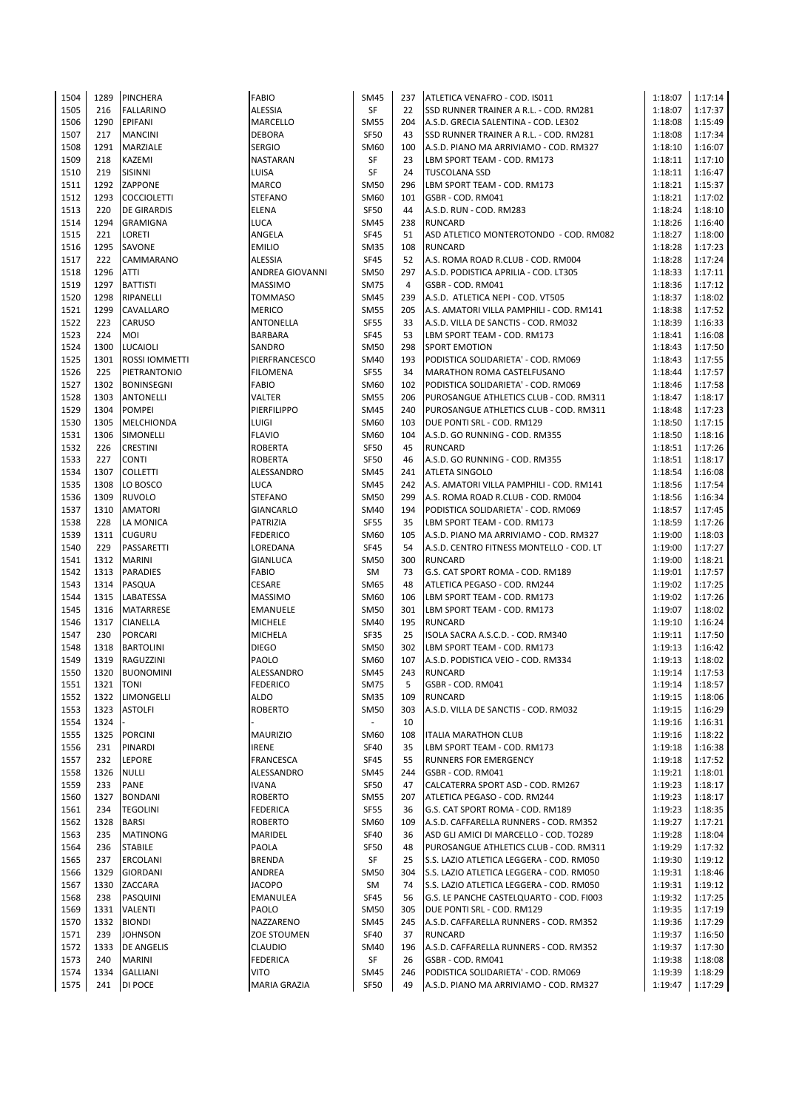| 1504 | 1289       | PINCHERA           | <b>FABIO</b>       | <b>SM45</b>              | 237            | ATLETICA VENAFRO - COD. IS011            | 1:18:07 | 1:17:14 |
|------|------------|--------------------|--------------------|--------------------------|----------------|------------------------------------------|---------|---------|
| 1505 | 216        | <b>FALLARINO</b>   | <b>ALESSIA</b>     | SF                       | 22             | SSD RUNNER TRAINER A R.L. - COD. RM281   | 1:18:07 | 1:17:37 |
|      | 1290       | EPIFANI            |                    | <b>SM55</b>              | 204            |                                          |         |         |
| 1506 |            |                    | MARCELLO           |                          |                | A.S.D. GRECIA SALENTINA - COD. LE302     | 1:18:08 | 1:15:49 |
| 1507 | 217        | <b>MANCINI</b>     | <b>DEBORA</b>      | <b>SF50</b>              | 43             | SSD RUNNER TRAINER A R.L. - COD. RM281   | 1:18:08 | 1:17:34 |
| 1508 | 1291       | <b>MARZIALE</b>    | <b>SERGIO</b>      | SM60                     | 100            | A.S.D. PIANO MA ARRIVIAMO - COD. RM327   | 1:18:10 | 1:16:07 |
| 1509 | 218        | <b>KAZEMI</b>      | NASTARAN           | SF                       | 23             | LBM SPORT TEAM - COD. RM173              | 1:18:11 | 1:17:10 |
| 1510 | 219        | <b>SISINNI</b>     | LUISA              | SF                       | 24             | <b>TUSCOLANA SSD</b>                     | 1:18:11 | 1:16:47 |
| 1511 | 1292       | ZAPPONE            | <b>MARCO</b>       | <b>SM50</b>              | 296            | LBM SPORT TEAM - COD. RM173              | 1:18:21 | 1:15:37 |
|      |            |                    |                    |                          |                |                                          |         |         |
| 1512 | 1293       | <b>COCCIOLETTI</b> | <b>STEFANO</b>     | SM60                     | 101            | GSBR - COD. RM041                        | 1:18:21 | 1:17:02 |
| 1513 | 220        | <b>DE GIRARDIS</b> | <b>ELENA</b>       | <b>SF50</b>              | 44             | A.S.D. RUN - COD. RM283                  | 1:18:24 | 1:18:10 |
| 1514 | 1294       | <b>GRAMIGNA</b>    | <b>LUCA</b>        | <b>SM45</b>              | 238            | <b>RUNCARD</b>                           | 1:18:26 | 1:16:40 |
| 1515 | 221        | LORETI             | ANGELA             | SF45                     | 51             | ASD ATLETICO MONTEROTONDO - COD. RM082   | 1:18:27 | 1:18:00 |
| 1516 | 1295       | SAVONE             | <b>EMILIO</b>      | <b>SM35</b>              | 108            | <b>RUNCARD</b>                           | 1:18:28 | 1:17:23 |
|      |            |                    |                    |                          |                |                                          |         |         |
| 1517 | 222        | CAMMARANO          | ALESSIA            | <b>SF45</b>              | 52             | A.S. ROMA ROAD R.CLUB - COD. RM004       | 1:18:28 | 1:17:24 |
| 1518 | 1296       | <b>ATTI</b>        | ANDREA GIOVANNI    | <b>SM50</b>              | 297            | A.S.D. PODISTICA APRILIA - COD. LT305    | 1:18:33 | 1:17:11 |
| 1519 | 1297       | <b>BATTISTI</b>    | <b>MASSIMO</b>     | <b>SM75</b>              | $\overline{4}$ | GSBR - COD. RM041                        | 1:18:36 | 1:17:12 |
| 1520 | 1298       | RIPANELLI          | <b>TOMMASO</b>     | <b>SM45</b>              | 239            | A.S.D. ATLETICA NEPI - COD. VT505        | 1:18:37 | 1:18:02 |
| 1521 | 1299       | <b>CAVALLARO</b>   | <b>MERICO</b>      | <b>SM55</b>              | 205            | A.S. AMATORI VILLA PAMPHILI - COD. RM141 | 1:18:38 | 1:17:52 |
| 1522 | 223        | <b>CARUSO</b>      | ANTONELLA          | <b>SF55</b>              | 33             | A.S.D. VILLA DE SANCTIS - COD. RM032     | 1:18:39 | 1:16:33 |
|      |            |                    |                    |                          |                |                                          |         |         |
| 1523 | 224        | <b>MOI</b>         | <b>BARBARA</b>     | <b>SF45</b>              | 53             | LBM SPORT TEAM - COD. RM173              | 1:18:41 | 1:16:08 |
| 1524 | 1300       | <b>LUCAIOLI</b>    | SANDRO             | <b>SM50</b>              | 298            | <b>SPORT EMOTION</b>                     | 1:18:43 | 1:17:50 |
| 1525 | 1301       | ROSSI IOMMETTI     | PIERFRANCESCO      | SM40                     | 193            | PODISTICA SOLIDARIETA' - COD. RM069      | 1:18:43 | 1:17:55 |
| 1526 | 225        | PIETRANTONIO       | <b>FILOMENA</b>    | <b>SF55</b>              | 34             | MARATHON ROMA CASTELFUSANO               | 1:18:44 | 1:17:57 |
| 1527 | 1302       | <b>BONINSEGNI</b>  | FABIO              | SM60                     | 102            | PODISTICA SOLIDARIETA' - COD. RM069      | 1:18:46 | 1:17:58 |
|      |            |                    |                    |                          |                |                                          |         |         |
| 1528 | 1303       | <b>ANTONELLI</b>   | VALTER             | <b>SM55</b>              | 206            | PUROSANGUE ATHLETICS CLUB - COD. RM311   | 1:18:47 | 1:18:17 |
| 1529 | 1304       | <b>POMPEI</b>      | PIERFILIPPO        | <b>SM45</b>              | 240            | PUROSANGUE ATHLETICS CLUB - COD. RM311   | 1:18:48 | 1:17:23 |
| 1530 | 1305       | MELCHIONDA         | LUIGI              | SM60                     | 103            | DUE PONTI SRL - COD. RM129               | 1:18:50 | 1:17:15 |
| 1531 | 1306       | SIMONELLI          | <b>FLAVIO</b>      | SM60                     | 104            | A.S.D. GO RUNNING - COD. RM355           | 1:18:50 | 1:18:16 |
| 1532 | 226        | <b>CRESTINI</b>    | <b>ROBERTA</b>     | SF50                     | 45             | <b>RUNCARD</b>                           | 1:18:51 | 1:17:26 |
| 1533 | 227        |                    |                    | <b>SF50</b>              | 46             | A.S.D. GO RUNNING - COD. RM355           | 1:18:51 |         |
|      |            | <b>CONTI</b>       | ROBERTA            |                          |                |                                          |         | 1:18:17 |
| 1534 | 1307       | <b>COLLETTI</b>    | ALESSANDRO         | <b>SM45</b>              | 241            | <b>ATLETA SINGOLO</b>                    | 1:18:54 | 1:16:08 |
| 1535 | 1308       | LO BOSCO           | <b>LUCA</b>        | <b>SM45</b>              | 242            | A.S. AMATORI VILLA PAMPHILI - COD. RM141 | 1:18:56 | 1:17:54 |
| 1536 | 1309       | <b>RUVOLO</b>      | <b>STEFANO</b>     | <b>SM50</b>              | 299            | A.S. ROMA ROAD R.CLUB - COD. RM004       | 1:18:56 | 1:16:34 |
| 1537 | 1310       | <b>AMATORI</b>     | GIANCARLO          | <b>SM40</b>              | 194            | PODISTICA SOLIDARIETA' - COD. RM069      | 1:18:57 | 1:17:45 |
| 1538 | 228        | LA MONICA          | PATRIZIA           | <b>SF55</b>              | 35             | LBM SPORT TEAM - COD. RM173              | 1:18:59 | 1:17:26 |
|      |            |                    |                    |                          |                |                                          |         |         |
| 1539 | 1311       | <b>CUGURU</b>      | <b>FEDERICO</b>    | SM60                     | 105            | A.S.D. PIANO MA ARRIVIAMO - COD. RM327   | 1:19:00 | 1:18:03 |
| 1540 | 229        | PASSARETTI         | LOREDANA           | <b>SF45</b>              | 54             | A.S.D. CENTRO FITNESS MONTELLO - COD. LT | 1:19:00 | 1:17:27 |
| 1541 | 1312       | <b>MARINI</b>      | <b>GIANLUCA</b>    | <b>SM50</b>              | 300            | <b>RUNCARD</b>                           | 1:19:00 | 1:18:21 |
| 1542 | 1313       | <b>PARADIES</b>    | <b>FABIO</b>       | SM                       | 73             | G.S. CAT SPORT ROMA - COD. RM189         | 1:19:01 | 1:17:57 |
| 1543 | 1314       | PASQUA             | <b>CESARE</b>      | <b>SM65</b>              | 48             | ATLETICA PEGASO - COD. RM244             | 1:19:02 | 1:17:25 |
|      |            |                    |                    |                          |                |                                          |         |         |
| 1544 | 1315       | LABATESSA          | <b>MASSIMO</b>     | SM60                     | 106            | LBM SPORT TEAM - COD. RM173              | 1:19:02 | 1:17:26 |
| 1545 | 1316       | <b>MATARRESE</b>   | EMANUELE           | <b>SM50</b>              | 301            | LBM SPORT TEAM - COD. RM173              | 1:19:07 | 1:18:02 |
| 1546 | 1317       | <b>CIANELLA</b>    | <b>MICHELE</b>     | <b>SM40</b>              | 195            | <b>RUNCARD</b>                           | 1:19:10 | 1:16:24 |
| 1547 | 230        | <b>PORCARI</b>     | MICHELA            | SF35                     | 25             | ISOLA SACRA A.S.C.D. - COD. RM340        | 1:19:11 | 1:17:50 |
| 1548 | 1318       | <b>BARTOLINI</b>   | <b>DIEGO</b>       | <b>SM50</b>              | 302            | LBM SPORT TEAM - COD. RM173              | 1:19:13 | 1:16:42 |
| 1549 | 1319       | RAGUZZINI          | PAOLO              | SM60                     | 107            | A.S.D. PODISTICA VEIO - COD. RM334       | 1:19:13 | 1:18:02 |
|      |            |                    |                    |                          |                |                                          |         |         |
| 1550 | 1320       | <b>BUONOMINI</b>   | ALESSANDRO         | <b>SM45</b>              | 243            | <b>RUNCARD</b>                           | 1:19:14 | 1:17:53 |
| 1551 | 1321  TONI |                    | <b>FEDERICO</b>    | SM75                     | 5              | GSBR - COD. RM041                        | 1:19:14 | 1:18:57 |
| 1552 | 1322       | LIMONGELLI         | <b>ALDO</b>        | <b>SM35</b>              | 109            | <b>RUNCARD</b>                           | 1:19:15 | 1:18:06 |
| 1553 | 1323       | <b>ASTOLFI</b>     | <b>ROBERTO</b>     | SM50                     | 303            | A.S.D. VILLA DE SANCTIS - COD. RM032     | 1:19:15 | 1:16:29 |
| 1554 | 1324       |                    |                    | $\overline{\phantom{a}}$ | 10             |                                          | 1:19:16 | 1:16:31 |
|      | 1325       |                    |                    |                          |                |                                          |         |         |
| 1555 |            | <b>PORCINI</b>     | <b>MAURIZIO</b>    | SM60                     | 108            | <b>ITALIA MARATHON CLUB</b>              | 1:19:16 | 1:18:22 |
| 1556 | 231        | PINARDI            | IRENE              | <b>SF40</b>              | 35             | LBM SPORT TEAM - COD. RM173              | 1:19:18 | 1:16:38 |
| 1557 | 232        | LEPORE             | FRANCESCA          | <b>SF45</b>              | 55             | <b>RUNNERS FOR EMERGENCY</b>             | 1:19:18 | 1:17:52 |
| 1558 | 1326       | <b>NULLI</b>       | ALESSANDRO         | <b>SM45</b>              | 244            | GSBR - COD. RM041                        | 1:19:21 | 1:18:01 |
| 1559 | 233        | PANE               | <b>IVANA</b>       | SF50                     | 47             | CALCATERRA SPORT ASD - COD. RM267        | 1:19:23 | 1:18:17 |
| 1560 | 1327       | <b>BONDANI</b>     | <b>ROBERTO</b>     | <b>SM55</b>              | 207            | ATLETICA PEGASO - COD. RM244             | 1:19:23 | 1:18:17 |
|      |            |                    |                    |                          |                |                                          |         |         |
| 1561 | 234        | <b>TEGOLINI</b>    | <b>FEDERICA</b>    | <b>SF55</b>              | 36             | G.S. CAT SPORT ROMA - COD. RM189         | 1:19:23 | 1:18:35 |
| 1562 | 1328       | <b>BARSI</b>       | <b>ROBERTO</b>     | SM60                     | 109            | A.S.D. CAFFARELLA RUNNERS - COD. RM352   | 1:19:27 | 1:17:21 |
| 1563 | 235        | <b>MATINONG</b>    | MARIDEL            | <b>SF40</b>              | 36             | ASD GLI AMICI DI MARCELLO - COD. TO289   | 1:19:28 | 1:18:04 |
| 1564 | 236        | <b>STABILE</b>     | PAOLA              | <b>SF50</b>              | 48             | PUROSANGUE ATHLETICS CLUB - COD. RM311   | 1:19:29 | 1:17:32 |
| 1565 | 237        | <b>ERCOLANI</b>    | <b>BRENDA</b>      | SF                       | 25             | S.S. LAZIO ATLETICA LEGGERA - COD. RM050 | 1:19:30 | 1:19:12 |
| 1566 | 1329       | <b>GIORDANI</b>    | ANDREA             | <b>SM50</b>              | 304            | S.S. LAZIO ATLETICA LEGGERA - COD. RM050 | 1:19:31 | 1:18:46 |
|      |            |                    |                    |                          |                |                                          |         |         |
| 1567 | 1330       | ZACCARA            | <b>JACOPO</b>      | SM                       | 74             | S.S. LAZIO ATLETICA LEGGERA - COD. RM050 | 1:19:31 | 1:19:12 |
| 1568 | 238        | PASQUINI           | EMANULEA           | SF45                     | 56             | G.S. LE PANCHE CASTELQUARTO - COD. FI003 | 1:19:32 | 1:17:25 |
| 1569 | 1331       | <b>VALENTI</b>     | PAOLO              | <b>SM50</b>              | 305            | DUE PONTI SRL - COD. RM129               | 1:19:35 | 1:17:19 |
| 1570 | 1332       | <b>BIONDI</b>      | NAZZARENO          | <b>SM45</b>              | 245            | A.S.D. CAFFARELLA RUNNERS - COD. RM352   | 1:19:36 | 1:17:29 |
| 1571 | 239        | <b>JOHNSON</b>     | <b>ZOE STOUMEN</b> | SF40                     | 37             | <b>RUNCARD</b>                           | 1:19:37 | 1:16:50 |
| 1572 | 1333       |                    |                    |                          | 196            |                                          |         | 1:17:30 |
|      |            | <b>DE ANGELIS</b>  | <b>CLAUDIO</b>     | SM40                     |                | A.S.D. CAFFARELLA RUNNERS - COD. RM352   | 1:19:37 |         |
| 1573 | 240        | <b>MARINI</b>      | <b>FEDERICA</b>    | SF                       | 26             | GSBR - COD. RM041                        | 1:19:38 | 1:18:08 |
| 1574 | 1334       | <b>GALLIANI</b>    | VITO               | <b>SM45</b>              | 246            | PODISTICA SOLIDARIETA' - COD. RM069      | 1:19:39 | 1:18:29 |
| 1575 | 241        | DI POCE            | MARIA GRAZIA       | SF50                     | 49             | A.S.D. PIANO MA ARRIVIAMO - COD. RM327   | 1:19:47 | 1:17:29 |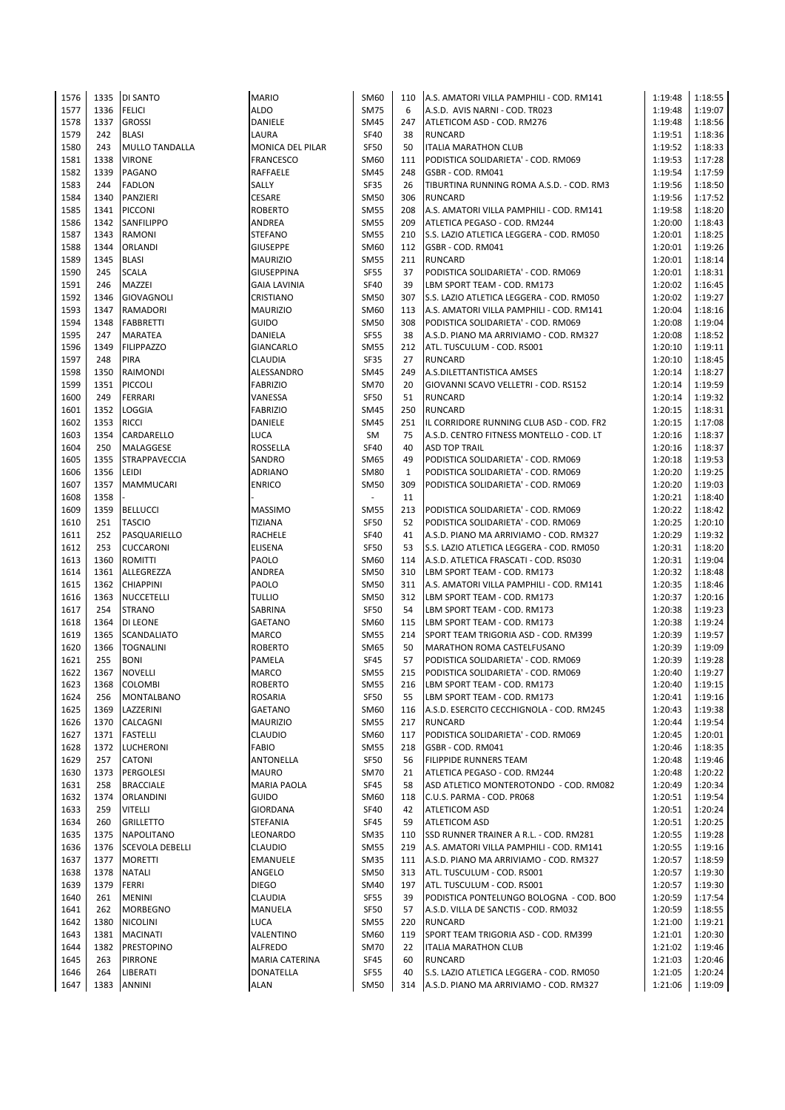| 1576 | 1335 | <b>DI SANTO</b>        | <b>MARIO</b>            | SM60                     | 110          | A.S. AMATORI VILLA PAMPHILI - COD. RM141 | 1:19:48 | 1:18:55 |
|------|------|------------------------|-------------------------|--------------------------|--------------|------------------------------------------|---------|---------|
| 1577 | 1336 | <b>FELICI</b>          | <b>ALDO</b>             | <b>SM75</b>              | 6            | A.S.D. AVIS NARNI - COD. TR023           | 1:19:48 | 1:19:07 |
| 1578 | 1337 | <b>GROSSI</b>          | DANIELE                 | <b>SM45</b>              | 247          | ATLETICOM ASD - COD. RM276               | 1:19:48 | 1:18:56 |
| 1579 | 242  | <b>BLASI</b>           | LAURA                   | <b>SF40</b>              | 38           | <b>RUNCARD</b>                           | 1:19:51 | 1:18:36 |
| 1580 | 243  | MULLO TANDALLA         | <b>MONICA DEL PILAR</b> | <b>SF50</b>              | 50           | <b>ITALIA MARATHON CLUB</b>              | 1:19:52 | 1:18:33 |
| 1581 | 1338 | <b>VIRONE</b>          | <b>FRANCESCO</b>        | SM60                     | 111          | PODISTICA SOLIDARIETA' - COD. RM069      | 1:19:53 | 1:17:28 |
| 1582 | 1339 | <b>PAGANO</b>          | <b>RAFFAELE</b>         | <b>SM45</b>              | 248          | GSBR - COD. RM041                        | 1:19:54 | 1:17:59 |
| 1583 | 244  | <b>FADLON</b>          | SALLY                   | SF35                     | 26           | TIBURTINA RUNNING ROMA A.S.D. - COD. RM3 | 1:19:56 | 1:18:50 |
| 1584 | 1340 |                        | <b>CESARE</b>           | <b>SM50</b>              | 306          | <b>RUNCARD</b>                           | 1:19:56 | 1:17:52 |
|      |      | PANZIERI               |                         |                          |              |                                          |         |         |
| 1585 | 1341 | <b>PICCONI</b>         | <b>ROBERTO</b>          | <b>SM55</b>              | 208          | A.S. AMATORI VILLA PAMPHILI - COD. RM141 | 1:19:58 | 1:18:20 |
| 1586 | 1342 | SANFILIPPO             | ANDREA                  | <b>SM55</b>              | 209          | ATLETICA PEGASO - COD. RM244             | 1:20:00 | 1:18:43 |
| 1587 | 1343 | <b>RAMONI</b>          | <b>STEFANO</b>          | <b>SM55</b>              | 210          | S.S. LAZIO ATLETICA LEGGERA - COD. RM050 | 1:20:01 | 1:18:25 |
| 1588 | 1344 | ORLANDI                | <b>GIUSEPPE</b>         | SM60                     | 112          | GSBR - COD. RM041                        | 1:20:01 | 1:19:26 |
| 1589 | 1345 | <b>BLASI</b>           | <b>MAURIZIO</b>         | <b>SM55</b>              | 211          | <b>RUNCARD</b>                           | 1:20:01 | 1:18:14 |
| 1590 | 245  | <b>SCALA</b>           | <b>GIUSEPPINA</b>       | SF55                     | 37           | PODISTICA SOLIDARIETA' - COD. RM069      | 1:20:01 | 1:18:31 |
| 1591 | 246  | MAZZEI                 | <b>GAIA LAVINIA</b>     | SF40                     | 39           | LBM SPORT TEAM - COD. RM173              | 1:20:02 | 1:16:45 |
| 1592 | 1346 | <b>GIOVAGNOLI</b>      | <b>CRISTIANO</b>        | <b>SM50</b>              | 307          | S.S. LAZIO ATLETICA LEGGERA - COD. RM050 | 1:20:02 | 1:19:27 |
| 1593 | 1347 | <b>RAMADORI</b>        | <b>MAURIZIO</b>         | SM60                     | 113          | A.S. AMATORI VILLA PAMPHILI - COD. RM141 | 1:20:04 | 1:18:16 |
| 1594 | 1348 | <b>FABBRETTI</b>       | <b>GUIDO</b>            | <b>SM50</b>              | 308          | PODISTICA SOLIDARIETA' - COD. RM069      | 1:20:08 | 1:19:04 |
| 1595 | 247  |                        | DANIELA                 | SF55                     | 38           |                                          | 1:20:08 | 1:18:52 |
|      |      | MARATEA                |                         |                          |              | A.S.D. PIANO MA ARRIVIAMO - COD. RM327   |         |         |
| 1596 | 1349 | <b>FILIPPAZZO</b>      | <b>GIANCARLO</b>        | <b>SM55</b>              | 212          | ATL. TUSCULUM - COD. RS001               | 1:20:10 | 1:19:11 |
| 1597 | 248  | <b>PIRA</b>            | <b>CLAUDIA</b>          | SF35                     | 27           | <b>RUNCARD</b>                           | 1:20:10 | 1:18:45 |
| 1598 | 1350 | RAIMONDI               | ALESSANDRO              | <b>SM45</b>              | 249          | A.S.DILETTANTISTICA AMSES                | 1:20:14 | 1:18:27 |
| 1599 | 1351 | <b>PICCOLI</b>         | <b>FABRIZIO</b>         | <b>SM70</b>              | 20           | GIOVANNI SCAVO VELLETRI - COD. RS152     | 1:20:14 | 1:19:59 |
| 1600 | 249  | <b>FERRARI</b>         | VANESSA                 | SF50                     | 51           | <b>RUNCARD</b>                           | 1:20:14 | 1:19:32 |
| 1601 | 1352 | LOGGIA                 | <b>FABRIZIO</b>         | <b>SM45</b>              | 250          | <b>RUNCARD</b>                           | 1:20:15 | 1:18:31 |
| 1602 | 1353 | <b>RICCI</b>           | <b>DANIELE</b>          | <b>SM45</b>              | 251          | IL CORRIDORE RUNNING CLUB ASD - COD. FR2 | 1:20:15 | 1:17:08 |
| 1603 | 1354 | CARDARELLO             | <b>LUCA</b>             | SM                       | 75           | A.S.D. CENTRO FITNESS MONTELLO - COD. LT | 1:20:16 | 1:18:37 |
| 1604 | 250  | MALAGGESE              | ROSSELLA                | SF40                     | 40           | <b>ASD TOP TRAIL</b>                     | 1:20:16 | 1:18:37 |
| 1605 | 1355 | <b>STRAPPAVECCIA</b>   | SANDRO                  | <b>SM65</b>              | 49           | PODISTICA SOLIDARIETA' - COD. RM069      | 1:20:18 | 1:19:53 |
|      |      |                        |                         |                          |              |                                          |         |         |
| 1606 | 1356 | LEIDI                  | <b>ADRIANO</b>          | <b>SM80</b>              | $\mathbf{1}$ | PODISTICA SOLIDARIETA' - COD. RM069      | 1:20:20 | 1:19:25 |
| 1607 | 1357 | MAMMUCARI              | <b>ENRICO</b>           | <b>SM50</b>              | 309          | PODISTICA SOLIDARIETA' - COD. RM069      | 1:20:20 | 1:19:03 |
| 1608 | 1358 |                        |                         | $\overline{\phantom{a}}$ | 11           |                                          | 1:20:21 | 1:18:40 |
| 1609 |      | 1359 BELLUCCI          | <b>MASSIMO</b>          | <b>SM55</b>              | 213          | PODISTICA SOLIDARIETA' - COD. RM069      | 1:20:22 | 1:18:42 |
| 1610 | 251  | <b>TASCIO</b>          | <b>TIZIANA</b>          | <b>SF50</b>              | 52           | PODISTICA SOLIDARIETA' - COD. RM069      | 1:20:25 | 1:20:10 |
| 1611 | 252  | PASQUARIELLO           | <b>RACHELE</b>          | <b>SF40</b>              | 41           | A.S.D. PIANO MA ARRIVIAMO - COD. RM327   | 1:20:29 | 1:19:32 |
| 1612 | 253  | <b>CUCCARONI</b>       | <b>ELISENA</b>          | <b>SF50</b>              | 53           | S.S. LAZIO ATLETICA LEGGERA - COD. RM050 | 1:20:31 | 1:18:20 |
| 1613 | 1360 | <b>ROMITTI</b>         | <b>PAOLO</b>            | SM60                     | 114          | A.S.D. ATLETICA FRASCATI - COD. RS030    | 1:20:31 | 1:19:04 |
| 1614 |      | 1361 ALLEGREZZA        | <b>ANDREA</b>           | <b>SM50</b>              | 310          | LBM SPORT TEAM - COD. RM173              | 1:20:32 | 1:18:48 |
| 1615 | 1362 | <b>CHIAPPINI</b>       | PAOLO                   | <b>SM50</b>              | 311          | A.S. AMATORI VILLA PAMPHILI - COD. RM141 | 1:20:35 | 1:18:46 |
| 1616 | 1363 | <b>NUCCETELLI</b>      | <b>TULLIO</b>           | <b>SM50</b>              | 312          | LBM SPORT TEAM - COD. RM173              | 1:20:37 | 1:20:16 |
| 1617 | 254  | <b>STRANO</b>          | SABRINA                 | <b>SF50</b>              | 54           | LBM SPORT TEAM - COD. RM173              | 1:20:38 | 1:19:23 |
|      |      |                        |                         |                          |              |                                          |         |         |
| 1618 | 1364 | DI LEONE               | <b>GAETANO</b>          | SM60                     | 115          | LBM SPORT TEAM - COD. RM173              | 1:20:38 | 1:19:24 |
| 1619 | 1365 | <b>SCANDALIATO</b>     | <b>MARCO</b>            | <b>SM55</b>              | 214          | SPORT TEAM TRIGORIA ASD - COD. RM399     | 1:20:39 | 1:19:57 |
| 1620 | 1366 | <b>TOGNALINI</b>       | <b>ROBERTO</b>          | <b>SM65</b>              | 50           | MARATHON ROMA CASTELFUSANO               | 1:20:39 | 1:19:09 |
| 1621 | 255  | <b>BONI</b>            | <b>PAMELA</b>           | SF45                     | 57           | PODISTICA SOLIDARIETA' - COD. RM069      | 1:20:39 | 1:19:28 |
| 1622 | 1367 | <b>NOVELLI</b>         | <b>MARCO</b>            | <b>SM55</b>              | 215          | PODISTICA SOLIDARIETA' - COD. RM069      | 1:20:40 | 1:19:27 |
| 1623 | 1368 | <b>COLOMBI</b>         | <b>ROBERTO</b>          | <b>SM55</b>              |              | 216 LBM SPORT TEAM - COD. RM173          | 1:20:40 | 1:19:15 |
| 1624 | 256  | <b>MONTALBANO</b>      | ROSARIA                 | <b>SF50</b>              | 55           | LBM SPORT TEAM - COD. RM173              | 1:20:41 | 1:19:16 |
| 1625 | 1369 | LAZZERINI              | GAETANO                 | SM60                     | 116          | A.S.D. ESERCITO CECCHIGNOLA - COD. RM245 | 1:20:43 | 1:19:38 |
| 1626 | 1370 | CALCAGNI               | <b>MAURIZIO</b>         | <b>SM55</b>              | 217          | RUNCARD                                  | 1:20:44 | 1:19:54 |
| 1627 | 1371 | <b>FASTELLI</b>        | CLAUDIO                 | SM60                     | 117          | PODISTICA SOLIDARIETA' - COD. RM069      | 1:20:45 | 1:20:01 |
|      |      |                        |                         |                          |              |                                          |         |         |
| 1628 |      | 1372 LUCHERONI         | <b>FABIO</b>            | <b>SM55</b>              | 218          | GSBR - COD. RM041                        | 1:20:46 | 1:18:35 |
| 1629 | 257  | <b>CATONI</b>          | ANTONELLA               | SF50                     | 56           | <b>FILIPPIDE RUNNERS TEAM</b>            | 1:20:48 | 1:19:46 |
| 1630 | 1373 | <b>PERGOLESI</b>       | MAURO                   | <b>SM70</b>              | 21           | ATLETICA PEGASO - COD. RM244             | 1:20:48 | 1:20:22 |
| 1631 | 258  | <b>BRACCIALE</b>       | <b>MARIA PAOLA</b>      | SF45                     | 58           | ASD ATLETICO MONTEROTONDO - COD. RM082   | 1:20:49 | 1:20:34 |
| 1632 | 1374 | ORLANDINI              | GUIDO                   | SM60                     | 118          | C.U.S. PARMA - COD. PR068                | 1:20:51 | 1:19:54 |
| 1633 | 259  | <b>VITELLI</b>         | <b>GIORDANA</b>         | SF40                     | 42           | <b>ATLETICOM ASD</b>                     | 1:20:51 | 1:20:24 |
| 1634 | 260  | <b>GRILLETTO</b>       | STEFANIA                | SF45                     | 59           | <b>ATLETICOM ASD</b>                     | 1:20:51 | 1:20:25 |
| 1635 | 1375 | <b>NAPOLITANO</b>      | LEONARDO                | <b>SM35</b>              | 110          | SSD RUNNER TRAINER A R.L. - COD. RM281   | 1:20:55 | 1:19:28 |
| 1636 | 1376 | <b>SCEVOLA DEBELLI</b> | CLAUDIO                 | <b>SM55</b>              | 219          | A.S. AMATORI VILLA PAMPHILI - COD. RM141 | 1:20:55 | 1:19:16 |
| 1637 | 1377 | <b>MORETTI</b>         | EMANUELE                | <b>SM35</b>              | 111          | A.S.D. PIANO MA ARRIVIAMO - COD. RM327   | 1:20:57 | 1:18:59 |
| 1638 | 1378 |                        | ANGELO                  | <b>SM50</b>              | 313          |                                          | 1:20:57 | 1:19:30 |
|      |      | <b>NATALI</b>          |                         |                          |              | ATL. TUSCULUM - COD. RS001               |         |         |
| 1639 | 1379 | FERRI                  | DIEGO                   | SM40                     | 197          | ATL. TUSCULUM - COD. RS001               | 1:20:57 | 1:19:30 |
| 1640 | 261  | <b>MENINI</b>          | CLAUDIA                 | <b>SF55</b>              | 39           | PODISTICA PONTELUNGO BOLOGNA - COD. BOO  | 1:20:59 | 1:17:54 |
| 1641 | 262  | <b>MORBEGNO</b>        | MANUELA                 | SF50                     | 57           | A.S.D. VILLA DE SANCTIS - COD. RM032     | 1:20:59 | 1:18:55 |
| 1642 | 1380 | <b>NICOLINI</b>        | LUCA                    | <b>SM55</b>              | 220          | <b>RUNCARD</b>                           | 1:21:00 | 1:19:21 |
| 1643 | 1381 | <b>MACINATI</b>        | VALENTINO               | SM60                     | 119          | SPORT TEAM TRIGORIA ASD - COD. RM399     | 1:21:01 | 1:20:30 |
| 1644 | 1382 | <b>PRESTOPINO</b>      | <b>ALFREDO</b>          | <b>SM70</b>              | 22           | <b>ITALIA MARATHON CLUB</b>              | 1:21:02 | 1:19:46 |
| 1645 | 263  | <b>PIRRONE</b>         | <b>MARIA CATERINA</b>   | SF45                     | 60           | <b>RUNCARD</b>                           | 1:21:03 | 1:20:46 |
| 1646 | 264  | LIBERATI               | <b>DONATELLA</b>        | SF55                     | 40           | S.S. LAZIO ATLETICA LEGGERA - COD. RM050 | 1:21:05 | 1:20:24 |
| 1647 | 1383 | <b>ANNINI</b>          | ALAN                    | <b>SM50</b>              | 314          | A.S.D. PIANO MA ARRIVIAMO - COD. RM327   | 1:21:06 | 1:19:09 |
|      |      |                        |                         |                          |              |                                          |         |         |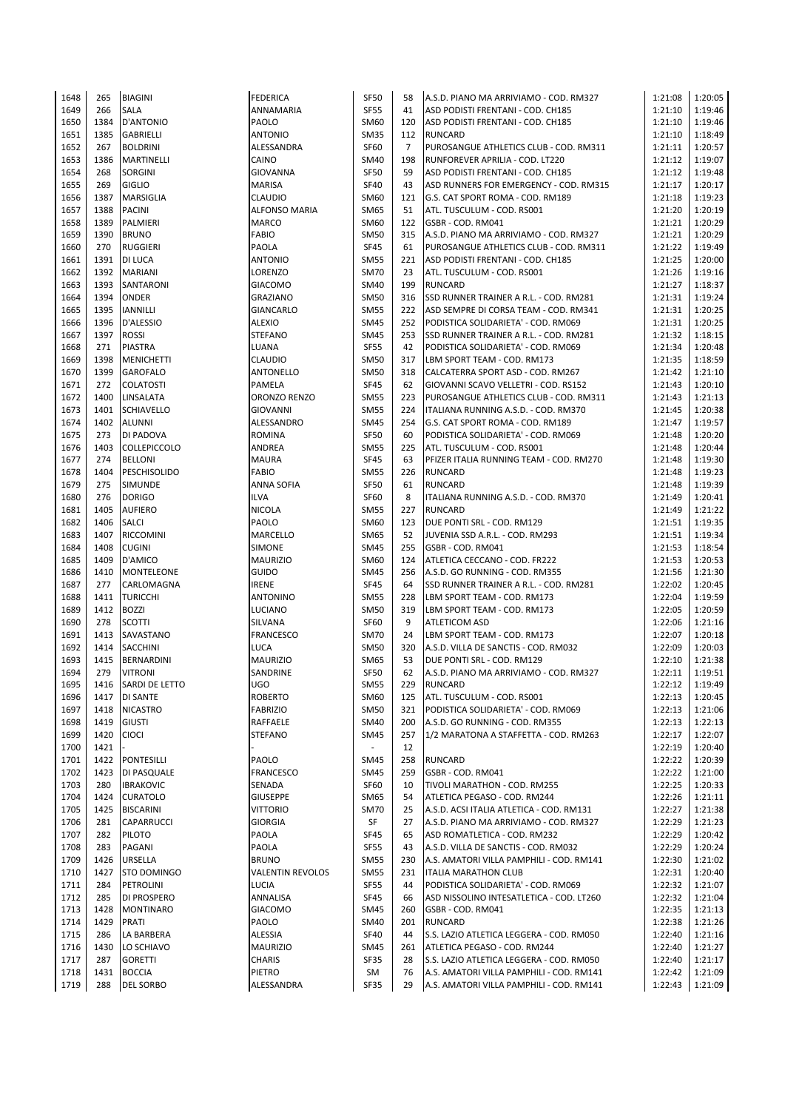| 1648 | 265  | <b>BIAGINI</b>      | <b>FEDERICA</b>         | SF50        | 58             | A.S.D. PIANO MA ARRIVIAMO - COD. RM327   | 1:21:08 | 1:20:05 |
|------|------|---------------------|-------------------------|-------------|----------------|------------------------------------------|---------|---------|
|      |      |                     |                         |             |                |                                          |         |         |
| 1649 | 266  | SALA                | ANNAMARIA               | <b>SF55</b> | 41             | ASD PODISTI FRENTANI - COD. CH185        | 1:21:10 | 1:19:46 |
| 1650 | 1384 | <b>D'ANTONIO</b>    | PAOLO                   | SM60        | 120            | ASD PODISTI FRENTANI - COD. CH185        | 1:21:10 | 1:19:46 |
| 1651 | 1385 | GABRIELLI           | <b>ANTONIO</b>          | <b>SM35</b> | 112            | <b>RUNCARD</b>                           | 1:21:10 | 1:18:49 |
| 1652 | 267  | <b>BOLDRINI</b>     | ALESSANDRA              | <b>SF60</b> | $\overline{7}$ | PUROSANGUE ATHLETICS CLUB - COD. RM311   | 1:21:11 | 1:20:57 |
| 1653 | 1386 | MARTINELLI          | CAINO                   | SM40        | 198            | RUNFOREVER APRILIA - COD. LT220          | 1:21:12 | 1:19:07 |
|      |      |                     |                         |             |                |                                          |         |         |
| 1654 | 268  | <b>SORGINI</b>      | <b>GIOVANNA</b>         | <b>SF50</b> | 59             | ASD PODISTI FRENTANI - COD. CH185        | 1:21:12 | 1:19:48 |
| 1655 | 269  | <b>GIGLIO</b>       | <b>MARISA</b>           | <b>SF40</b> | 43             | ASD RUNNERS FOR EMERGENCY - COD. RM315   | 1:21:17 | 1:20:17 |
| 1656 | 1387 | MARSIGLIA           | <b>CLAUDIO</b>          | SM60        | 121            | G.S. CAT SPORT ROMA - COD. RM189         | 1:21:18 | 1:19:23 |
| 1657 | 1388 | <b>PACINI</b>       | <b>ALFONSO MARIA</b>    | <b>SM65</b> | 51             |                                          | 1:21:20 | 1:20:19 |
|      |      |                     |                         |             |                | ATL. TUSCULUM - COD. RS001               |         |         |
| 1658 | 1389 | PALMIERI            | <b>MARCO</b>            | SM60        | 122            | GSBR - COD. RM041                        | 1:21:21 | 1:20:29 |
| 1659 | 1390 | <b>BRUNO</b>        | <b>FABIO</b>            | <b>SM50</b> | 315            | A.S.D. PIANO MA ARRIVIAMO - COD. RM327   | 1:21:21 | 1:20:29 |
| 1660 | 270  | <b>RUGGIERI</b>     | PAOLA                   | SF45        | 61             | PUROSANGUE ATHLETICS CLUB - COD. RM311   | 1:21:22 | 1:19:49 |
| 1661 | 1391 | <b>DI LUCA</b>      | <b>ANTONIO</b>          | <b>SM55</b> | 221            | ASD PODISTI FRENTANI - COD. CH185        | 1:21:25 | 1:20:00 |
|      |      |                     |                         |             |                |                                          |         |         |
| 1662 | 1392 | <b>MARIANI</b>      | LORENZO                 | <b>SM70</b> | 23             | ATL. TUSCULUM - COD. RS001               | 1:21:26 | 1:19:16 |
| 1663 | 1393 | SANTARONI           | <b>GIACOMO</b>          | SM40        | 199            | <b>RUNCARD</b>                           | 1:21:27 | 1:18:37 |
| 1664 | 1394 | <b>ONDER</b>        | GRAZIANO                | <b>SM50</b> | 316            | SSD RUNNER TRAINER A R.L. - COD. RM281   | 1:21:31 | 1:19:24 |
| 1665 | 1395 | <b>IANNILLI</b>     | GIANCARLO               | <b>SM55</b> | 222            | ASD SEMPRE DI CORSA TEAM - COD. RM341    | 1:21:31 | 1:20:25 |
|      |      |                     |                         |             |                |                                          |         |         |
| 1666 | 1396 | D'ALESSIO           | <b>ALEXIO</b>           | <b>SM45</b> | 252            | PODISTICA SOLIDARIETA' - COD. RM069      | 1:21:31 | 1:20:25 |
| 1667 | 1397 | <b>ROSSI</b>        | <b>STEFANO</b>          | <b>SM45</b> | 253            | SSD RUNNER TRAINER A R.L. - COD. RM281   | 1:21:32 | 1:18:15 |
| 1668 | 271  | <b>PIASTRA</b>      | <b>LUANA</b>            | <b>SF55</b> | 42             | PODISTICA SOLIDARIETA' - COD. RM069      | 1:21:34 | 1:20:48 |
| 1669 | 1398 | <b>MENICHETTI</b>   | CLAUDIO                 | <b>SM50</b> | 317            | LBM SPORT TEAM - COD. RM173              | 1:21:35 | 1:18:59 |
|      |      |                     |                         |             |                |                                          |         |         |
| 1670 | 1399 | <b>GAROFALO</b>     | ANTONELLO               | <b>SM50</b> | 318            | CALCATERRA SPORT ASD - COD. RM267        | 1:21:42 | 1:21:10 |
| 1671 | 272  | <b>COLATOSTI</b>    | PAMELA                  | <b>SF45</b> | 62             | GIOVANNI SCAVO VELLETRI - COD. RS152     | 1:21:43 | 1:20:10 |
| 1672 | 1400 | LINSALATA           | ORONZO RENZO            | <b>SM55</b> | 223            | PUROSANGUE ATHLETICS CLUB - COD. RM311   | 1:21:43 | 1:21:13 |
| 1673 | 1401 | <b>SCHIAVELLO</b>   | GIOVANNI                | <b>SM55</b> | 224            | ITALIANA RUNNING A.S.D. - COD. RM370     | 1:21:45 | 1:20:38 |
|      |      |                     |                         |             |                |                                          |         |         |
| 1674 |      | 1402 ALUNNI         | ALESSANDRO              | <b>SM45</b> | 254            | G.S. CAT SPORT ROMA - COD. RM189         | 1:21:47 | 1:19:57 |
| 1675 | 273  | DI PADOVA           | <b>ROMINA</b>           | SF50        | 60             | PODISTICA SOLIDARIETA' - COD. RM069      | 1:21:48 | 1:20:20 |
| 1676 | 1403 | <b>COLLEPICCOLO</b> | ANDREA                  | <b>SM55</b> | 225            | ATL. TUSCULUM - COD. RS001               | 1:21:48 | 1:20:44 |
| 1677 | 274  | <b>BELLONI</b>      | <b>MAURA</b>            | SF45        | 63             | PFIZER ITALIA RUNNING TEAM - COD. RM270  | 1:21:48 | 1:19:30 |
|      |      |                     |                         |             |                |                                          |         |         |
| 1678 | 1404 | PESCHISOLIDO        | <b>FABIO</b>            | <b>SM55</b> | 226            | <b>RUNCARD</b>                           | 1:21:48 | 1:19:23 |
| 1679 | 275  | SIMUNDE             | ANNA SOFIA              | SF50        | 61             | <b>RUNCARD</b>                           | 1:21:48 | 1:19:39 |
| 1680 | 276  | <b>DORIGO</b>       | ILVA                    | <b>SF60</b> | 8              | ITALIANA RUNNING A.S.D. - COD. RM370     | 1:21:49 | 1:20:41 |
| 1681 | 1405 | <b>AUFIERO</b>      | NICOLA                  | <b>SM55</b> | 227            | <b>RUNCARD</b>                           | 1:21:49 | 1:21:22 |
|      |      |                     |                         |             |                |                                          |         |         |
| 1682 | 1406 | <b>SALCI</b>        | PAOLO                   | SM60        | 123            | DUE PONTI SRL - COD. RM129               | 1:21:51 | 1:19:35 |
| 1683 | 1407 | <b>RICCOMINI</b>    | MARCELLO                | SM65        | 52             | JUVENIA SSD A.R.L. - COD. RM293          | 1:21:51 | 1:19:34 |
| 1684 | 1408 | <b>CUGINI</b>       | SIMONE                  | <b>SM45</b> | 255            | GSBR - COD. RM041                        | 1:21:53 | 1:18:54 |
| 1685 | 1409 | D'AMICO             | <b>MAURIZIO</b>         | SM60        | 124            | ATLETICA CECCANO - COD. FR222            | 1:21:53 | 1:20:53 |
|      |      |                     |                         |             |                |                                          |         |         |
| 1686 | 1410 | <b>MONTELEONE</b>   | <b>GUIDO</b>            | <b>SM45</b> | 256            | A.S.D. GO RUNNING - COD. RM355           | 1:21:56 | 1:21:30 |
| 1687 | 277  | CARLOMAGNA          | <b>IRENE</b>            | SF45        | 64             | SSD RUNNER TRAINER A R.L. - COD. RM281   | 1:22:02 | 1:20:45 |
| 1688 | 1411 | <b>TURICCHI</b>     | ANTONINO                | <b>SM55</b> | 228            | LBM SPORT TEAM - COD. RM173              | 1:22:04 | 1:19:59 |
| 1689 | 1412 | <b>BOZZI</b>        | LUCIANO                 | <b>SM50</b> | 319            | LBM SPORT TEAM - COD. RM173              | 1:22:05 | 1:20:59 |
|      |      |                     |                         |             |                |                                          |         |         |
| 1690 | 278  | <b>SCOTTI</b>       | SILVANA                 | SF60        | 9              | <b>ATLETICOM ASD</b>                     | 1:22:06 | 1:21:16 |
| 1691 | 1413 | SAVASTANO           | FRANCESCO               | <b>SM70</b> | 24             | LBM SPORT TEAM - COD. RM173              | 1:22:07 | 1:20:18 |
| 1692 | 1414 | <b>SACCHINI</b>     | LUCA                    | <b>SM50</b> | 320            | A.S.D. VILLA DE SANCTIS - COD. RM032     | 1:22:09 | 1:20:03 |
| 1693 | 1415 | BERNARDINI          | <b>MAURIZIO</b>         | SM65        | 53             | DUE PONTI SRL - COD. RM129               | 1:22:10 | 1:21:38 |
| 1694 | 279  | <b>VITRONI</b>      | SANDRINE                | <b>SF50</b> | 62             | A.S.D. PIANO MA ARRIVIAMO - COD. RM327   | 1:22:11 | 1:19:51 |
|      |      |                     |                         |             |                |                                          |         |         |
| 1695 | 1416 | SARDI DE LETTO      | UGO                     | <b>SM55</b> | 229            | <b>RUNCARD</b>                           | 1:22:12 | 1:19:49 |
| 1696 | 1417 | <b>DI SANTE</b>     | <b>ROBERTO</b>          | SM60        | 125            | ATL. TUSCULUM - COD. RS001               | 1:22:13 | 1:20:45 |
| 1697 | 1418 | <b>NICASTRO</b>     | <b>FABRIZIO</b>         | <b>SM50</b> | 321            | PODISTICA SOLIDARIETA' - COD. RM069      | 1:22:13 | 1:21:06 |
| 1698 | 1419 | <b>GIUSTI</b>       | RAFFAELE                | SM40        | 200            | A.S.D. GO RUNNING - COD. RM355           | 1:22:13 | 1:22:13 |
|      |      |                     |                         |             |                |                                          |         |         |
| 1699 | 1420 | <b>CIOCI</b>        | STEFANO                 | <b>SM45</b> | 257            | 1/2 MARATONA A STAFFETTA - COD. RM263    | 1:22:17 | 1:22:07 |
| 1700 | 1421 |                     |                         |             | 12             |                                          | 1:22:19 | 1:20:40 |
| 1701 | 1422 | <b>PONTESILLI</b>   | PAOLO                   | <b>SM45</b> | 258            | <b>RUNCARD</b>                           | 1:22:22 | 1:20:39 |
| 1702 | 1423 | DI PASQUALE         | <b>FRANCESCO</b>        | <b>SM45</b> | 259            | GSBR - COD. RM041                        | 1:22:22 | 1:21:00 |
|      |      |                     |                         |             |                |                                          |         |         |
| 1703 | 280  | <b>IBRAKOVIC</b>    | SENADA                  | SF60        | 10             | TIVOLI MARATHON - COD. RM255             | 1:22:25 | 1:20:33 |
| 1704 | 1424 | <b>CURATOLO</b>     | <b>GIUSEPPE</b>         | SM65        | 54             | ATLETICA PEGASO - COD. RM244             | 1:22:26 | 1:21:11 |
| 1705 | 1425 | <b>BISCARINI</b>    | <b>VITTORIO</b>         | <b>SM70</b> | 25             | A.S.D. ACSI ITALIA ATLETICA - COD. RM131 | 1:22:27 | 1:21:38 |
| 1706 | 281  | CAPARRUCCI          | <b>GIORGIA</b>          | SF          | 27             | A.S.D. PIANO MA ARRIVIAMO - COD. RM327   | 1:22:29 | 1:21:23 |
| 1707 | 282  | <b>PILOTO</b>       | PAOLA                   | <b>SF45</b> | 65             | ASD ROMATLETICA - COD. RM232             | 1:22:29 | 1:20:42 |
|      |      |                     |                         |             |                |                                          |         |         |
| 1708 | 283  | PAGANI              | PAOLA                   | <b>SF55</b> | 43             | A.S.D. VILLA DE SANCTIS - COD. RM032     | 1:22:29 | 1:20:24 |
| 1709 | 1426 | URSELLA             | <b>BRUNO</b>            | <b>SM55</b> | 230            | A.S. AMATORI VILLA PAMPHILI - COD. RM141 | 1:22:30 | 1:21:02 |
| 1710 | 1427 | <b>STO DOMINGO</b>  | <b>VALENTIN REVOLOS</b> | <b>SM55</b> | 231            | <b>ITALIA MARATHON CLUB</b>              | 1:22:31 | 1:20:40 |
| 1711 | 284  | PETROLINI           | LUCIA                   | <b>SF55</b> | 44             | PODISTICA SOLIDARIETA' - COD. RM069      | 1:22:32 | 1:21:07 |
|      |      |                     |                         |             |                |                                          |         |         |
| 1712 | 285  | DI PROSPERO         | ANNALISA                | SF45        | 66             | ASD NISSOLINO INTESATLETICA - COD. LT260 | 1:22:32 | 1:21:04 |
| 1713 | 1428 | <b>MONTINARO</b>    | <b>GIACOMO</b>          | <b>SM45</b> | 260            | GSBR - COD. RM041                        | 1:22:35 | 1:21:13 |
| 1714 | 1429 | PRATI               | PAOLO                   | SM40        | 201            | <b>RUNCARD</b>                           | 1:22:38 | 1:21:26 |
| 1715 | 286  | LA BARBERA          | ALESSIA                 | <b>SF40</b> | 44             | S.S. LAZIO ATLETICA LEGGERA - COD. RM050 | 1:22:40 | 1:21:16 |
|      |      |                     |                         |             |                |                                          |         |         |
| 1716 | 1430 | LO SCHIAVO          | <b>MAURIZIO</b>         | <b>SM45</b> | 261            | ATLETICA PEGASO - COD. RM244             | 1:22:40 | 1:21:27 |
| 1717 | 287  | <b>GORETTI</b>      | <b>CHARIS</b>           | SF35        | 28             | S.S. LAZIO ATLETICA LEGGERA - COD. RM050 | 1:22:40 | 1:21:17 |
| 1718 | 1431 | <b>BOCCIA</b>       | PIETRO                  | SM          | 76             | A.S. AMATORI VILLA PAMPHILI - COD. RM141 | 1:22:42 | 1:21:09 |
| 1719 | 288  | <b>DEL SORBO</b>    | ALESSANDRA              | <b>SF35</b> | 29             | A.S. AMATORI VILLA PAMPHILI - COD. RM141 | 1:22:43 | 1:21:09 |
|      |      |                     |                         |             |                |                                          |         |         |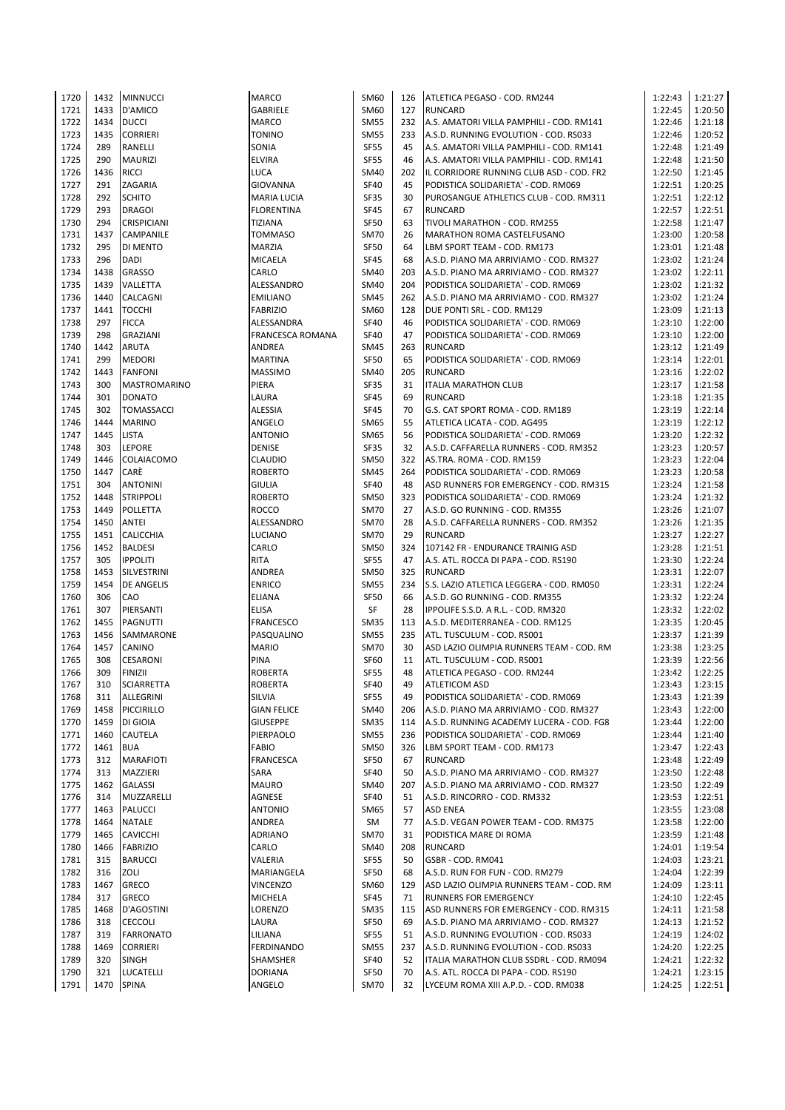| 1720 | 1432 | <b>MINNUCCI</b>     | <b>MARCO</b>       | SM60        | 126 | ATLETICA PEGASO - COD. RM244             | 1:22:43 | 1:21:27 |
|------|------|---------------------|--------------------|-------------|-----|------------------------------------------|---------|---------|
| 1721 | 1433 | D'AMICO             | GABRIELE           | SM60        | 127 | <b>RUNCARD</b>                           | 1:22:45 | 1:20:50 |
| 1722 | 1434 | <b>DUCCI</b>        | <b>MARCO</b>       | <b>SM55</b> | 232 | A.S. AMATORI VILLA PAMPHILI - COD. RM141 | 1:22:46 | 1:21:18 |
| 1723 | 1435 | <b>CORRIERI</b>     | <b>TONINO</b>      | <b>SM55</b> | 233 | A.S.D. RUNNING EVOLUTION - COD. RS033    | 1:22:46 | 1:20:52 |
| 1724 | 289  | RANELLI             | SONIA              | <b>SF55</b> | 45  | A.S. AMATORI VILLA PAMPHILI - COD. RM141 | 1:22:48 | 1:21:49 |
| 1725 | 290  | <b>MAURIZI</b>      | <b>ELVIRA</b>      | <b>SF55</b> | 46  | A.S. AMATORI VILLA PAMPHILI - COD. RM141 | 1:22:48 | 1:21:50 |
| 1726 | 1436 | <b>RICCI</b>        | <b>LUCA</b>        | SM40        | 202 | IL CORRIDORE RUNNING CLUB ASD - COD. FR2 | 1:22:50 | 1:21:45 |
| 1727 | 291  | ZAGARIA             | <b>GIOVANNA</b>    | <b>SF40</b> | 45  | PODISTICA SOLIDARIETA' - COD. RM069      | 1:22:51 | 1:20:25 |
| 1728 | 292  | <b>SCHITO</b>       |                    | <b>SF35</b> | 30  |                                          | 1:22:51 | 1:22:12 |
|      |      |                     | MARIA LUCIA        |             |     | PUROSANGUE ATHLETICS CLUB - COD. RM311   |         |         |
| 1729 | 293  | <b>DRAGOI</b>       | <b>FLORENTINA</b>  | <b>SF45</b> | 67  | <b>RUNCARD</b>                           | 1:22:57 | 1:22:51 |
| 1730 | 294  | <b>CRISPICIANI</b>  | TIZIANA            | <b>SF50</b> | 63  | TIVOLI MARATHON - COD. RM255             | 1:22:58 | 1:21:47 |
| 1731 | 1437 | CAMPANILE           | <b>TOMMASO</b>     | <b>SM70</b> | 26  | MARATHON ROMA CASTELFUSANO               | 1:23:00 | 1:20:58 |
| 1732 | 295  | DI MENTO            | MARZIA             | <b>SF50</b> | 64  | LBM SPORT TEAM - COD. RM173              | 1:23:01 | 1:21:48 |
| 1733 | 296  | <b>DADI</b>         | MICAELA            | <b>SF45</b> | 68  | A.S.D. PIANO MA ARRIVIAMO - COD. RM327   | 1:23:02 | 1:21:24 |
| 1734 | 1438 | <b>GRASSO</b>       | CARLO              | SM40        | 203 | A.S.D. PIANO MA ARRIVIAMO - COD. RM327   | 1:23:02 | 1:22:11 |
| 1735 | 1439 | VALLETTA            | ALESSANDRO         | SM40        | 204 | PODISTICA SOLIDARIETA' - COD. RM069      | 1:23:02 | 1:21:32 |
| 1736 | 1440 | CALCAGNI            | <b>EMILIANO</b>    | SM45        | 262 | A.S.D. PIANO MA ARRIVIAMO - COD. RM327   | 1:23:02 | 1:21:24 |
| 1737 | 1441 | <b>TOCCHI</b>       | <b>FABRIZIO</b>    | SM60        | 128 | DUE PONTI SRL - COD. RM129               | 1:23:09 | 1:21:13 |
| 1738 | 297  | <b>FICCA</b>        | ALESSANDRA         | <b>SF40</b> | 46  | PODISTICA SOLIDARIETA' - COD. RM069      | 1:23:10 | 1:22:00 |
| 1739 | 298  | <b>GRAZIANI</b>     | FRANCESCA ROMANA   | <b>SF40</b> | 47  | PODISTICA SOLIDARIETA' - COD. RM069      | 1:23:10 | 1:22:00 |
| 1740 | 1442 | <b>ARUTA</b>        | ANDREA             | <b>SM45</b> | 263 | <b>RUNCARD</b>                           | 1:23:12 | 1:21:49 |
| 1741 | 299  | <b>MEDORI</b>       | <b>MARTINA</b>     | <b>SF50</b> | 65  | PODISTICA SOLIDARIETA' - COD. RM069      | 1:23:14 | 1:22:01 |
| 1742 | 1443 | <b>FANFONI</b>      | <b>MASSIMO</b>     | SM40        | 205 | <b>RUNCARD</b>                           | 1:23:16 | 1:22:02 |
|      |      |                     |                    |             |     |                                          |         |         |
| 1743 | 300  | <b>MASTROMARINO</b> | PIERA              | <b>SF35</b> | 31  | <b>ITALIA MARATHON CLUB</b>              | 1:23:17 | 1:21:58 |
| 1744 | 301  | <b>DONATO</b>       | LAURA              | SF45        | 69  | <b>RUNCARD</b>                           | 1:23:18 | 1:21:35 |
| 1745 | 302  | TOMASSACCI          | ALESSIA            | <b>SF45</b> | 70  | G.S. CAT SPORT ROMA - COD. RM189         | 1:23:19 | 1:22:14 |
| 1746 | 1444 | <b>MARINO</b>       | ANGELO             | <b>SM65</b> | 55  | ATLETICA LICATA - COD. AG495             | 1:23:19 | 1:22:12 |
| 1747 | 1445 | <b>LISTA</b>        | <b>ANTONIO</b>     | SM65        | 56  | PODISTICA SOLIDARIETA' - COD. RM069      | 1:23:20 | 1:22:32 |
| 1748 | 303  | LEPORE              | DENISE             | SF35        | 32  | A.S.D. CAFFARELLA RUNNERS - COD. RM352   | 1:23:23 | 1:20:57 |
| 1749 | 1446 | COLAIACOMO          | CLAUDIO            | <b>SM50</b> | 322 | AS.TRA. ROMA - COD. RM159                | 1:23:23 | 1:22:04 |
| 1750 | 1447 | CARÈ                | <b>ROBERTO</b>     | <b>SM45</b> | 264 | PODISTICA SOLIDARIETA' - COD. RM069      | 1:23:23 | 1:20:58 |
| 1751 | 304  | <b>ANTONINI</b>     | <b>GIULIA</b>      | <b>SF40</b> | 48  | ASD RUNNERS FOR EMERGENCY - COD. RM315   | 1:23:24 | 1:21:58 |
| 1752 | 1448 | <b>STRIPPOLI</b>    | <b>ROBERTO</b>     | <b>SM50</b> | 323 | PODISTICA SOLIDARIETA' - COD. RM069      | 1:23:24 | 1:21:32 |
| 1753 | 1449 | POLLETTA            | <b>ROCCO</b>       | <b>SM70</b> | 27  | A.S.D. GO RUNNING - COD. RM355           | 1:23:26 | 1:21:07 |
| 1754 | 1450 | ANTEI               | ALESSANDRO         | <b>SM70</b> | 28  | A.S.D. CAFFARELLA RUNNERS - COD. RM352   | 1:23:26 | 1:21:35 |
| 1755 | 1451 | <b>CALICCHIA</b>    | LUCIANO            | <b>SM70</b> | 29  | <b>RUNCARD</b>                           | 1:23:27 | 1:22:27 |
| 1756 | 1452 | <b>BALDESI</b>      | CARLO              | <b>SM50</b> | 324 | 107142 FR - ENDURANCE TRAINIG ASD        | 1:23:28 | 1:21:51 |
| 1757 | 305  | <b>IPPOLITI</b>     | <b>RITA</b>        | <b>SF55</b> | 47  | A.S. ATL. ROCCA DI PAPA - COD. RS190     | 1:23:30 | 1:22:24 |
| 1758 | 1453 |                     | ANDREA             | <b>SM50</b> | 325 | <b>RUNCARD</b>                           | 1:23:31 | 1:22:07 |
|      |      | SILVESTRINI         |                    |             |     |                                          |         |         |
| 1759 | 1454 | <b>DE ANGELIS</b>   | <b>ENRICO</b>      | <b>SM55</b> | 234 | S.S. LAZIO ATLETICA LEGGERA - COD. RM050 | 1:23:31 | 1:22:24 |
| 1760 | 306  | CAO                 | ELIANA             | <b>SF50</b> | 66  | A.S.D. GO RUNNING - COD. RM355           | 1:23:32 | 1:22:24 |
| 1761 | 307  | PIERSANTI           | <b>ELISA</b>       | SF          | 28  | IPPOLIFE S.S.D. A R.L. - COD. RM320      | 1:23:32 | 1:22:02 |
| 1762 | 1455 | PAGNUTTI            | <b>FRANCESCO</b>   | <b>SM35</b> | 113 | A.S.D. MEDITERRANEA - COD. RM125         | 1:23:35 | 1:20:45 |
| 1763 | 1456 | SAMMARONE           | PASQUALINO         | <b>SM55</b> | 235 | ATL. TUSCULUM - COD. RS001               | 1:23:37 | 1:21:39 |
| 1764 | 1457 | CANINO              | <b>MARIO</b>       | <b>SM70</b> | 30  | ASD LAZIO OLIMPIA RUNNERS TEAM - COD. RM | 1:23:38 | 1:23:25 |
| 1765 | 308  | CESARONI            | PINA               | SF60        | 11  | ATL. TUSCULUM - COD. RS001               | 1:23:39 | 1:22:56 |
| 1766 | 309  | <b>FINIZII</b>      | <b>ROBERTA</b>     | <b>SF55</b> | 48  | ATLETICA PEGASO - COD. RM244             | 1:23:42 | 1:22:25 |
| 1767 | 310  | <b>SCIARRETTA</b>   | ROBERTA            | SF40        | 49  | ATLETICOM ASD                            | 1:23:43 | 1:23:15 |
| 1768 | 311  | ALLEGRINI           | SILVIA             | <b>SF55</b> | 49  | PODISTICA SOLIDARIETA' - COD. RM069      | 1:23:43 | 1:21:39 |
| 1769 | 1458 | PICCIRILLO          | <b>GIAN FELICE</b> | SM40        | 206 | A.S.D. PIANO MA ARRIVIAMO - COD. RM327   | 1:23:43 | 1:22:00 |
| 1770 | 1459 | DI GIOIA            | <b>GIUSEPPE</b>    | <b>SM35</b> | 114 | A.S.D. RUNNING ACADEMY LUCERA - COD. FG8 | 1:23:44 | 1:22:00 |
| 1771 | 1460 | CAUTELA             | PIERPAOLO          | <b>SM55</b> | 236 | PODISTICA SOLIDARIETA' - COD. RM069      | 1:23:44 | 1:21:40 |
| 1772 | 1461 | <b>BUA</b>          | FABIO              | <b>SM50</b> | 326 | LBM SPORT TEAM - COD. RM173              | 1:23:47 | 1:22:43 |
| 1773 | 312  | <b>MARAFIOTI</b>    | <b>FRANCESCA</b>   | <b>SF50</b> | 67  | <b>RUNCARD</b>                           | 1:23:48 | 1:22:49 |
| 1774 | 313  | MAZZIERI            | SARA               | SF40        | 50  | A.S.D. PIANO MA ARRIVIAMO - COD. RM327   | 1:23:50 | 1:22:48 |
| 1775 | 1462 | <b>GALASSI</b>      | <b>MAURO</b>       | SM40        | 207 | A.S.D. PIANO MA ARRIVIAMO - COD. RM327   | 1:23:50 | 1:22:49 |
| 1776 | 314  | MUZZARELLI          | AGNESE             | <b>SF40</b> | 51  |                                          | 1:23:53 | 1:22:51 |
|      |      | <b>PALUCCI</b>      |                    |             |     | A.S.D. RINCORRO - COD. RM332             |         | 1:23:08 |
| 1777 | 1463 |                     | <b>ANTONIO</b>     | <b>SM65</b> | 57  | <b>ASD ENEA</b>                          | 1:23:55 |         |
| 1778 | 1464 | <b>NATALE</b>       | <b>ANDREA</b>      | SM          | 77  | A.S.D. VEGAN POWER TEAM - COD. RM375     | 1:23:58 | 1:22:00 |
| 1779 | 1465 | <b>CAVICCHI</b>     | <b>ADRIANO</b>     | SM70        | 31  | PODISTICA MARE DI ROMA                   | 1:23:59 | 1:21:48 |
| 1780 | 1466 | <b>FABRIZIO</b>     | CARLO              | SM40        | 208 | <b>RUNCARD</b>                           | 1:24:01 | 1:19:54 |
| 1781 | 315  | <b>BARUCCI</b>      | VALERIA            | <b>SF55</b> | 50  | GSBR - COD. RM041                        | 1:24:03 | 1:23:21 |
| 1782 | 316  | ZOLI                | MARIANGELA         | <b>SF50</b> | 68  | A.S.D. RUN FOR FUN - COD. RM279          | 1:24:04 | 1:22:39 |
| 1783 | 1467 | <b>GRECO</b>        | <b>VINCENZO</b>    | SM60        | 129 | ASD LAZIO OLIMPIA RUNNERS TEAM - COD. RM | 1:24:09 | 1:23:11 |
| 1784 | 317  | GRECO               | MICHELA            | SF45        | 71  | <b>RUNNERS FOR EMERGENCY</b>             | 1:24:10 | 1:22:45 |
| 1785 | 1468 | D'AGOSTINI          | LORENZO            | <b>SM35</b> | 115 | ASD RUNNERS FOR EMERGENCY - COD. RM315   | 1:24:11 | 1:21:58 |
| 1786 | 318  | <b>CECCOLI</b>      | LAURA              | <b>SF50</b> | 69  | A.S.D. PIANO MA ARRIVIAMO - COD. RM327   | 1:24:13 | 1:21:52 |
| 1787 | 319  | <b>FARRONATO</b>    | LILIANA            | <b>SF55</b> | 51  | A.S.D. RUNNING EVOLUTION - COD. RS033    | 1:24:19 | 1:24:02 |
| 1788 | 1469 | <b>CORRIERI</b>     | <b>FERDINANDO</b>  | <b>SM55</b> | 237 | A.S.D. RUNNING EVOLUTION - COD. RS033    | 1:24:20 | 1:22:25 |
| 1789 | 320  | <b>SINGH</b>        | SHAMSHER           | <b>SF40</b> | 52  | ITALIA MARATHON CLUB SSDRL - COD. RM094  | 1:24:21 | 1:22:32 |
| 1790 | 321  | <b>LUCATELLI</b>    | <b>DORIANA</b>     | <b>SF50</b> | 70  | A.S. ATL. ROCCA DI PAPA - COD. RS190     | 1:24:21 | 1:23:15 |
| 1791 | 1470 | <b>SPINA</b>        | ANGELO             | <b>SM70</b> | 32  | LYCEUM ROMA XIII A.P.D. - COD. RM038     | 1:24:25 | 1:22:51 |
|      |      |                     |                    |             |     |                                          |         |         |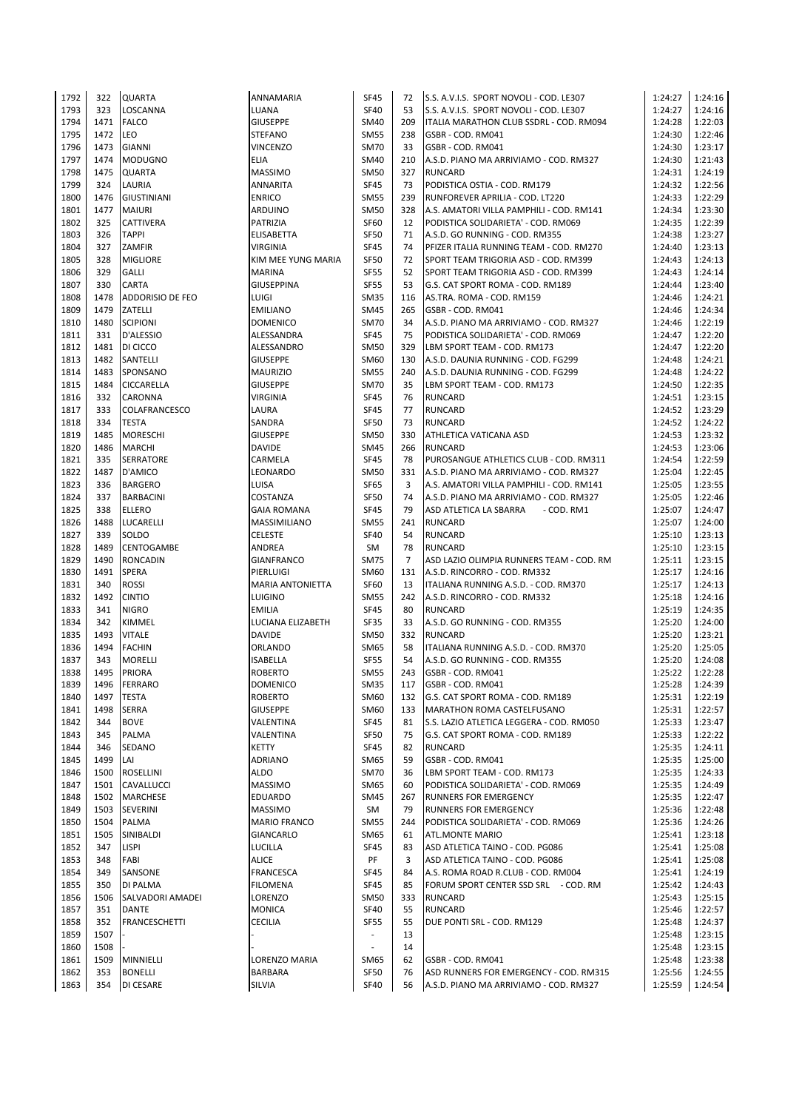| 1792 | 322  | <b>QUARTA</b>        | <b>ANNAMARIA</b>        | <b>SF45</b>              | 72             | S.S. A.V.I.S. SPORT NOVOLI - COD. LE307  | 1:24:27 | 1:24:16 |
|------|------|----------------------|-------------------------|--------------------------|----------------|------------------------------------------|---------|---------|
| 1793 | 323  | LOSCANNA             | LUANA                   | <b>SF40</b>              | 53             | S.S. A.V.I.S. SPORT NOVOLI - COD. LE307  | 1:24:27 | 1:24:16 |
|      |      |                      |                         |                          |                |                                          |         |         |
| 1794 | 1471 | <b>FALCO</b>         | <b>GIUSEPPE</b>         | SM40                     | 209            | ITALIA MARATHON CLUB SSDRL - COD. RM094  | 1:24:28 | 1:22:03 |
| 1795 | 1472 | LEO                  | <b>STEFANO</b>          | <b>SM55</b>              | 238            | GSBR - COD. RM041                        | 1:24:30 | 1:22:46 |
| 1796 | 1473 | <b>GIANNI</b>        | <b>VINCENZO</b>         | <b>SM70</b>              | 33             | GSBR - COD. RM041                        | 1:24:30 | 1:23:17 |
| 1797 | 1474 | <b>MODUGNO</b>       | <b>ELIA</b>             | SM40                     | 210            | A.S.D. PIANO MA ARRIVIAMO - COD. RM327   | 1:24:30 | 1:21:43 |
| 1798 | 1475 | <b>QUARTA</b>        | <b>MASSIMO</b>          | <b>SM50</b>              | 327            | <b>RUNCARD</b>                           | 1:24:31 | 1:24:19 |
| 1799 | 324  | LAURIA               | <b>ANNARITA</b>         | SF45                     | 73             | PODISTICA OSTIA - COD. RM179             | 1:24:32 | 1:22:56 |
|      |      |                      |                         |                          |                |                                          |         |         |
| 1800 | 1476 | <b>GIUSTINIANI</b>   | <b>ENRICO</b>           | <b>SM55</b>              | 239            | RUNFOREVER APRILIA - COD. LT220          | 1:24:33 | 1:22:29 |
| 1801 | 1477 | <b>MAIURI</b>        | ARDUINO                 | <b>SM50</b>              | 328            | A.S. AMATORI VILLA PAMPHILI - COD. RM141 | 1:24:34 | 1:23:30 |
| 1802 | 325  | <b>CATTIVERA</b>     | PATRIZIA                | SF60                     | 12             | PODISTICA SOLIDARIETA' - COD. RM069      | 1:24:35 | 1:22:39 |
| 1803 | 326  | <b>TAPPI</b>         | <b>ELISABETTA</b>       | <b>SF50</b>              | 71             | A.S.D. GO RUNNING - COD. RM355           | 1:24:38 | 1:23:27 |
| 1804 | 327  | ZAMFIR               | <b>VIRGINIA</b>         | <b>SF45</b>              | 74             | PFIZER ITALIA RUNNING TEAM - COD. RM270  | 1:24:40 | 1:23:13 |
|      |      |                      |                         |                          |                |                                          |         |         |
| 1805 | 328  | <b>MIGLIORE</b>      | KIM MEE YUNG MARIA      | <b>SF50</b>              | 72             | SPORT TEAM TRIGORIA ASD - COD. RM399     | 1:24:43 | 1:24:13 |
| 1806 | 329  | <b>GALLI</b>         | <b>MARINA</b>           | <b>SF55</b>              | 52             | SPORT TEAM TRIGORIA ASD - COD. RM399     | 1:24:43 | 1:24:14 |
| 1807 | 330  | <b>CARTA</b>         | <b>GIUSEPPINA</b>       | <b>SF55</b>              | 53             | G.S. CAT SPORT ROMA - COD. RM189         | 1:24:44 | 1:23:40 |
| 1808 | 1478 | ADDORISIO DE FEO     | LUIGI                   | <b>SM35</b>              | 116            | AS.TRA. ROMA - COD. RM159                | 1:24:46 | 1:24:21 |
| 1809 | 1479 | ZATELLI              | <b>EMILIANO</b>         | <b>SM45</b>              | 265            | GSBR - COD. RM041                        | 1:24:46 | 1:24:34 |
| 1810 | 1480 | <b>SCIPIONI</b>      | <b>DOMENICO</b>         | <b>SM70</b>              | 34             | A.S.D. PIANO MA ARRIVIAMO - COD. RM327   | 1:24:46 | 1:22:19 |
|      |      |                      |                         |                          |                |                                          |         |         |
| 1811 | 331  | D'ALESSIO            | ALESSANDRA              | SF45                     | 75             | PODISTICA SOLIDARIETA' - COD. RM069      | 1:24:47 | 1:22:20 |
| 1812 | 1481 | DI CICCO             | ALESSANDRO              | <b>SM50</b>              | 329            | LBM SPORT TEAM - COD. RM173              | 1:24:47 | 1:22:20 |
| 1813 | 1482 | SANTELLI             | <b>GIUSEPPE</b>         | SM60                     | 130            | A.S.D. DAUNIA RUNNING - COD. FG299       | 1:24:48 | 1:24:21 |
| 1814 | 1483 | SPONSANO             | <b>MAURIZIO</b>         | <b>SM55</b>              | 240            | A.S.D. DAUNIA RUNNING - COD. FG299       | 1:24:48 | 1:24:22 |
| 1815 | 1484 | CICCARELLA           | <b>GIUSEPPE</b>         | <b>SM70</b>              | 35             | LBM SPORT TEAM - COD. RM173              | 1:24:50 | 1:22:35 |
|      | 332  | <b>CARONNA</b>       | <b>VIRGINIA</b>         | <b>SF45</b>              | 76             | <b>RUNCARD</b>                           | 1:24:51 | 1:23:15 |
| 1816 |      |                      |                         |                          |                |                                          |         |         |
| 1817 | 333  | <b>COLAFRANCESCO</b> | LAURA                   | <b>SF45</b>              | 77             | <b>RUNCARD</b>                           | 1:24:52 | 1:23:29 |
| 1818 | 334  | <b>TESTA</b>         | SANDRA                  | <b>SF50</b>              | 73             | <b>RUNCARD</b>                           | 1:24:52 | 1:24:22 |
| 1819 | 1485 | <b>MORESCHI</b>      | <b>GIUSEPPE</b>         | <b>SM50</b>              | 330            | ATHLETICA VATICANA ASD                   | 1:24:53 | 1:23:32 |
| 1820 | 1486 | <b>MARCHI</b>        | <b>DAVIDE</b>           | <b>SM45</b>              | 266            | <b>RUNCARD</b>                           | 1:24:53 | 1:23:06 |
| 1821 | 335  | <b>SERRATORE</b>     | CARMELA                 | <b>SF45</b>              | 78             | PUROSANGUE ATHLETICS CLUB - COD. RM311   | 1:24:54 | 1:22:59 |
|      |      |                      |                         |                          |                |                                          |         |         |
| 1822 | 1487 | D'AMICO              | LEONARDO                | <b>SM50</b>              | 331            | A.S.D. PIANO MA ARRIVIAMO - COD. RM327   | 1:25:04 | 1:22:45 |
| 1823 | 336  | <b>BARGERO</b>       | LUISA                   | <b>SF65</b>              | 3              | A.S. AMATORI VILLA PAMPHILI - COD. RM141 | 1:25:05 | 1:23:55 |
| 1824 | 337  | <b>BARBACINI</b>     | COSTANZA                | <b>SF50</b>              | 74             | A.S.D. PIANO MA ARRIVIAMO - COD. RM327   | 1:25:05 | 1:22:46 |
| 1825 | 338  | <b>ELLERO</b>        | <b>GAIA ROMANA</b>      | <b>SF45</b>              | 79             | ASD ATLETICA LA SBARRA<br>- COD. RM1     | 1:25:07 | 1:24:47 |
| 1826 | 1488 | LUCARELLI            | <b>MASSIMILIANO</b>     | <b>SM55</b>              | 241            | <b>RUNCARD</b>                           | 1:25:07 | 1:24:00 |
|      | 339  |                      |                         | <b>SF40</b>              |                |                                          |         |         |
| 1827 |      | SOLDO                | <b>CELESTE</b>          |                          | 54             | <b>RUNCARD</b>                           | 1:25:10 | 1:23:13 |
| 1828 | 1489 | <b>CENTOGAMBE</b>    | ANDREA                  | SM                       | 78             | <b>RUNCARD</b>                           | 1:25:10 | 1:23:15 |
| 1829 | 1490 | <b>RONCADIN</b>      | <b>GIANFRANCO</b>       | <b>SM75</b>              | $\overline{7}$ | ASD LAZIO OLIMPIA RUNNERS TEAM - COD. RM | 1:25:11 | 1:23:15 |
| 1830 | 1491 | <b>SPERA</b>         | PIERLUIGI               | SM60                     | 131            | A.S.D. RINCORRO - COD. RM332             | 1:25:17 | 1:24:16 |
| 1831 | 340  | <b>ROSSI</b>         | <b>MARIA ANTONIETTA</b> | SF60                     | 13             | ITALIANA RUNNING A.S.D. - COD. RM370     | 1:25:17 | 1:24:13 |
| 1832 | 1492 | <b>CINTIO</b>        | <b>LUIGINO</b>          | <b>SM55</b>              | 242            | A.S.D. RINCORRO - COD. RM332             | 1:25:18 | 1:24:16 |
|      |      |                      |                         |                          |                |                                          |         |         |
| 1833 | 341  | <b>NIGRO</b>         | <b>EMILIA</b>           | SF45                     | 80             | <b>RUNCARD</b>                           | 1:25:19 | 1:24:35 |
| 1834 | 342  | KIMMEL               | LUCIANA ELIZABETH       | SF35                     | 33             | A.S.D. GO RUNNING - COD. RM355           | 1:25:20 | 1:24:00 |
| 1835 | 1493 | <b>VITALE</b>        | <b>DAVIDE</b>           | <b>SM50</b>              | 332            | <b>RUNCARD</b>                           | 1:25:20 | 1:23:21 |
| 1836 | 1494 | <b>FACHIN</b>        | <b>ORLANDO</b>          | SM65                     | 58             | ITALIANA RUNNING A.S.D. - COD. RM370     | 1:25:20 | 1:25:05 |
| 1837 | 343  | <b>MORELLI</b>       | <b>ISABELLA</b>         | <b>SF55</b>              | 54             | A.S.D. GO RUNNING - COD. RM355           | 1:25:20 | 1:24:08 |
| 1838 | 1495 |                      |                         | <b>SM55</b>              | 243            |                                          |         |         |
|      |      | <b>PRIORA</b>        | <b>ROBERTO</b>          |                          |                | GSBR - COD. RM041                        | 1:25:22 | 1:22:28 |
| 1839 | 1496 | <b>FERRARO</b>       | DOMENICO                | SM <sub>35</sub>         | 117            | GSBR - COD. RM041                        | 1:25:28 | 1:24:39 |
| 1840 | 1497 | <b>TESTA</b>         | <b>ROBERTO</b>          | SM60                     | 132            | G.S. CAT SPORT ROMA - COD. RM189         | 1:25:31 | 1:22:19 |
| 1841 | 1498 | <b>SERRA</b>         | <b>GIUSEPPE</b>         | SM60                     | 133            | MARATHON ROMA CASTELFUSANO               | 1:25:31 | 1:22:57 |
| 1842 | 344  | <b>BOVE</b>          | VALENTINA               | <b>SF45</b>              | 81             | S.S. LAZIO ATLETICA LEGGERA - COD. RM050 | 1:25:33 | 1:23:47 |
| 1843 | 345  | <b>PALMA</b>         | VALENTINA               | <b>SF50</b>              | 75             | G.S. CAT SPORT ROMA - COD. RM189         | 1:25:33 | 1:22:22 |
|      |      |                      |                         |                          |                |                                          |         |         |
| 1844 | 346  | SEDANO               | KETTY                   | SF45                     | 82             | <b>RUNCARD</b>                           | 1:25:35 | 1:24:11 |
| 1845 | 1499 | LAI                  | <b>ADRIANO</b>          | <b>SM65</b>              | 59             | GSBR - COD. RM041                        | 1:25:35 | 1:25:00 |
| 1846 | 1500 | ROSELLINI            | <b>ALDO</b>             | <b>SM70</b>              | 36             | LBM SPORT TEAM - COD. RM173              | 1:25:35 | 1:24:33 |
| 1847 | 1501 | CAVALLUCCI           | <b>MASSIMO</b>          | <b>SM65</b>              | 60             | PODISTICA SOLIDARIETA' - COD. RM069      | 1:25:35 | 1:24:49 |
| 1848 | 1502 | <b>MARCHESE</b>      | <b>EDUARDO</b>          | <b>SM45</b>              | 267            | <b>RUNNERS FOR EMERGENCY</b>             | 1:25:35 | 1:22:47 |
| 1849 | 1503 | SEVERINI             | <b>MASSIMO</b>          | SM                       | 79             | <b>RUNNERS FOR EMERGENCY</b>             | 1:25:36 | 1:22:48 |
|      |      |                      |                         |                          |                |                                          |         |         |
| 1850 | 1504 | <b>PALMA</b>         | <b>MARIO FRANCO</b>     | <b>SM55</b>              | 244            | PODISTICA SOLIDARIETA' - COD. RM069      | 1:25:36 | 1:24:26 |
| 1851 | 1505 | SINIBALDI            | GIANCARLO               | SM65                     | 61             | <b>ATL.MONTE MARIO</b>                   | 1:25:41 | 1:23:18 |
| 1852 | 347  | LISPI                | LUCILLA                 | <b>SF45</b>              | 83             | ASD ATLETICA TAINO - COD. PG086          | 1:25:41 | 1:25:08 |
| 1853 | 348  | FABI                 | <b>ALICE</b>            | PF                       | 3              | ASD ATLETICA TAINO - COD. PG086          | 1:25:41 | 1:25:08 |
| 1854 | 349  | SANSONE              | FRANCESCA               | <b>SF45</b>              | 84             | A.S. ROMA ROAD R.CLUB - COD. RM004       | 1:25:41 | 1:24:19 |
|      |      |                      |                         |                          |                |                                          | 1:25:42 |         |
| 1855 | 350  | DI PALMA             | <b>FILOMENA</b>         | SF45                     | 85             | FORUM SPORT CENTER SSD SRL - COD. RM     |         | 1:24:43 |
| 1856 | 1506 | SALVADORI AMADEI     | LORENZO                 | <b>SM50</b>              | 333            | <b>RUNCARD</b>                           | 1:25:43 | 1:25:15 |
| 1857 | 351  | <b>DANTE</b>         | <b>MONICA</b>           | <b>SF40</b>              | 55             | <b>RUNCARD</b>                           | 1:25:46 | 1:22:57 |
| 1858 | 352  | FRANCESCHETTI        | CECILIA                 | <b>SF55</b>              | 55             | DUE PONTI SRL - COD. RM129               | 1:25:48 | 1:24:37 |
| 1859 | 1507 |                      |                         | ÷.                       | 13             |                                          | 1:25:48 | 1:23:15 |
| 1860 | 1508 |                      |                         | $\overline{\phantom{a}}$ | 14             |                                          | 1:25:48 | 1:23:15 |
|      |      |                      |                         |                          |                |                                          |         |         |
| 1861 | 1509 | MINNIELLI            | LORENZO MARIA           | SM65                     | 62             | GSBR - COD. RM041                        | 1:25:48 | 1:23:38 |
| 1862 | 353  | <b>BONELLI</b>       | BARBARA                 | SF50                     | 76             | ASD RUNNERS FOR EMERGENCY - COD. RM315   | 1:25:56 | 1:24:55 |
| 1863 | 354  | DI CESARE            | <b>SILVIA</b>           | <b>SF40</b>              | 56             | A.S.D. PIANO MA ARRIVIAMO - COD. RM327   | 1:25:59 | 1:24:54 |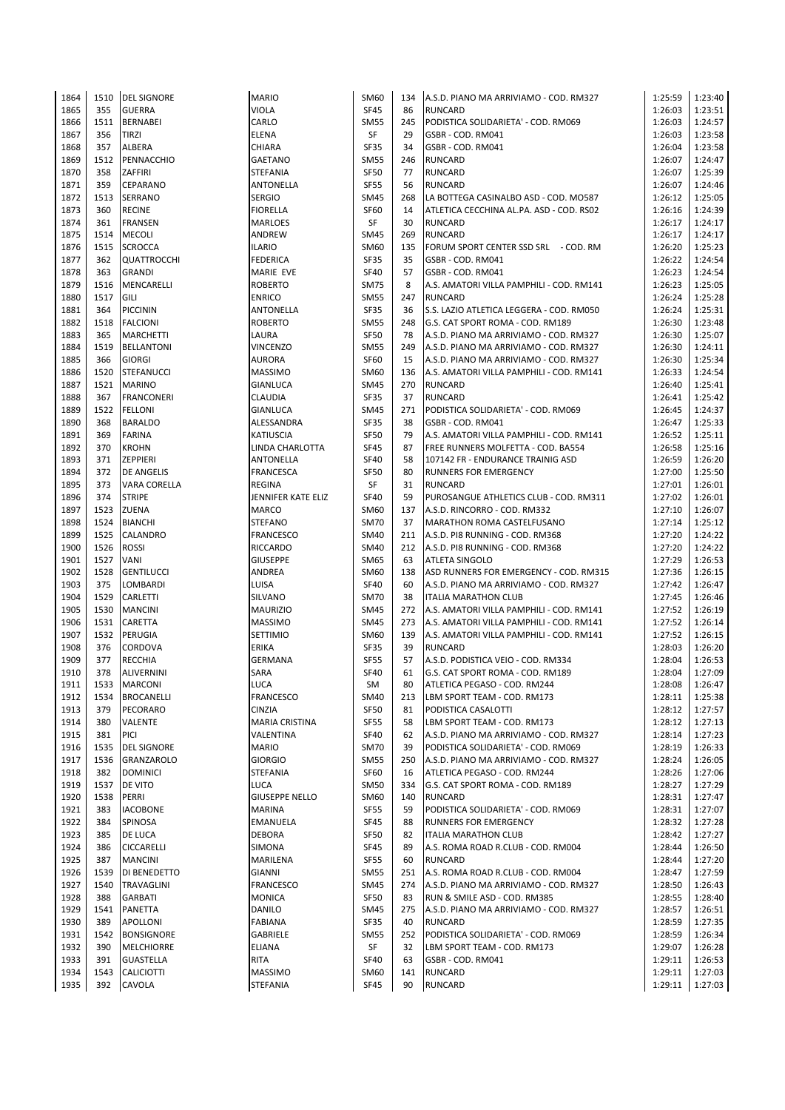| 1864 | 1510 | <b>DEL SIGNORE</b>  | <b>MARIO</b>          | SM60        | 134 | A.S.D. PIANO MA ARRIVIAMO - COD. RM327   | 1:25:59 | 1:23:40 |
|------|------|---------------------|-----------------------|-------------|-----|------------------------------------------|---------|---------|
| 1865 | 355  | <b>GUERRA</b>       | <b>VIOLA</b>          | SF45        | 86  | <b>RUNCARD</b>                           | 1:26:03 | 1:23:51 |
| 1866 | 1511 | <b>BERNABEI</b>     | CARLO                 | <b>SM55</b> | 245 | PODISTICA SOLIDARIETA' - COD. RM069      | 1:26:03 | 1:24:57 |
| 1867 | 356  | <b>TIRZI</b>        | <b>ELENA</b>          | SF          | 29  | GSBR - COD. RM041                        | 1:26:03 | 1:23:58 |
| 1868 | 357  | ALBERA              | CHIARA                | SF35        | 34  | GSBR - COD. RM041                        | 1:26:04 | 1:23:58 |
| 1869 | 1512 | PENNACCHIO          | GAETANO               | <b>SM55</b> | 246 | <b>RUNCARD</b>                           | 1:26:07 | 1:24:47 |
| 1870 | 358  | ZAFFIRI             | <b>STEFANIA</b>       | <b>SF50</b> | 77  | <b>RUNCARD</b>                           | 1:26:07 | 1:25:39 |
| 1871 | 359  | <b>CEPARANO</b>     | ANTONELLA             | <b>SF55</b> | 56  | <b>RUNCARD</b>                           | 1:26:07 | 1:24:46 |
| 1872 | 1513 | <b>SERRANO</b>      | <b>SERGIO</b>         | <b>SM45</b> | 268 | LA BOTTEGA CASINALBO ASD - COD. MO587    | 1:26:12 | 1:25:05 |
| 1873 | 360  | <b>RECINE</b>       | <b>FIORELLA</b>       | <b>SF60</b> | 14  | ATLETICA CECCHINA AL.PA. ASD - COD. RS02 | 1:26:16 | 1:24:39 |
| 1874 | 361  | <b>FRANSEN</b>      | <b>MARLOES</b>        | SF          | 30  | <b>RUNCARD</b>                           | 1:26:17 | 1:24:17 |
| 1875 | 1514 | <b>MECOLI</b>       | ANDREW                | <b>SM45</b> | 269 | <b>RUNCARD</b>                           | 1:26:17 | 1:24:17 |
| 1876 | 1515 | <b>SCROCCA</b>      | <b>ILARIO</b>         | SM60        | 135 | FORUM SPORT CENTER SSD SRL - COD. RM     | 1:26:20 | 1:25:23 |
|      |      |                     |                       |             |     |                                          | 1:26:22 |         |
| 1877 | 362  | <b>QUATTROCCHI</b>  | <b>FEDERICA</b>       | SF35        | 35  | GSBR - COD. RM041                        |         | 1:24:54 |
| 1878 | 363  | <b>GRANDI</b>       | MARIE EVE             | <b>SF40</b> | 57  | GSBR - COD. RM041                        | 1:26:23 | 1:24:54 |
| 1879 | 1516 | MENCARELLI          | <b>ROBERTO</b>        | <b>SM75</b> | 8   | A.S. AMATORI VILLA PAMPHILI - COD. RM141 | 1:26:23 | 1:25:05 |
| 1880 | 1517 | <b>GILI</b>         | <b>ENRICO</b>         | <b>SM55</b> | 247 | <b>RUNCARD</b>                           | 1:26:24 | 1:25:28 |
| 1881 | 364  | <b>PICCININ</b>     | ANTONELLA             | SF35        | 36  | S.S. LAZIO ATLETICA LEGGERA - COD. RM050 | 1:26:24 | 1:25:31 |
| 1882 | 1518 | <b>FALCIONI</b>     | <b>ROBERTO</b>        | <b>SM55</b> | 248 | G.S. CAT SPORT ROMA - COD. RM189         | 1:26:30 | 1:23:48 |
| 1883 | 365  | <b>MARCHETTI</b>    | LAURA                 | <b>SF50</b> | 78  | A.S.D. PIANO MA ARRIVIAMO - COD. RM327   | 1:26:30 | 1:25:07 |
| 1884 | 1519 | <b>BELLANTONI</b>   | <b>VINCENZO</b>       | <b>SM55</b> | 249 | A.S.D. PIANO MA ARRIVIAMO - COD. RM327   | 1:26:30 | 1:24:11 |
| 1885 | 366  | <b>GIORGI</b>       | <b>AURORA</b>         | <b>SF60</b> | 15  | A.S.D. PIANO MA ARRIVIAMO - COD. RM327   | 1:26:30 | 1:25:34 |
| 1886 | 1520 | <b>STEFANUCCI</b>   | <b>MASSIMO</b>        | SM60        | 136 | A.S. AMATORI VILLA PAMPHILI - COD. RM141 | 1:26:33 | 1:24:54 |
| 1887 | 1521 | <b>MARINO</b>       | <b>GIANLUCA</b>       | <b>SM45</b> | 270 | <b>RUNCARD</b>                           | 1:26:40 | 1:25:41 |
| 1888 | 367  | <b>FRANCONERI</b>   | <b>CLAUDIA</b>        | SF35        | 37  | <b>RUNCARD</b>                           | 1:26:41 | 1:25:42 |
| 1889 | 1522 | <b>FELLONI</b>      | <b>GIANLUCA</b>       | <b>SM45</b> | 271 | PODISTICA SOLIDARIETA' - COD. RM069      | 1:26:45 | 1:24:37 |
| 1890 | 368  | <b>BARALDO</b>      | ALESSANDRA            | SF35        | 38  | GSBR - COD. RM041                        | 1:26:47 | 1:25:33 |
| 1891 | 369  | <b>FARINA</b>       | <b>KATIUSCIA</b>      | <b>SF50</b> | 79  | A.S. AMATORI VILLA PAMPHILI - COD. RM141 | 1:26:52 | 1:25:11 |
| 1892 | 370  | <b>KROHN</b>        | LINDA CHARLOTTA       | <b>SF45</b> | 87  | FREE RUNNERS MOLFETTA - COD. BA554       | 1:26:58 | 1:25:16 |
| 1893 | 371  | <b>ZEPPIERI</b>     | ANTONELLA             | <b>SF40</b> | 58  | 107142 FR - ENDURANCE TRAINIG ASD        | 1:26:59 | 1:26:20 |
| 1894 | 372  | <b>DE ANGELIS</b>   | FRANCESCA             | <b>SF50</b> | 80  | <b>RUNNERS FOR EMERGENCY</b>             | 1:27:00 | 1:25:50 |
| 1895 | 373  | <b>VARA CORELLA</b> | REGINA                | SF          | 31  | <b>RUNCARD</b>                           | 1:27:01 | 1:26:01 |
| 1896 | 374  | <b>STRIPE</b>       | JENNIFER KATE ELIZ    | <b>SF40</b> | 59  | PUROSANGUE ATHLETICS CLUB - COD. RM311   | 1:27:02 | 1:26:01 |
| 1897 | 1523 | <b>ZUENA</b>        | MARCO                 | SM60        | 137 | A.S.D. RINCORRO - COD. RM332             | 1:27:10 | 1:26:07 |
| 1898 | 1524 | <b>BIANCHI</b>      | <b>STEFANO</b>        | <b>SM70</b> | 37  | MARATHON ROMA CASTELFUSANO               | 1:27:14 | 1:25:12 |
| 1899 | 1525 | CALANDRO            | <b>FRANCESCO</b>      | <b>SM40</b> | 211 | A.S.D. PI8 RUNNING - COD. RM368          | 1:27:20 | 1:24:22 |
| 1900 |      |                     |                       |             | 212 |                                          |         |         |
|      | 1526 | <b>ROSSI</b>        | RICCARDO              | <b>SM40</b> |     | A.S.D. PI8 RUNNING - COD. RM368          | 1:27:20 | 1:24:22 |
| 1901 | 1527 | VANI                | <b>GIUSEPPE</b>       | SM65        | 63  | <b>ATLETA SINGOLO</b>                    | 1:27:29 | 1:26:53 |
| 1902 | 1528 | <b>GENTILUCCI</b>   | ANDREA                | <b>SM60</b> | 138 | ASD RUNNERS FOR EMERGENCY - COD. RM315   | 1:27:36 | 1:26:15 |
| 1903 | 375  | <b>LOMBARDI</b>     | LUISA                 | <b>SF40</b> | 60  | A.S.D. PIANO MA ARRIVIAMO - COD. RM327   | 1:27:42 | 1:26:47 |
| 1904 | 1529 | <b>CARLETTI</b>     | SILVANO               | <b>SM70</b> | 38  | <b>ITALIA MARATHON CLUB</b>              | 1:27:45 | 1:26:46 |
| 1905 | 1530 | <b>MANCINI</b>      | <b>MAURIZIO</b>       | <b>SM45</b> | 272 | A.S. AMATORI VILLA PAMPHILI - COD. RM141 | 1:27:52 | 1:26:19 |
| 1906 | 1531 | CARETTA             | <b>MASSIMO</b>        | <b>SM45</b> | 273 | A.S. AMATORI VILLA PAMPHILI - COD. RM141 | 1:27:52 | 1:26:14 |
| 1907 | 1532 | PERUGIA             | SETTIMIO              | SM60        | 139 | A.S. AMATORI VILLA PAMPHILI - COD. RM141 | 1:27:52 | 1:26:15 |
| 1908 | 376  | <b>CORDOVA</b>      | ERIKA                 | SF35        | 39  | <b>RUNCARD</b>                           | 1:28:03 | 1:26:20 |
| 1909 | 377  | <b>RECCHIA</b>      | <b>GERMANA</b>        | <b>SF55</b> | 57  | A.S.D. PODISTICA VEIO - COD. RM334       | 1:28:04 | 1:26:53 |
| 1910 | 378  | <b>ALIVERNINI</b>   | SARA                  | <b>SF40</b> | 61  | G.S. CAT SPORT ROMA - COD. RM189         | 1:28:04 | 1:27:09 |
| 1911 | 1533 | MARCONI             | LUCA                  | SM          | 80  | ATLETICA PEGASO - COD. RM244             | 1:28:08 | 1:26:47 |
| 1912 | 1534 | <b>BROCANELLI</b>   | <b>FRANCESCO</b>      | <b>SM40</b> | 213 | LBM SPORT TEAM - COD. RM173              | 1:28:11 | 1:25:38 |
| 1913 | 379  | PECORARO            | <b>CINZIA</b>         | SF50        | 81  | PODISTICA CASALOTTI                      | 1:28:12 | 1:27:57 |
| 1914 | 380  | VALENTE             | MARIA CRISTINA        | <b>SF55</b> | 58  | LBM SPORT TEAM - COD. RM173              | 1:28:12 | 1:27:13 |
| 1915 | 381  | <b>PICI</b>         | VALENTINA             | <b>SF40</b> | 62  | A.S.D. PIANO MA ARRIVIAMO - COD. RM327   | 1:28:14 | 1:27:23 |
| 1916 | 1535 | <b>DEL SIGNORE</b>  | <b>MARIO</b>          | <b>SM70</b> | 39  | PODISTICA SOLIDARIETA' - COD. RM069      | 1:28:19 | 1:26:33 |
| 1917 | 1536 | <b>GRANZAROLO</b>   | <b>GIORGIO</b>        | <b>SM55</b> | 250 | A.S.D. PIANO MA ARRIVIAMO - COD. RM327   | 1:28:24 | 1:26:05 |
| 1918 | 382  | <b>DOMINICI</b>     | STEFANIA              | SF60        | 16  | ATLETICA PEGASO - COD. RM244             | 1:28:26 | 1:27:06 |
| 1919 | 1537 | DE VITO             | <b>LUCA</b>           | <b>SM50</b> | 334 | G.S. CAT SPORT ROMA - COD. RM189         | 1:28:27 | 1:27:29 |
| 1920 | 1538 | PERRI               | <b>GIUSEPPE NELLO</b> | SM60        | 140 | <b>RUNCARD</b>                           | 1:28:31 | 1:27:47 |
| 1921 | 383  | <b>IACOBONE</b>     | <b>MARINA</b>         | <b>SF55</b> | 59  | PODISTICA SOLIDARIETA' - COD. RM069      | 1:28:31 | 1:27:07 |
| 1922 | 384  | SPINOSA             | <b>EMANUELA</b>       | <b>SF45</b> | 88  | <b>RUNNERS FOR EMERGENCY</b>             | 1:28:32 | 1:27:28 |
| 1923 | 385  | <b>DE LUCA</b>      | <b>DEBORA</b>         | <b>SF50</b> | 82  | <b>ITALIA MARATHON CLUB</b>              | 1:28:42 | 1:27:27 |
| 1924 | 386  | <b>CICCARELLI</b>   | SIMONA                | SF45        | 89  | A.S. ROMA ROAD R.CLUB - COD. RM004       | 1:28:44 | 1:26:50 |
| 1925 | 387  | <b>MANCINI</b>      | MARILENA              | SF55        | 60  | <b>RUNCARD</b>                           | 1:28:44 | 1:27:20 |
| 1926 | 1539 | DI BENEDETTO        | GIANNI                | <b>SM55</b> | 251 | A.S. ROMA ROAD R.CLUB - COD. RM004       | 1:28:47 | 1:27:59 |
| 1927 | 1540 | <b>TRAVAGLINI</b>   | <b>FRANCESCO</b>      | <b>SM45</b> | 274 | A.S.D. PIANO MA ARRIVIAMO - COD. RM327   | 1:28:50 | 1:26:43 |
| 1928 | 388  |                     | <b>MONICA</b>         | SF50        | 83  | RUN & SMILE ASD - COD. RM385             | 1:28:55 | 1:28:40 |
|      |      | <b>GARBATI</b>      |                       |             |     |                                          |         |         |
| 1929 | 1541 | PANETTA             | DANILO                | <b>SM45</b> | 275 | A.S.D. PIANO MA ARRIVIAMO - COD. RM327   | 1:28:57 | 1:26:51 |
| 1930 | 389  | <b>APOLLONI</b>     | FABIANA               | SF35        | 40  | <b>RUNCARD</b>                           | 1:28:59 | 1:27:35 |
| 1931 | 1542 | <b>BONSIGNORE</b>   | GABRIELE              | <b>SM55</b> | 252 | PODISTICA SOLIDARIETA' - COD. RM069      | 1:28:59 | 1:26:34 |
| 1932 | 390  | <b>MELCHIORRE</b>   | ELIANA                | SF          | 32  | LBM SPORT TEAM - COD. RM173              | 1:29:07 | 1:26:28 |
| 1933 | 391  | <b>GUASTELLA</b>    | RITA                  | <b>SF40</b> | 63  | GSBR - COD. RM041                        | 1:29:11 | 1:26:53 |
| 1934 | 1543 | <b>CALICIOTTI</b>   | <b>MASSIMO</b>        | SM60        | 141 | <b>RUNCARD</b>                           | 1:29:11 | 1:27:03 |
| 1935 | 392  | CAVOLA              | STEFANIA              | SF45        | 90  | <b>RUNCARD</b>                           | 1:29:11 | 1:27:03 |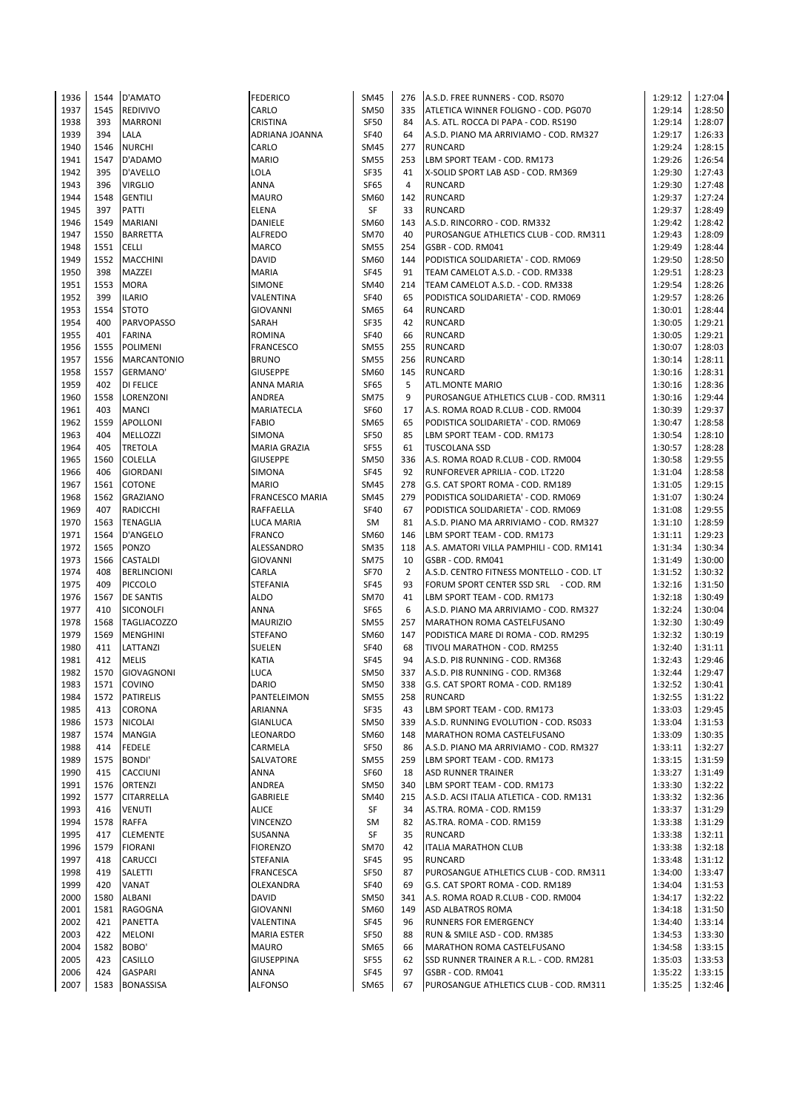| 1936 | 1544 | D'AMATO            | <b>FEDERICO</b>        | <b>SM45</b> | 276            | A.S.D. FREE RUNNERS - COD. RS070         | 1:29:12 | 1:27:04 |
|------|------|--------------------|------------------------|-------------|----------------|------------------------------------------|---------|---------|
|      | 1545 |                    |                        |             | 335            |                                          | 1:29:14 | 1:28:50 |
| 1937 |      | <b>REDIVIVO</b>    | CARLO                  | <b>SM50</b> |                | ATLETICA WINNER FOLIGNO - COD. PG070     |         |         |
| 1938 | 393  | <b>MARRONI</b>     | CRISTINA               | SF50        | 84             | A.S. ATL. ROCCA DI PAPA - COD. RS190     | 1:29:14 | 1:28:07 |
| 1939 | 394  | LALA               | ADRIANA JOANNA         | <b>SF40</b> | 64             | A.S.D. PIANO MA ARRIVIAMO - COD. RM327   | 1:29:17 | 1:26:33 |
| 1940 | 1546 | <b>NURCHI</b>      | CARLO                  | SM45        | 277            | <b>RUNCARD</b>                           | 1:29:24 | 1:28:15 |
| 1941 | 1547 | D'ADAMO            | <b>MARIO</b>           | <b>SM55</b> | 253            | LBM SPORT TEAM - COD. RM173              | 1:29:26 | 1:26:54 |
| 1942 | 395  | D'AVELLO           | LOLA                   | <b>SF35</b> | 41             | X-SOLID SPORT LAB ASD - COD. RM369       | 1:29:30 | 1:27:43 |
| 1943 | 396  | <b>VIRGLIO</b>     | ANNA                   | <b>SF65</b> | 4              | <b>RUNCARD</b>                           | 1:29:30 | 1:27:48 |
|      |      |                    |                        |             |                |                                          |         |         |
| 1944 | 1548 | <b>GENTILI</b>     | MAURO                  | SM60        | 142            | <b>RUNCARD</b>                           | 1:29:37 | 1:27:24 |
| 1945 | 397  | PATTI              | <b>ELENA</b>           | SF          | 33             | <b>RUNCARD</b>                           | 1:29:37 | 1:28:49 |
| 1946 | 1549 | <b>MARIANI</b>     | DANIELE                | SM60        | 143            | A.S.D. RINCORRO - COD. RM332             | 1:29:42 | 1:28:42 |
| 1947 | 1550 | <b>BARRETTA</b>    | <b>ALFREDO</b>         | <b>SM70</b> | 40             | PUROSANGUE ATHLETICS CLUB - COD. RM311   | 1:29:43 | 1:28:09 |
| 1948 | 1551 | <b>CELLI</b>       | <b>MARCO</b>           | <b>SM55</b> | 254            | GSBR - COD. RM041                        | 1:29:49 | 1:28:44 |
| 1949 | 1552 | <b>MACCHINI</b>    | <b>DAVID</b>           | SM60        | 144            | PODISTICA SOLIDARIETA' - COD. RM069      | 1:29:50 | 1:28:50 |
| 1950 | 398  | MAZZEI             | <b>MARIA</b>           | <b>SF45</b> | 91             | TEAM CAMELOT A.S.D. - COD. RM338         | 1:29:51 | 1:28:23 |
|      |      |                    |                        |             |                |                                          |         |         |
| 1951 | 1553 | <b>MORA</b>        | SIMONE                 | SM40        | 214            | TEAM CAMELOT A.S.D. - COD. RM338         | 1:29:54 | 1:28:26 |
| 1952 | 399  | <b>ILARIO</b>      | VALENTINA              | <b>SF40</b> | 65             | PODISTICA SOLIDARIETA' - COD. RM069      | 1:29:57 | 1:28:26 |
| 1953 | 1554 | <b>STOTO</b>       | <b>GIOVANNI</b>        | SM65        | 64             | <b>RUNCARD</b>                           | 1:30:01 | 1:28:44 |
| 1954 | 400  | <b>PARVOPASSO</b>  | SARAH                  | <b>SF35</b> | 42             | <b>RUNCARD</b>                           | 1:30:05 | 1:29:21 |
| 1955 | 401  | <b>FARINA</b>      | ROMINA                 | <b>SF40</b> | 66             | <b>RUNCARD</b>                           | 1:30:05 | 1:29:21 |
| 1956 | 1555 | <b>POLIMENI</b>    | <b>FRANCESCO</b>       | <b>SM55</b> | 255            | <b>RUNCARD</b>                           | 1:30:07 | 1:28:03 |
|      | 1556 |                    | <b>BRUNO</b>           | <b>SM55</b> | 256            |                                          |         |         |
| 1957 |      | <b>MARCANTONIO</b> |                        |             |                | <b>RUNCARD</b>                           | 1:30:14 | 1:28:11 |
| 1958 | 1557 | GERMANO'           | <b>GIUSEPPE</b>        | SM60        | 145            | <b>RUNCARD</b>                           | 1:30:16 | 1:28:31 |
| 1959 | 402  | <b>DI FELICE</b>   | ANNA MARIA             | SF65        | 5              | <b>ATL.MONTE MARIO</b>                   | 1:30:16 | 1:28:36 |
| 1960 | 1558 | LORENZONI          | ANDREA                 | <b>SM75</b> | 9              | PUROSANGUE ATHLETICS CLUB - COD. RM311   | 1:30:16 | 1:29:44 |
| 1961 | 403  | <b>MANCI</b>       | MARIATECLA             | <b>SF60</b> | 17             | A.S. ROMA ROAD R.CLUB - COD. RM004       | 1:30:39 | 1:29:37 |
| 1962 | 1559 | <b>APOLLONI</b>    | FABIO                  | SM65        | 65             | PODISTICA SOLIDARIETA' - COD. RM069      | 1:30:47 | 1:28:58 |
| 1963 | 404  | <b>MELLOZZI</b>    | SIMONA                 | <b>SF50</b> | 85             | LBM SPORT TEAM - COD. RM173              | 1:30:54 | 1:28:10 |
|      |      |                    |                        |             |                |                                          |         |         |
| 1964 | 405  | <b>TRETOLA</b>     | <b>MARIA GRAZIA</b>    | <b>SF55</b> | 61             | <b>TUSCOLANA SSD</b>                     | 1:30:57 | 1:28:28 |
| 1965 | 1560 | <b>COLELLA</b>     | <b>GIUSEPPE</b>        | <b>SM50</b> | 336            | A.S. ROMA ROAD R.CLUB - COD. RM004       | 1:30:58 | 1:29:55 |
| 1966 | 406  | <b>GIORDANI</b>    | SIMONA                 | <b>SF45</b> | 92             | RUNFOREVER APRILIA - COD. LT220          | 1:31:04 | 1:28:58 |
| 1967 | 1561 | <b>COTONE</b>      | <b>MARIO</b>           | <b>SM45</b> | 278            | G.S. CAT SPORT ROMA - COD. RM189         | 1:31:05 | 1:29:15 |
| 1968 | 1562 | <b>GRAZIANO</b>    | <b>FRANCESCO MARIA</b> | <b>SM45</b> | 279            | PODISTICA SOLIDARIETA' - COD. RM069      | 1:31:07 | 1:30:24 |
| 1969 | 407  | <b>RADICCHI</b>    | RAFFAELLA              | <b>SF40</b> | 67             | PODISTICA SOLIDARIETA' - COD. RM069      | 1:31:08 | 1:29:55 |
| 1970 | 1563 | <b>TENAGLIA</b>    | LUCA MARIA             | SM          | 81             | A.S.D. PIANO MA ARRIVIAMO - COD. RM327   | 1:31:10 | 1:28:59 |
|      |      |                    |                        |             |                |                                          |         |         |
| 1971 | 1564 | D'ANGELO           | <b>FRANCO</b>          | SM60        | 146            | LBM SPORT TEAM - COD. RM173              | 1:31:11 | 1:29:23 |
| 1972 | 1565 | PONZO              | ALESSANDRO             | <b>SM35</b> | 118            | A.S. AMATORI VILLA PAMPHILI - COD. RM141 | 1:31:34 | 1:30:34 |
| 1973 | 1566 | <b>CASTALDI</b>    | GIOVANNI               | <b>SM75</b> | 10             | GSBR - COD. RM041                        | 1:31:49 | 1:30:00 |
| 1974 | 408  | <b>BERLINCIONI</b> | CARLA                  | <b>SF70</b> | $\overline{2}$ | A.S.D. CENTRO FITNESS MONTELLO - COD. LT | 1:31:52 | 1:30:32 |
| 1975 | 409  | <b>PICCOLO</b>     | STEFANIA               | <b>SF45</b> | 93             | FORUM SPORT CENTER SSD SRL - COD. RM     | 1:32:16 | 1:31:50 |
| 1976 | 1567 | <b>DE SANTIS</b>   | ALDO                   | <b>SM70</b> | 41             | LBM SPORT TEAM - COD. RM173              | 1:32:18 | 1:30:49 |
| 1977 | 410  |                    | ANNA                   | SF65        | 6              | A.S.D. PIANO MA ARRIVIAMO - COD. RM327   |         | 1:30:04 |
|      |      | <b>SICONOLFI</b>   |                        |             |                |                                          | 1:32:24 |         |
| 1978 | 1568 | <b>TAGLIACOZZO</b> | <b>MAURIZIO</b>        | <b>SM55</b> | 257            | MARATHON ROMA CASTELFUSANO               | 1:32:30 | 1:30:49 |
| 1979 | 1569 | <b>MENGHINI</b>    | <b>STEFANO</b>         | SM60        | 147            | PODISTICA MARE DI ROMA - COD. RM295      | 1:32:32 | 1:30:19 |
| 1980 | 411  | LATTANZI           | SUELEN                 | <b>SF40</b> | 68             | TIVOLI MARATHON - COD. RM255             | 1:32:40 | 1:31:11 |
| 1981 | 412  | <b>MELIS</b>       | <b>KATIA</b>           | <b>SF45</b> | 94             | A.S.D. PI8 RUNNING - COD. RM368          | 1:32:43 | 1:29:46 |
| 1982 | 1570 | <b>GIOVAGNONI</b>  | LUCA                   | <b>SM50</b> | 337            | A.S.D. PI8 RUNNING - COD. RM368          | 1:32:44 | 1:29:47 |
| 1983 |      | 1571 COVINO        | DARIO                  | SM50        | 338            | G.S. CAT SPORT ROMA - COD. RM189         | 1:32:52 | 1:30:41 |
| 1984 | 1572 | <b>PATIRELIS</b>   | PANTELEIMON            | <b>SM55</b> | 258            | <b>RUNCARD</b>                           | 1:32:55 | 1:31:22 |
|      |      |                    |                        |             |                |                                          |         |         |
| 1985 | 413  | <b>CORONA</b>      | ARIANNA                | SF35        | 43             | LBM SPORT TEAM - COD. RM173              | 1:33:03 | 1:29:45 |
| 1986 | 1573 | <b>NICOLAI</b>     | GIANLUCA               | <b>SM50</b> | 339            | A.S.D. RUNNING EVOLUTION - COD. RS033    | 1:33:04 | 1:31:53 |
| 1987 | 1574 | <b>MANGIA</b>      | LEONARDO               | SM60        | 148            | MARATHON ROMA CASTELFUSANO               | 1:33:09 | 1:30:35 |
| 1988 | 414  | <b>FEDELE</b>      | CARMELA                | SF50        | 86             | A.S.D. PIANO MA ARRIVIAMO - COD. RM327   | 1:33:11 | 1:32:27 |
| 1989 | 1575 | <b>BONDI'</b>      | SALVATORE              | <b>SM55</b> | 259            | LBM SPORT TEAM - COD. RM173              | 1:33:15 | 1:31:59 |
| 1990 | 415  | CACCIUNI           | ANNA                   | SF60        | 18             | <b>ASD RUNNER TRAINER</b>                | 1:33:27 | 1:31:49 |
| 1991 | 1576 | ORTENZI            | ANDREA                 | <b>SM50</b> | 340            | LBM SPORT TEAM - COD. RM173              | 1:33:30 | 1:32:22 |
|      |      |                    |                        |             |                |                                          |         |         |
| 1992 | 1577 | <b>CITARRELLA</b>  | GABRIELE               | SM40        | 215            | A.S.D. ACSI ITALIA ATLETICA - COD. RM131 | 1:33:32 | 1:32:36 |
| 1993 | 416  | <b>VENUTI</b>      | <b>ALICE</b>           | SF          | 34             | AS.TRA. ROMA - COD. RM159                | 1:33:37 | 1:31:29 |
| 1994 | 1578 | <b>RAFFA</b>       | <b>VINCENZO</b>        | SM          | 82             | AS.TRA. ROMA - COD. RM159                | 1:33:38 | 1:31:29 |
| 1995 | 417  | <b>CLEMENTE</b>    | SUSANNA                | SF          | 35             | <b>RUNCARD</b>                           | 1:33:38 | 1:32:11 |
| 1996 | 1579 | <b>FIORANI</b>     | <b>FIORENZO</b>        | <b>SM70</b> | 42             | <b>ITALIA MARATHON CLUB</b>              | 1:33:38 | 1:32:18 |
| 1997 | 418  | CARUCCI            | STEFANIA               | <b>SF45</b> | 95             | <b>RUNCARD</b>                           | 1:33:48 | 1:31:12 |
| 1998 | 419  | SALETTI            | FRANCESCA              | <b>SF50</b> | 87             | PUROSANGUE ATHLETICS CLUB - COD. RM311   | 1:34:00 | 1:33:47 |
|      |      |                    |                        |             |                |                                          |         |         |
| 1999 | 420  | VANAT              | OLEXANDRA              | <b>SF40</b> | 69             | G.S. CAT SPORT ROMA - COD. RM189         | 1:34:04 | 1:31:53 |
| 2000 | 1580 | ALBANI             | DAVID                  | <b>SM50</b> | 341            | A.S. ROMA ROAD R.CLUB - COD. RM004       | 1:34:17 | 1:32:22 |
| 2001 | 1581 | RAGOGNA            | GIOVANNI               | SM60        | 149            | ASD ALBATROS ROMA                        | 1:34:18 | 1:31:50 |
| 2002 | 421  | PANETTA            | VALENTINA              | SF45        | 96             | RUNNERS FOR EMERGENCY                    | 1:34:40 | 1:33:14 |
| 2003 | 422  | <b>MELONI</b>      | <b>MARIA ESTER</b>     | SF50        | 88             | RUN & SMILE ASD - COD. RM385             | 1:34:53 | 1:33:30 |
| 2004 | 1582 | BOBO'              | <b>MAURO</b>           | SM65        | 66             | MARATHON ROMA CASTELFUSANO               | 1:34:58 | 1:33:15 |
| 2005 | 423  | <b>CASILLO</b>     | <b>GIUSEPPINA</b>      | SF55        | 62             | SSD RUNNER TRAINER A R.L. - COD. RM281   | 1:35:03 | 1:33:53 |
|      |      |                    |                        |             |                |                                          |         |         |
| 2006 | 424  | <b>GASPARI</b>     | ANNA                   | SF45        | 97             | GSBR - COD. RM041                        | 1:35:22 | 1:33:15 |
| 2007 | 1583 | <b>BONASSISA</b>   | <b>ALFONSO</b>         | SM65        | 67             | PUROSANGUE ATHLETICS CLUB - COD. RM311   | 1:35:25 | 1:32:46 |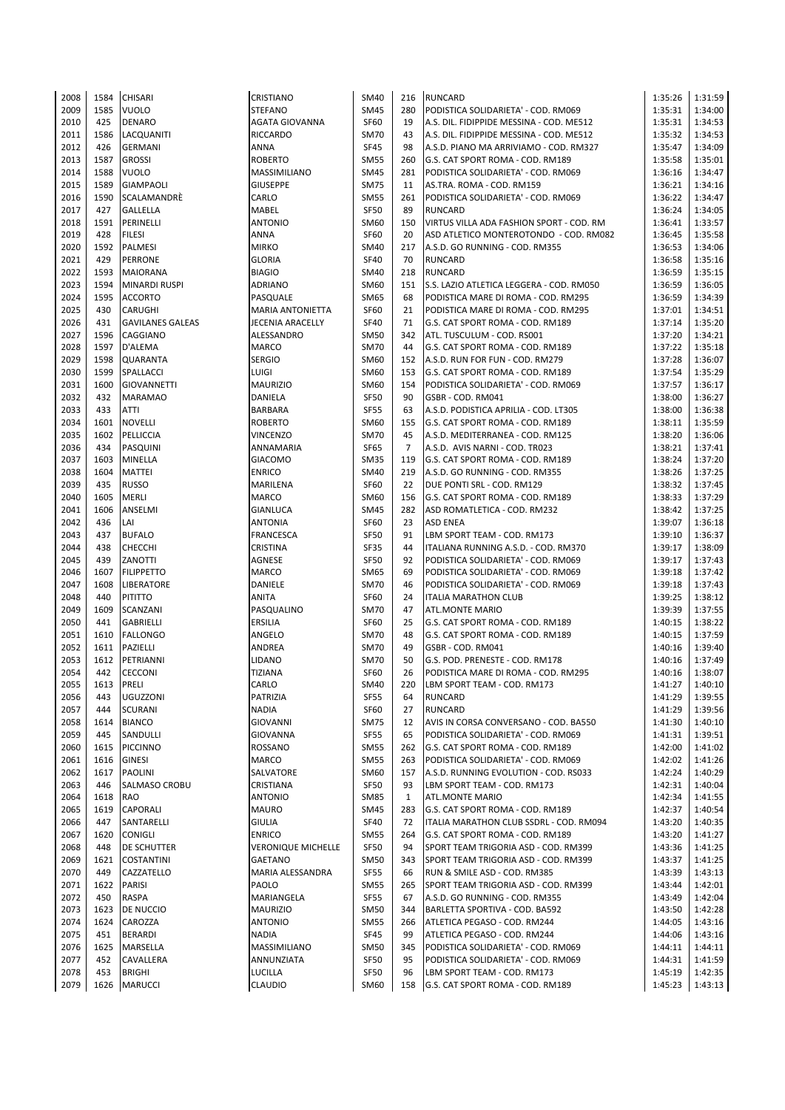| 2008 | 1584 | <b>CHISARI</b>          | <b>CRISTIANO</b>          | SM40        | 216            | <b>RUNCARD</b>                           | 1:35:26 | 1:31:59 |
|------|------|-------------------------|---------------------------|-------------|----------------|------------------------------------------|---------|---------|
| 2009 | 1585 | <b>VUOLO</b>            | <b>STEFANO</b>            | SM45        | 280            | PODISTICA SOLIDARIETA' - COD. RM069      | 1:35:31 | 1:34:00 |
| 2010 | 425  | <b>DENARO</b>           | AGATA GIOVANNA            | <b>SF60</b> | 19             | A.S. DIL. FIDIPPIDE MESSINA - COD. ME512 | 1:35:31 | 1:34:53 |
| 2011 | 1586 | LACQUANITI              | <b>RICCARDO</b>           | <b>SM70</b> | 43             | A.S. DIL. FIDIPPIDE MESSINA - COD. ME512 | 1:35:32 | 1:34:53 |
| 2012 | 426  | <b>GERMANI</b>          | <b>ANNA</b>               | <b>SF45</b> | 98             | A.S.D. PIANO MA ARRIVIAMO - COD. RM327   | 1:35:47 | 1:34:09 |
| 2013 | 1587 | <b>GROSSI</b>           | <b>ROBERTO</b>            | <b>SM55</b> | 260            | G.S. CAT SPORT ROMA - COD. RM189         | 1:35:58 | 1:35:01 |
| 2014 | 1588 | <b>VUOLO</b>            | <b>MASSIMILIANO</b>       | <b>SM45</b> | 281            | PODISTICA SOLIDARIETA' - COD. RM069      | 1:36:16 | 1:34:47 |
| 2015 | 1589 | <b>GIAMPAOLI</b>        | <b>GIUSEPPE</b>           | <b>SM75</b> | 11             | AS.TRA. ROMA - COD. RM159                | 1:36:21 | 1:34:16 |
|      |      |                         |                           |             |                |                                          |         |         |
| 2016 | 1590 | SCALAMANDRÈ             | CARLO                     | <b>SM55</b> | 261            | PODISTICA SOLIDARIETA' - COD. RM069      | 1:36:22 | 1:34:47 |
| 2017 | 427  | GALLELLA                | <b>MABEL</b>              | <b>SF50</b> | 89             | RUNCARD                                  | 1:36:24 | 1:34:05 |
| 2018 | 1591 | PERINELLI               | <b>ANTONIO</b>            | SM60        | 150            | VIRTUS VILLA ADA FASHION SPORT - COD. RM | 1:36:41 | 1:33:57 |
| 2019 | 428  | <b>FILESI</b>           | ANNA                      | <b>SF60</b> | 20             | ASD ATLETICO MONTEROTONDO - COD. RM082   | 1:36:45 | 1:35:58 |
| 2020 | 1592 | PALMESI                 | <b>MIRKO</b>              | <b>SM40</b> | 217            | A.S.D. GO RUNNING - COD. RM355           | 1:36:53 | 1:34:06 |
| 2021 | 429  | PERRONE                 | <b>GLORIA</b>             | <b>SF40</b> | 70             | <b>RUNCARD</b>                           | 1:36:58 | 1:35:16 |
| 2022 | 1593 | MAIORANA                | <b>BIAGIO</b>             | SM40        | 218            | <b>RUNCARD</b>                           | 1:36:59 | 1:35:15 |
| 2023 | 1594 | <b>MINARDI RUSPI</b>    | <b>ADRIANO</b>            | SM60        | 151            | S.S. LAZIO ATLETICA LEGGERA - COD. RM050 | 1:36:59 | 1:36:05 |
| 2024 | 1595 | <b>ACCORTO</b>          | PASQUALE                  | SM65        | 68             | PODISTICA MARE DI ROMA - COD. RM295      | 1:36:59 | 1:34:39 |
| 2025 | 430  | CARUGHI                 | <b>MARIA ANTONIETTA</b>   | <b>SF60</b> | 21             | PODISTICA MARE DI ROMA - COD. RM295      | 1:37:01 | 1:34:51 |
| 2026 | 431  | <b>GAVILANES GALEAS</b> | JECENIA ARACELLY          | <b>SF40</b> | 71             | G.S. CAT SPORT ROMA - COD. RM189         | 1:37:14 | 1:35:20 |
| 2027 | 1596 | CAGGIANO                | ALESSANDRO                | <b>SM50</b> | 342            | ATL. TUSCULUM - COD. RS001               | 1:37:20 | 1:34:21 |
| 2028 | 1597 | D'ALEMA                 | <b>MARCO</b>              | <b>SM70</b> | 44             | G.S. CAT SPORT ROMA - COD. RM189         | 1:37:22 | 1:35:18 |
| 2029 | 1598 | QUARANTA                | <b>SERGIO</b>             | SM60        | 152            | A.S.D. RUN FOR FUN - COD. RM279          | 1:37:28 | 1:36:07 |
| 2030 | 1599 | SPALLACCI               | LUIGI                     | SM60        | 153            | G.S. CAT SPORT ROMA - COD. RM189         | 1:37:54 | 1:35:29 |
| 2031 | 1600 | <b>GIOVANNETTI</b>      | <b>MAURIZIO</b>           | SM60        | 154            | PODISTICA SOLIDARIETA' - COD. RM069      | 1:37:57 | 1:36:17 |
| 2032 | 432  | <b>MARAMAO</b>          | DANIELA                   | <b>SF50</b> | 90             | GSBR - COD. RM041                        | 1:38:00 | 1:36:27 |
| 2033 | 433  | ATTI                    | <b>BARBARA</b>            | <b>SF55</b> | 63             | A.S.D. PODISTICA APRILIA - COD. LT305    | 1:38:00 | 1:36:38 |
| 2034 | 1601 | <b>NOVELLI</b>          | <b>ROBERTO</b>            | SM60        | 155            | G.S. CAT SPORT ROMA - COD. RM189         | 1:38:11 | 1:35:59 |
| 2035 | 1602 | PELLICCIA               | <b>VINCENZO</b>           | <b>SM70</b> | 45             | A.S.D. MEDITERRANEA - COD. RM125         | 1:38:20 | 1:36:06 |
|      |      |                         |                           |             | $\overline{7}$ |                                          |         |         |
| 2036 | 434  | PASQUINI                | ANNAMARIA                 | SF65        |                | A.S.D. AVIS NARNI - COD. TR023           | 1:38:21 | 1:37:41 |
| 2037 | 1603 | <b>MINELLA</b>          | <b>GIACOMO</b>            | <b>SM35</b> | 119            | G.S. CAT SPORT ROMA - COD. RM189         | 1:38:24 | 1:37:20 |
| 2038 | 1604 | <b>MATTEI</b>           | <b>ENRICO</b>             | SM40        | 219            | A.S.D. GO RUNNING - COD. RM355           | 1:38:26 | 1:37:25 |
| 2039 | 435  | <b>RUSSO</b>            | MARILENA                  | <b>SF60</b> | 22             | DUE PONTI SRL - COD. RM129               | 1:38:32 | 1:37:45 |
| 2040 | 1605 | MERLI                   | <b>MARCO</b>              | SM60        | 156            | G.S. CAT SPORT ROMA - COD. RM189         | 1:38:33 | 1:37:29 |
| 2041 | 1606 | ANSELMI                 | <b>GIANLUCA</b>           | <b>SM45</b> | 282            | ASD ROMATLETICA - COD. RM232             | 1:38:42 | 1:37:25 |
| 2042 | 436  | LAI                     | <b>ANTONIA</b>            | <b>SF60</b> | 23             | <b>ASD ENEA</b>                          | 1:39:07 | 1:36:18 |
| 2043 | 437  | <b>BUFALO</b>           | <b>FRANCESCA</b>          | <b>SF50</b> | 91             | LBM SPORT TEAM - COD. RM173              | 1:39:10 | 1:36:37 |
| 2044 | 438  | <b>CHECCHI</b>          | <b>CRISTINA</b>           | <b>SF35</b> | 44             | ITALIANA RUNNING A.S.D. - COD. RM370     | 1:39:17 | 1:38:09 |
| 2045 | 439  | ZANOTTI                 | AGNESE                    | <b>SF50</b> | 92             | PODISTICA SOLIDARIETA' - COD. RM069      | 1:39:17 | 1:37:43 |
| 2046 | 1607 | <b>FILIPPETTO</b>       | <b>MARCO</b>              | <b>SM65</b> | 69             | PODISTICA SOLIDARIETA' - COD. RM069      | 1:39:18 | 1:37:42 |
| 2047 | 1608 | LIBERATORE              | DANIELE                   | <b>SM70</b> | 46             | PODISTICA SOLIDARIETA' - COD. RM069      | 1:39:18 | 1:37:43 |
| 2048 | 440  | PITITTO                 | <b>ANITA</b>              | <b>SF60</b> | 24             | <b>ITALIA MARATHON CLUB</b>              | 1:39:25 | 1:38:12 |
| 2049 | 1609 | SCANZANI                | PASQUALINO                | <b>SM70</b> | 47             | <b>ATL.MONTE MARIO</b>                   | 1:39:39 | 1:37:55 |
| 2050 | 441  | GABRIELLI               | <b>ERSILIA</b>            | <b>SF60</b> | 25             | G.S. CAT SPORT ROMA - COD. RM189         | 1:40:15 | 1:38:22 |
| 2051 | 1610 | <b>FALLONGO</b>         | ANGELO                    | <b>SM70</b> | 48             | G.S. CAT SPORT ROMA - COD. RM189         | 1:40:15 | 1:37:59 |
| 2052 | 1611 | PAZIELLI                | ANDREA                    | <b>SM70</b> | 49             | GSBR - COD. RM041                        | 1:40:16 | 1:39:40 |
| 2053 | 1612 | PETRIANNI               | LIDANO                    | <b>SM70</b> | 50             | G.S. POD. PRENESTE - COD. RM178          | 1:40:16 | 1:37:49 |
| 2054 | 442  | <b>CECCONI</b>          | <b>TIZIANA</b>            | <b>SF60</b> | 26             | PODISTICA MARE DI ROMA - COD. RM295      | 1:40:16 | 1:38:07 |
| 2055 | 1613 | PRELI                   | CARLO                     | SM40        | 220            | LBM SPORT TEAM - COD. RM173              | 1:41:27 | 1:40:10 |
| 2056 | 443  | UGUZZONI                | PATRIZIA                  | <b>SF55</b> | 64             | RUNCARD                                  | 1:41:29 | 1:39:55 |
| 2057 | 444  | SCURANI                 | <b>NADIA</b>              | SF60        | 27             | RUNCARD                                  | 1:41:29 | 1:39:56 |
| 2058 | 1614 | <b>BIANCO</b>           | <b>GIOVANNI</b>           | <b>SM75</b> | 12             | AVIS IN CORSA CONVERSANO - COD. BA550    | 1:41:30 | 1:40:10 |
| 2059 | 445  | SANDULLI                | <b>GIOVANNA</b>           | <b>SF55</b> | 65             | PODISTICA SOLIDARIETA' - COD. RM069      | 1:41:31 | 1:39:51 |
| 2060 | 1615 | <b>PICCINNO</b>         | ROSSANO                   | <b>SM55</b> | 262            | G.S. CAT SPORT ROMA - COD. RM189         | 1:42:00 | 1:41:02 |
| 2061 | 1616 | <b>GINESI</b>           | <b>MARCO</b>              | <b>SM55</b> | 263            | PODISTICA SOLIDARIETA' - COD. RM069      | 1:42:02 | 1:41:26 |
|      |      |                         |                           |             |                |                                          |         |         |
| 2062 | 1617 | PAOLINI                 | SALVATORE                 | SM60        | 157            | A.S.D. RUNNING EVOLUTION - COD. RS033    | 1:42:24 | 1:40:29 |
| 2063 | 446  | SALMASO CROBU           | CRISTIANA                 | <b>SF50</b> | 93             | LBM SPORT TEAM - COD. RM173              | 1:42:31 | 1:40:04 |
| 2064 | 1618 | RAO                     | <b>ANTONIO</b>            | <b>SM85</b> | $\mathbf{1}$   | <b>ATL.MONTE MARIO</b>                   | 1:42:34 | 1:41:55 |
| 2065 | 1619 | CAPORALI                | <b>MAURO</b>              | SM45        | 283            | G.S. CAT SPORT ROMA - COD. RM189         | 1:42:37 | 1:40:54 |
| 2066 | 447  | SANTARELLI              | <b>GIULIA</b>             | <b>SF40</b> | 72             | ITALIA MARATHON CLUB SSDRL - COD. RM094  | 1:43:20 | 1:40:35 |
| 2067 | 1620 | <b>CONIGLI</b>          | <b>ENRICO</b>             | <b>SM55</b> | 264            | G.S. CAT SPORT ROMA - COD. RM189         | 1:43:20 | 1:41:27 |
| 2068 | 448  | DE SCHUTTER             | <b>VERONIQUE MICHELLE</b> | SF50        | 94             | SPORT TEAM TRIGORIA ASD - COD. RM399     | 1:43:36 | 1:41:25 |
| 2069 | 1621 | <b>COSTANTINI</b>       | <b>GAETANO</b>            | SM50        | 343            | SPORT TEAM TRIGORIA ASD - COD. RM399     | 1:43:37 | 1:41:25 |
| 2070 | 449  | CAZZATELLO              | MARIA ALESSANDRA          | <b>SF55</b> | 66             | RUN & SMILE ASD - COD. RM385             | 1:43:39 | 1:43:13 |
| 2071 | 1622 | PARISI                  | PAOLO                     | <b>SM55</b> | 265            | SPORT TEAM TRIGORIA ASD - COD. RM399     | 1:43:44 | 1:42:01 |
| 2072 | 450  | RASPA                   | MARIANGELA                | SF55        | 67             | A.S.D. GO RUNNING - COD. RM355           | 1:43:49 | 1:42:04 |
| 2073 | 1623 | DE NUCCIO               | <b>MAURIZIO</b>           | <b>SM50</b> | 344            | BARLETTA SPORTIVA - COD. BA592           | 1:43:50 | 1:42:28 |
| 2074 | 1624 | CAROZZA                 | <b>ANTONIO</b>            | <b>SM55</b> | 266            | ATLETICA PEGASO - COD. RM244             | 1:44:05 | 1:43:16 |
| 2075 | 451  | <b>BERARDI</b>          | <b>NADIA</b>              | SF45        | 99             | ATLETICA PEGASO - COD. RM244             | 1:44:06 | 1:43:16 |
| 2076 | 1625 | MARSELLA                | MASSIMILIANO              | SM50        | 345            | PODISTICA SOLIDARIETA' - COD. RM069      | 1:44:11 | 1:44:11 |
| 2077 | 452  | CAVALLERA               | ANNUNZIATA                | SF50        | 95             | PODISTICA SOLIDARIETA' - COD. RM069      | 1:44:31 | 1:41:59 |
| 2078 | 453  | <b>BRIGHI</b>           | <b>LUCILLA</b>            | <b>SF50</b> | 96             | LBM SPORT TEAM - COD. RM173              | 1:45:19 | 1:42:35 |
| 2079 | 1626 | <b>MARUCCI</b>          | <b>CLAUDIO</b>            | SM60        | 158            | G.S. CAT SPORT ROMA - COD. RM189         | 1:45:23 | 1:43:13 |
|      |      |                         |                           |             |                |                                          |         |         |